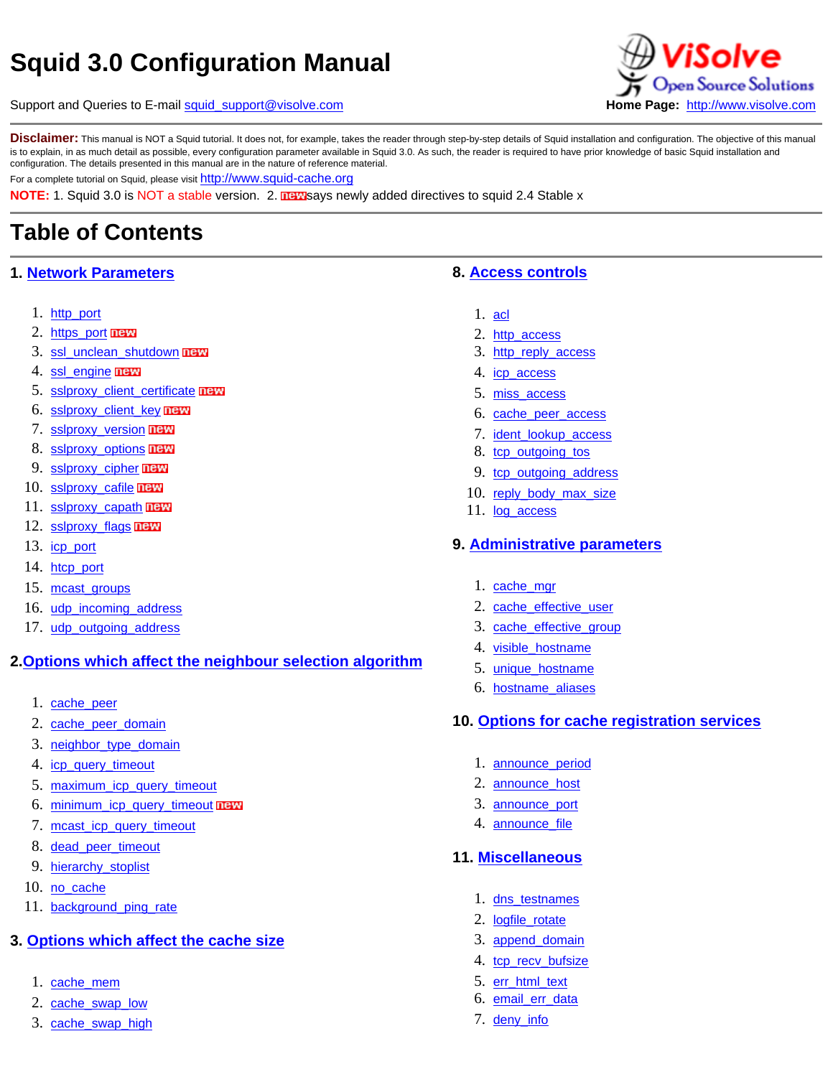# **Squid 3.0 Configuration Manual**

Support and Queries to E-mail [squid\\_support@visolve.com](mailto:squid_support@visolve.com) **Home Page:** [http://www.visolve.com](https://www.visolve.com/)

iSolve pen Source Solutions

Disclaimer: This manual is NOT a Squid tutorial. It does not, for example, takes the reader through step-by-step details of Squid installation and configuration. The objective of this manual is to explain, in as much detail as possible, every configuration parameter available in Squid 3.0. As such, the reader is required to have prior knowledge of basic Squid installation and configuration. The details presented in this manual are in the nature of reference material.

For a complete tutorial on Squid, please visit [http://www.squid-cache.org](http://www.squid-cache.org/)

**NOTE:** 1. Squid 3.0 is NOT a stable version. 2. **ILEV** says newly added directives to squid 2.4 Stable x

# **Table of Contents**

## **1. [Network Parameters](#page-2-0)**

- 1. [http\\_port](#page-3-0)
- 2. [https\\_port](#page-3-1) new
- 3. [ssl\\_unclean\\_shutdown](#page-4-0) new
- 4. [ssl\\_engine](#page-5-0) **new**
- 5. sslproxy client certificate new
- 6. [sslproxy\\_client\\_key](#page-5-2) new
- 7. [sslproxy\\_version](#page-6-0) **new**
- 8. [sslproxy\\_options](#page-6-1) **new**
- 9. [sslproxy\\_cipher](#page-6-2) maw
- 10. [sslproxy\\_cafile](#page-6-3) **new**
- 11. [sslproxy\\_capath](#page-7-0) **DEE**
- 12. [sslproxy\\_flags](#page-7-1) **new**
- 13. [icp\\_port](#page-7-2)
- 14. [htcp\\_port](#page-8-0)
- 15. [mcast\\_groups](#page-8-1)
- 16. [udp\\_incoming\\_address](#page-8-2)
- 17. [udp\\_outgoing\\_address](#page-8-2)

## **2.[Options which affect the neighbour selection algorithm](#page-9-0)**

- 1. [cache\\_peer](#page-9-1)
- 2. [cache\\_peer\\_domain](#page-11-0)
- 3. [neighbor\\_type\\_domain](#page-11-1)
- 4. [icp\\_query\\_timeout](#page-12-0)
- 5. [maximum\\_icp\\_query\\_timeout](#page-12-1)
- 6. [minimum\\_icp\\_query\\_timeout](#page-12-2) new
- 7. [mcast\\_icp\\_query\\_timeout](#page-13-0)
- 8. [dead\\_peer\\_timeout](#page-13-1)
- 9. [hierarchy\\_stoplist](#page-13-2)
- 10. [no\\_cache](#page-14-0)
- 11. [background\\_ping\\_rate](#page-14-1)

## **3. [Options which affect the cache size](#page-14-2)**

- 1. [cache\\_mem](#page-14-3)
- 2. [cache\\_swap\\_low](#page-15-0)
- 3. [cache\\_swap\\_high](#page-15-0)

## **8. [Access controls](#page-44-0)**

- 1. [acl](#page-45-0)
- 2. [http\\_access](#page-56-0)
- 3. [http\\_reply\\_access](#page-56-1)
- 4. [icp\\_access](#page-56-2)
- 5. [miss\\_access](#page-57-0)
- 6. [cache\\_peer\\_access](#page-57-1)
- 7. [ident\\_lookup\\_access](#page-58-0)
- 8. [tcp\\_outgoing\\_tos](#page-58-1)
- 9. [tcp\\_outgoing\\_address](#page-58-2)
- 10. [reply\\_body\\_max\\_size](#page-59-0)
- 11. [log\\_access](#page-59-1)

#### **9. [Administrative parameters](#page-61-0)**

- 1. [cache\\_mgr](#page-61-1)
- 2. [cache\\_effective\\_user](#page-61-2)
- 3. [cache\\_effective\\_group](#page-61-2)
- 4. [visible\\_hostname](#page-62-0)
- 5. [unique\\_hostname](#page-62-1)
- 6. [hostname\\_aliases](#page-62-2)

#### **10. [Options for cache registration services](#page-62-3)**

- 1. [announce\\_period](#page-63-0)
- 2. [announce\\_host](#page-63-1)
- 3. [announce\\_port](#page-63-2)
- 4. [announce\\_file](#page-63-3)

## **11. [Miscellaneous](#page-64-0)**

- 1. [dns\\_testnames](#page-64-1)
- 2. [logfile\\_rotate](#page-64-2)
- 3. [append\\_domain](#page-65-0)
- 4. [tcp\\_recv\\_bufsize](#page-65-1)
- 5. [err\\_html\\_text](#page-65-2)
- 6. [email\\_err\\_data](#page-65-3)
- 7. [deny\\_info](#page-66-0)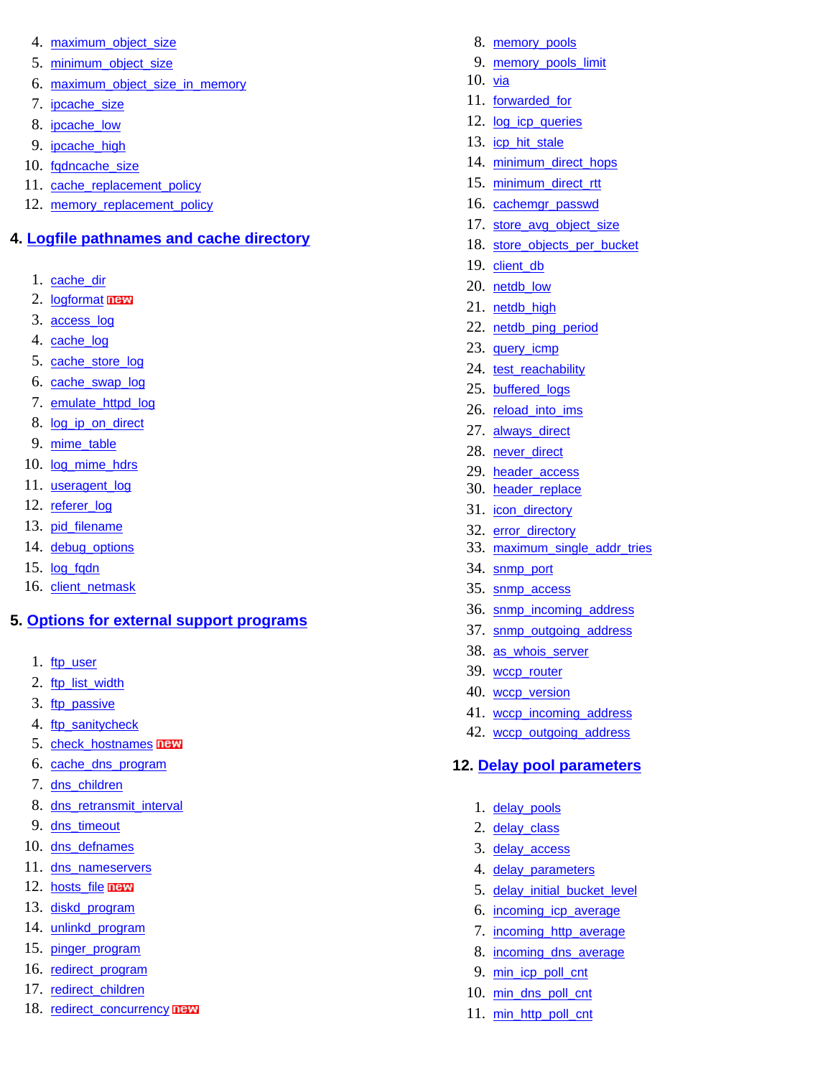- 4. maximum object size
- 5. [minimum\\_object\\_size](#page-16-0)
- 6. [maximum\\_object\\_size\\_in\\_memory](#page-16-1)
- 7. [ipcache\\_size](#page-16-2)
- 8. [ipcache\\_low](#page-16-2)
- 9. [ipcache\\_high](#page-16-2)
- 10. [fqdncache\\_size](#page-17-0)
- 11. [cache\\_replacement\\_policy](#page-17-1)
- 12. [memory\\_replacement\\_policy](#page-18-0)

## **4. [Logfile pathnames and cache directory](#page-18-1)**

- 1. [cache\\_dir](#page-18-2)
- 2. [logformat](#page-19-0) new
- 3. [access\\_log](#page-21-0)
- 4. [cache\\_log](#page-21-1)
- 5. [cache\\_store\\_log](#page-21-2)
- 6. [cache\\_swap\\_log](#page-22-0)
- 7. [emulate\\_httpd\\_log](#page-22-1)
- 8. [log\\_ip\\_on\\_direct](#page-22-2)
- 9. [mime\\_table](#page-23-0)
- 10. [log\\_mime\\_hdrs](#page-23-1)
- 11. [useragent\\_log](#page-23-2)
- 12. [referer\\_log](#page-24-0)
- 13. [pid\\_filename](#page-24-1)
- 14. [debug\\_options](#page-24-2)
- 15. [log\\_fqdn](#page-25-0)
- 16. [client\\_netmask](#page-25-1)

## **5. [Options for external support programs](#page-25-2)**

- 1. [ftp\\_user](#page-25-3)
- 2. [ftp\\_list\\_width](#page-26-0)
- 3. [ftp\\_passive](#page-26-1)
- 4. [ftp\\_sanitycheck](#page-26-2)
- 5. [check\\_hostnames](#page-27-0) **new**
- 6. [cache\\_dns\\_program](#page-27-1)
- 7. [dns\\_children](#page-27-2)
- 8. [dns\\_retransmit\\_interval](#page-28-0)
- 9. [dns\\_timeout](#page-28-1)
- 10. [dns\\_defnames](#page-28-2)
- 11. [dns\\_nameservers](#page-29-0)
- 12. [hosts\\_file](#page-29-1) new
- 13. [diskd\\_program](#page-29-2)
- 14. [unlinkd\\_program](#page-30-0)
- 15. [pinger\\_program](#page-30-1)
- 16. [redirect\\_program](#page-30-2)
- 17. [redirect\\_children](#page-31-0)
- 18. [redirect\\_concurrency](#page-31-1) **new**
- 8. [memory\\_pools](#page-66-1)
- 9. [memory\\_pools\\_limit](#page-66-2)
- 10.  $via$
- 11. [forwarded\\_for](#page-67-1)
- 12. [log\\_icp\\_queries](#page-67-2)
- 13. [icp\\_hit\\_stale](#page-68-0)
- 14. [minimum\\_direct\\_hops](#page-68-1)
- 15. [minimum\\_direct\\_rtt](#page-68-2)
- 16. [cachemgr\\_passwd](#page-69-0)
- 17. [store\\_avg\\_object\\_size](#page-69-1)
- 18. [store\\_objects\\_per\\_bucket](#page-69-2)
- 19. client db
- 20. netdb low
- 21. [netdb\\_high](#page-70-1)
- 22. [netdb\\_ping\\_period](#page-70-2)
- 23. [query\\_icmp](#page-71-0)
- 24. [test\\_reachability](#page-71-1)
- 25. [buffered\\_logs](#page-71-2)
- 26. [reload\\_into\\_ims](#page-71-3)
- 27. [always\\_direct](#page-72-0)
- 28. [never\\_direct](#page-72-1)
- 29. [header\\_access](#page-72-2)
- 30. [header\\_replace](#page-73-0)
- 31. [icon\\_directory](#page-73-1)
- 32. [error\\_directory](#page-73-2)
- 33. [maximum\\_single\\_addr\\_tries](#page-74-0)
- 34. [snmp\\_port](#page-74-1)
- 35. [snmp\\_access](#page-74-2)
- 36. [snmp\\_incoming\\_address](#page-75-0)
- 37. [snmp\\_outgoing\\_address](#page-75-0)
- 38. [as\\_whois\\_server](#page-75-1)
- 39. [wccp\\_router](#page-75-2)
- 40. wccp version
- 41. [wccp\\_incoming\\_address](#page-76-1)
- 42. [wccp\\_outgoing\\_address](#page-76-1)

## **12. [Delay pool parameters](#page-76-2)**

- 1. [delay\\_pools](#page-77-0)
- 2. [delay\\_class](#page-77-1)
- 3. [delay\\_access](#page-78-0)
- 4. [delay\\_parameters](#page-78-1)
- 5. [delay\\_initial\\_bucket\\_level](#page-79-0)
- 6. [incoming\\_icp\\_average](#page-79-1)
- 7. [incoming\\_http\\_average](#page-79-1)
- 8. [incoming\\_dns\\_average](#page-79-1)
- 9. [min\\_icp\\_poll\\_cnt](#page-79-1)
- 10. [min\\_dns\\_poll\\_cnt](#page-79-1)
- 11. [min\\_http\\_poll\\_cnt](#page-79-1)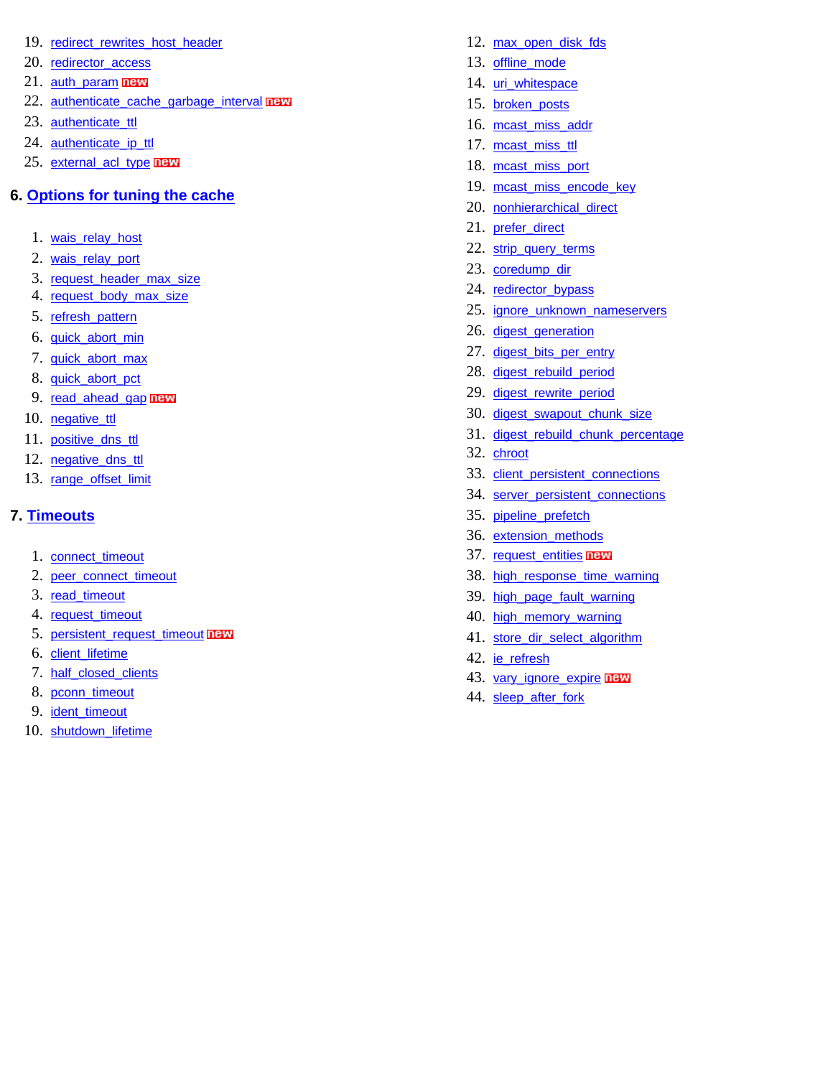- 19. redirect rewrites host header
- 20. [redirector\\_access](#page-32-0)
- 21. [auth\\_param](#page-32-1) new
- 22. [authenticate\\_cache\\_garbage\\_interval](#page-34-0) new
- 23. authenticate ttl
- 24. [authenticate\\_ip\\_ttl](#page-35-1)
- 25. [external\\_acl\\_type](#page-35-2) new

## **6. [Options for tuning the cache](#page-37-0)**

- 1. [wais\\_relay\\_host](#page-37-1)
- 2. [wais\\_relay\\_port](#page-37-1)
- 3. [request\\_header\\_max\\_size](#page-37-2)
- 4. [request\\_body\\_max\\_size](#page-37-3)
- 5. [refresh\\_pattern](#page-38-0)
- 6. [quick\\_abort\\_min](#page-38-1)
- 7. [quick\\_abort\\_max](#page-38-1)
- 8. [quick\\_abort\\_pct](#page-38-1)
- 9. [read\\_ahead\\_gap](#page-39-0) **ITEW**
- 10. [negative\\_ttl](#page-39-1)
- 11. [positive\\_dns\\_ttl](#page-40-0)
- 12. negative dns ttl
- 13. [range\\_offset\\_limit](#page-40-2)

## **7. [Timeouts](#page-41-0)**

- 1. [connect\\_timeout](#page-41-1)
- 2. [peer\\_connect\\_timeout](#page-41-2)
- 3. [read\\_timeout](#page-42-0)
- 4. [request\\_timeout](#page-42-1)
- 5. [persistent\\_request\\_timeout](#page-42-2) new
- 6. [client\\_lifetime](#page-43-0)
- 7. [half\\_closed\\_clients](#page-43-1)
- 8. [pconn\\_timeout](#page-43-2)
- 9. [ident\\_timeout](#page-44-1)
- <span id="page-2-0"></span>10. [shutdown\\_lifetime](#page-44-2)
- 12. [max\\_open\\_disk\\_fds](#page-79-2)
- 13. [offline\\_mode](#page-80-0)
- 14. uri whitespace
- 15. [broken\\_posts](#page-80-2)
- 16. [mcast\\_miss\\_addr](#page-81-0)
- 17. [mcast\\_miss\\_ttl](#page-81-1)
- 18. [mcast\\_miss\\_port](#page-81-2)
- 19. [mcast\\_miss\\_encode\\_key](#page-82-0)
- 20. [nonhierarchical\\_direct](#page-82-1)
- 21. [prefer\\_direct](#page-82-2)
- 22. [strip\\_query\\_terms](#page-83-0)
- 23. [coredump\\_dir](#page-83-1)
- 24. [redirector\\_bypass](#page-83-2)
- 25. [ignore\\_unknown\\_nameservers](#page-83-3)
- 26. [digest\\_generation](#page-84-0)
- 27. [digest\\_bits\\_per\\_entry](#page-84-1)
- 28. [digest\\_rebuild\\_period](#page-84-2)
- 29. [digest\\_rewrite\\_period](#page-85-0)
- 30. [digest\\_swapout\\_chunk\\_size](#page-85-1)
- 31. [digest\\_rebuild\\_chunk\\_percentage](#page-85-2)
- 32. [chroot](#page-85-3)
- 33. client persistent connections
- 34. [server\\_persistent\\_connections](#page-86-0)
- 35. [pipeline\\_prefetch](#page-86-1)
- 36. [extension\\_methods](#page-86-2)
- 37. [request\\_entities](#page-87-0) **new**
- 38. [high\\_response\\_time\\_warning](#page-87-1)
- 39. [high\\_page\\_fault\\_warning](#page-87-2)
- 40. [high\\_memory\\_warning](#page-88-0)
- 41. [store\\_dir\\_select\\_algorithm](#page-88-1)
- 42. [ie\\_refresh](#page-88-2)
- 43. [vary\\_ignore\\_expire](#page-89-0) **new**
- 44. sleep after fork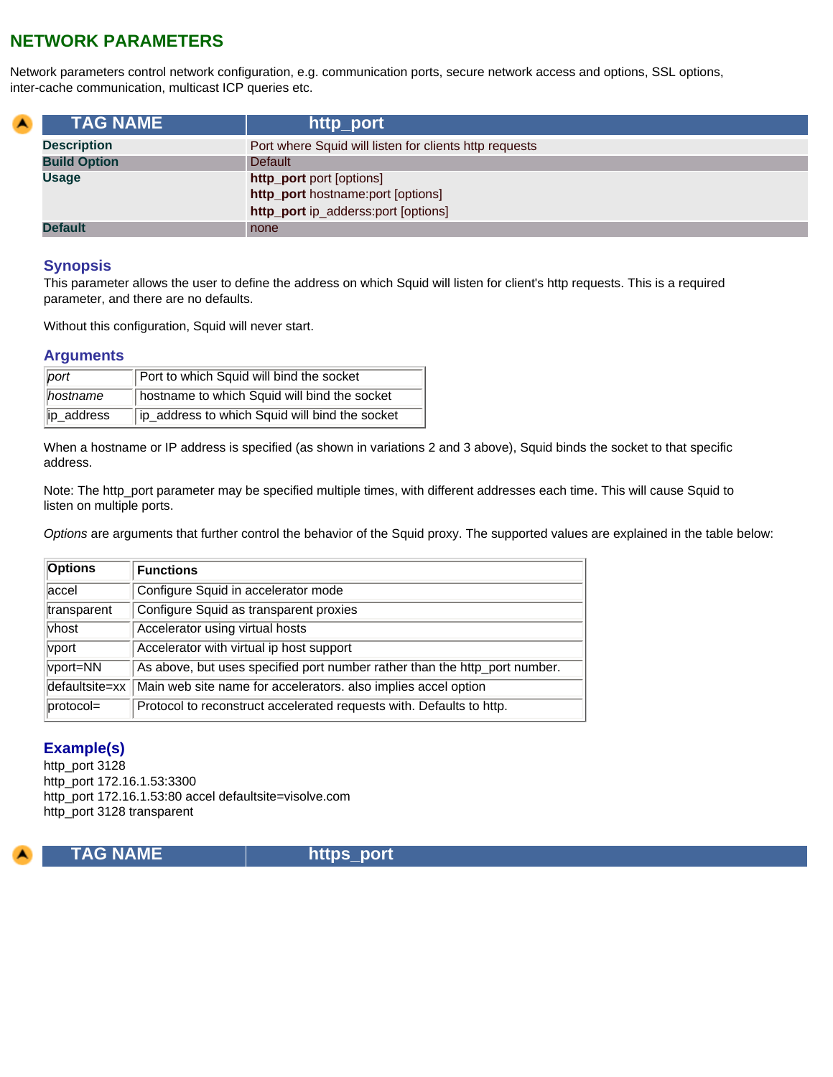# **NETWORK PARAMETERS**

Network parameters control network configuration, e.g. communication ports, secure network access and options, SSL options, inter-cache communication, multicast ICP queries etc.

<span id="page-3-0"></span>

| <b>A</b> | <b>TAG NAME</b>     | http_port                                                     |
|----------|---------------------|---------------------------------------------------------------|
|          | <b>Description</b>  | Port where Squid will listen for clients http requests        |
|          | <b>Build Option</b> | Default                                                       |
|          | <b>Usage</b>        | http_port port [options]<br>http_port hostname:port [options] |
|          |                     | http_port ip_adderss:port [options]                           |
|          | <b>Default</b>      | none                                                          |

#### **Synopsis**

This parameter allows the user to define the address on which Squid will listen for client's http requests. This is a required parameter, and there are no defaults.

Without this configuration, Squid will never start.

## **Arguments**

| port            | Port to which Squid will bind the socket       |
|-----------------|------------------------------------------------|
| <i>hostname</i> | hostname to which Squid will bind the socket   |
| ip_address      | ip_address to which Squid will bind the socket |

When a hostname or IP address is specified (as shown in variations 2 and 3 above), Squid binds the socket to that specific address.

Note: The http\_port parameter may be specified multiple times, with different addresses each time. This will cause Squid to listen on multiple ports.

*Options* are arguments that further control the behavior of the Squid proxy. The supported values are explained in the table below:

| <b>Options</b> | <b>Functions</b>                                                           |
|----------------|----------------------------------------------------------------------------|
| laccel         | Configure Squid in accelerator mode                                        |
| transparent    | Configure Squid as transparent proxies                                     |
| vhost          | Accelerator using virtual hosts                                            |
| vport          | Accelerator with virtual ip host support                                   |
| vport=NN       | As above, but uses specified port number rather than the http_port number. |
| defaultsite=xx | Main web site name for accelerators. also implies accel option             |
| $proto$ col=   | Protocol to reconstruct accelerated requests with. Defaults to http.       |

## **Example(s)**

http\_port 3128 http\_port 172.16.1.53:3300 http\_port 172.16.1.53:80 accel defaultsite=visolve.com http\_port 3128 transparent

<span id="page-3-1"></span>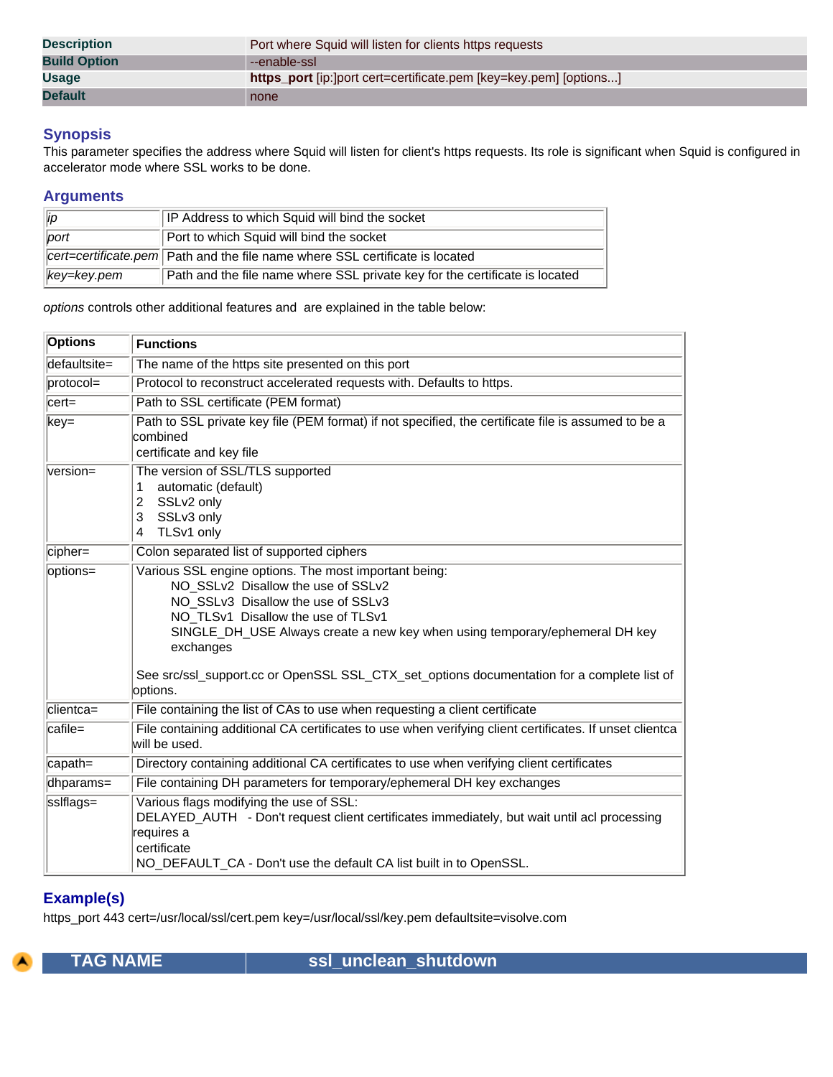| <b>Description</b>  | Port where Squid will listen for clients https requests           |
|---------------------|-------------------------------------------------------------------|
| <b>Build Option</b> | --enable-ssl                                                      |
| <b>Usage</b>        | https_port [ip:]port cert=certificate.pem [key=key.pem] [options] |
| <b>Default</b>      | none                                                              |

This parameter specifies the address where Squid will listen for client's https requests. Its role is significant when Squid is configured in accelerator mode where SSL works to be done.

## **Arguments**

| $\ $ ip                 | IP Address to which Squid will bind the socket                               |
|-------------------------|------------------------------------------------------------------------------|
| $ $ port                | Port to which Squid will bind the socket                                     |
|                         | cert=certificate.pem Path and the file name where SSL certificate is located |
| $\parallel$ key=key.pem | Path and the file name where SSL private key for the certificate is located  |

*options* controls other additional features and are explained in the table below:

| <b>Options</b>             | <b>Functions</b>                                                                                                                                                                                                                                                                                                                                                              |
|----------------------------|-------------------------------------------------------------------------------------------------------------------------------------------------------------------------------------------------------------------------------------------------------------------------------------------------------------------------------------------------------------------------------|
| $d$ efaultsite=            | The name of the https site presented on this port                                                                                                                                                                                                                                                                                                                             |
| $protocol =$               | Protocol to reconstruct accelerated requests with. Defaults to https.                                                                                                                                                                                                                                                                                                         |
| $c$ ert=                   | Path to SSL certificate (PEM format)                                                                                                                                                                                                                                                                                                                                          |
| $key=$                     | Path to SSL private key file (PEM format) if not specified, the certificate file is assumed to be a<br>combined<br>certificate and key file                                                                                                                                                                                                                                   |
| $version =$                | The version of SSL/TLS supported<br>automatic (default)<br>1<br>SSLv2 only<br>2<br>SSLv3 only<br>3<br>TLSv1 only<br>4                                                                                                                                                                                                                                                         |
| cipher=                    | Colon separated list of supported ciphers                                                                                                                                                                                                                                                                                                                                     |
| options=                   | Various SSL engine options. The most important being:<br>NO SSLv2 Disallow the use of SSLv2<br>NO_SSLv3_Disallow the use of SSLv3<br>NO_TLSv1_Disallow the use of TLSv1<br>SINGLE_DH_USE Always create a new key when using temporary/ephemeral DH key<br>exchanges<br>See src/ssl_support.cc or OpenSSL SSL_CTX_set_options documentation for a complete list of<br>options. |
| clientca=                  | File containing the list of CAs to use when requesting a client certificate                                                                                                                                                                                                                                                                                                   |
| $\overline{\text{catile}}$ | File containing additional CA certificates to use when verifying client certificates. If unset clientca<br>will be used.                                                                                                                                                                                                                                                      |
| $\alpha$ path=             | Directory containing additional CA certificates to use when verifying client certificates                                                                                                                                                                                                                                                                                     |
| dhparams=                  | File containing DH parameters for temporary/ephemeral DH key exchanges                                                                                                                                                                                                                                                                                                        |
| sslflags=                  | Various flags modifying the use of SSL:<br>DELAYED_AUTH - Don't request client certificates immediately, but wait until acl processing<br>requires a<br>certificate<br>NO_DEFAULT_CA - Don't use the default CA list built in to OpenSSL.                                                                                                                                     |

## **Example(s)**

https\_port 443 cert=/usr/local/ssl/cert.pem key=/usr/local/ssl/key.pem defaultsite=visolve.com

<span id="page-4-0"></span>

**TAG NAME**  $\vert$  ssl\_unclean\_shutdown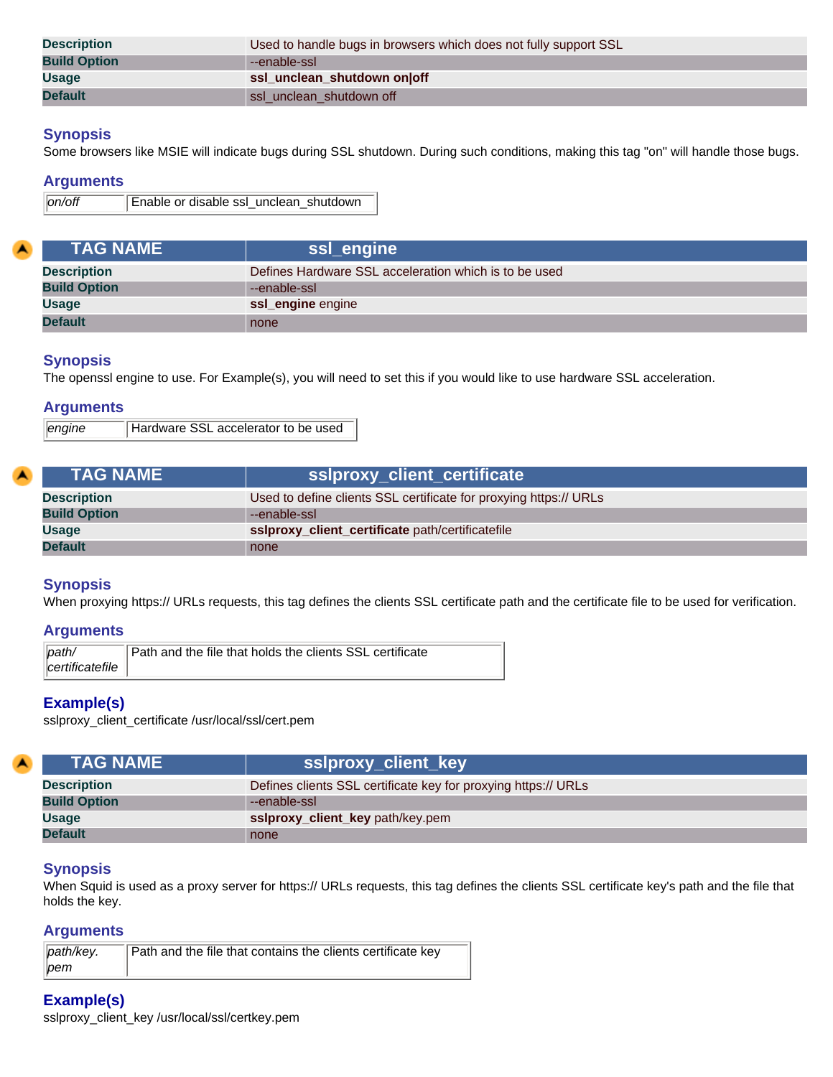| <b>Description</b>  | Used to handle bugs in browsers which does not fully support SSL |
|---------------------|------------------------------------------------------------------|
| <b>Build Option</b> | --enable-ssl                                                     |
| <b>Usage</b>        | ssl_unclean_shutdown on off                                      |
| <b>Default</b>      | ssl unclean shutdown off                                         |

Some browsers like MSIE will indicate bugs during SSL shutdown. During such conditions, making this tag "on" will handle those bugs.

#### **Arguments**

```
on/off Enable or disable ssl_unclean_shutdown
```
<span id="page-5-0"></span>

| <b>TAG NAME</b>     | ssl_engine                                            |
|---------------------|-------------------------------------------------------|
| <b>Description</b>  | Defines Hardware SSL acceleration which is to be used |
| <b>Build Option</b> | --enable-ssl                                          |
| <b>Usage</b>        | ssl_engine engine                                     |
| <b>Default</b>      | none                                                  |

## **Synopsis**

The openssl engine to use. For Example(s), you will need to set this if you would like to use hardware SSL acceleration.

#### **Arguments**

*engine* Hardware SSL accelerator to be used

<span id="page-5-1"></span>

|  | <b>\TAG NAME \</b>  | sslproxy_client_certificate                                       |
|--|---------------------|-------------------------------------------------------------------|
|  | <b>Description</b>  | Used to define clients SSL certificate for proxying https:// URLs |
|  | <b>Build Option</b> | --enable-ssl                                                      |
|  | <b>Usage</b>        | ssiproxy_client_certificate path/certificatefile                  |
|  | <b>Default</b>      | none                                                              |

#### **Synopsis**

When proxying https:// URLs requests, this tag defines the clients SSL certificate path and the certificate file to be used for verification.

#### **Arguments**

| path                 | Path and the file that holds the clients SSL certificate |
|----------------------|----------------------------------------------------------|
| $  $ certificatefile |                                                          |

#### **Example(s)**

sslproxy\_client\_certificate /usr/local/ssl/cert.pem

<span id="page-5-2"></span>

| <b>TAG NAME</b>     | sslproxy_client_key                                            |
|---------------------|----------------------------------------------------------------|
| <b>Description</b>  | Defines clients SSL certificate key for proxying https:// URLs |
| <b>Build Option</b> | --enable-ssl                                                   |
| <b>Usage</b>        | ssiproxy_client_key path/key.pem                               |
| <b>Default</b>      | none                                                           |

#### **Synopsis**

When Squid is used as a proxy server for https:// URLs requests, this tag defines the clients SSL certificate key's path and the file that holds the key.

## **Arguments**

| path/key. | Path and the file that contains the clients certificate key |
|-----------|-------------------------------------------------------------|
| $ p$ em   |                                                             |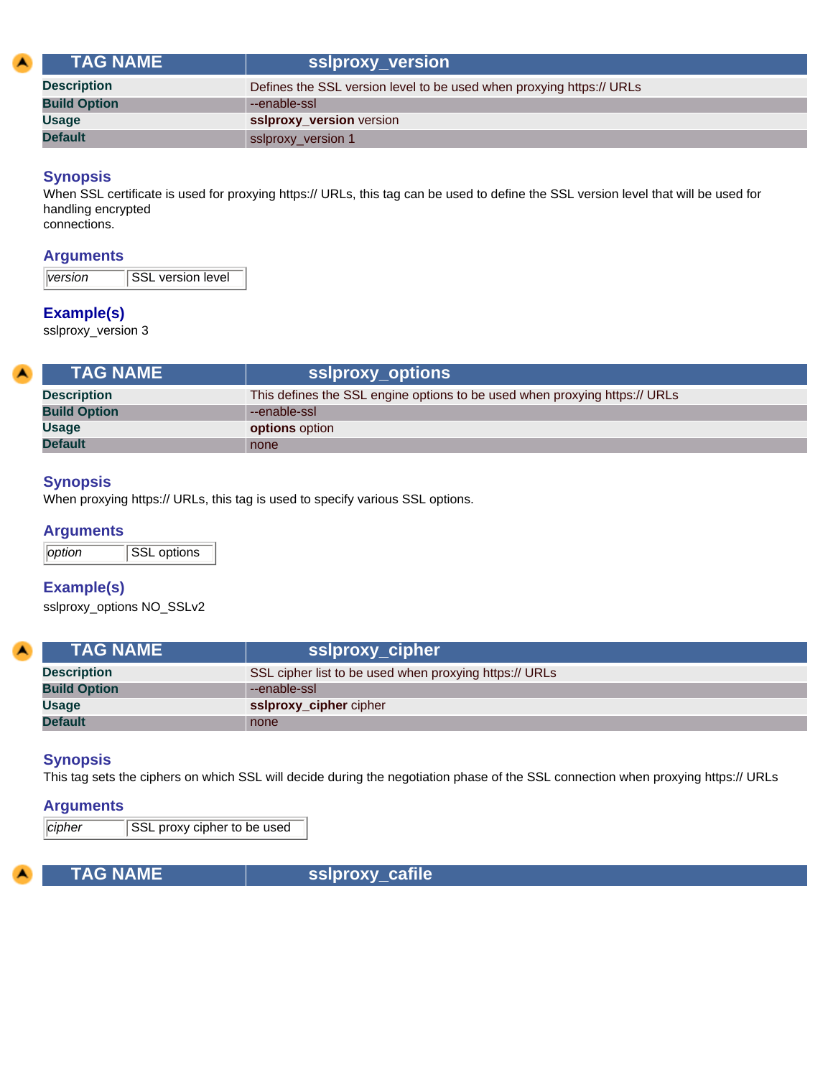<span id="page-6-0"></span>

|  | <b>TAG NAME</b>     | ssiproxy_version                                                     |
|--|---------------------|----------------------------------------------------------------------|
|  | <b>Description</b>  | Defines the SSL version level to be used when proxying https:// URLs |
|  | <b>Build Option</b> | --enable-ssl                                                         |
|  | <b>Usage</b>        | ssiproxy_version version                                             |
|  | <b>Default</b>      | sslproxy_version 1                                                   |

When SSL certificate is used for proxying https:// URLs, this tag can be used to define the SSL version level that will be used for handling encrypted connections.

## **Arguments**

## **Example(s)**

sslproxy\_version 3

<span id="page-6-1"></span>

| <b>ITAG NAME \</b>  | sslproxy_options                                                           |
|---------------------|----------------------------------------------------------------------------|
| <b>Description</b>  | This defines the SSL engine options to be used when proxying https:// URLs |
| <b>Build Option</b> | --enable-ssl                                                               |
| <b>Usage</b>        | <b>options</b> option                                                      |
| <b>Default</b>      | none                                                                       |

## **Synopsis**

When proxying https:// URLs, this tag is used to specify various SSL options.

## **Arguments**

*<u>Option</u>* SSL options

## **Example(s)**

sslproxy\_options NO\_SSLv2

<span id="page-6-2"></span>

| <b>TAG NAME</b>     | ssiproxy_cipher                                        |
|---------------------|--------------------------------------------------------|
| <b>Description</b>  | SSL cipher list to be used when proxying https:// URLs |
| <b>Build Option</b> | --enable-ssl                                           |
| <b>Usage</b>        | ssiproxy_cipher cipher                                 |
| <b>Default</b>      | none                                                   |

## **Synopsis**

This tag sets the ciphers on which SSL will decide during the negotiation phase of the SSL connection when proxying https:// URLs

#### **Arguments**

*cipher* SSL proxy cipher to be used

<span id="page-6-3"></span>

**TAG NAME** Sslproxy\_cafile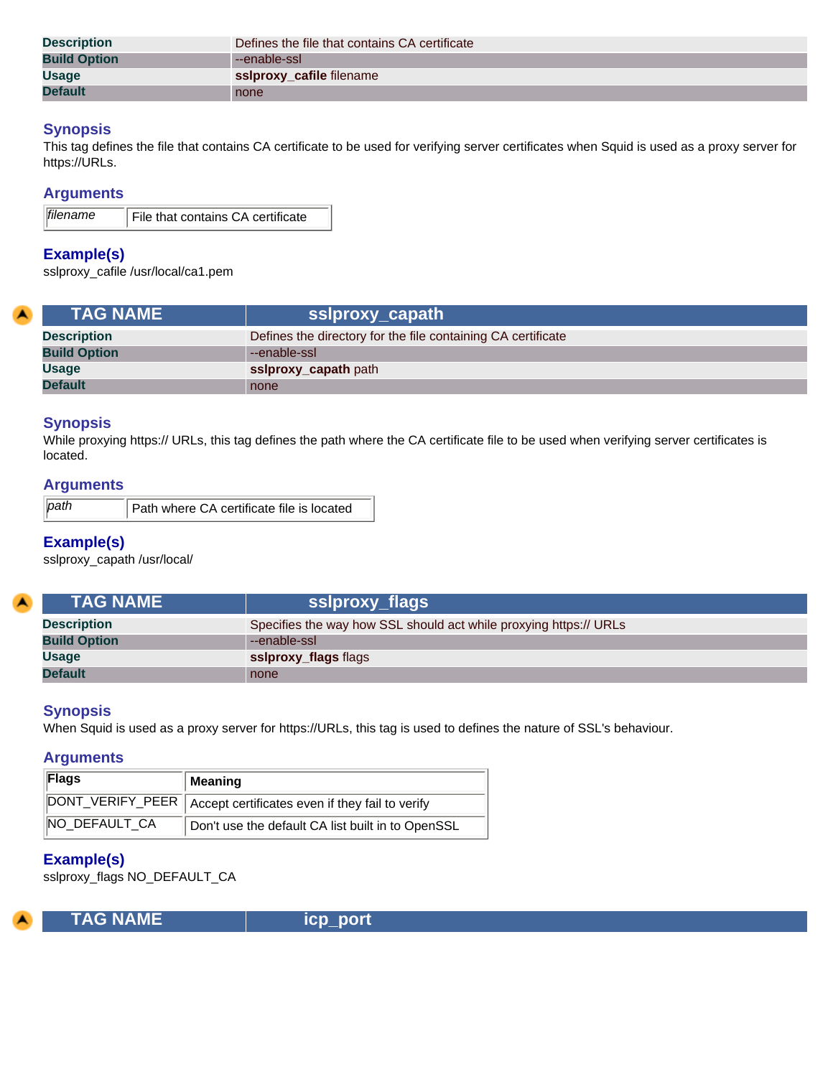| <b>Description</b>  | Defines the file that contains CA certificate |
|---------------------|-----------------------------------------------|
| <b>Build Option</b> | --enable-ssl                                  |
| <b>Usage</b>        | ssiproxy_cafile filename                      |
| <b>Default</b>      | none                                          |

This tag defines the file that contains CA certificate to be used for verifying server certificates when Squid is used as a proxy server for https://URLs.

## **Arguments**

| <i>filename</i> | File that contains CA certificate |
|-----------------|-----------------------------------|
|                 |                                   |

## **Example(s)**

sslproxy\_cafile /usr/local/ca1.pem

<span id="page-7-0"></span>

| <b>TAG NAME</b>     | sslproxy_capath                                              |
|---------------------|--------------------------------------------------------------|
| <b>Description</b>  | Defines the directory for the file containing CA certificate |
| <b>Build Option</b> | --enable-ssl                                                 |
| <b>Usage</b>        | ssiproxy_capath path                                         |
| <b>Default</b>      | none                                                         |

#### **Synopsis**

While proxying https:// URLs, this tag defines the path where the CA certificate file to be used when verifying server certificates is located.

## **Arguments**

| path | Path where CA certificate file is located |
|------|-------------------------------------------|
|------|-------------------------------------------|

## **Example(s)**

sslproxy\_capath /usr/local/

<span id="page-7-1"></span>

| <b>TAG NAME</b>     | sslproxy_flags                                                    |
|---------------------|-------------------------------------------------------------------|
| <b>Description</b>  | Specifies the way how SSL should act while proxying https:// URLs |
| <b>Build Option</b> | --enable-ssl                                                      |
| <b>Usage</b>        | ssiproxy_flags flags                                              |
| <b>Default</b>      | none                                                              |

## **Synopsis**

When Squid is used as a proxy server for https://URLs, this tag is used to defines the nature of SSL's behaviour.

#### **Arguments**

| Flags         | Meaning                                                            |
|---------------|--------------------------------------------------------------------|
|               | DONT_VERIFY_PEER   Accept certificates even if they fail to verify |
| NO DEFAULT_CA | Don't use the default CA list built in to OpenSSL                  |

## **Example(s)**

sslproxy\_flags NO\_DEFAULT\_CA

<span id="page-7-2"></span>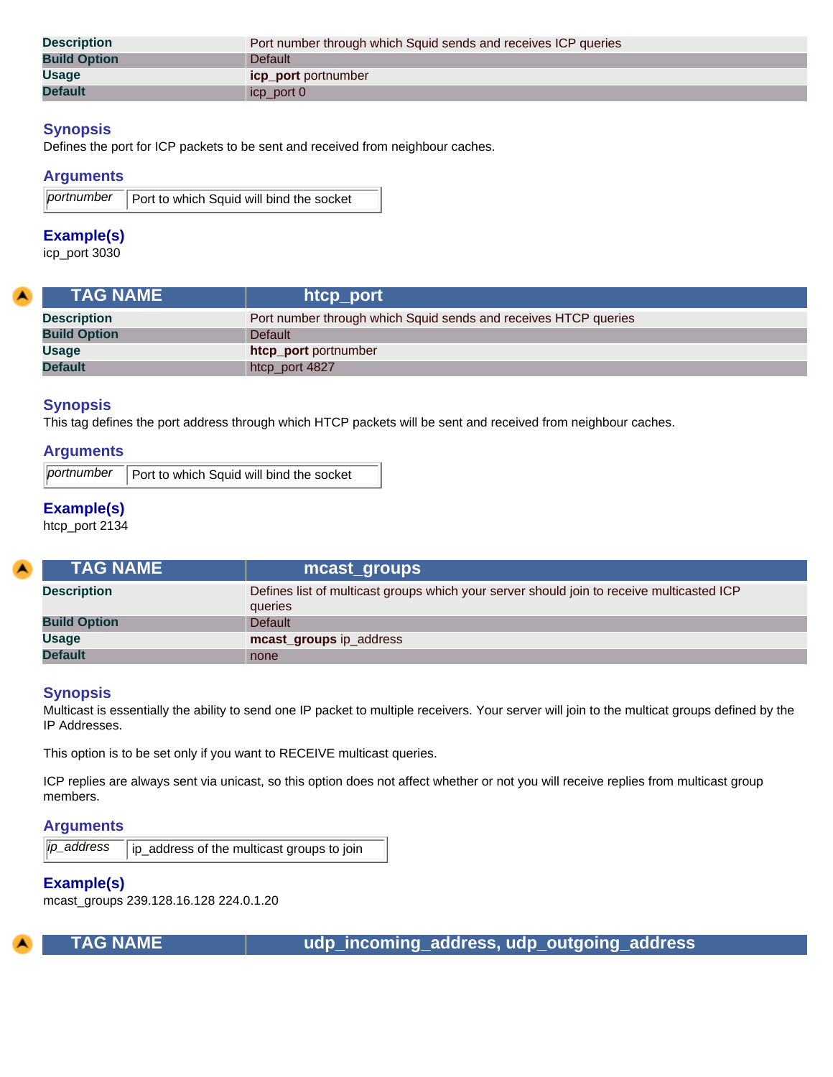| <b>Description</b>  | Port number through which Squid sends and receives ICP queries |
|---------------------|----------------------------------------------------------------|
| <b>Build Option</b> | Default                                                        |
| <b>Usage</b>        | <b>icp port</b> portnumber                                     |
| <b>Default</b>      | icp_port 0                                                     |

Defines the port for ICP packets to be sent and received from neighbour caches.

#### **Arguments**

```
portnumber | Port to which Squid will bind the socket
```
## **Example(s)**

icp\_port 3030

<span id="page-8-0"></span>

| <b>TAG NAME</b>     | htcp_port                                                       |
|---------------------|-----------------------------------------------------------------|
| <b>Description</b>  | Port number through which Squid sends and receives HTCP queries |
| <b>Build Option</b> | <b>Default</b>                                                  |
| <b>Usage</b>        | htcp port portnumber                                            |
| <b>Default</b>      | htcp_port 4827                                                  |

## **Synopsis**

This tag defines the port address through which HTCP packets will be sent and received from neighbour caches.

## **Arguments**

*portnumber* **Port to which Squid will bind the socket** 

## **Example(s)**

htcp\_port 2134

<span id="page-8-1"></span>

| <b>LTAG NAME \</b>  | mcast_groups                                                                                         |
|---------------------|------------------------------------------------------------------------------------------------------|
| <b>Description</b>  | Defines list of multicast groups which your server should join to receive multicasted ICP<br>queries |
| <b>Build Option</b> | Default                                                                                              |
| <b>Usage</b>        | mcast_groups ip_address                                                                              |
| <b>Default</b>      | none                                                                                                 |

#### **Synopsis**

Multicast is essentially the ability to send one IP packet to multiple receivers. Your server will join to the multicat groups defined by the IP Addresses.

This option is to be set only if you want to RECEIVE multicast queries.

ICP replies are always sent via unicast, so this option does not affect whether or not you will receive replies from multicast group members.

#### **Arguments**

*ip\_address* | ip\_address of the multicast groups to join

## **Example(s)**

mcast\_groups 239.128.16.128 224.0.1.20

<span id="page-8-2"></span>

 **TAG NAME udp\_incoming\_address, udp\_outgoing\_address**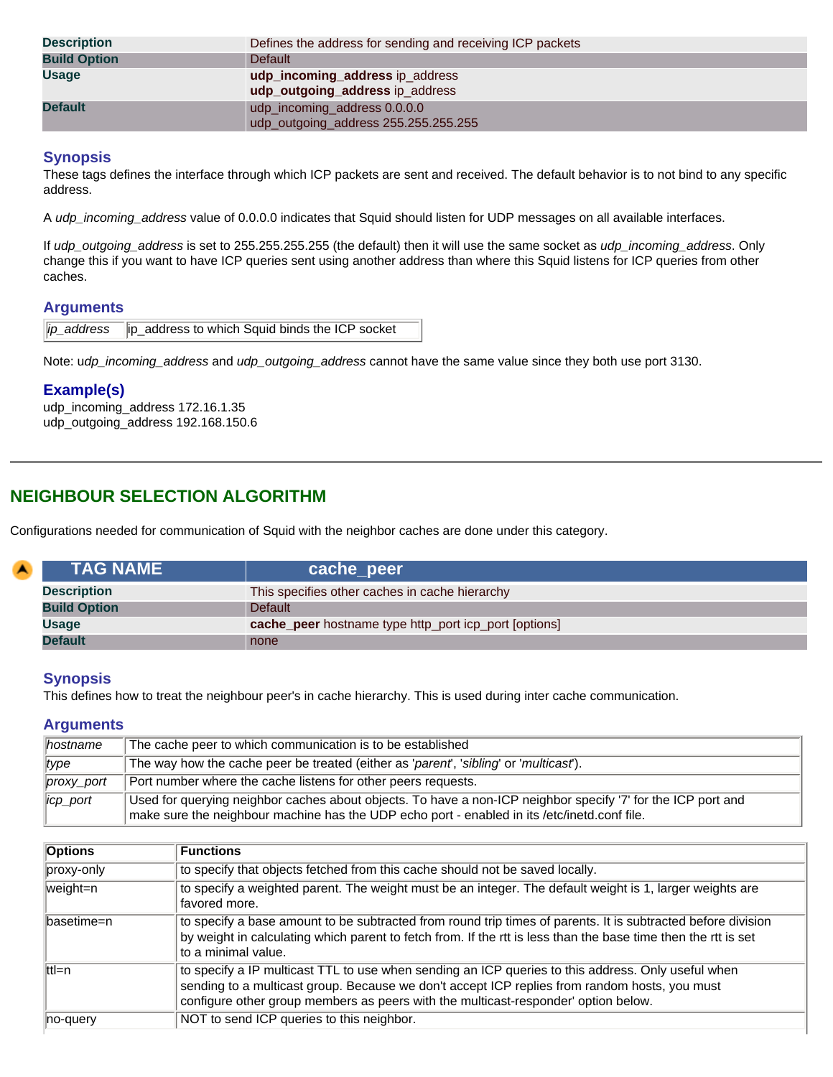| <b>Description</b>  | Defines the address for sending and receiving ICP packets            |
|---------------------|----------------------------------------------------------------------|
| <b>Build Option</b> | <b>Default</b>                                                       |
| <b>Usage</b>        | udp_incoming_address ip_address<br>udp_outgoing_address ip_address   |
| <b>Default</b>      | udp_incoming_address 0.0.0.0<br>udp_outgoing_address 255.255.255.255 |

These tags defines the interface through which ICP packets are sent and received. The default behavior is to not bind to any specific address.

A *udp\_incoming\_address* value of 0.0.0.0 indicates that Squid should listen for UDP messages on all available interfaces.

If *udp\_outgoing\_address* is set to 255.255.255.255 (the default) then it will use the same socket as *udp\_incoming\_address*. Only change this if you want to have ICP queries sent using another address than where this Squid listens for ICP queries from other caches.

## **Arguments**

|  | ip_address  ip_address to which Squid binds the ICP socket |
|--|------------------------------------------------------------|
|--|------------------------------------------------------------|

Note: u*dp\_incoming\_address* and *udp\_outgoing\_address* cannot have the same value since they both use port 3130.

## **Example(s)**

udp\_incoming\_address 172.16.1.35 udp\_outgoing\_address 192.168.150.6

# <span id="page-9-0"></span>**NEIGHBOUR SELECTION ALGORITHM**

Configurations needed for communication of Squid with the neighbor caches are done under this category.

<span id="page-9-1"></span>

| $\blacktriangle$ | <b>TAG NAME</b>     | cache_peer                                            |
|------------------|---------------------|-------------------------------------------------------|
|                  | <b>Description</b>  | This specifies other caches in cache hierarchy        |
|                  | <b>Build Option</b> | <b>Default</b>                                        |
|                  | Usage               | cache_peer hostname type http_port icp_port [options] |
|                  | <b>Default</b>      | none                                                  |

## **Synopsis**

This defines how to treat the neighbour peer's in cache hierarchy. This is used during inter cache communication.

## **Arguments**

| $ $ hostname         | The cache peer to which communication is to be established                                                                                                                                                   |
|----------------------|--------------------------------------------------------------------------------------------------------------------------------------------------------------------------------------------------------------|
| type                 | The way how the cache peer be treated (either as 'parent', 'sibling' or 'multicast').                                                                                                                        |
| $ prox_y$ port       | Port number where the cache listens for other peers requests.                                                                                                                                                |
| $\parallel$ icp_port | Used for querying neighbor caches about objects. To have a non-ICP neighbor specify '7' for the ICP port and<br>make sure the neighbour machine has the UDP echo port - enabled in its /etc/inetd.conf file. |

| <b>Options</b> | <b>Functions</b>                                                                                                                                                                                                                                                                          |
|----------------|-------------------------------------------------------------------------------------------------------------------------------------------------------------------------------------------------------------------------------------------------------------------------------------------|
| proxy-only     | to specify that objects fetched from this cache should not be saved locally.                                                                                                                                                                                                              |
| weight=n       | to specify a weighted parent. The weight must be an integer. The default weight is 1, larger weights are<br>favored more.                                                                                                                                                                 |
| ∥basetime=n    | to specify a base amount to be subtracted from round trip times of parents. It is subtracted before division<br>by weight in calculating which parent to fetch from. If the rtt is less than the base time then the rtt is set<br>to a minimal value.                                     |
| $ $ ttl=n      | to specify a IP multicast TTL to use when sending an ICP queries to this address. Only useful when<br>sending to a multicast group. Because we don't accept ICP replies from random hosts, you must<br>configure other group members as peers with the multicast-responder' option below. |
| no-query       | NOT to send ICP queries to this neighbor.                                                                                                                                                                                                                                                 |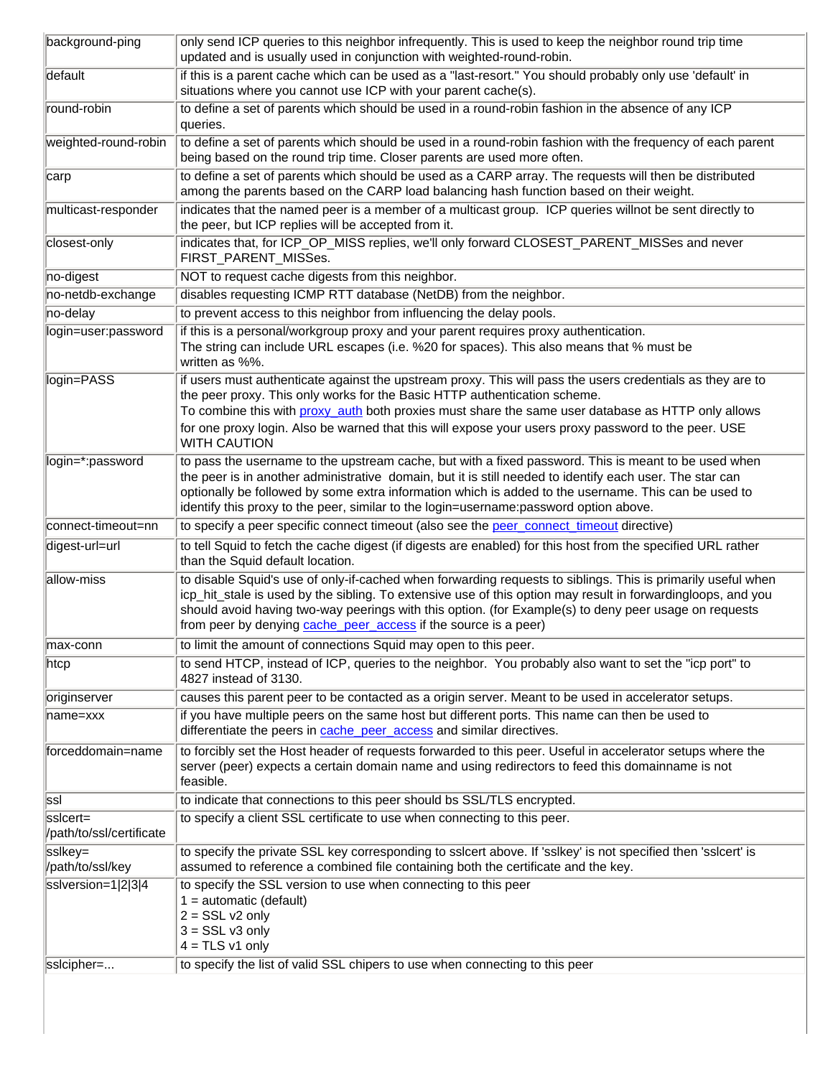| background-ping                      | only send ICP queries to this neighbor infrequently. This is used to keep the neighbor round trip time<br>updated and is usually used in conjunction with weighted-round-robin.                                                                                                                                                                                                                                   |
|--------------------------------------|-------------------------------------------------------------------------------------------------------------------------------------------------------------------------------------------------------------------------------------------------------------------------------------------------------------------------------------------------------------------------------------------------------------------|
| default                              | if this is a parent cache which can be used as a "last-resort." You should probably only use 'default' in<br>situations where you cannot use ICP with your parent cache(s).                                                                                                                                                                                                                                       |
| round-robin                          | to define a set of parents which should be used in a round-robin fashion in the absence of any ICP<br>queries.                                                                                                                                                                                                                                                                                                    |
| weighted-round-robin                 | to define a set of parents which should be used in a round-robin fashion with the frequency of each parent<br>being based on the round trip time. Closer parents are used more often.                                                                                                                                                                                                                             |
| carp                                 | to define a set of parents which should be used as a CARP array. The requests will then be distributed<br>among the parents based on the CARP load balancing hash function based on their weight.                                                                                                                                                                                                                 |
| multicast-responder                  | indicates that the named peer is a member of a multicast group. ICP queries willnot be sent directly to<br>the peer, but ICP replies will be accepted from it.                                                                                                                                                                                                                                                    |
| closest-only                         | indicates that, for ICP_OP_MISS replies, we'll only forward CLOSEST_PARENT_MISSes and never<br>FIRST_PARENT_MISSes.                                                                                                                                                                                                                                                                                               |
| no-digest                            | NOT to request cache digests from this neighbor.                                                                                                                                                                                                                                                                                                                                                                  |
| no-netdb-exchange                    | disables requesting ICMP RTT database (NetDB) from the neighbor.                                                                                                                                                                                                                                                                                                                                                  |
| no-delay                             | to prevent access to this neighbor from influencing the delay pools.                                                                                                                                                                                                                                                                                                                                              |
| login=user:password                  | if this is a personal/workgroup proxy and your parent requires proxy authentication.<br>The string can include URL escapes (i.e. %20 for spaces). This also means that % must be<br>written as %%.                                                                                                                                                                                                                |
| login=PASS                           | if users must authenticate against the upstream proxy. This will pass the users credentials as they are to<br>the peer proxy. This only works for the Basic HTTP authentication scheme.<br>To combine this with proxy_auth both proxies must share the same user database as HTTP only allows                                                                                                                     |
|                                      | for one proxy login. Also be warned that this will expose your users proxy password to the peer. USE<br><b>WITH CAUTION</b>                                                                                                                                                                                                                                                                                       |
| login=*:password                     | to pass the username to the upstream cache, but with a fixed password. This is meant to be used when<br>the peer is in another administrative domain, but it is still needed to identify each user. The star can<br>optionally be followed by some extra information which is added to the username. This can be used to<br>identify this proxy to the peer, similar to the login=username:password option above. |
| connect-timeout=nn                   | to specify a peer specific connect timeout (also see the peer_connect_timeout directive)                                                                                                                                                                                                                                                                                                                          |
| digest-url=url                       | to tell Squid to fetch the cache digest (if digests are enabled) for this host from the specified URL rather<br>than the Squid default location.                                                                                                                                                                                                                                                                  |
| allow-miss                           | to disable Squid's use of only-if-cached when forwarding requests to siblings. This is primarily useful when<br>icp_hit_stale is used by the sibling. To extensive use of this option may result in forwardingloops, and you<br>should avoid having two-way peerings with this option. (for Example(s) to deny peer usage on requests<br>from peer by denying cache_peer_access if the source is a peer)          |
| max-conn                             | to limit the amount of connections Squid may open to this peer.                                                                                                                                                                                                                                                                                                                                                   |
| $ $ htcp                             | to send HTCP, instead of ICP, queries to the neighbor. You probably also want to set the "icp port" to<br>4827 instead of 3130.                                                                                                                                                                                                                                                                                   |
| originserver                         | causes this parent peer to be contacted as a origin server. Meant to be used in accelerator setups.                                                                                                                                                                                                                                                                                                               |
| name=xxx                             | if you have multiple peers on the same host but different ports. This name can then be used to<br>differentiate the peers in cache peer access and similar directives.                                                                                                                                                                                                                                            |
| forceddomain=name                    | to forcibly set the Host header of requests forwarded to this peer. Useful in accelerator setups where the<br>server (peer) expects a certain domain name and using redirectors to feed this domainname is not<br>feasible.                                                                                                                                                                                       |
| ssl                                  | to indicate that connections to this peer should bs SSL/TLS encrypted.                                                                                                                                                                                                                                                                                                                                            |
| ssicert=<br>/path/to/ssl/certificate | to specify a client SSL certificate to use when connecting to this peer.                                                                                                                                                                                                                                                                                                                                          |
| sslkey=<br>/path/to/ssl/key          | to specify the private SSL key corresponding to sslcert above. If 'sslkey' is not specified then 'sslcert' is<br>assumed to reference a combined file containing both the certificate and the key.                                                                                                                                                                                                                |
| sslversion=1 2 3 4                   | to specify the SSL version to use when connecting to this peer<br>$1 =$ automatic (default)<br>$2 = SSL v2 only$<br>$3 = SSL v3 only$<br>$4 = TLS v1 only$                                                                                                                                                                                                                                                        |
| sslcipher=                           | to specify the list of valid SSL chipers to use when connecting to this peer                                                                                                                                                                                                                                                                                                                                      |
|                                      |                                                                                                                                                                                                                                                                                                                                                                                                                   |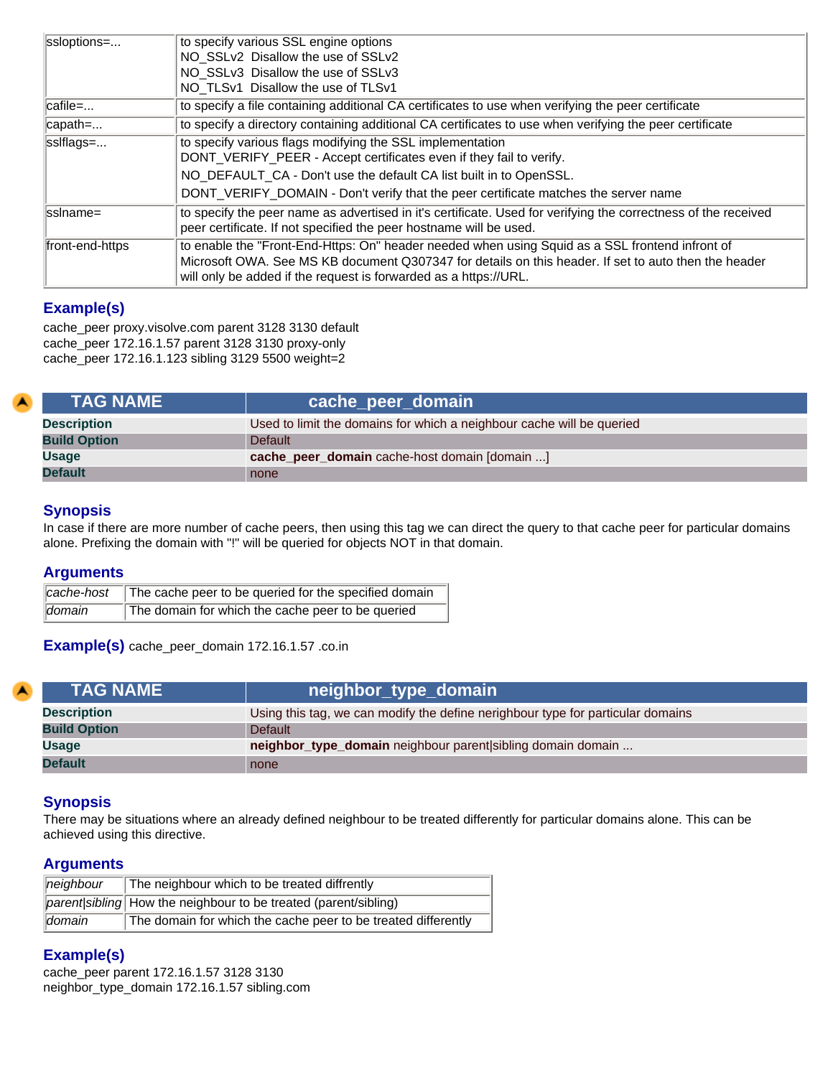| ssloptions=     | to specify various SSL engine options<br>NO_SSLv2_Disallow the use of SSLv2<br>NO_SSLv3_Disallow the use of SSLv3<br>NO_TLSv1_Disallow the use of TLSv1                                                                                                                                       |
|-----------------|-----------------------------------------------------------------------------------------------------------------------------------------------------------------------------------------------------------------------------------------------------------------------------------------------|
| ∥cafile=        | to specify a file containing additional CA certificates to use when verifying the peer certificate                                                                                                                                                                                            |
| capath=         | to specify a directory containing additional CA certificates to use when verifying the peer certificate                                                                                                                                                                                       |
| sslflags=       | to specify various flags modifying the SSL implementation<br>DONT_VERIFY_PEER - Accept certificates even if they fail to verify.<br>NO_DEFAULT_CA - Don't use the default CA list built in to OpenSSL.<br>DONT_VERIFY_DOMAIN - Don't verify that the peer certificate matches the server name |
| llssIname=      | to specify the peer name as advertised in it's certificate. Used for verifying the correctness of the received<br>peer certificate. If not specified the peer hostname will be used.                                                                                                          |
| front-end-https | to enable the "Front-End-Https: On" header needed when using Squid as a SSL frontend infront of<br>Microsoft OWA. See MS KB document Q307347 for details on this header. If set to auto then the header<br>will only be added if the request is forwarded as a https://URL.                   |

## **Example(s)**

cache\_peer proxy.visolve.com parent 3128 3130 default cache\_peer 172.16.1.57 parent 3128 3130 proxy-only cache\_peer 172.16.1.123 sibling 3129 5500 weight=2

<span id="page-11-0"></span>

| <b>TAG NAME</b>     | cache_peer_domain                                                     |
|---------------------|-----------------------------------------------------------------------|
| <b>Description</b>  | Used to limit the domains for which a neighbour cache will be queried |
| <b>Build Option</b> | <b>Default</b>                                                        |
| <b>Usage</b>        | cache_peer_domain cache-host domain [domain ]                         |
| <b>Default</b>      | none                                                                  |

## **Synopsis**

In case if there are more number of cache peers, then using this tag we can direct the query to that cache peer for particular domains alone. Prefixing the domain with "!" will be queried for objects NOT in that domain.

## **Arguments**

|        | cache-host The cache peer to be queried for the specified domain |
|--------|------------------------------------------------------------------|
| domain | The domain for which the cache peer to be queried                |

**Example(s)** cache\_peer\_domain 172.16.1.57 .co.in

<span id="page-11-1"></span>

| <b>TAG NAME</b>     | neighbor_type_domain                                                            |
|---------------------|---------------------------------------------------------------------------------|
| <b>Description</b>  | Using this tag, we can modify the define nerighbour type for particular domains |
| <b>Build Option</b> | <b>Default</b>                                                                  |
| <b>Usage</b>        | neighbor_type_domain neighbour parent sibling domain domain                     |
| <b>Default</b>      | none                                                                            |

## **Synopsis**

There may be situations where an already defined neighbour to be treated differently for particular domains alone. This can be achieved using this directive.

## **Arguments**

| $\parallel$ neighbour       | The neighbour which to be treated diffrently                    |  |
|-----------------------------|-----------------------------------------------------------------|--|
|                             | parent/sibling How the neighbour to be treated (parent/sibling) |  |
| <i><u><b>domain</b></u></i> | The domain for which the cache peer to be treated differently   |  |

## **Example(s)**

cache\_peer parent 172.16.1.57 3128 3130 neighbor\_type\_domain 172.16.1.57 sibling.com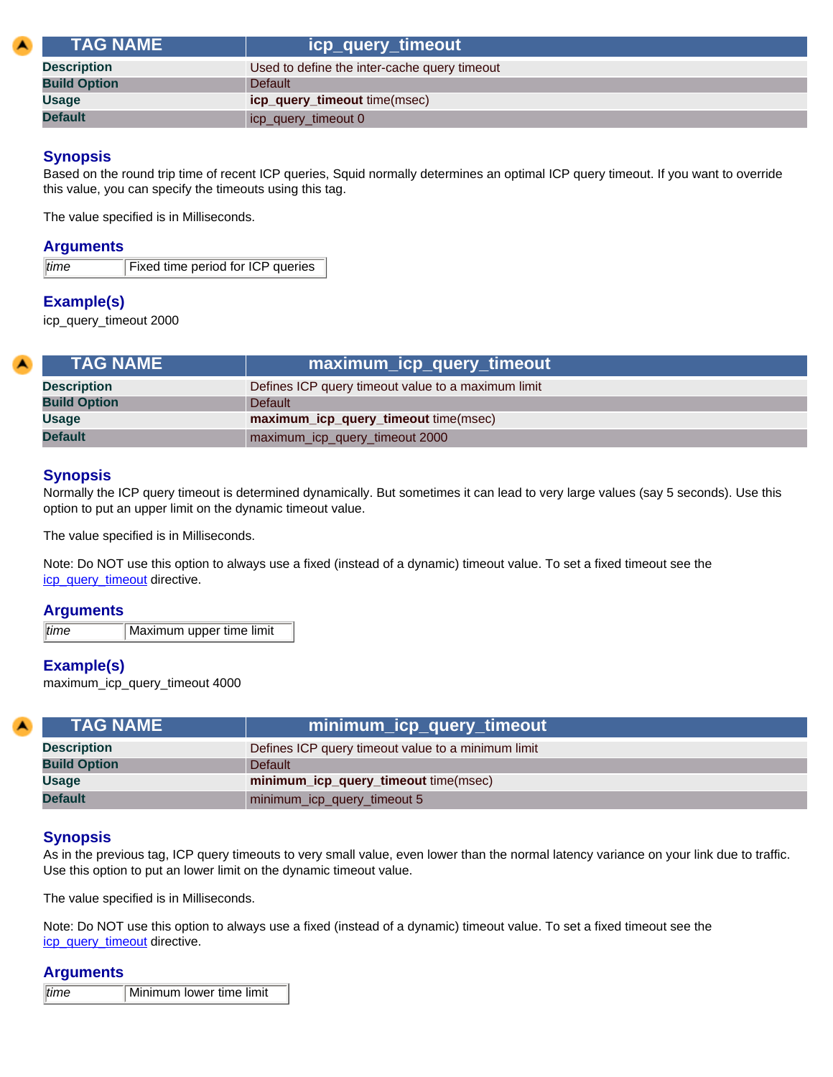<span id="page-12-0"></span>

| <b>\TAG NAME \</b>  | icp_query_timeout                            |
|---------------------|----------------------------------------------|
| <b>Description</b>  | Used to define the inter-cache query timeout |
| <b>Build Option</b> | Default                                      |
| <b>Usage</b>        | icp_query_timeout time(msec)                 |
| <b>Default</b>      | icp_query_timeout 0                          |

Based on the round trip time of recent ICP queries, Squid normally determines an optimal ICP query timeout. If you want to override this value, you can specify the timeouts using this tag.

The value specified is in Milliseconds.

## **Arguments**

*time* Fixed time period for ICP queries

## **Example(s)**

icp\_query\_timeout 2000

<span id="page-12-1"></span>

| <b>TAG NAME</b>                                      |                                                    |
|------------------------------------------------------|----------------------------------------------------|
| <b>Description</b>                                   | Defines ICP query timeout value to a maximum limit |
| <b>Build Option</b>                                  | Default                                            |
| <b>Usage</b><br>maximum_icp_query_timeout time(msec) |                                                    |
| <b>Default</b>                                       | maximum_icp_query_timeout 2000                     |

## **Synopsis**

Normally the ICP query timeout is determined dynamically. But sometimes it can lead to very large values (say 5 seconds). Use this option to put an upper limit on the dynamic timeout value.

The value specified is in Milliseconds.

Note: Do NOT use this option to always use a fixed (instead of a dynamic) timeout value. To set a fixed timeout see the [icp\\_query\\_timeout](#page-12-0) directive.

#### **Arguments**

*time* Maximum upper time limit

## **Example(s)**

maximum\_icp\_query\_timeout 4000

<span id="page-12-2"></span>

| <b>TAG NAME</b>     | minimum_icp_query_timeout                          |
|---------------------|----------------------------------------------------|
| <b>Description</b>  | Defines ICP query timeout value to a minimum limit |
| <b>Build Option</b> | Default                                            |
| <b>Usage</b>        | minimum_icp_query_timeout time(msec)               |
| <b>Default</b>      | minimum_icp_query_timeout 5                        |

## **Synopsis**

As in the previous tag, ICP query timeouts to very small value, even lower than the normal latency variance on your link due to traffic. Use this option to put an lower limit on the dynamic timeout value.

The value specified is in Milliseconds.

Note: Do NOT use this option to always use a fixed (instead of a dynamic) timeout value. To set a fixed timeout see the [icp\\_query\\_timeout](#page-12-0) directive.

#### **Arguments**

| $ $ time | Minimum lower time limit |
|----------|--------------------------|
|----------|--------------------------|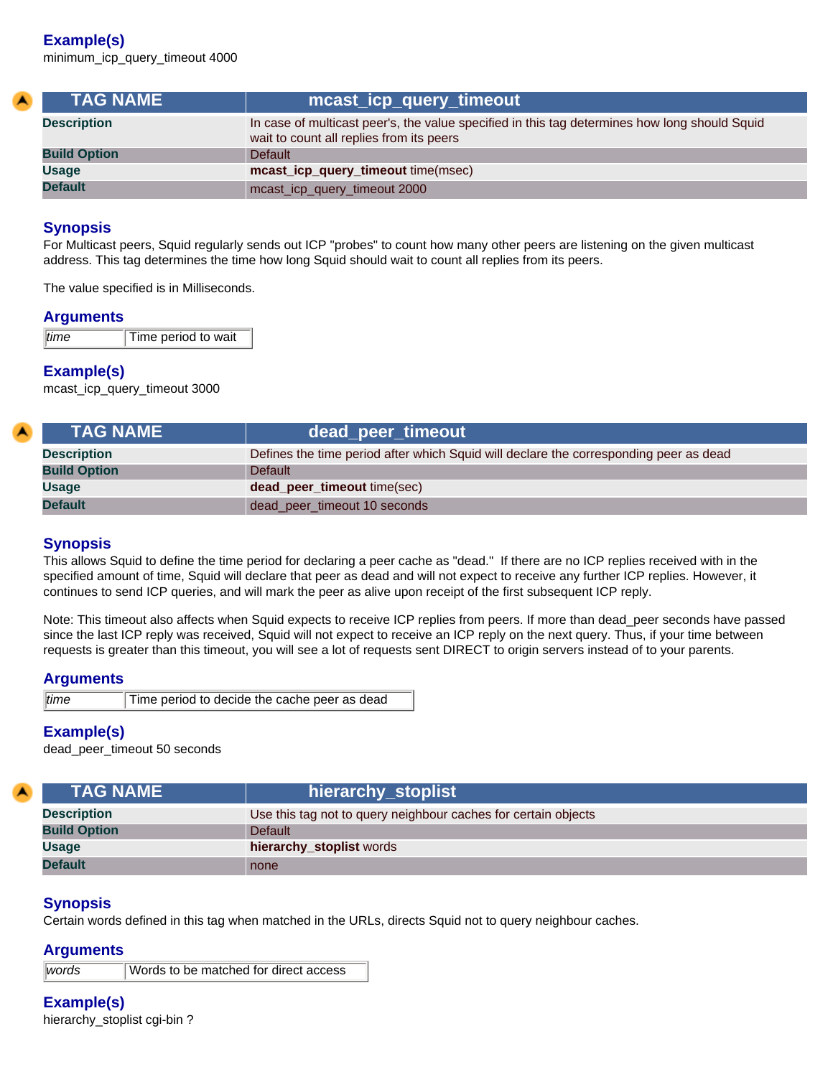## **Example(s)**

minimum\_icp\_query\_timeout 4000

<span id="page-13-0"></span>

| <b>TAG NAME</b>     | mcast_icp_query_timeout                                                                                                                   |
|---------------------|-------------------------------------------------------------------------------------------------------------------------------------------|
| <b>Description</b>  | In case of multicast peer's, the value specified in this tag determines how long should Squid<br>wait to count all replies from its peers |
| <b>Build Option</b> | <b>Default</b>                                                                                                                            |
| Usage               | mcast_icp_query_timeout time(msec)                                                                                                        |
| <b>Default</b>      | mcast_icp_query_timeout 2000                                                                                                              |

## **Synopsis**

For Multicast peers, Squid regularly sends out ICP "probes" to count how many other peers are listening on the given multicast address. This tag determines the time how long Squid should wait to count all replies from its peers.

The value specified is in Milliseconds.

## **Arguments**

| time | Time period to wait |
|------|---------------------|

## **Example(s)**

mcast\_icp\_query\_timeout 3000

<span id="page-13-1"></span>

| <b>TAG NAME</b>     | dead_peer_timeout                                                                     |
|---------------------|---------------------------------------------------------------------------------------|
| <b>Description</b>  | Defines the time period after which Squid will declare the corresponding peer as dead |
| <b>Build Option</b> | <b>Default</b>                                                                        |
| <b>Usage</b>        | <b>dead_peer_timeout</b> time(sec)                                                    |
| <b>Default</b>      | dead_peer_timeout 10 seconds                                                          |

## **Synopsis**

This allows Squid to define the time period for declaring a peer cache as "dead." If there are no ICP replies received with in the specified amount of time, Squid will declare that peer as dead and will not expect to receive any further ICP replies. However, it continues to send ICP queries, and will mark the peer as alive upon receipt of the first subsequent ICP reply.

Note: This timeout also affects when Squid expects to receive ICP replies from peers. If more than dead\_peer seconds have passed since the last ICP reply was received, Squid will not expect to receive an ICP reply on the next query. Thus, if your time between requests is greater than this timeout, you will see a lot of requests sent DIRECT to origin servers instead of to your parents.

#### **Arguments**

| time | Time period to decide the cache |  |  |
|------|---------------------------------|--|--|
|      |                                 |  |  |

## **Example(s)**

dead\_peer\_timeout 50 seconds

<span id="page-13-2"></span>

| <b>TAG NAME</b>     | hierarchy_stoplist                                             |
|---------------------|----------------------------------------------------------------|
| <b>Description</b>  | Use this tag not to query neighbour caches for certain objects |
| <b>Build Option</b> | <b>Default</b>                                                 |
| <b>Usage</b>        | hierarchy_stoplist words                                       |
| <b>Default</b>      | none                                                           |

## **Synopsis**

Certain words defined in this tag when matched in the URLs, directs Squid not to query neighbour caches.

peer as dead

## **Arguments**

*words* Words to be matched for direct access

# **Example(s)**

hierarchy stoplist cgi-bin ?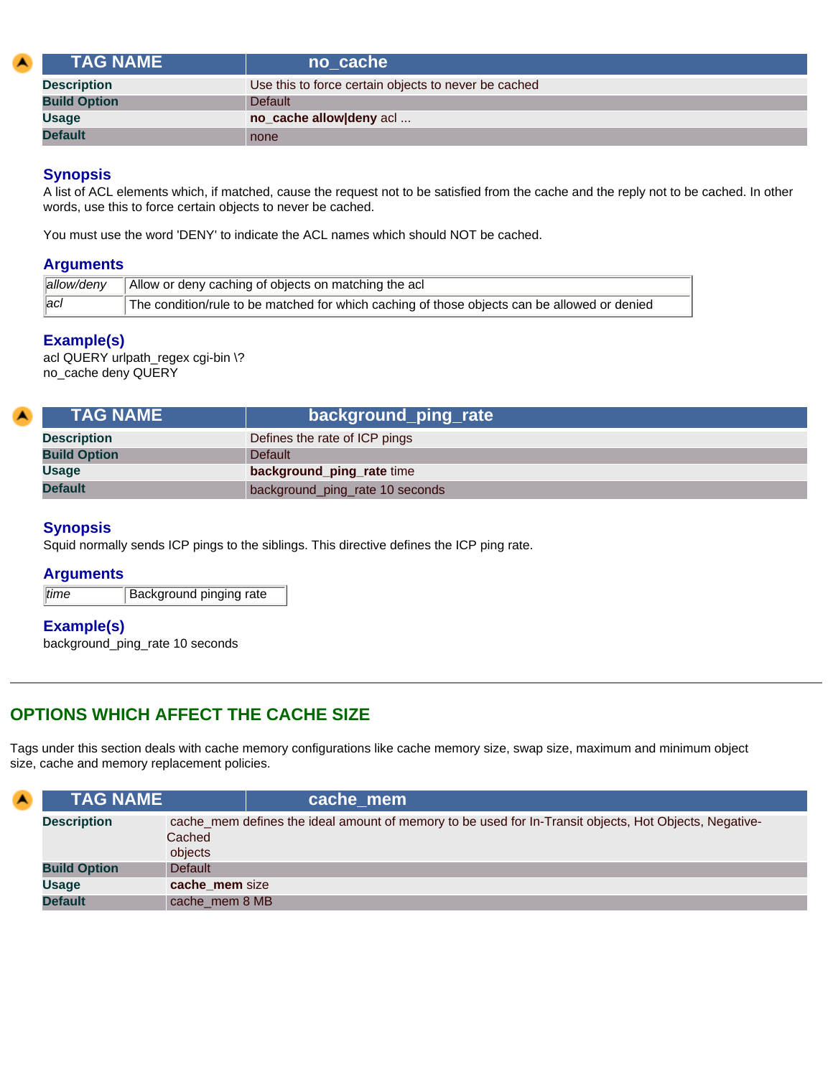<span id="page-14-0"></span>

| <b>TAG NAME</b>     | no cache                                             |
|---------------------|------------------------------------------------------|
| <b>Description</b>  | Use this to force certain objects to never be cached |
| <b>Build Option</b> | <b>Default</b>                                       |
| <b>Usage</b>        | no_cache allow deny acl                              |
| <b>Default</b>      | none                                                 |

A list of ACL elements which, if matched, cause the request not to be satisfied from the cache and the reply not to be cached. In other words, use this to force certain objects to never be cached.

You must use the word 'DENY' to indicate the ACL names which should NOT be cached.

## **Arguments**

|               | $\parallel$ allow/deny $\parallel$ Allow or deny caching of objects on matching the acl      |
|---------------|----------------------------------------------------------------------------------------------|
| $ _{\rm acl}$ | The condition/rule to be matched for which caching of those objects can be allowed or denied |

## **Example(s)**

acl QUERY urlpath\_regex cgi-bin \? no\_cache deny QUERY

<span id="page-14-1"></span>

| <b>TAG NAME</b>     | background_ping_rate            |  |
|---------------------|---------------------------------|--|
| <b>Description</b>  | Defines the rate of ICP pings   |  |
| <b>Build Option</b> | Default                         |  |
| <b>Usage</b>        | background_ping_rate time       |  |
| <b>Default</b>      | background_ping_rate 10 seconds |  |

## **Synopsis**

Squid normally sends ICP pings to the siblings. This directive defines the ICP ping rate.

## **Arguments**

*time* Background pinging rate

## **Example(s)**

background\_ping\_rate 10 seconds

# <span id="page-14-2"></span>**OPTIONS WHICH AFFECT THE CACHE SIZE**

Tags under this section deals with cache memory configurations like cache memory size, swap size, maximum and minimum object size, cache and memory replacement policies.

<span id="page-14-3"></span>

| $\blacktriangle$ | <b>TAG NAME</b>     | cache mem                                                                                                                   |
|------------------|---------------------|-----------------------------------------------------------------------------------------------------------------------------|
|                  | <b>Description</b>  | cache_mem defines the ideal amount of memory to be used for In-Transit objects, Hot Objects, Negative-<br>Cached<br>objects |
|                  | <b>Build Option</b> | <b>Default</b>                                                                                                              |
|                  | <b>Usage</b>        | cache_mem size                                                                                                              |
|                  | <b>Default</b>      | cache mem 8 MB                                                                                                              |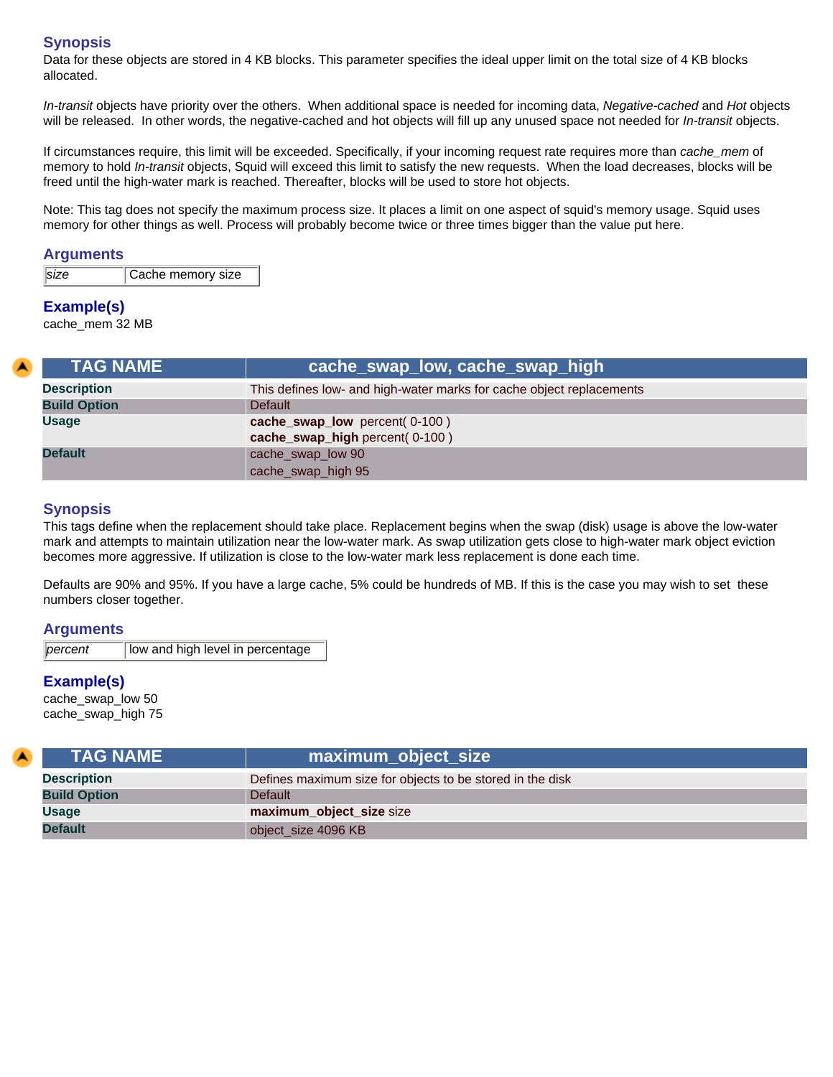Data for these objects are stored in 4 KB blocks. This parameter specifies the ideal upper limit on the total size of 4 KB blocks allocated.

*In-transit* objects have priority over the others. When additional space is needed for incoming data, *Negative-cached* and *Hot* objects will be released. In other words, the negative-cached and hot objects will fill up any unused space not needed for *In-transit* objects.

If circumstances require, this limit will be exceeded. Specifically, if your incoming request rate requires more than *cache\_mem* of memory to hold *In-transit* objects, Squid will exceed this limit to satisfy the new requests. When the load decreases, blocks will be freed until the high-water mark is reached. Thereafter, blocks will be used to store hot objects.

Note: This tag does not specify the maximum process size. It places a limit on one aspect of squid's memory usage. Squid uses memory for other things as well. Process will probably become twice or three times bigger than the value put here.

## **Arguments**

| size | Cache memory size |
|------|-------------------|
|      |                   |

## **Example(s)**

cache\_mem 32 MB

<span id="page-15-0"></span>

| <b>TAG NAME</b>     | cache_swap_low, cache_swap_high                                      |
|---------------------|----------------------------------------------------------------------|
| <b>Description</b>  | This defines low- and high-water marks for cache object replacements |
| <b>Build Option</b> | <b>Default</b>                                                       |
| <b>Usage</b>        | cache_swap_low percent(0-100)                                        |
|                     | cache_swap_high percent(0-100)                                       |
| <b>Default</b>      | cache_swap_low 90                                                    |
|                     | cache_swap_high 95                                                   |

## **Synopsis**

This tags define when the replacement should take place. Replacement begins when the swap (disk) usage is above the low-water mark and attempts to maintain utilization near the low-water mark. As swap utilization gets close to high-water mark object eviction becomes more aggressive. If utilization is close to the low-water mark less replacement is done each time.

Defaults are 90% and 95%. If you have a large cache, 5% could be hundreds of MB. If this is the case you may wish to set these numbers closer together.

#### **Arguments**

*percent* | low and high level in percentage

## **Example(s)**

cache\_swap\_low 50 cache\_swap\_high 75

<span id="page-15-1"></span>

| <b>TAG NAME</b>     | maximum_object_size                                       |
|---------------------|-----------------------------------------------------------|
| <b>Description</b>  | Defines maximum size for objects to be stored in the disk |
| <b>Build Option</b> | <b>Default</b>                                            |
| <b>Usage</b>        | maximum_object_size size                                  |
| <b>Default</b>      | object_size 4096 KB                                       |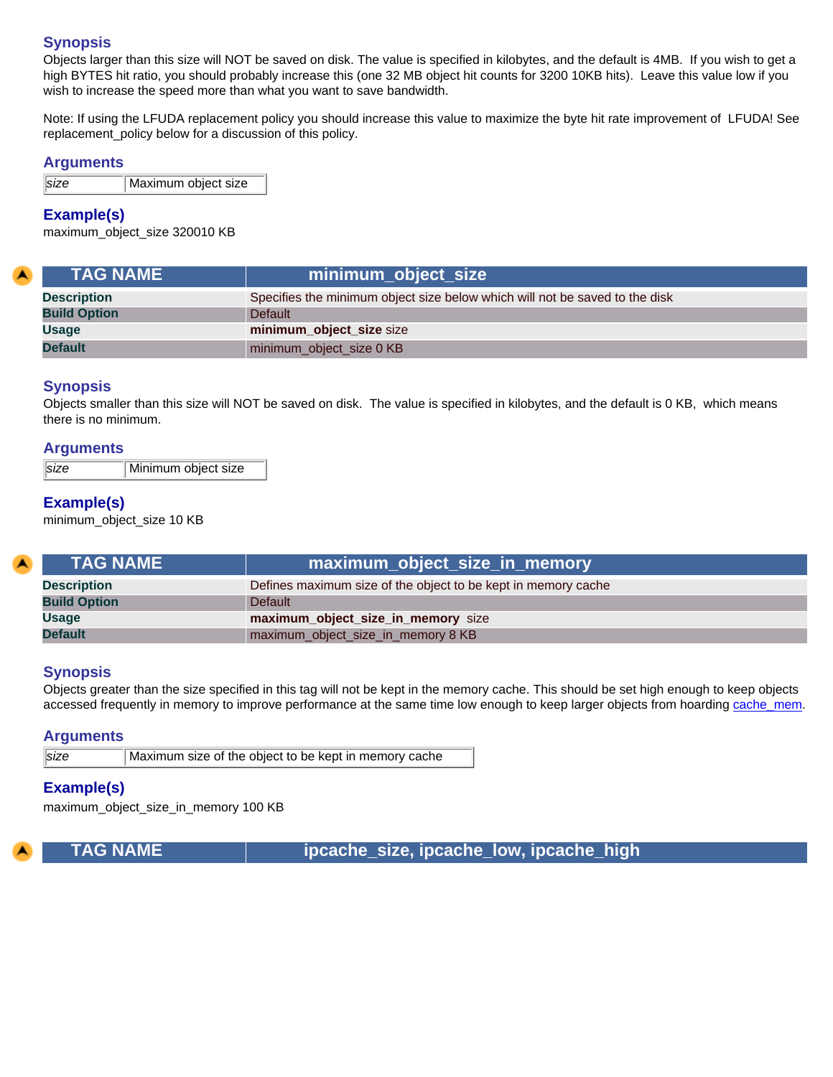Objects larger than this size will NOT be saved on disk. The value is specified in kilobytes, and the default is 4MB. If you wish to get a high BYTES hit ratio, you should probably increase this (one 32 MB object hit counts for 3200 10KB hits). Leave this value low if you wish to increase the speed more than what you want to save bandwidth.

Note: If using the LFUDA replacement policy you should increase this value to maximize the byte hit rate improvement of LFUDA! See replacement\_policy below for a discussion of this policy.

#### **Arguments**

*size* Maximum object size

## **Example(s)**

maximum\_object\_size 320010 KB

<span id="page-16-0"></span>

| <b>TAG NAME</b>     | minimum_object_size                                                         |
|---------------------|-----------------------------------------------------------------------------|
| <b>Description</b>  | Specifies the minimum object size below which will not be saved to the disk |
| <b>Build Option</b> | <b>Default</b>                                                              |
| <b>Usage</b>        | minimum_object_size size                                                    |
| <b>Default</b>      | minimum_object_size 0 KB                                                    |

## **Synopsis**

Objects smaller than this size will NOT be saved on disk. The value is specified in kilobytes, and the default is 0 KB, which means there is no minimum.

#### **Arguments**

*size* Minimum object size

## **Example(s)**

minimum\_object\_size 10 KB

<span id="page-16-1"></span>

| <b>TAG NAME</b>     | maximum_object_size_in_memory \                               |
|---------------------|---------------------------------------------------------------|
| <b>Description</b>  | Defines maximum size of the object to be kept in memory cache |
| <b>Build Option</b> | <b>Default</b>                                                |
| <b>Usage</b>        | maximum_object_size_in_memory size                            |
| <b>Default</b>      | maximum_object_size_in_memory 8 KB                            |

#### **Synopsis**

Objects greater than the size specified in this tag will not be kept in the memory cache. This should be set high enough to keep objects accessed frequently in memory to improve performance at the same time low enough to keep larger objects from hoarding [cache\\_mem.](#page-14-3)

#### **Arguments**

*size* Maximum size of the object to be kept in memory cache

#### **Example(s)**

maximum\_object\_size\_in\_memory 100 KB

<span id="page-16-2"></span>

 **TAG NAME ipcache\_size, ipcache\_low, ipcache\_high**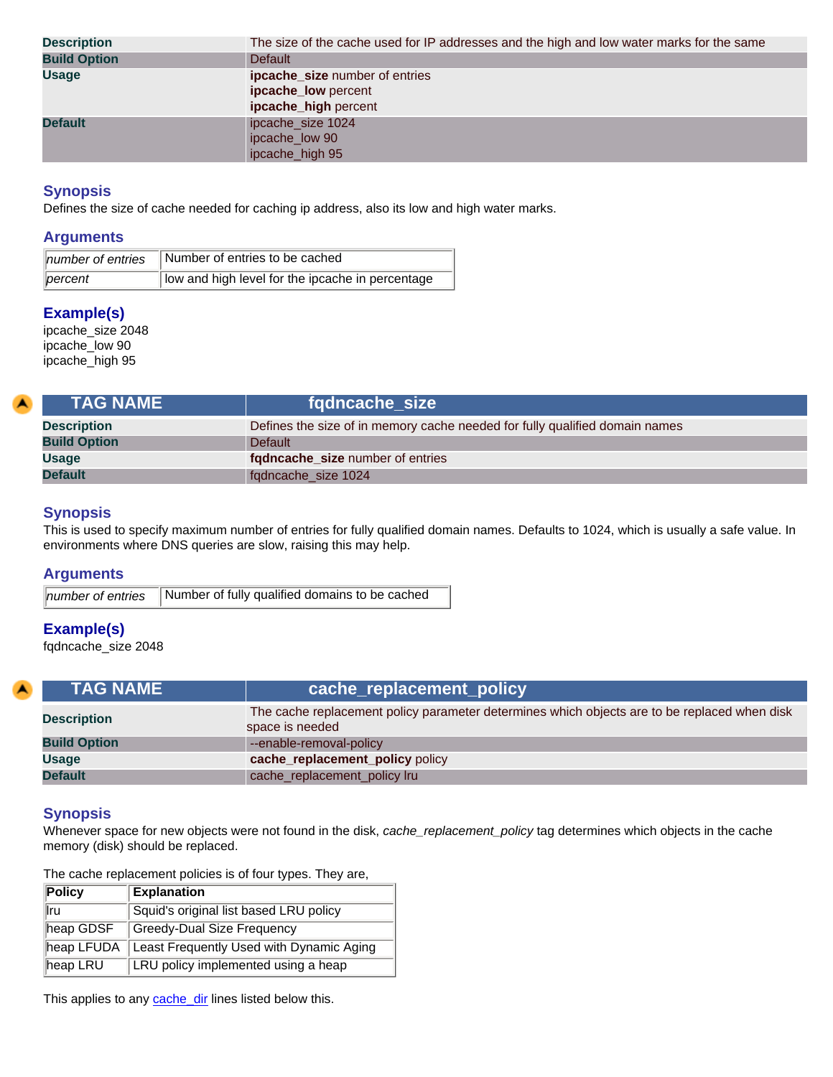| <b>Description</b>  | The size of the cache used for IP addresses and the high and low water marks for the same |
|---------------------|-------------------------------------------------------------------------------------------|
| <b>Build Option</b> | <b>Default</b>                                                                            |
| <b>Usage</b>        | <b>ipcache_size</b> number of entries                                                     |
|                     | ipcache_low percent                                                                       |
|                     | ipcache_high percent                                                                      |
| <b>Default</b>      | ipcache_size 1024                                                                         |
|                     | ipcache_low 90                                                                            |
|                     | ipcache_high 95                                                                           |

Defines the size of cache needed for caching ip address, also its low and high water marks.

## **Arguments**

| number of entries   | Number of entries to be cached                   |
|---------------------|--------------------------------------------------|
| $\parallel$ percent | low and high level for the ipcache in percentage |

## **Example(s)**

ipcache\_size 2048 ipcache\_low 90 ipcache\_high 95

<span id="page-17-0"></span>

| <b>TAG NAME</b>     | fgdncache size                                                              |
|---------------------|-----------------------------------------------------------------------------|
| <b>Description</b>  | Defines the size of in memory cache needed for fully qualified domain names |
| <b>Build Option</b> | <b>Default</b>                                                              |
| <b>Usage</b>        | fgdncache_size number of entries                                            |
| <b>Default</b>      | fqdncache_size 1024                                                         |
|                     |                                                                             |

## **Synopsis**

This is used to specify maximum number of entries for fully qualified domain names. Defaults to 1024, which is usually a safe value. In environments where DNS queries are slow, raising this may help.

## **Arguments**

|  | number of entries Number of fully qualified domains to be cached |
|--|------------------------------------------------------------------|
|--|------------------------------------------------------------------|

## **Example(s)**

fqdncache\_size 2048

<span id="page-17-1"></span>

| <b>TAG NAME</b>     | cache_replacement_policy                                                                                        |
|---------------------|-----------------------------------------------------------------------------------------------------------------|
| <b>Description</b>  | The cache replacement policy parameter determines which objects are to be replaced when disk<br>space is needed |
| <b>Build Option</b> | --enable-removal-policy                                                                                         |
| <b>Usage</b>        | cache_replacement_policy policy                                                                                 |
| <b>Default</b>      | cache_replacement_policy lru                                                                                    |

#### **Synopsis**

Whenever space for new objects were not found in the disk, *cache\_replacement\_policy* tag determines which objects in the cache memory (disk) should be replaced.

The cache replacement policies is of four types. They are,

| Policy     | <b>Explanation</b>                       |
|------------|------------------------------------------|
| llru       | Squid's original list based LRU policy   |
| heap GDSF  | Greedy-Dual Size Frequency               |
| heap LFUDA | Least Frequently Used with Dynamic Aging |
| heap LRU   | LRU policy implemented using a heap      |

This applies to any **cache\_dir** lines listed below this.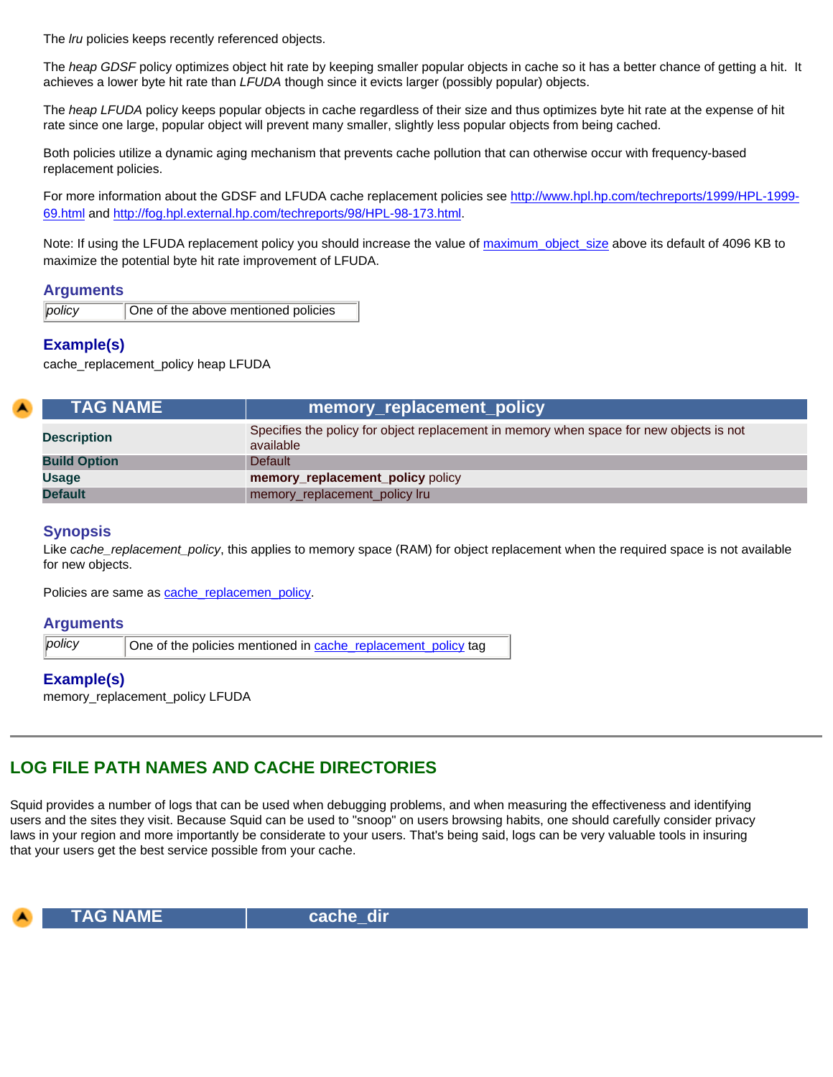The *lru* policies keeps recently referenced objects.

The *heap GDSF* policy optimizes object hit rate by keeping smaller popular objects in cache so it has a better chance of getting a hit. It achieves a lower byte hit rate than *LFUDA* though since it evicts larger (possibly popular) objects.

The *heap LFUDA* policy keeps popular objects in cache regardless of their size and thus optimizes byte hit rate at the expense of hit rate since one large, popular object will prevent many smaller, slightly less popular objects from being cached.

Both policies utilize a dynamic aging mechanism that prevents cache pollution that can otherwise occur with frequency-based replacement policies.

For more information about the GDSF and LFUDA cache replacement policies see [http://www.hpl.hp.com/techreports/1999/HPL-1999-](https://www.hpl.hp.com/techreports/1999/HPL-1999-69.html) [69.html](https://www.hpl.hp.com/techreports/1999/HPL-1999-69.html) and [http://fog.hpl.external.hp.com/techreports/98/HPL-98-173.html](https://fog.hpl.external.hp.com/techreports/98/HPL-98-173.html).

Note: If using the LFUDA replacement policy you should increase the value of maximum object size above its default of 4096 KB to maximize the potential byte hit rate improvement of LFUDA.

#### **Arguments**

*policy* | One of the above mentioned policies

## **Example(s)**

cache\_replacement\_policy heap LFUDA

<span id="page-18-0"></span>

| <b>TAG NAME</b>     | memory_replacement_policy                                                                            |
|---------------------|------------------------------------------------------------------------------------------------------|
| <b>Description</b>  | Specifies the policy for object replacement in memory when space for new objects is not<br>available |
| <b>Build Option</b> | <b>Default</b>                                                                                       |
| <b>Usage</b>        | memory_replacement_policy policy                                                                     |
| <b>Default</b>      | memory_replacement_policy lru                                                                        |

#### **Synopsis**

Like *cache\_replacement\_policy*, this applies to memory space (RAM) for object replacement when the required space is not available for new objects.

Policies are same as [cache\\_replacemen\\_policy.](#page-17-1)

#### **Arguments**

policy **One of the policies mentioned in cache** replacement policy tag

#### **Example(s)**

memory\_replacement\_policy LFUDA

# <span id="page-18-1"></span>**LOG FILE PATH NAMES AND CACHE DIRECTORIES**

Squid provides a number of logs that can be used when debugging problems, and when measuring the effectiveness and identifying users and the sites they visit. Because Squid can be used to "snoop" on users browsing habits, one should carefully consider privacy laws in your region and more importantly be considerate to your users. That's being said, logs can be very valuable tools in insuring that your users get the best service possible from your cache.

<span id="page-18-2"></span>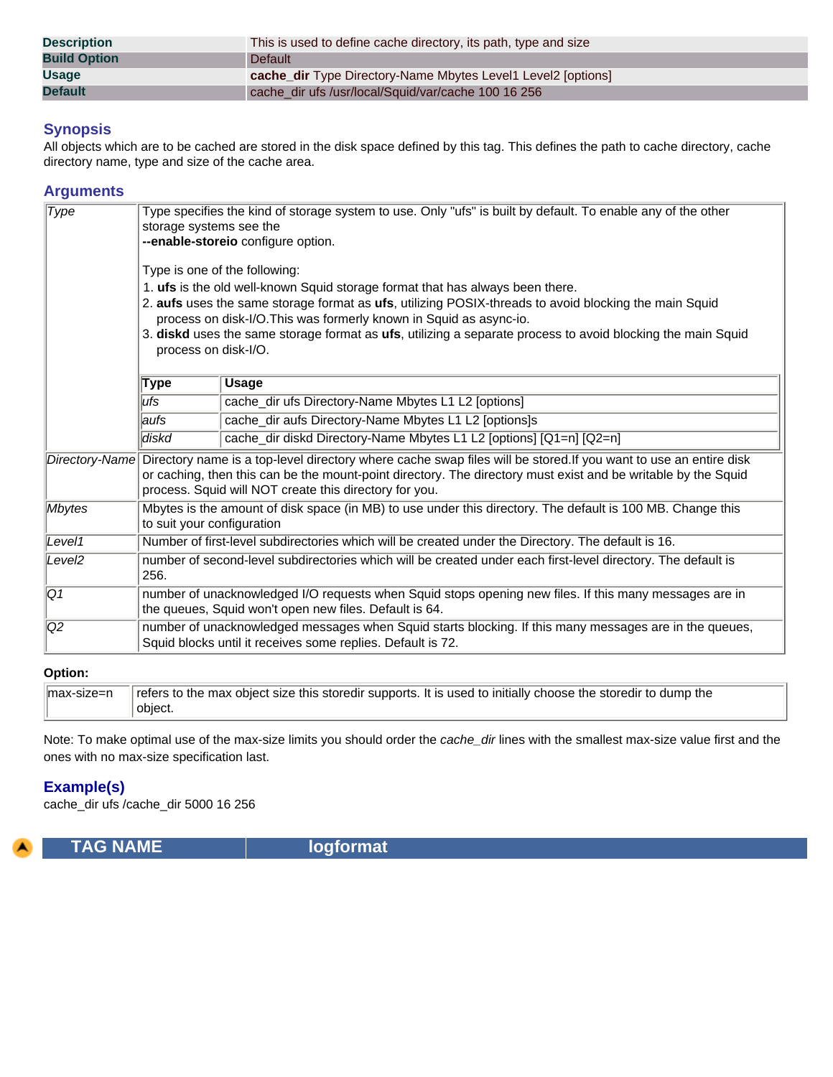| <b>Description</b>  | This is used to define cache directory, its path, type and size     |
|---------------------|---------------------------------------------------------------------|
| <b>Build Option</b> | Default                                                             |
| <b>Usage</b>        | <b>cache_dir</b> Type Directory-Name Mbytes Level1 Level2 [options] |
| <b>Default</b>      | cache dir ufs /usr/local/Squid/var/cache 100 16 256                 |

All objects which are to be cached are stored in the disk space defined by this tag. This defines the path to cache directory, cache directory name, type and size of the cache area.

## **Arguments**

| $\overline{Type}$  | Type specifies the kind of storage system to use. Only "ufs" is built by default. To enable any of the other<br>storage systems see the<br>-- enable-storeio configure option.<br>Type is one of the following: |                                                                                                                                                                                                                                                                                                            |
|--------------------|-----------------------------------------------------------------------------------------------------------------------------------------------------------------------------------------------------------------|------------------------------------------------------------------------------------------------------------------------------------------------------------------------------------------------------------------------------------------------------------------------------------------------------------|
|                    |                                                                                                                                                                                                                 | 1. ufs is the old well-known Squid storage format that has always been there.                                                                                                                                                                                                                              |
|                    |                                                                                                                                                                                                                 | 2. aufs uses the same storage format as ufs, utilizing POSIX-threads to avoid blocking the main Squid                                                                                                                                                                                                      |
|                    | process on disk-I/O.                                                                                                                                                                                            | process on disk-I/O. This was formerly known in Squid as async-io.<br>3. diskd uses the same storage format as ufs, utilizing a separate process to avoid blocking the main Squid                                                                                                                          |
|                    | <b>Type</b>                                                                                                                                                                                                     | <b>Usage</b>                                                                                                                                                                                                                                                                                               |
|                    | lufs.                                                                                                                                                                                                           | cache_dir ufs Directory-Name Mbytes L1 L2 [options]                                                                                                                                                                                                                                                        |
|                    | laufs                                                                                                                                                                                                           | cache_dir aufs Directory-Name Mbytes L1 L2 [options]s                                                                                                                                                                                                                                                      |
|                    | diskd                                                                                                                                                                                                           | cache_dir diskd Directory-Name Mbytes L1 L2 [options] [Q1=n] [Q2=n]                                                                                                                                                                                                                                        |
|                    |                                                                                                                                                                                                                 | Directory-Name Directory name is a top-level directory where cache swap files will be stored. If you want to use an entire disk<br>or caching, then this can be the mount-point directory. The directory must exist and be writable by the Squid<br>process. Squid will NOT create this directory for you. |
| Mbytes             | Mbytes is the amount of disk space (in MB) to use under this directory. The default is 100 MB. Change this<br>to suit your configuration                                                                        |                                                                                                                                                                                                                                                                                                            |
| Level1             | Number of first-level subdirectories which will be created under the Directory. The default is 16.                                                                                                              |                                                                                                                                                                                                                                                                                                            |
| Level <sub>2</sub> | number of second-level subdirectories which will be created under each first-level directory. The default is<br>256.                                                                                            |                                                                                                                                                                                                                                                                                                            |
| Q1                 | number of unacknowledged I/O requests when Squid stops opening new files. If this many messages are in<br>the queues, Squid won't open new files. Default is 64.                                                |                                                                                                                                                                                                                                                                                                            |
| Q2                 | number of unacknowledged messages when Squid starts blocking. If this many messages are in the queues,<br>Squid blocks until it receives some replies. Default is 72.                                           |                                                                                                                                                                                                                                                                                                            |

## **Option:**

| ∃max-size=n | f refers to the max object size this storedir supports. It is used to initially choose the storedir to dump the |
|-------------|-----------------------------------------------------------------------------------------------------------------|
|             | obiect.                                                                                                         |

Note: To make optimal use of the max-size limits you should order the *cache\_dir* lines with the smallest max-size value first and the ones with no max-size specification last.

## **Example(s)**

cache\_dir ufs /cache\_dir 5000 16 256

<span id="page-19-0"></span>

**TAG NAME logformat**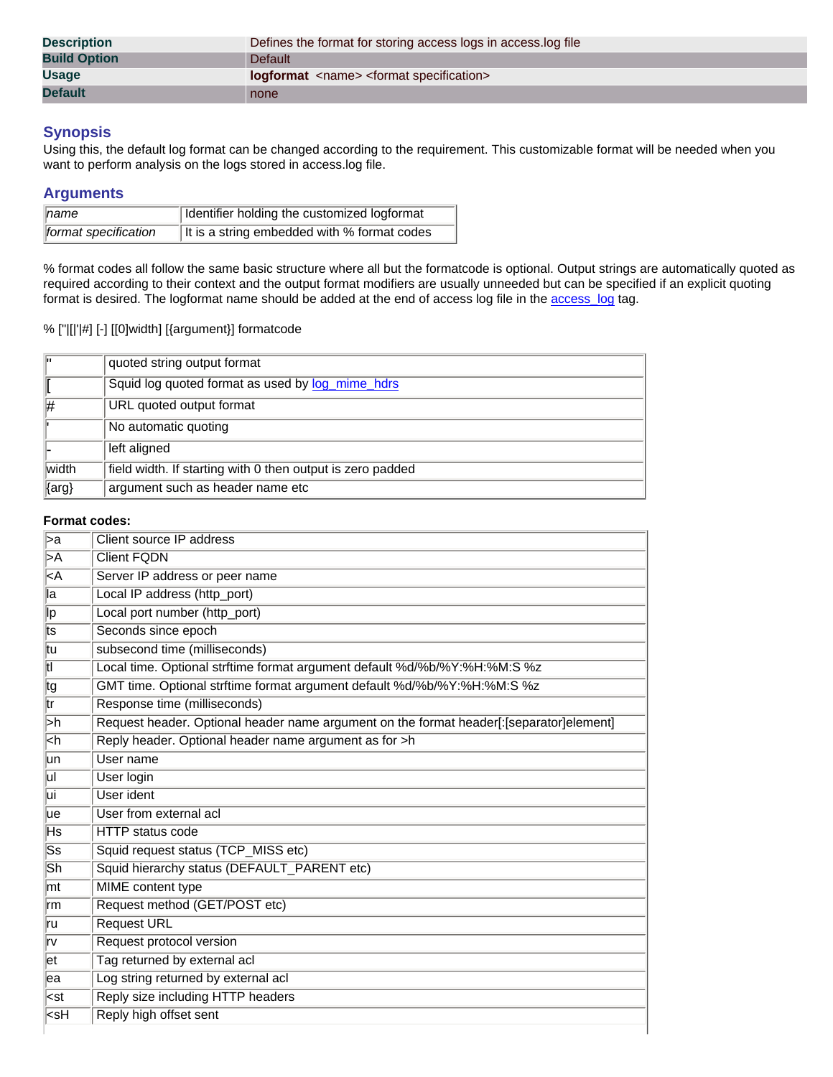| <b>Description</b>  | Defines the format for storing access logs in access log file     |
|---------------------|-------------------------------------------------------------------|
| <b>Build Option</b> | Default                                                           |
| <b>Usage</b>        | <b>logformat</b> <name> <format specification=""></format></name> |
| <b>Default</b>      | none                                                              |

Using this, the default log format can be changed according to the requirement. This customizable format will be needed when you want to perform analysis on the logs stored in access.log file.

## **Arguments**

| $\parallel$ name     | Identifier holding the customized logformat |
|----------------------|---------------------------------------------|
| format specification | It is a string embedded with % format codes |

% format codes all follow the same basic structure where all but the formatcode is optional. Output strings are automatically quoted as required according to their context and the output format modifiers are usually unneeded but can be specified if an explicit quoting format is desired. The logformat name should be added at the end of access log file in the [access\\_log](#page-21-0) tag.

## % ["|[|'|#] [-] [[0]width] [{argument}] formatcode

| lπ        | quoted string output format                                |
|-----------|------------------------------------------------------------|
|           | Squid log quoted format as used by log_mime_hdrs           |
| #         | URL quoted output format                                   |
|           | No automatic quoting                                       |
|           | left aligned                                               |
| width     | field width. If starting with 0 then output is zero padded |
| $\{arg\}$ | argument such as header name etc                           |

#### **Format codes:**

| $\overline{\triangleright a}$                                 | Client source IP address                                                                |
|---------------------------------------------------------------|-----------------------------------------------------------------------------------------|
| $\overline{\triangleright A}$                                 | <b>Client FQDN</b>                                                                      |
| $\overline{\leq}$ A                                           | Server IP address or peer name                                                          |
| lla                                                           | Local IP address (http_port)                                                            |
| ∣lp                                                           | Local port number (http_port)                                                           |
| ∣ts                                                           | Seconds since epoch                                                                     |
| tu                                                            | subsecond time (milliseconds)                                                           |
| $\overline{\mathsf{t}}$                                       | Local time. Optional strftime format argument default %d/%b/%Y:%H:%M:S %z               |
| tg                                                            | GMT time. Optional strftime format argument default %d/%b/%Y:%H:%M:S %z                 |
| $\overline{\text{tr}}$                                        | Response time (milliseconds)                                                            |
| $\overline{\triangleright}$ h                                 | Request header. Optional header name argument on the format header[:[separator]element] |
| kh                                                            | Reply header. Optional header name argument as for >h                                   |
| lun                                                           | User name                                                                               |
| ΙūΙ                                                           | User login                                                                              |
| Ιūί                                                           | User ident                                                                              |
| lue                                                           | User from external acl                                                                  |
| Hs                                                            | <b>HTTP</b> status code                                                                 |
| $\overline{\mathsf{S}\mathsf{s}}$                             | Squid request status (TCP_MISS etc)                                                     |
| $\overline{\mathsf{Sh}}$                                      | Squid hierarchy status (DEFAULT_PARENT etc)                                             |
| mt                                                            | <b>MIME</b> content type                                                                |
| ∣rm                                                           | Request method (GET/POST etc)                                                           |
| ru                                                            | <b>Request URL</b>                                                                      |
| Irv                                                           | Request protocol version                                                                |
| let                                                           | Tag returned by external acl                                                            |
| lea                                                           | Log string returned by external acl                                                     |
| l <st< td=""><td>Reply size including HTTP headers</td></st<> | Reply size including HTTP headers                                                       |
| ksH                                                           | Reply high offset sent                                                                  |
|                                                               |                                                                                         |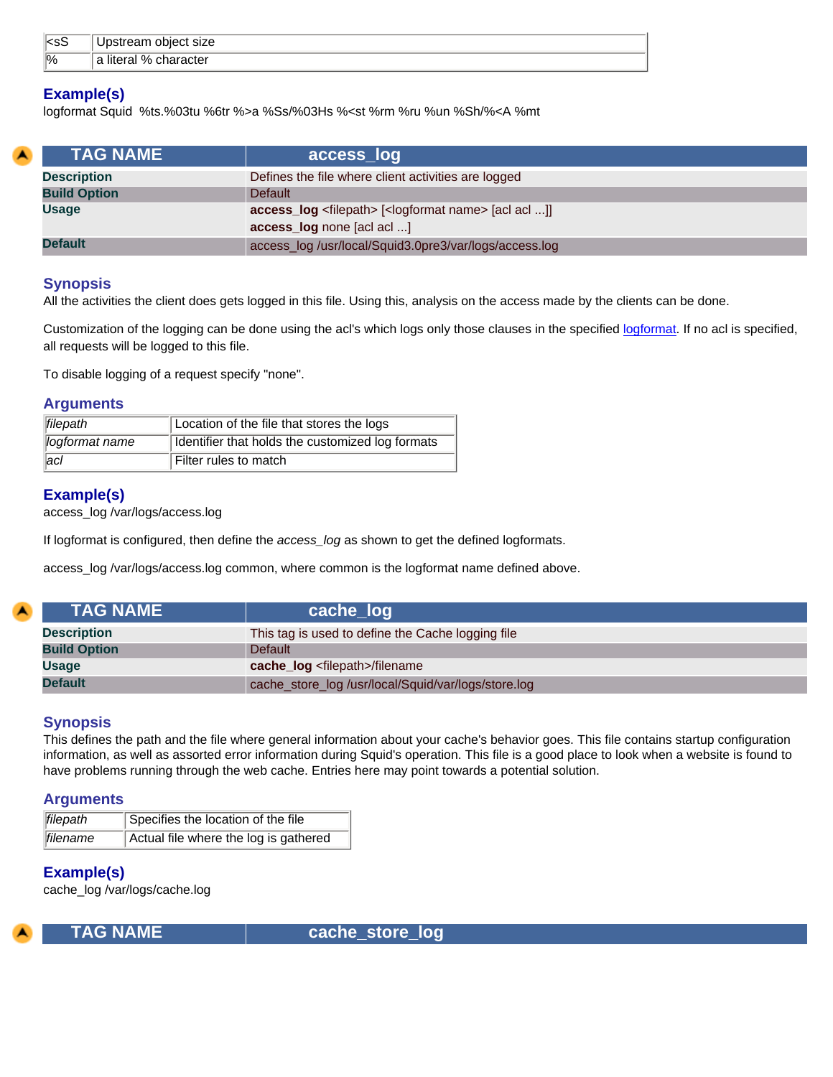| ll <ss< th=""><th>object size<br/><math>\sim</math> <math>\sim</math><br/>UPSTEATH</th></ss<> | object size<br>$\sim$ $\sim$<br>UPSTEATH |
|-----------------------------------------------------------------------------------------------|------------------------------------------|
| $\frac{1}{2}$                                                                                 | $\Omega$<br>character<br>a literal<br>70 |

## **Example(s)**

logformat Squid %ts.%03tu %6tr %>a %Ss/%03Hs %<st %rm %ru %un %Sh/%<A %mt

<span id="page-21-0"></span>

| <b>TAG NAME</b>     | access_log                                                                    |
|---------------------|-------------------------------------------------------------------------------|
| <b>Description</b>  | Defines the file where client activities are logged                           |
| <b>Build Option</b> | <b>Default</b>                                                                |
| <b>Usage</b>        | access_log <filepath> [<logformat name=""> [acl acl ]]</logformat></filepath> |
|                     | access_log none [acl acl ]                                                    |
| <b>Default</b>      | access_log /usr/local/Squid3.0pre3/var/logs/access.log                        |

## **Synopsis**

All the activities the client does gets logged in this file. Using this, analysis on the access made by the clients can be done.

Customization of the logging can be done using the acl's which logs only those clauses in the specified [logformat](#page-19-0). If no acl is specified, all requests will be logged to this file.

To disable logging of a request specify "none".

#### **Arguments**

| filepath       | Location of the file that stores the logs        |
|----------------|--------------------------------------------------|
| logformat name | Identifier that holds the customized log formats |
| ac             | Filter rules to match                            |

## **Example(s)**

access\_log /var/logs/access.log

If logformat is configured, then define the *access\_log* as shown to get the defined logformats.

access\_log /var/logs/access.log common, where common is the logformat name defined above.

<span id="page-21-1"></span>

| <b>TAG NAME</b>     | cache_log                                           |
|---------------------|-----------------------------------------------------|
| <b>Description</b>  | This tag is used to define the Cache logging file   |
| <b>Build Option</b> | <b>Default</b>                                      |
| <b>Usage</b>        | cache_log <filepath>/filename</filepath>            |
| <b>Default</b>      | cache_store_log /usr/local/Squid/var/logs/store.log |

## **Synopsis**

This defines the path and the file where general information about your cache's behavior goes. This file contains startup configuration information, as well as assorted error information during Squid's operation. This file is a good place to look when a website is found to have problems running through the web cache. Entries here may point towards a potential solution.

#### **Arguments**

| filepath | Specifies the location of the file    |
|----------|---------------------------------------|
| filename | Actual file where the log is gathered |

## **Example(s)**

cache\_log /var/logs/cache.log

<span id="page-21-2"></span>

 **TAG NAME cache\_store\_log**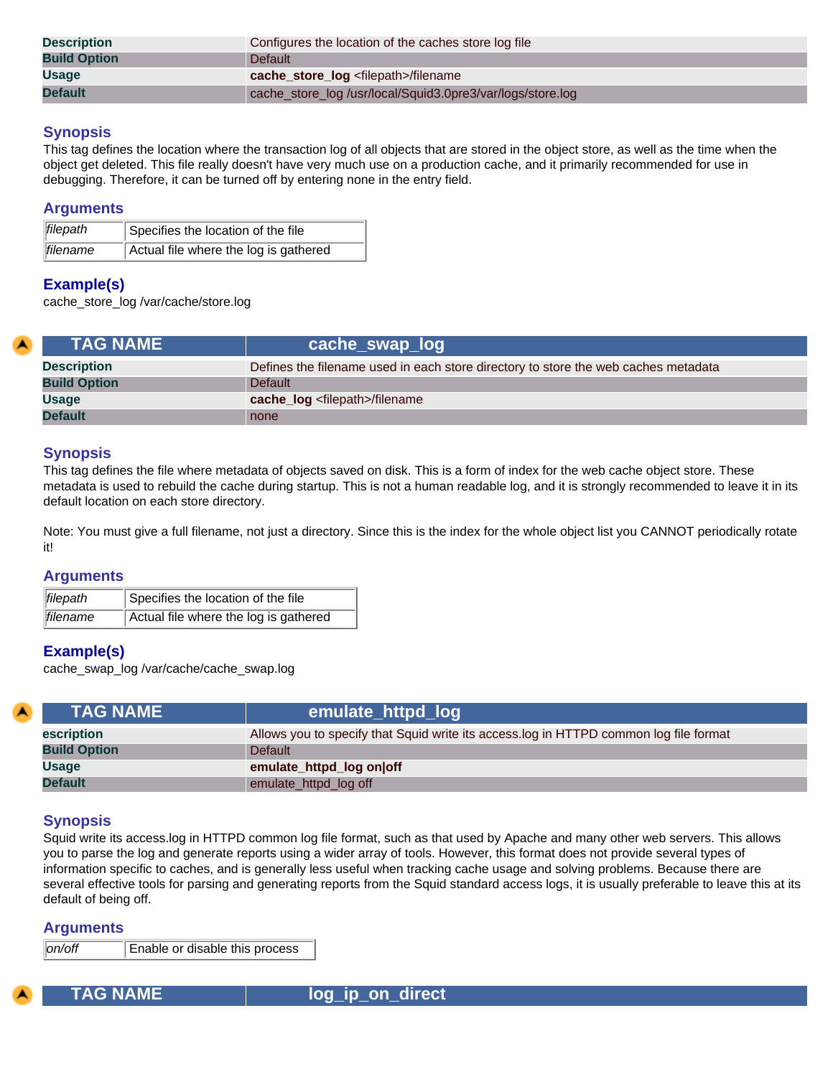| <b>Description</b>  | Configures the location of the caches store log file       |
|---------------------|------------------------------------------------------------|
| <b>Build Option</b> | <b>Default</b>                                             |
| <b>Usage</b>        | cache_store_log <filepath>/filename</filepath>             |
| <b>Default</b>      | cache_store_log /usr/local/Squid3.0pre3/var/logs/store.log |

This tag defines the location where the transaction log of all objects that are stored in the object store, as well as the time when the object get deleted. This file really doesn't have very much use on a production cache, and it primarily recommended for use in debugging. Therefore, it can be turned off by entering none in the entry field.

## **Arguments**

| filepath         | Specifies the location of the file    |
|------------------|---------------------------------------|
| <b>Ifilename</b> | Actual file where the log is gathered |

## **Example(s)**

cache\_store\_log /var/cache/store.log

<span id="page-22-0"></span>

| <b>TAG NAME</b>     | ∣ cache_swap_log <sup>⊦</sup>                                                      |
|---------------------|------------------------------------------------------------------------------------|
| <b>Description</b>  | Defines the filename used in each store directory to store the web caches metadata |
| <b>Build Option</b> | <b>Default</b>                                                                     |
| <b>Usage</b>        | cache_log <filepath>/filename</filepath>                                           |
| <b>Default</b>      | none                                                                               |

## **Synopsis**

This tag defines the file where metadata of objects saved on disk. This is a form of index for the web cache object store. These metadata is used to rebuild the cache during startup. This is not a human readable log, and it is strongly recommended to leave it in its default location on each store directory.

Note: You must give a full filename, not just a directory. Since this is the index for the whole object list you CANNOT periodically rotate it!

## **Arguments**

| <i>filepath</i> | Specifies the location of the file    |
|-----------------|---------------------------------------|
| filename        | Actual file where the log is gathered |

## **Example(s)**

cache\_swap\_log /var/cache/cache\_swap.log

<span id="page-22-1"></span>

| <b>TAG NAME</b>     | emulate_httpd_log                                                                     |
|---------------------|---------------------------------------------------------------------------------------|
| escription          | Allows you to specify that Squid write its access.log in HTTPD common log file format |
| <b>Build Option</b> | <b>Default</b>                                                                        |
| <b>Usage</b>        | emulate_httpd_log on off                                                              |
| <b>Default</b>      | emulate_httpd_log off                                                                 |

## **Synopsis**

Squid write its access.log in HTTPD common log file format, such as that used by Apache and many other web servers. This allows you to parse the log and generate reports using a wider array of tools. However, this format does not provide several types of information specific to caches, and is generally less useful when tracking cache usage and solving problems. Because there are several effective tools for parsing and generating reports from the Squid standard access logs, it is usually preferable to leave this at its default of being off.

#### **Arguments**

*on/off* Enable or disable this process

<span id="page-22-2"></span>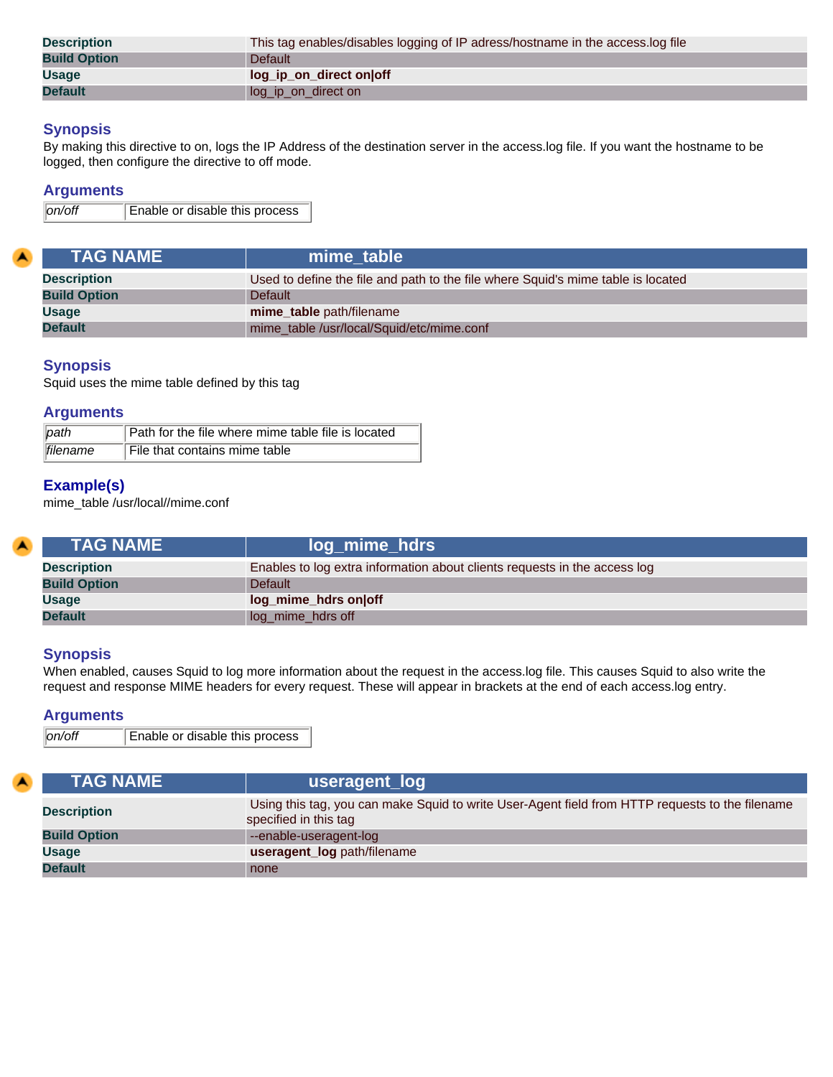| <b>Description</b>  | This tag enables/disables logging of IP adress/hostname in the access.log file |
|---------------------|--------------------------------------------------------------------------------|
| <b>Build Option</b> | <b>Default</b>                                                                 |
| <b>Usage</b>        | log_ip_on_direct on off                                                        |
| <b>Default</b>      | log_ip_on_direct on                                                            |

By making this directive to on, logs the IP Address of the destination server in the access.log file. If you want the hostname to be logged, then configure the directive to off mode.

#### **Arguments**

*on/off* Enable or disable this process

<span id="page-23-0"></span>

| <b>TAG NAME</b>     | mime table                                                                       |
|---------------------|----------------------------------------------------------------------------------|
| <b>Description</b>  | Used to define the file and path to the file where Squid's mime table is located |
| <b>Build Option</b> | <b>Default</b>                                                                   |
| <b>Usage</b>        | mime_table path/filename                                                         |
| <b>Default</b>      | mime_table /usr/local/Squid/etc/mime.conf                                        |

## **Synopsis**

Squid uses the mime table defined by this tag

#### **Arguments**

| $\parallel$ path | Path for the file where mime table file is located |
|------------------|----------------------------------------------------|
| filename         | File that contains mime table                      |

## **Example(s)**

mime\_table /usr/local//mime.conf

<span id="page-23-1"></span>

| <b>TAG NAME</b>     | log_mime_hdrs                                                             |
|---------------------|---------------------------------------------------------------------------|
| <b>Description</b>  | Enables to log extra information about clients requests in the access log |
| <b>Build Option</b> | <b>Default</b>                                                            |
| <b>Usage</b>        | log_mime_hdrs on off                                                      |
| <b>Default</b>      | log_mime_hdrs off                                                         |

#### **Synopsis**

When enabled, causes Squid to log more information about the request in the access.log file. This causes Squid to also write the request and response MIME headers for every request. These will appear in brackets at the end of each access.log entry.

## **Arguments**

```
on/off Enable or disable this process
```
<span id="page-23-2"></span>

| <b>TAG NAME \</b>   | useragent_log                                                                                                            |
|---------------------|--------------------------------------------------------------------------------------------------------------------------|
| <b>Description</b>  | Using this tag, you can make Squid to write User-Agent field from HTTP requests to the filename<br>specified in this tag |
| <b>Build Option</b> | --enable-useragent-log                                                                                                   |
| Usage               | useragent_log path/filename                                                                                              |
| <b>Default</b>      | none                                                                                                                     |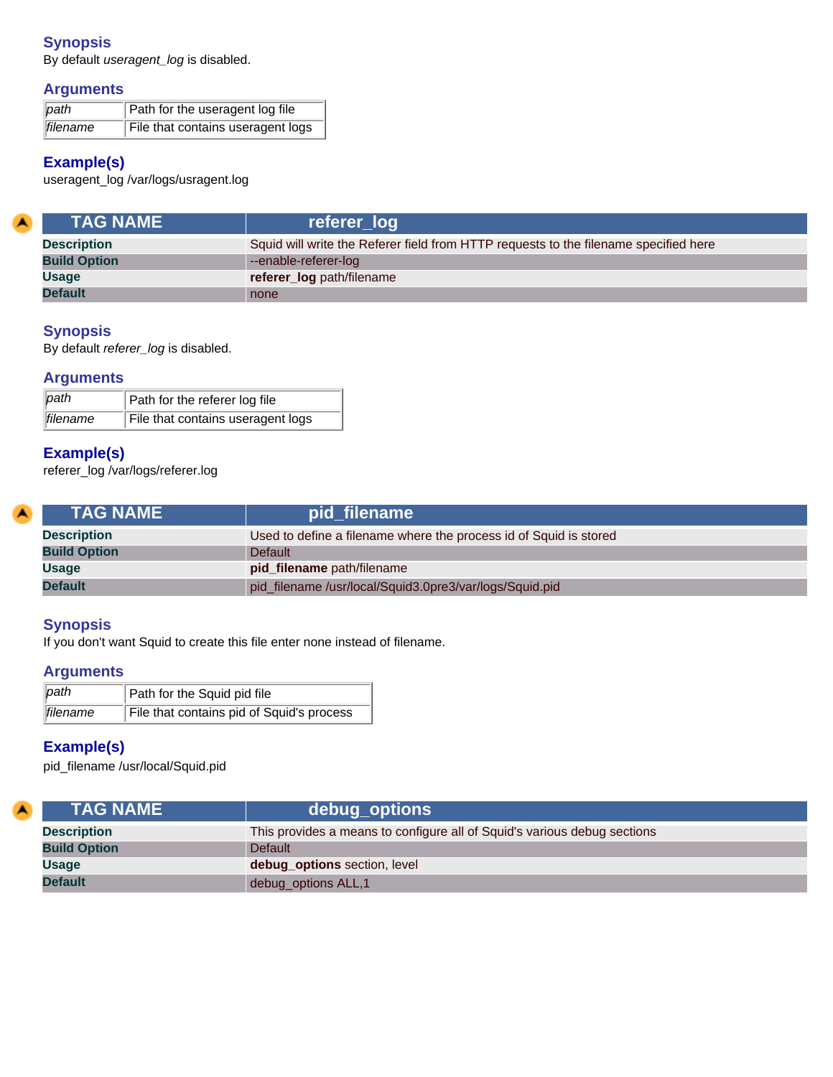By default *useragent\_log* is disabled.

## **Arguments**

| $\sqrt{path}$ | Path for the useragent log file   |
|---------------|-----------------------------------|
| filename      | File that contains useragent logs |

## **Example(s)**

useragent\_log /var/logs/usragent.log

<span id="page-24-0"></span>

| <b>TAG NAME</b>     | referer_log                                                                          |
|---------------------|--------------------------------------------------------------------------------------|
| <b>Description</b>  | Squid will write the Referer field from HTTP requests to the filename specified here |
| <b>Build Option</b> | --enable-referer-log                                                                 |
| <b>Usage</b>        | referer_log path/filename                                                            |
| <b>Default</b>      | none                                                                                 |

## **Synopsis**

By default *referer\_log* is disabled.

## **Arguments**

| $ $ path | Path for the referer log file     |
|----------|-----------------------------------|
| filename | File that contains useragent logs |

## **Example(s)**

referer\_log /var/logs/referer.log

<span id="page-24-1"></span>

| <b>LTAG NAME</b> \  | pid_filename                                                      |
|---------------------|-------------------------------------------------------------------|
| <b>Description</b>  | Used to define a filename where the process id of Squid is stored |
| <b>Build Option</b> | <b>Default</b>                                                    |
| Usage               | pid_filename path/filename                                        |
| <b>Default</b>      | pid_filename /usr/local/Squid3.0pre3/var/logs/Squid.pid           |

## **Synopsis**

If you don't want Squid to create this file enter none instead of filename.

## **Arguments**

| path     | Path for the Squid pid file               |
|----------|-------------------------------------------|
| filename | File that contains pid of Squid's process |

## **Example(s)**

pid\_filename /usr/local/Squid.pid

<span id="page-24-2"></span>

| <b>A</b> | <b>TAG NAME</b>     | debug_options                                                            |
|----------|---------------------|--------------------------------------------------------------------------|
|          | <b>Description</b>  | This provides a means to configure all of Squid's various debug sections |
|          | <b>Build Option</b> | <b>Default</b>                                                           |
|          | Usage               | debug_options section, level                                             |
|          | <b>Default</b>      | debug_options ALL,1                                                      |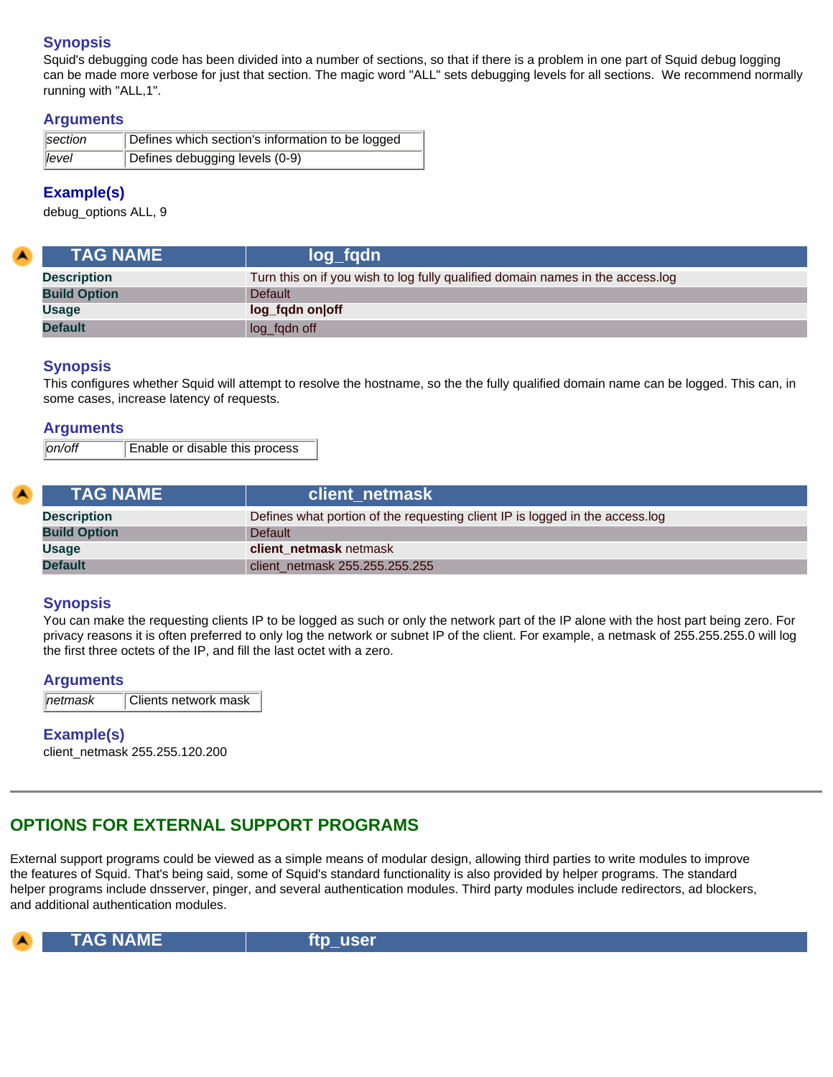Squid's debugging code has been divided into a number of sections, so that if there is a problem in one part of Squid debug logging can be made more verbose for just that section. The magic word "ALL" sets debugging levels for all sections. We recommend normally running with "ALL,1".

## **Arguments**

| section        | Defines which section's information to be logged |
|----------------|--------------------------------------------------|
| $\sqrt{$ level | Defines debugging levels (0-9)                   |

## **Example(s)**

debug\_options ALL, 9

<span id="page-25-0"></span>

| <b>TAG NAME</b>     | log_fgdn                                                                       |
|---------------------|--------------------------------------------------------------------------------|
| <b>Description</b>  | Turn this on if you wish to log fully qualified domain names in the access.log |
| <b>Build Option</b> | <b>Default</b>                                                                 |
| <b>Usage</b>        | log_fqdn on off                                                                |
| <b>Default</b>      | log_fqdn off                                                                   |

## **Synopsis**

This configures whether Squid will attempt to resolve the hostname, so the the fully qualified domain name can be logged. This can, in some cases, increase latency of requests.

## **Arguments**

| on/off <br>Enable or disable this process |  |
|-------------------------------------------|--|
|-------------------------------------------|--|

<span id="page-25-1"></span>

| <b>TAG NAME</b>     | client netmask                                                               |
|---------------------|------------------------------------------------------------------------------|
| <b>Description</b>  | Defines what portion of the requesting client IP is logged in the access.log |
| <b>Build Option</b> | Default                                                                      |
| <b>Usage</b>        | client netmask netmask                                                       |
| <b>Default</b>      | client netmask 255.255.255.255                                               |

## **Synopsis**

You can make the requesting clients IP to be logged as such or only the network part of the IP alone with the host part being zero. For privacy reasons it is often preferred to only log the network or subnet IP of the client. For example, a netmask of 255.255.255.0 will log the first three octets of the IP, and fill the last octet with a zero.

#### **Arguments**

| $\parallel$ netmask | Clients network mask |
|---------------------|----------------------|
|---------------------|----------------------|

## **Example(s)**

client\_netmask 255.255.120.200

# <span id="page-25-2"></span>**OPTIONS FOR EXTERNAL SUPPORT PROGRAMS**

External support programs could be viewed as a simple means of modular design, allowing third parties to write modules to improve the features of Squid. That's being said, some of Squid's standard functionality is also provided by helper programs. The standard helper programs include dnsserver, pinger, and several authentication modules. Third party modules include redirectors, ad blockers, and additional authentication modules.

<span id="page-25-3"></span>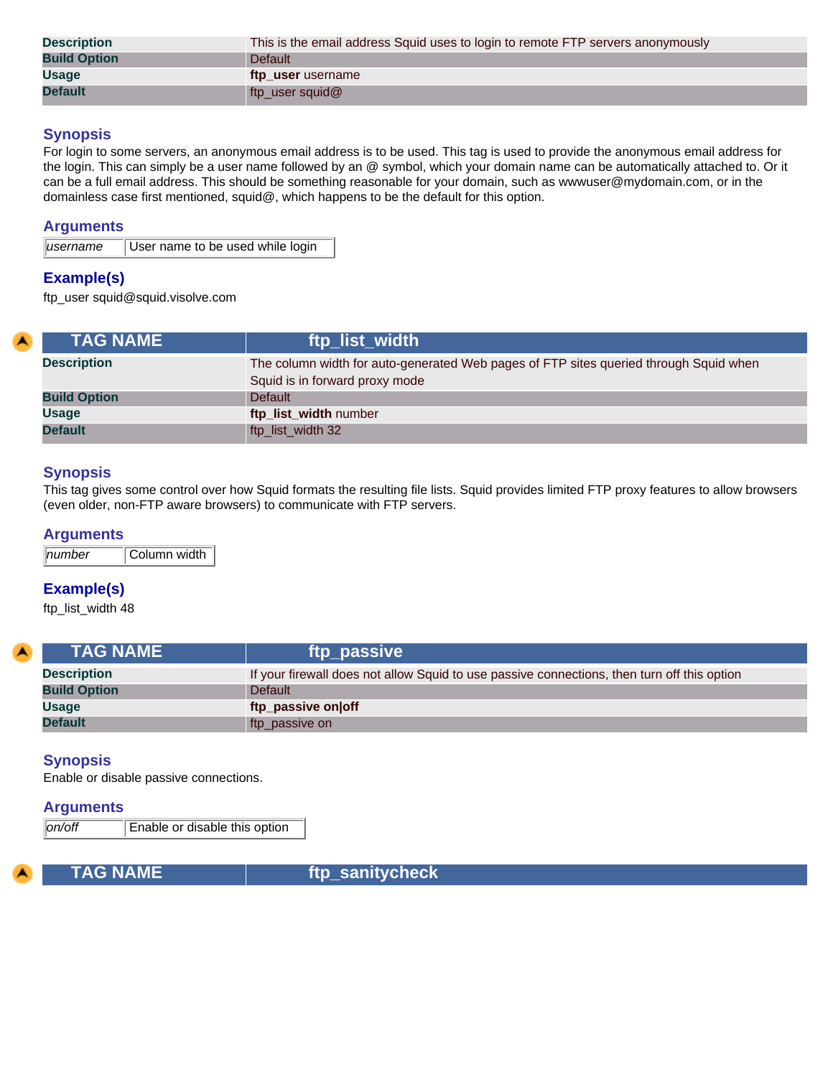| <b>Description</b>  | This is the email address Squid uses to login to remote FTP servers anonymously |
|---------------------|---------------------------------------------------------------------------------|
| <b>Build Option</b> | <b>Default</b>                                                                  |
| <b>Usage</b>        | ftp user username                                                               |
| <b>Default</b>      | ftp_user squid@                                                                 |

For login to some servers, an anonymous email address is to be used. This tag is used to provide the anonymous email address for the login. This can simply be a user name followed by an @ symbol, which your domain name can be automatically attached to. Or it can be a full email address. This should be something reasonable for your domain, such as wwwuser@mydomain.com, or in the domainless case first mentioned, squid@, which happens to be the default for this option.

#### **Arguments**

|                      | User name to be used while login |
|----------------------|----------------------------------|
| $\parallel$ username |                                  |
|                      |                                  |

## **Example(s)**

ftp\_user squid@squid.visolve.com

<span id="page-26-0"></span>

| <b>TAG NAME</b>     | ftp_list_width                                                                                                          |
|---------------------|-------------------------------------------------------------------------------------------------------------------------|
| <b>Description</b>  | The column width for auto-generated Web pages of FTP sites queried through Squid when<br>Squid is in forward proxy mode |
| <b>Build Option</b> | Default                                                                                                                 |
| <b>Usage</b>        | ftp_list_width number                                                                                                   |
| <b>Default</b>      | ftp_list_width 32                                                                                                       |

## **Synopsis**

This tag gives some control over how Squid formats the resulting file lists. Squid provides limited FTP proxy features to allow browsers (even older, non-FTP aware browsers) to communicate with FTP servers.

#### **Arguments**

*number* Column width

## **Example(s)**

ftp\_list\_width 48

<span id="page-26-1"></span>

| <b>TAG NAME</b>     | ftp_passive                                                                                 |
|---------------------|---------------------------------------------------------------------------------------------|
| <b>Description</b>  | If your firewall does not allow Squid to use passive connections, then turn off this option |
| <b>Build Option</b> | Default                                                                                     |
| <b>Usage</b>        | ftp_passive on off                                                                          |
| <b>Default</b>      | ftp_passive on                                                                              |

#### **Synopsis**

Enable or disable passive connections.

#### **Arguments**

*on/off* Enable or disable this option

<span id="page-26-2"></span>

TAG NAME **ftp\_sanitycheck**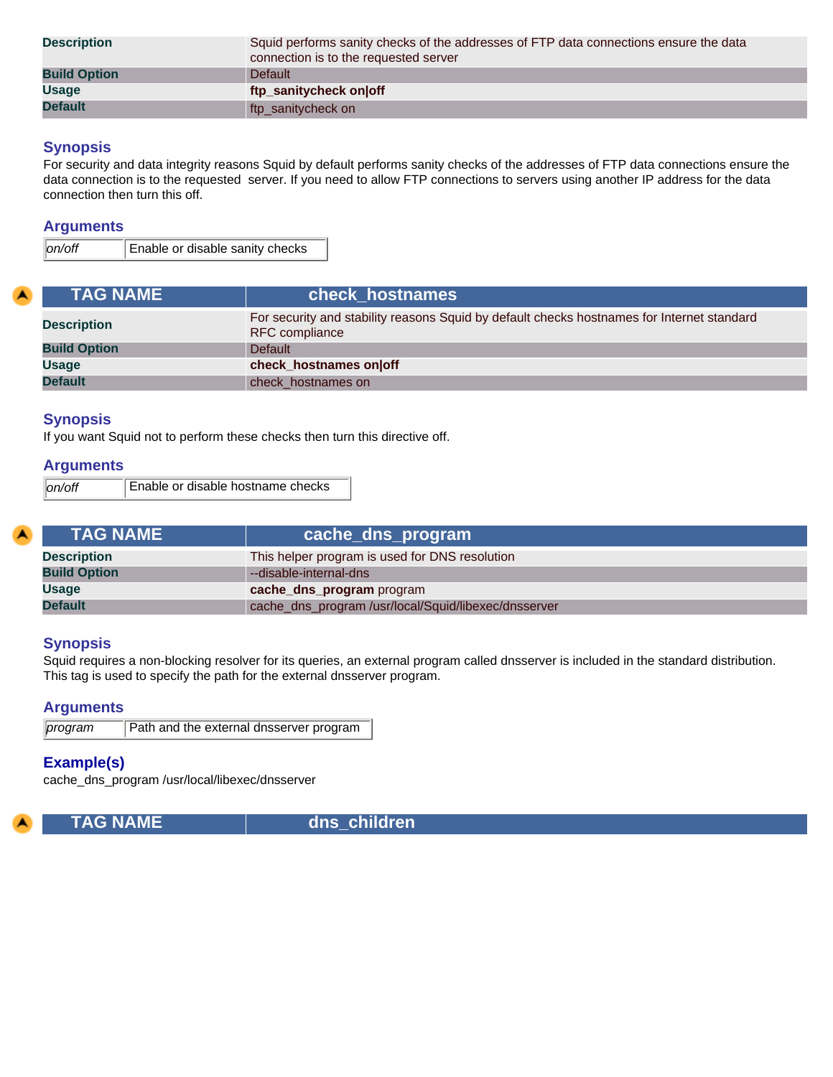| <b>Description</b>  | Squid performs sanity checks of the addresses of FTP data connections ensure the data<br>connection is to the requested server |
|---------------------|--------------------------------------------------------------------------------------------------------------------------------|
| <b>Build Option</b> | <b>Default</b>                                                                                                                 |
| <b>Usage</b>        | ftp_sanitycheck on off                                                                                                         |
| <b>Default</b>      | ftp_sanitycheck on                                                                                                             |

## **Synopsis**

For security and data integrity reasons Squid by default performs sanity checks of the addresses of FTP data connections ensure the data connection is to the requested server. If you need to allow FTP connections to servers using another IP address for the data connection then turn this off.

## **Arguments**

*on/off* Enable or disable sanity checks

<span id="page-27-0"></span>

| <b>TAG NAME</b>     | check hostnames                                                                                                     |
|---------------------|---------------------------------------------------------------------------------------------------------------------|
| <b>Description</b>  | For security and stability reasons Squid by default checks hostnames for Internet standard<br><b>RFC</b> compliance |
| <b>Build Option</b> | <b>Default</b>                                                                                                      |
| <b>Usage</b>        | check hostnames on off                                                                                              |
| <b>Default</b>      | check hostnames on                                                                                                  |

## **Synopsis**

If you want Squid not to perform these checks then turn this directive off.

## **Arguments**

| Enable or disable hostname checks<br>lon/off |  |
|----------------------------------------------|--|
|----------------------------------------------|--|

<span id="page-27-1"></span>

| <b>TAG NAME</b>     | cache_dns_program                                    |
|---------------------|------------------------------------------------------|
| <b>Description</b>  | This helper program is used for DNS resolution       |
| <b>Build Option</b> | --disable-internal-dns                               |
| <b>Usage</b>        | cache_dns_program program                            |
| <b>Default</b>      | cache_dns_program /usr/local/Squid/libexec/dnsserver |

## **Synopsis**

Squid requires a non-blocking resolver for its queries, an external program called dnsserver is included in the standard distribution. This tag is used to specify the path for the external dnsserver program.

## **Arguments**

*program* Path and the external dnsserver program

## **Example(s)**

cache\_dns\_program /usr/local/libexec/dnsserver

<span id="page-27-2"></span>

 **TAG NAME dns\_children**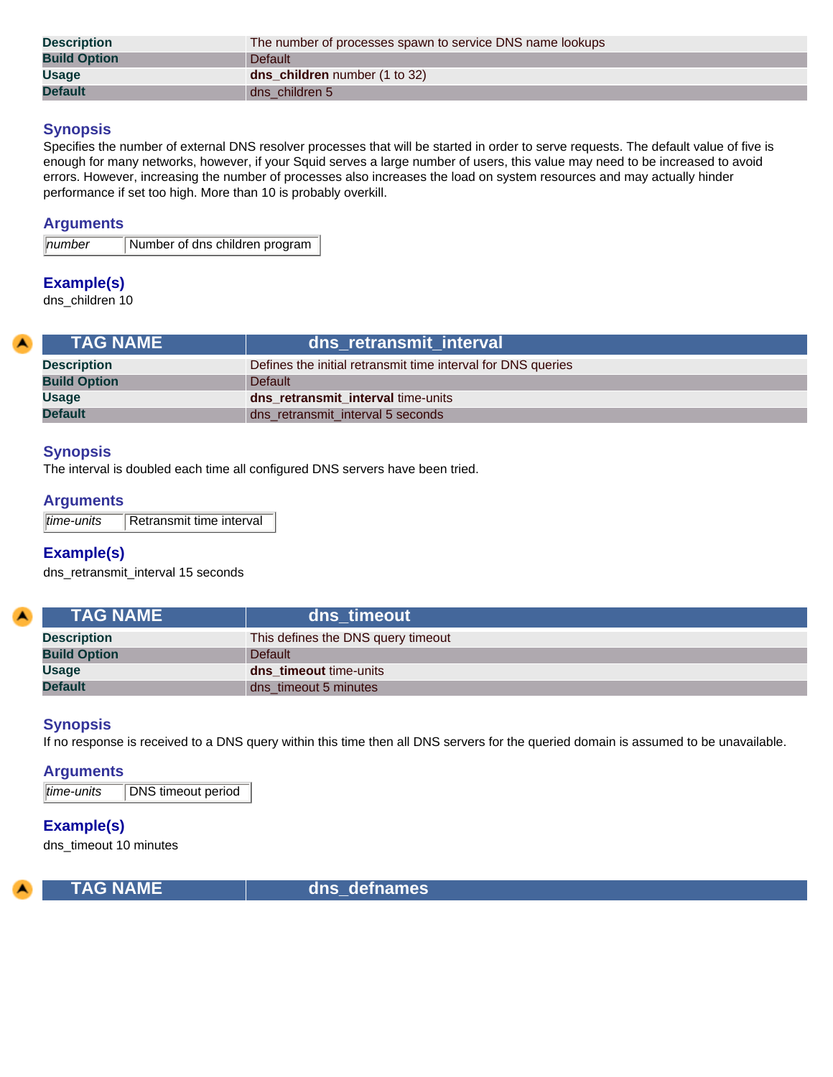| <b>Description</b>  | The number of processes spawn to service DNS name lookups |
|---------------------|-----------------------------------------------------------|
| <b>Build Option</b> | Default                                                   |
| <b>Usage</b>        | <b>dns children</b> number (1 to 32)                      |
| <b>Default</b>      | dns children 5                                            |

Specifies the number of external DNS resolver processes that will be started in order to serve requests. The default value of five is enough for many networks, however, if your Squid serves a large number of users, this value may need to be increased to avoid errors. However, increasing the number of processes also increases the load on system resources and may actually hinder performance if set too high. More than 10 is probably overkill.

#### **Arguments**

*number* Number of dns children program

## **Example(s)**

dns\_children 10

<span id="page-28-0"></span>

| <b>TAG NAME</b>     | dns retransmit interval                                      |
|---------------------|--------------------------------------------------------------|
| <b>Description</b>  | Defines the initial retransmit time interval for DNS queries |
| <b>Build Option</b> | Default                                                      |
| <b>Usage</b>        | dns retransmit interval time-units                           |
| <b>Default</b>      | dns_retransmit_interval 5 seconds                            |

## **Synopsis**

The interval is doubled each time all configured DNS servers have been tried.

## **Arguments**

| time-units | Retransmit time interval |
|------------|--------------------------|
|------------|--------------------------|

## **Example(s)**

dns\_retransmit\_interval 15 seconds

<span id="page-28-1"></span>

| <b>TAG NAME</b>     | dns timeout                        |
|---------------------|------------------------------------|
| <b>Description</b>  | This defines the DNS query timeout |
| <b>Build Option</b> | Default                            |
| <b>Usage</b>        | dns_timeout time-units             |
| <b>Default</b>      | dns_timeout 5 minutes              |

## **Synopsis**

If no response is received to a DNS query within this time then all DNS servers for the queried domain is assumed to be unavailable.

#### **Arguments**

*time-units* DNS timeout period

#### **Example(s)**

dns\_timeout 10 minutes

<span id="page-28-2"></span>

 **TAG NAME dns\_defnames**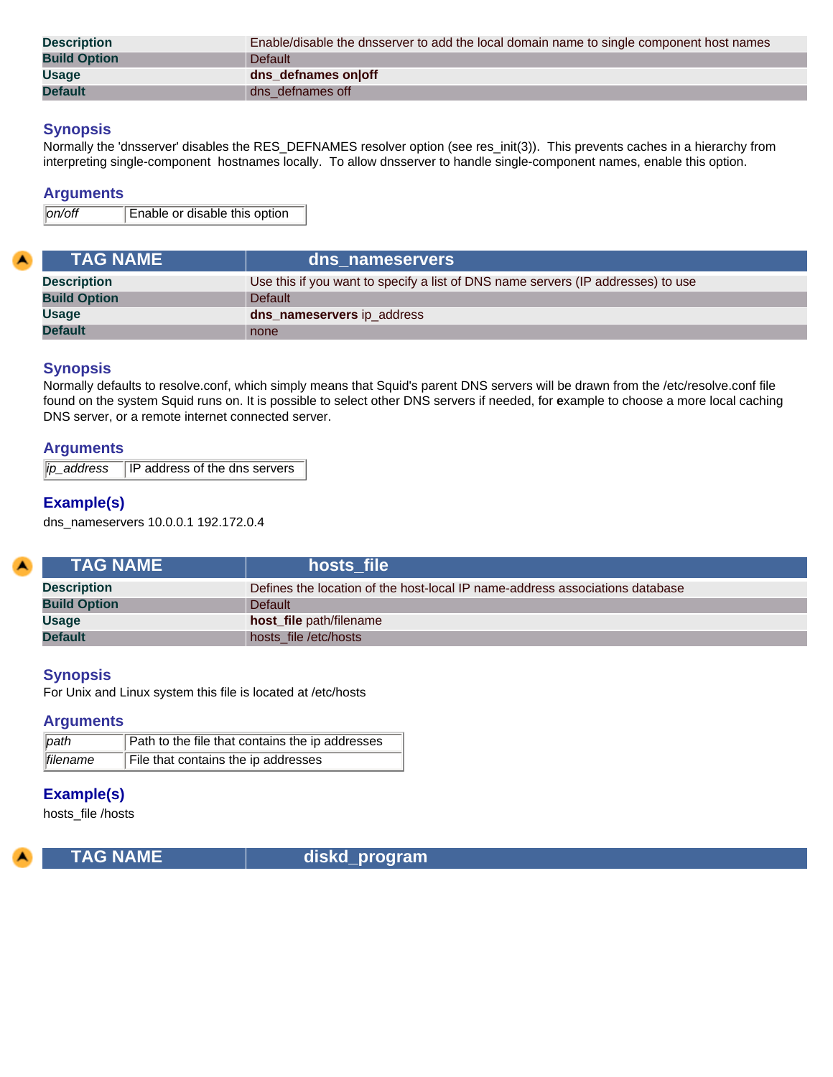| <b>Description</b>  | Enable/disable the dnsserver to add the local domain name to single component host names |
|---------------------|------------------------------------------------------------------------------------------|
| <b>Build Option</b> | <b>Default</b>                                                                           |
| <b>Usage</b>        | dns defnames onloff                                                                      |
| <b>Default</b>      | dns defnames off                                                                         |

Normally the 'dnsserver' disables the RES\_DEFNAMES resolver option (see res\_init(3)). This prevents caches in a hierarchy from interpreting single-component hostnames locally. To allow dnsserver to handle single-component names, enable this option.

#### **Arguments**

*on/off* Enable or disable this option

<span id="page-29-0"></span>

| <b>TAG NAME</b>     | dns nameservers                                                                  |
|---------------------|----------------------------------------------------------------------------------|
| <b>Description</b>  | Use this if you want to specify a list of DNS name servers (IP addresses) to use |
| <b>Build Option</b> | <b>Default</b>                                                                   |
| <b>Usage</b>        | dns_nameservers ip_address                                                       |
| <b>Default</b>      | none                                                                             |

## **Synopsis**

Normally defaults to resolve.conf, which simply means that Squid's parent DNS servers will be drawn from the /etc/resolve.conf file found on the system Squid runs on. It is possible to select other DNS servers if needed, for **e**xample to choose a more local caching DNS server, or a remote internet connected server.

#### **Arguments**

| ip_address<br><b>IP</b> address of the dns servers |
|----------------------------------------------------|
|----------------------------------------------------|

## **Example(s)**

dns\_nameservers 10.0.0.1 192.172.0.4

<span id="page-29-1"></span>

| <b>TAG NAME</b>     | hosts file                                                                   |
|---------------------|------------------------------------------------------------------------------|
| <b>Description</b>  | Defines the location of the host-local IP name-address associations database |
| <b>Build Option</b> | <b>Default</b>                                                               |
| Usage               | host_file path/filename                                                      |
| <b>Default</b>      | hosts file /etc/hosts                                                        |

#### **Synopsis**

For Unix and Linux system this file is located at /etc/hosts

#### **Arguments**

| path     | Path to the file that contains the ip addresses |
|----------|-------------------------------------------------|
| filename | File that contains the ip addresses             |

## **Example(s)**

hosts\_file /hosts

<span id="page-29-2"></span>

**TAG NAME diskd\_program**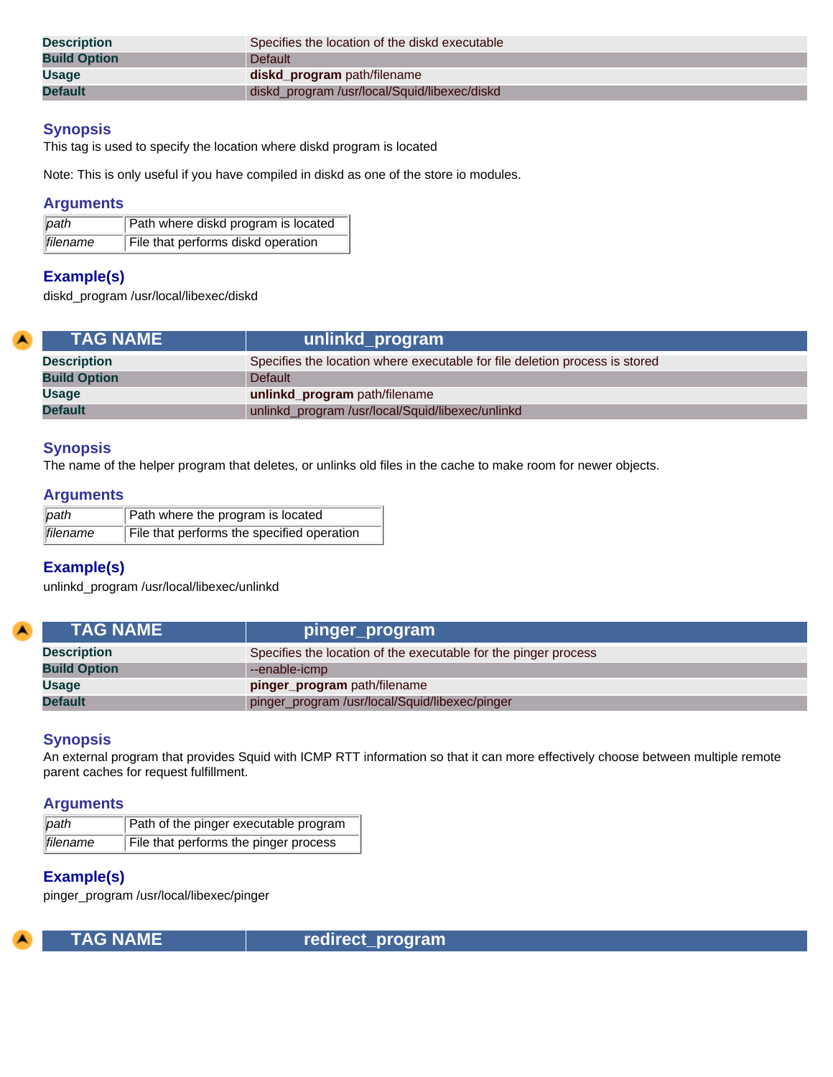| <b>Description</b>  | Specifies the location of the diskd executable |
|---------------------|------------------------------------------------|
| <b>Build Option</b> | <b>Default</b>                                 |
| <b>Usage</b>        | diskd program path/filename                    |
| <b>Default</b>      | diskd_program /usr/local/Squid/libexec/diskd   |

This tag is used to specify the location where diskd program is located

Note: This is only useful if you have compiled in diskd as one of the store io modules.

## **Arguments**

| path             | Path where diskd program is located |
|------------------|-------------------------------------|
| <b>Ifilename</b> | File that performs diskd operation  |

## **Example(s)**

<span id="page-30-0"></span>z

diskd\_program /usr/local/libexec/diskd

| <b>TAG NAME</b>     | unlinkd program                                                             |
|---------------------|-----------------------------------------------------------------------------|
| <b>Description</b>  | Specifies the location where executable for file deletion process is stored |
| <b>Build Option</b> | <b>Default</b>                                                              |
| Usage               | unlinkd_program path/filename                                               |
| <b>Default</b>      | unlinkd_program /usr/local/Squid/libexec/unlinkd                            |

## **Synopsis**

The name of the helper program that deletes, or unlinks old files in the cache to make room for newer objects.

#### **Arguments**

| path            | Path where the program is located          |
|-----------------|--------------------------------------------|
| <i>filename</i> | File that performs the specified operation |

## **Example(s)**

unlinkd\_program /usr/local/libexec/unlinkd

<span id="page-30-1"></span>

| <b>TAG NAME</b>     | pinger_program                                                  |
|---------------------|-----------------------------------------------------------------|
| <b>Description</b>  | Specifies the location of the executable for the pinger process |
| <b>Build Option</b> | --enable-icmp                                                   |
| <b>Usage</b>        | pinger_program path/filename                                    |
| <b>Default</b>      | pinger_program /usr/local/Squid/libexec/pinger                  |

## **Synopsis**

An external program that provides Squid with ICMP RTT information so that it can more effectively choose between multiple remote parent caches for request fulfillment.

#### **Arguments**

| path      | Path of the pinger executable program |
|-----------|---------------------------------------|
| lfilename | File that performs the pinger process |

## **Example(s)**

pinger\_program /usr/local/libexec/pinger

<span id="page-30-2"></span>

**TAG NAME TAG NAME** redirect\_program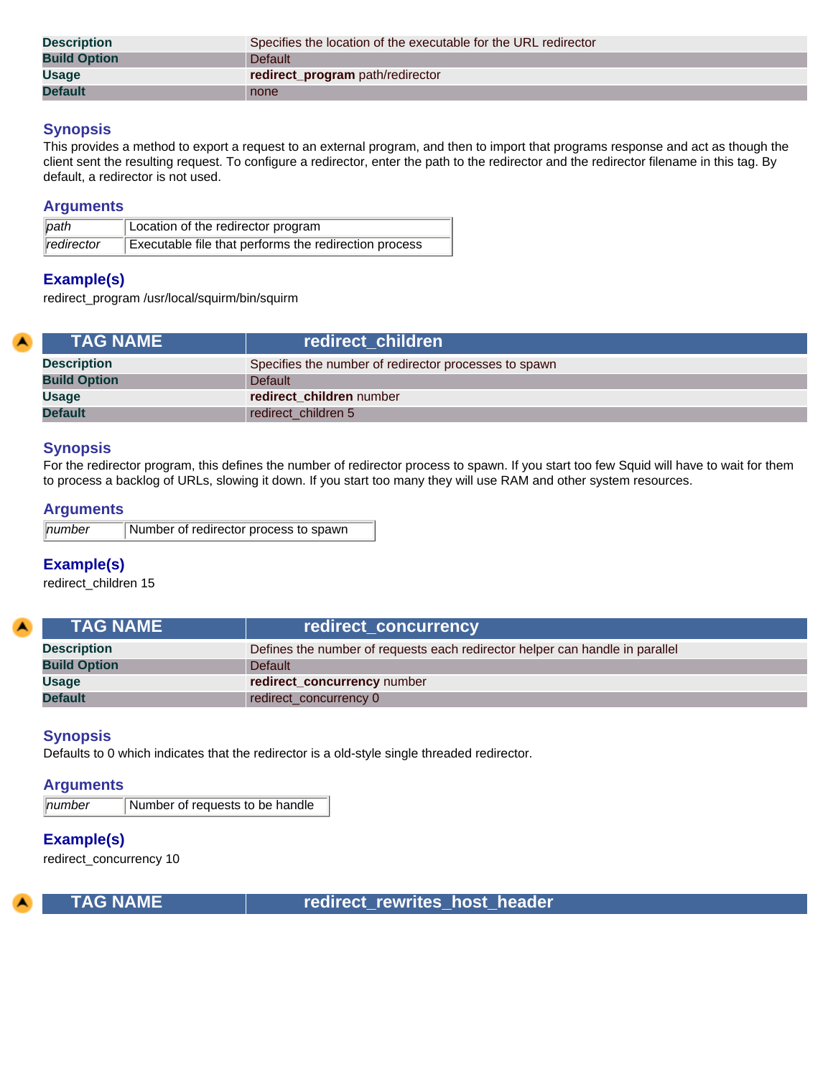| <b>Description</b>  | Specifies the location of the executable for the URL redirector |
|---------------------|-----------------------------------------------------------------|
| <b>Build Option</b> | <b>Default</b>                                                  |
| <b>Usage</b>        | redirect_program path/redirector                                |
| <b>Default</b>      | none                                                            |

This provides a method to export a request to an external program, and then to import that programs response and act as though the client sent the resulting request. To configure a redirector, enter the path to the redirector and the redirector filename in this tag. By default, a redirector is not used.

#### **Arguments**

| path       | Location of the redirector program                    |
|------------|-------------------------------------------------------|
| redirector | Executable file that performs the redirection process |

## **Example(s)**

redirect\_program /usr/local/squirm/bin/squirm

<span id="page-31-0"></span>

| <b>TAG NAME</b>     | redirect children                                     |
|---------------------|-------------------------------------------------------|
| <b>Description</b>  | Specifies the number of redirector processes to spawn |
| <b>Build Option</b> | <b>Default</b>                                        |
| Usage               | redirect children number                              |
| <b>Default</b>      | redirect_children 5                                   |

## **Synopsis**

For the redirector program, this defines the number of redirector process to spawn. If you start too few Squid will have to wait for them to process a backlog of URLs, slowing it down. If you start too many they will use RAM and other system resources.

## **Arguments**

| $\ $ number | Number of redirector process to spawn |
|-------------|---------------------------------------|
|-------------|---------------------------------------|

## **Example(s)**

redirect\_children 15

<span id="page-31-1"></span>

| <b>TAG NAME</b>     | redirect_concurrency                                                         |
|---------------------|------------------------------------------------------------------------------|
| <b>Description</b>  | Defines the number of requests each redirector helper can handle in parallel |
| <b>Build Option</b> | Default                                                                      |
| <b>Usage</b>        | redirect_concurrency number                                                  |
| <b>Default</b>      | redirect concurrency 0                                                       |

#### **Synopsis**

Defaults to 0 which indicates that the redirector is a old-style single threaded redirector.

## **Arguments**

*number* Number of requests to be handle

## **Example(s)**

redirect\_concurrency 10

<span id="page-31-2"></span>

 **TAG NAME redirect\_rewrites\_host\_header**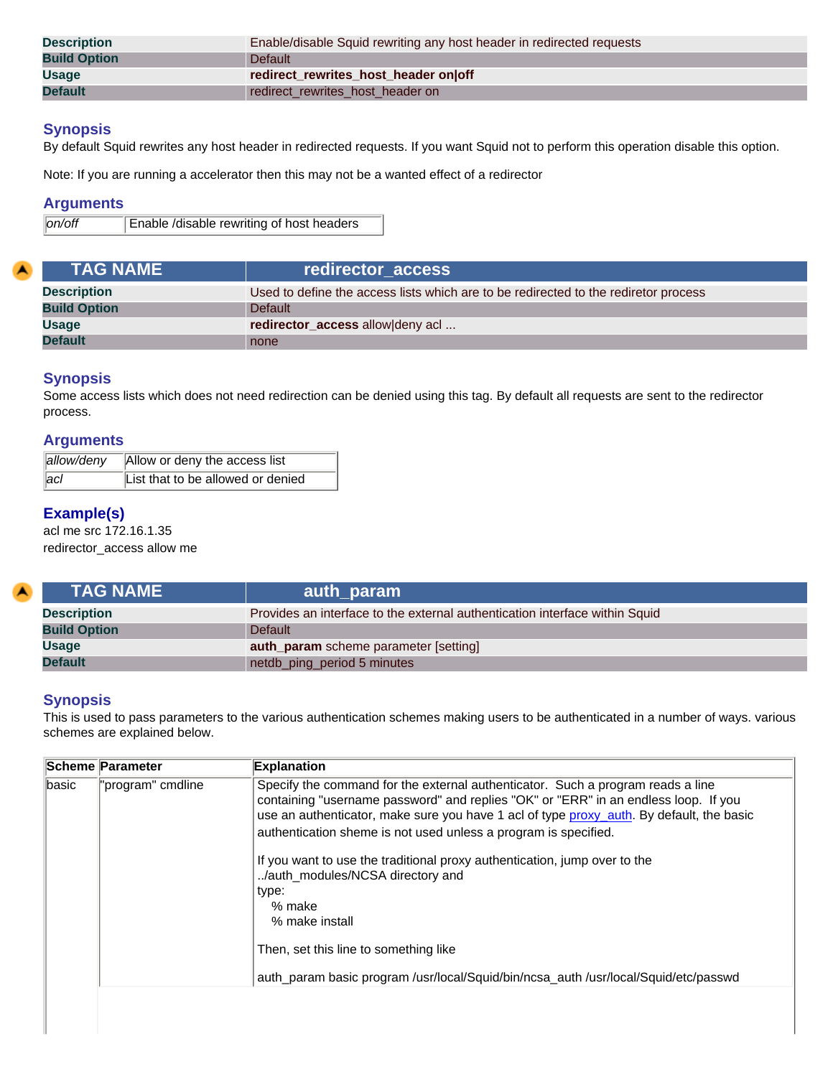| <b>Description</b>  | Enable/disable Squid rewriting any host header in redirected requests |
|---------------------|-----------------------------------------------------------------------|
| <b>Build Option</b> | <b>Default</b>                                                        |
| <b>Usage</b>        | redirect_rewrites_host_header on off                                  |
| <b>Default</b>      | redirect rewrites host header on                                      |

By default Squid rewrites any host header in redirected requests. If you want Squid not to perform this operation disable this option.

Note: If you are running a accelerator then this may not be a wanted effect of a redirector

## **Arguments**

*on/off* Enable /disable rewriting of host headers

<span id="page-32-0"></span>

| <b>TAG NAME</b>     | redirector access                                                                   |
|---------------------|-------------------------------------------------------------------------------------|
| <b>Description</b>  | Used to define the access lists which are to be redirected to the rediretor process |
| <b>Build Option</b> | <b>Default</b>                                                                      |
| <b>Usage</b>        | redirector_access allow deny acl                                                    |
| <b>Default</b>      | none                                                                                |

## **Synopsis**

Some access lists which does not need redirection can be denied using this tag. By default all requests are sent to the redirector process.

## **Arguments**

| allow/deny    | Allow or deny the access list     |
|---------------|-----------------------------------|
| $ _{\rm acI}$ | List that to be allowed or denied |

## **Example(s)**

acl me src 172.16.1.35 redirector\_access allow me

<span id="page-32-1"></span>

| <b>NTAG NAME \</b>  | auth_param                                                                  |
|---------------------|-----------------------------------------------------------------------------|
| <b>Description</b>  | Provides an interface to the external authentication interface within Squid |
| <b>Build Option</b> | Default                                                                     |
| <b>Usage</b>        | auth_param scheme parameter [setting]                                       |
| <b>Default</b>      | netdb_ping_period 5 minutes                                                 |

## **Synopsis**

This is used to pass parameters to the various authentication schemes making users to be authenticated in a number of ways. various schemes are explained below.

|       | <b>Scheme Parameter</b> | <b>Explanation</b>                                                                                                                                                                                                                                                                                                                                                                                                                                                                                                                                                                                                          |
|-------|-------------------------|-----------------------------------------------------------------------------------------------------------------------------------------------------------------------------------------------------------------------------------------------------------------------------------------------------------------------------------------------------------------------------------------------------------------------------------------------------------------------------------------------------------------------------------------------------------------------------------------------------------------------------|
| basic | "program" cmdline       | Specify the command for the external authenticator. Such a program reads a line<br>containing "username password" and replies "OK" or "ERR" in an endless loop. If you<br>use an authenticator, make sure you have 1 acl of type proxy_auth. By default, the basic<br>authentication sheme is not used unless a program is specified.<br>If you want to use the traditional proxy authentication, jump over to the<br>/auth_modules/NCSA directory and<br>type:<br>% make<br>% make install<br>Then, set this line to something like<br>auth_param basic program /usr/local/Squid/bin/ncsa_auth /usr/local/Squid/etc/passwd |
|       |                         |                                                                                                                                                                                                                                                                                                                                                                                                                                                                                                                                                                                                                             |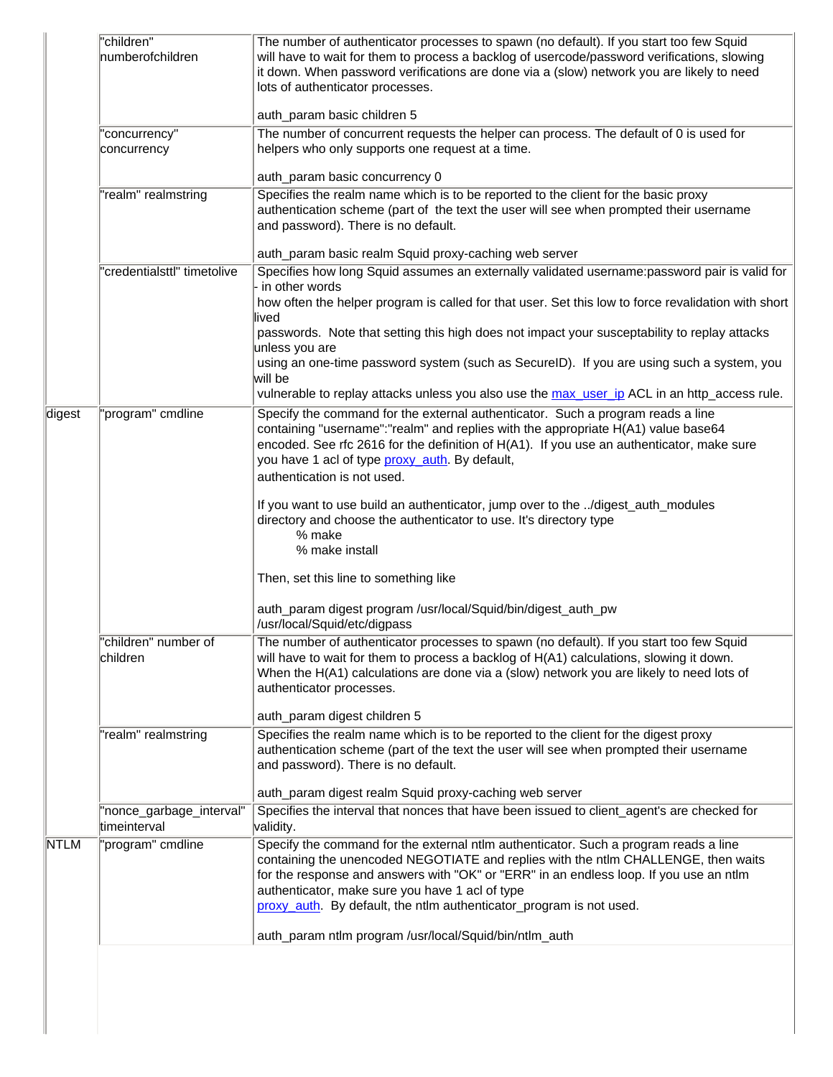|             | "children"<br>numberofchildren            | The number of authenticator processes to spawn (no default). If you start too few Squid<br>will have to wait for them to process a backlog of usercode/password verifications, slowing<br>it down. When password verifications are done via a (slow) network you are likely to need<br>lots of authenticator processes.<br>auth_param basic children 5                                                              |
|-------------|-------------------------------------------|---------------------------------------------------------------------------------------------------------------------------------------------------------------------------------------------------------------------------------------------------------------------------------------------------------------------------------------------------------------------------------------------------------------------|
|             | 'concurrency"<br>concurrency              | The number of concurrent requests the helper can process. The default of 0 is used for<br>helpers who only supports one request at a time.                                                                                                                                                                                                                                                                          |
|             |                                           | auth_param basic concurrency 0                                                                                                                                                                                                                                                                                                                                                                                      |
|             | "realm" realmstring                       | Specifies the realm name which is to be reported to the client for the basic proxy<br>authentication scheme (part of the text the user will see when prompted their username<br>and password). There is no default.                                                                                                                                                                                                 |
|             |                                           | auth_param basic realm Squid proxy-caching web server                                                                                                                                                                                                                                                                                                                                                               |
|             | 'credentialsttl" timetolive               | Specifies how long Squid assumes an externally validated username:password pair is valid for<br>in other words<br>how often the helper program is called for that user. Set this low to force revalidation with short                                                                                                                                                                                               |
|             |                                           | lived<br>passwords. Note that setting this high does not impact your susceptability to replay attacks<br>unless you are                                                                                                                                                                                                                                                                                             |
|             |                                           | using an one-time password system (such as SecureID). If you are using such a system, you<br>will be                                                                                                                                                                                                                                                                                                                |
| digest      | "program" cmdline                         | vulnerable to replay attacks unless you also use the max_user_ip ACL in an http_access rule.<br>Specify the command for the external authenticator. Such a program reads a line<br>containing "username":"realm" and replies with the appropriate H(A1) value base64<br>encoded. See rfc 2616 for the definition of H(A1). If you use an authenticator, make sure<br>you have 1 acl of type proxy_auth. By default, |
|             |                                           | authentication is not used.<br>If you want to use build an authenticator, jump over to the /digest_auth_modules<br>directory and choose the authenticator to use. It's directory type<br>% make<br>% make install                                                                                                                                                                                                   |
|             |                                           | Then, set this line to something like<br>auth_param digest program /usr/local/Squid/bin/digest_auth_pw                                                                                                                                                                                                                                                                                                              |
|             |                                           | /usr/local/Squid/etc/digpass                                                                                                                                                                                                                                                                                                                                                                                        |
|             | "children" number of<br>children          | The number of authenticator processes to spawn (no default). If you start too few Squid<br>will have to wait for them to process a backlog of H(A1) calculations, slowing it down.<br>When the H(A1) calculations are done via a (slow) network you are likely to need lots of<br>authenticator processes.                                                                                                          |
|             |                                           | auth_param digest children 5                                                                                                                                                                                                                                                                                                                                                                                        |
|             | "realm" realmstring                       | Specifies the realm name which is to be reported to the client for the digest proxy<br>authentication scheme (part of the text the user will see when prompted their username<br>and password). There is no default.                                                                                                                                                                                                |
|             |                                           | auth_param digest realm Squid proxy-caching web server                                                                                                                                                                                                                                                                                                                                                              |
|             | "nonce_garbage_interval"<br>ltimeinterval | Specifies the interval that nonces that have been issued to client_agent's are checked for<br>validity.                                                                                                                                                                                                                                                                                                             |
| <b>NTLM</b> | "program" cmdline                         | Specify the command for the external ntlm authenticator. Such a program reads a line<br>containing the unencoded NEGOTIATE and replies with the ntlm CHALLENGE, then waits<br>for the response and answers with "OK" or "ERR" in an endless loop. If you use an ntlm<br>authenticator, make sure you have 1 acl of type<br>proxy_auth. By default, the ntlm authenticator_program is not used.                      |
|             |                                           | auth_param ntlm program /usr/local/Squid/bin/ntlm_auth                                                                                                                                                                                                                                                                                                                                                              |
|             |                                           |                                                                                                                                                                                                                                                                                                                                                                                                                     |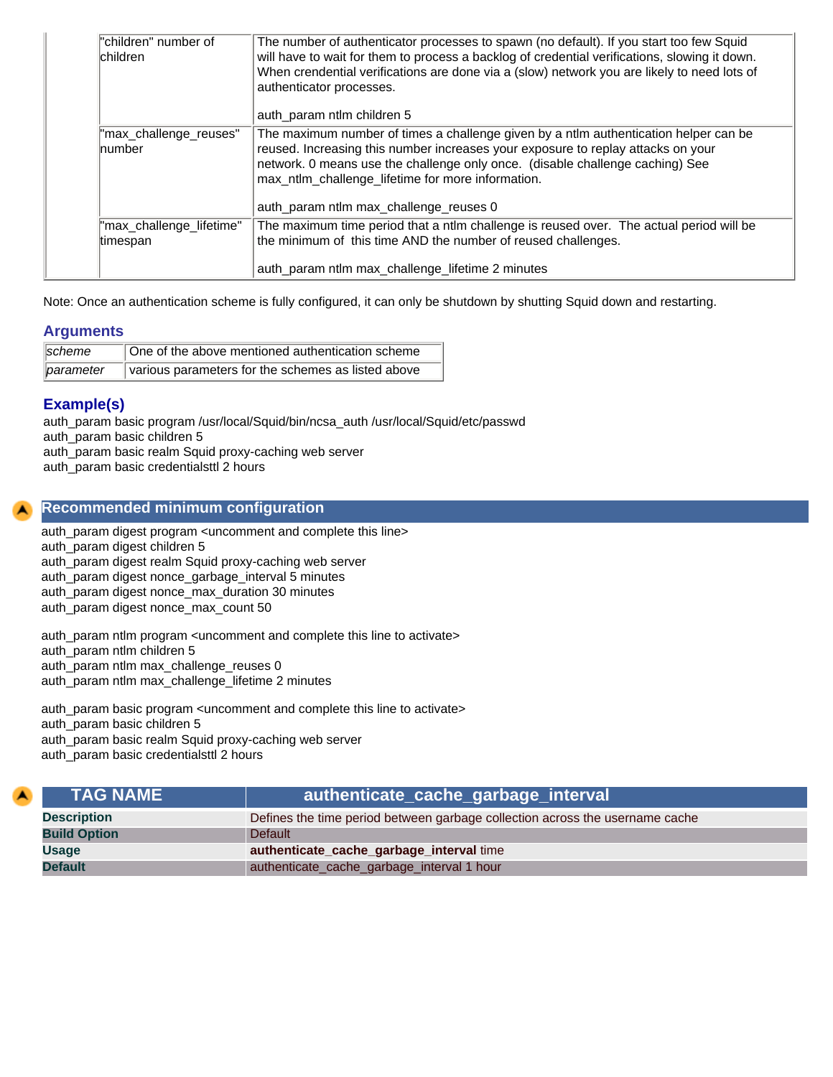| "children" number of<br>children        | The number of authenticator processes to spawn (no default). If you start too few Squid<br>will have to wait for them to process a backlog of credential verifications, slowing it down.<br>When crendential verifications are done via a (slow) network you are likely to need lots of<br>authenticator processes.<br>auth_param ntlm children 5        |
|-----------------------------------------|----------------------------------------------------------------------------------------------------------------------------------------------------------------------------------------------------------------------------------------------------------------------------------------------------------------------------------------------------------|
| "max_challenge_reuses"<br><b>number</b> | The maximum number of times a challenge given by a ntlm authentication helper can be<br>reused. Increasing this number increases your exposure to replay attacks on your<br>network. 0 means use the challenge only once. (disable challenge caching) See<br>max_ntlm_challenge_lifetime for more information.<br>auth_param ntlm max_challenge_reuses 0 |
| "max_challenge_lifetime"<br>timespan    | The maximum time period that a ntlm challenge is reused over. The actual period will be<br>the minimum of this time AND the number of reused challenges.<br>auth_param ntlm max_challenge_lifetime 2 minutes                                                                                                                                             |

Note: Once an authentication scheme is fully configured, it can only be shutdown by shutting Squid down and restarting.

## **Arguments**

| <i><b>scheme</b></i> | One of the above mentioned authentication scheme   |
|----------------------|----------------------------------------------------|
| <i>parameter</i>     | various parameters for the schemes as listed above |

## **Example(s)**

auth\_param basic program /usr/local/Squid/bin/ncsa\_auth /usr/local/Squid/etc/passwd

auth\_param basic children 5

auth\_param basic realm Squid proxy-caching web server

auth\_param basic credentialsttl 2 hours

## **Recommended minimum configuration**

auth\_param digest program <uncomment and complete this line> auth\_param digest children 5 auth\_param digest realm Squid proxy-caching web server auth\_param digest nonce\_garbage\_interval 5 minutes auth\_param digest nonce\_max\_duration 30 minutes auth\_param digest nonce\_max\_count 50

auth\_param ntlm program <uncomment and complete this line to activate> auth\_param ntlm children 5

auth\_param ntlm max\_challenge\_reuses 0

auth\_param ntlm max\_challenge\_lifetime 2 minutes

auth\_param basic program <uncomment and complete this line to activate>

auth\_param basic children 5

auth\_param basic realm Squid proxy-caching web server

auth param basic credentialsttl 2 hours

<span id="page-34-0"></span>

| <b>TAG NAME</b>     | authenticate_cache_garbage_interval <sup>1</sup>                             |
|---------------------|------------------------------------------------------------------------------|
| <b>Description</b>  | Defines the time period between garbage collection across the username cache |
| <b>Build Option</b> | <b>Default</b>                                                               |
| <b>Usage</b>        | authenticate_cache_garbage_interval time                                     |
| <b>Default</b>      | authenticate_cache_garbage_interval 1 hour                                   |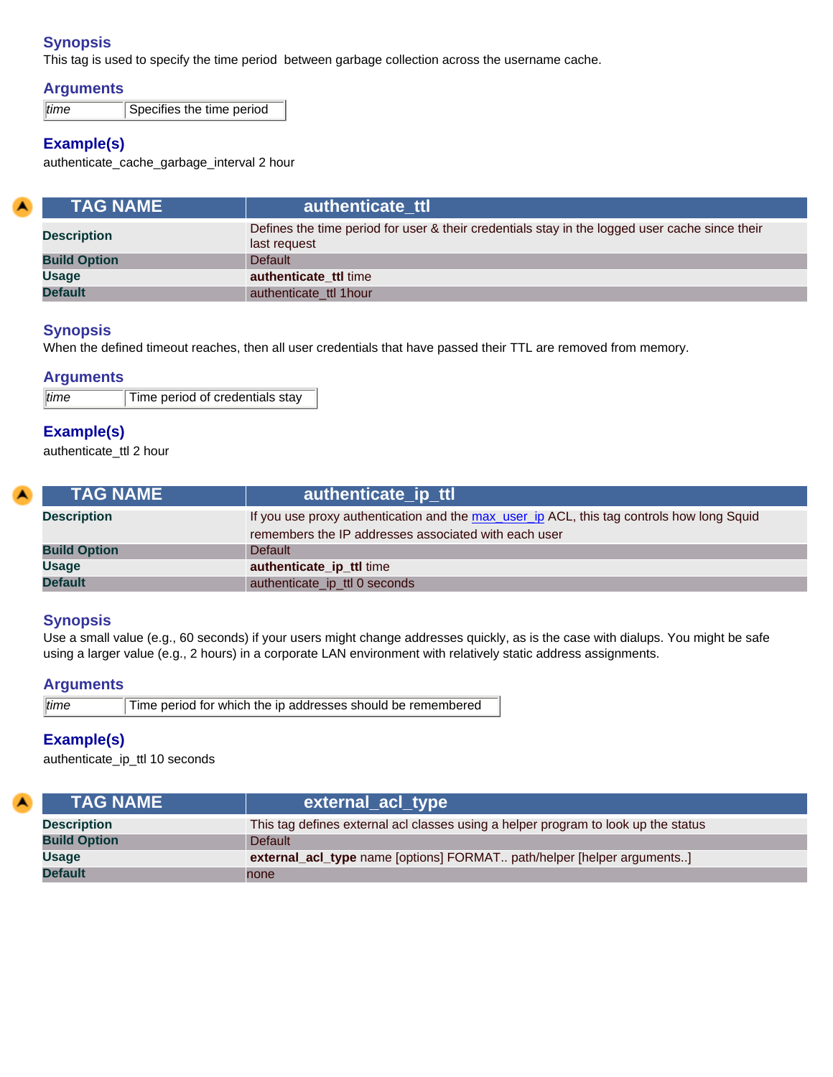This tag is used to specify the time period between garbage collection across the username cache.

## **Arguments**

*time* Specifies the time period

## **Example(s)**

authenticate\_cache\_garbage\_interval 2 hour

<span id="page-35-0"></span>

| <b>TAG NAME</b>     | authenticate ttl                                                                                               |
|---------------------|----------------------------------------------------------------------------------------------------------------|
| <b>Description</b>  | Defines the time period for user & their credentials stay in the logged user cache since their<br>last request |
| <b>Build Option</b> | Default                                                                                                        |
| <b>Usage</b>        | authenticate ttl time                                                                                          |
| <b>Default</b>      | authenticate ttl 1 hour                                                                                        |

## **Synopsis**

When the defined timeout reaches, then all user credentials that have passed their TTL are removed from memory.

## **Arguments**

| time | Time period of credentials stay |
|------|---------------------------------|
|      |                                 |

## **Example(s)**

authenticate\_ttl 2 hour

<span id="page-35-1"></span>

| <b>TAG NAME</b> \   | authenticate ip ttl                                                                                                                               |
|---------------------|---------------------------------------------------------------------------------------------------------------------------------------------------|
| <b>Description</b>  | If you use proxy authentication and the max_user_ip ACL, this tag controls how long Squid<br>remembers the IP addresses associated with each user |
| <b>Build Option</b> | Default                                                                                                                                           |
| <b>Usage</b>        | authenticate_ip_ttl time                                                                                                                          |
| <b>Default</b>      | authenticate_ip_ttl 0 seconds                                                                                                                     |

## **Synopsis**

Use a small value (e.g., 60 seconds) if your users might change addresses quickly, as is the case with dialups. You might be safe using a larger value (e.g., 2 hours) in a corporate LAN environment with relatively static address assignments.

## **Arguments**

| Time period for which the ip addresses should be remembered<br>time |  |
|---------------------------------------------------------------------|--|
|---------------------------------------------------------------------|--|

## **Example(s)**

authenticate\_ip\_ttl 10 seconds

<span id="page-35-2"></span>

| <b>TAG NAME</b>     | external_acl_type                                                                  |
|---------------------|------------------------------------------------------------------------------------|
| <b>Description</b>  | This tag defines external acl classes using a helper program to look up the status |
| <b>Build Option</b> | <b>Default</b>                                                                     |
| <b>Usage</b>        | external_acl_type name [options] FORMAT path/helper [helper arguments]             |
| <b>Default</b>      | none                                                                               |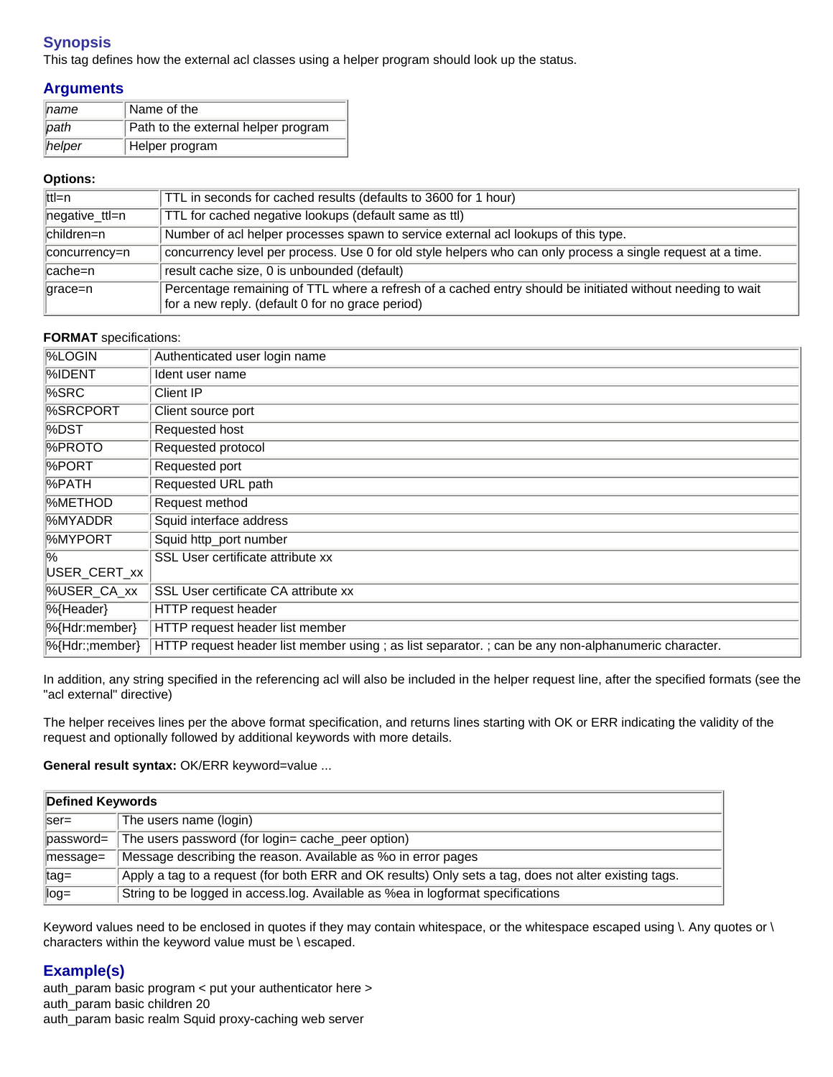This tag defines how the external acl classes using a helper program should look up the status.

# **Arguments**

| $\parallel$ name | Name of the                         |
|------------------|-------------------------------------|
| $ $ path         | Path to the external helper program |
| heper            | Helper program                      |

#### **Options:**

| lttl=n         | TTL in seconds for cached results (defaults to 3600 for 1 hour)                                                                                               |
|----------------|---------------------------------------------------------------------------------------------------------------------------------------------------------------|
| negative_ttl=n | TTL for cached negative lookups (default same as ttl)                                                                                                         |
| ∥children=n    | Number of acl helper processes spawn to service external acl lookups of this type.                                                                            |
| concurrency=n  | concurrency level per process. Use 0 for old style helpers who can only process a single request at a time.                                                   |
| ∥cache=n       | result cache size, 0 is unbounded (default)                                                                                                                   |
| $ qrac=n$      | Percentage remaining of TTL where a refresh of a cached entry should be initiated without needing to wait<br>for a new reply. (default 0 for no grace period) |

#### **FORMAT** specifications:

| <b>%LOGIN</b>               | Authenticated user login name                                                                     |
|-----------------------------|---------------------------------------------------------------------------------------------------|
| <b>%IDENT</b>               | Ident user name                                                                                   |
| $%$ SRC                     | Client IP                                                                                         |
| %SRCPORT                    | Client source port                                                                                |
| $\sqrt{\%DST}$              | Requested host                                                                                    |
| <b>%PROTO</b>               | Requested protocol                                                                                |
| <b>%PORT</b>                | Requested port                                                                                    |
| ∣%PATH                      | Requested URL path                                                                                |
| <b>METHOD</b>               | Request method                                                                                    |
| 1%MYADDR                    | Squid interface address                                                                           |
| %MYPORT                     | Squid http_port number                                                                            |
| $\%$                        | SSL User certificate attribute xx                                                                 |
| USER_CERT_xx                |                                                                                                   |
| %USER_CA_xx                 | SSL User certificate CA attribute xx                                                              |
| $\sqrt{\frac{1}{6}}$ Header | HTTP request header                                                                               |
| %{Hdr:member}               | <b>HTTP</b> request header list member                                                            |
| %{Hdr:;member}              | HTTP request header list member using; as list separator.; can be any non-alphanumeric character. |

In addition, any string specified in the referencing acl will also be included in the helper request line, after the specified formats (see the "acl external" directive)

The helper receives lines per the above format specification, and returns lines starting with OK or ERR indicating the validity of the request and optionally followed by additional keywords with more details.

General result syntax: OK/ERR keyword=value ...

| Defined Keywords      |                                                                                                       |
|-----------------------|-------------------------------------------------------------------------------------------------------|
| $\textsf{ser}$ =      | The users name (login)                                                                                |
| $\parallel$ password= | The users password (for login= cache_peer option)                                                     |
| $\parallel$ message=  | Message describing the reason. Available as %o in error pages                                         |
| ∥tag=                 | Apply a tag to a request (for both ERR and OK results) Only sets a tag, does not alter existing tags. |
| $\log =$              | String to be logged in access.log. Available as %ea in logformat specifications                       |

Keyword values need to be enclosed in quotes if they may contain whitespace, or the whitespace escaped using \. Any quotes or \ characters within the keyword value must be \ escaped.

# **Example(s)**

auth\_param basic program < put your authenticator here > auth\_param basic children 20 auth\_param basic realm Squid proxy-caching web server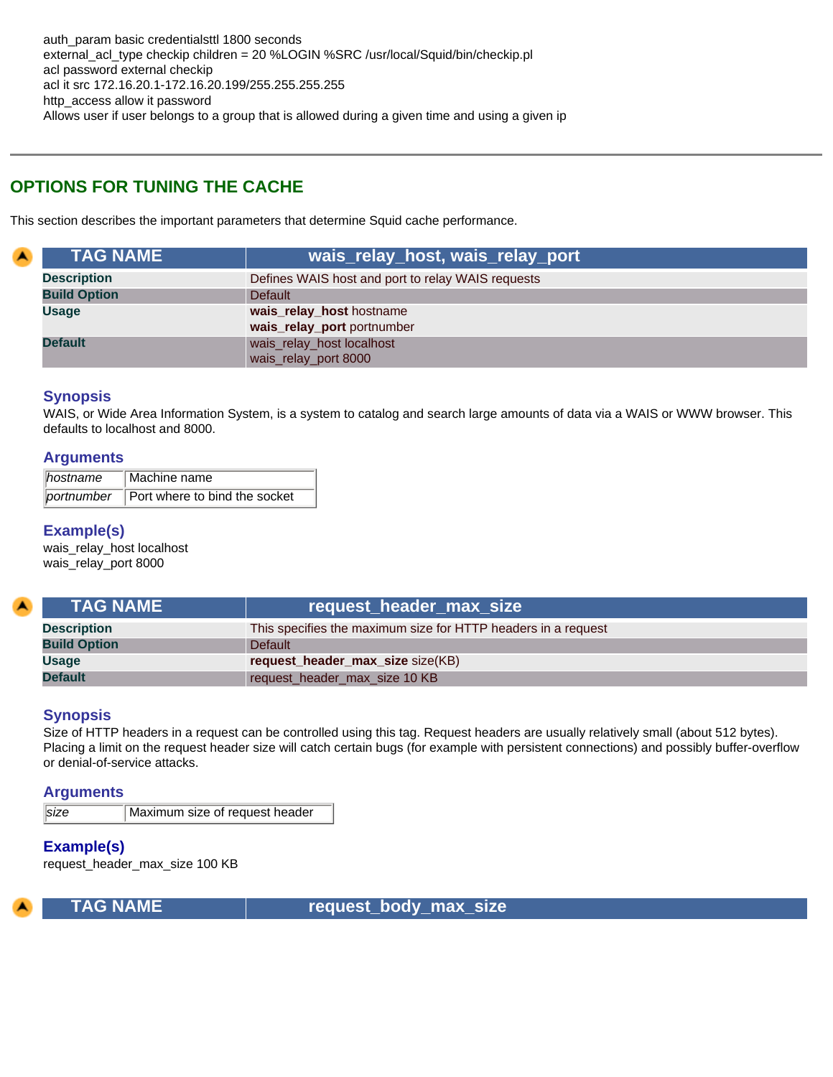# **OPTIONS FOR TUNING THE CACHE**

This section describes the important parameters that determine Squid cache performance.

| <b>TAG NAME</b>     | wais_relay_host, wais_relay_port                       |
|---------------------|--------------------------------------------------------|
| <b>Description</b>  | Defines WAIS host and port to relay WAIS requests      |
| <b>Build Option</b> | <b>Default</b>                                         |
| <b>Usage</b>        | wais_relay_host hostname<br>wais_relay_port portnumber |
| <b>Default</b>      | wais_relay_host localhost<br>wais_relay_port 8000      |

## **Synopsis**

A

WAIS, or Wide Area Information System, is a system to catalog and search large amounts of data via a WAIS or WWW browser. This defaults to localhost and 8000.

#### **Arguments**

| ∥hostname | Machine name                             |
|-----------|------------------------------------------|
|           | portnumber Port where to bind the socket |

## **Example(s)**

wais\_relay\_host localhost wais\_relay\_port 8000

| <b>TAG NAME</b>     | request_header_max_size                                       |
|---------------------|---------------------------------------------------------------|
| <b>Description</b>  | This specifies the maximum size for HTTP headers in a request |
| <b>Build Option</b> | <b>Default</b>                                                |
| <b>Usage</b>        | request_header_max_size size(KB)                              |
| <b>Default</b>      | request_header_max_size 10 KB                                 |

## **Synopsis**

Size of HTTP headers in a request can be controlled using this tag. Request headers are usually relatively small (about 512 bytes). Placing a limit on the request header size will catch certain bugs (for example with persistent connections) and possibly buffer-overflow or denial-of-service attacks.

#### **Arguments**

**size** Maximum size of request header

## **Example(s)**

request\_header\_max\_size 100 KB



 **TAG NAME request\_body\_max\_size**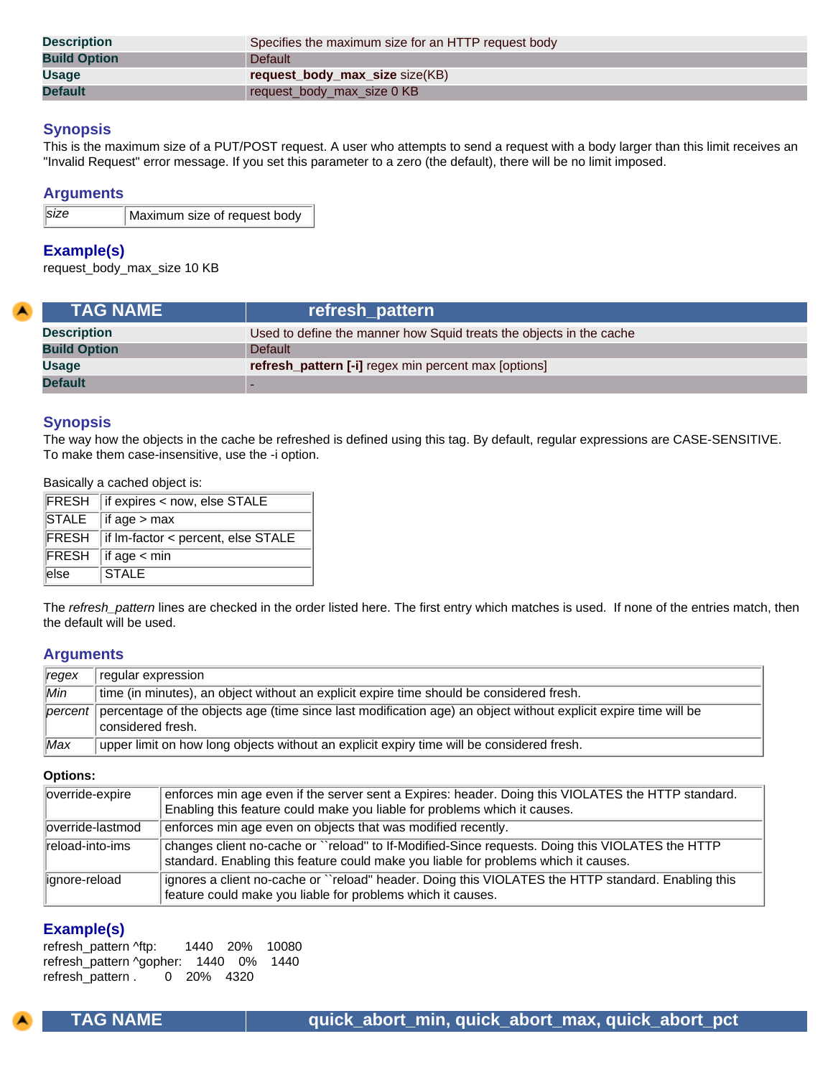| <b>Description</b>  | Specifies the maximum size for an HTTP request body |
|---------------------|-----------------------------------------------------|
| <b>Build Option</b> | <b>Default</b>                                      |
| <b>Usage</b>        | request_body_max_size size(KB)                      |
| <b>Default</b>      | request_body_max_size 0 KB                          |

This is the maximum size of a PUT/POST request. A user who attempts to send a request with a body larger than this limit receives an "Invalid Request" error message. If you set this parameter to a zero (the default), there will be no limit imposed.

#### **Arguments**

| size | Maximum size of request body |
|------|------------------------------|
|      |                              |

#### **Example(s)**

request\_body\_max\_size 10 KB

| <b>TAG NAME</b>     | refresh_pattern                                                     |
|---------------------|---------------------------------------------------------------------|
| <b>Description</b>  | Used to define the manner how Squid treats the objects in the cache |
| <b>Build Option</b> | <b>Default</b>                                                      |
| <b>Usage</b>        | <b>refresh_pattern [-i]</b> regex min percent max [options]         |
| <b>Default</b>      |                                                                     |

#### **Synopsis**

The way how the objects in the cache be refreshed is defined using this tag. By default, regular expressions are CASE-SENSITIVE. To make them case-insensitive, use the -i option.

Basically a cached object is:

|                   | <b>FRESH</b> if expires < now, else STALE |
|-------------------|-------------------------------------------|
|                   | $STALE$ if age > max                      |
|                   | FRESH if Im-factor < percent, else STALE  |
|                   | $FRESH$ if age $\lt$ min                  |
| $\overline{else}$ | $\parallel$ STALE                         |

The *refresh\_pattern* lines are checked in the order listed here. The first entry which matches is used. If none of the entries match, then the default will be used.

#### **Arguments**

| regex            | regular expression                                                                                                                   |
|------------------|--------------------------------------------------------------------------------------------------------------------------------------|
| $\overline{Min}$ | time (in minutes), an object without an explicit expire time should be considered fresh.                                             |
| percent          | percentage of the objects age (time since last modification age) an object without explicit expire time will be<br>considered fresh. |
| Max              | upper limit on how long objects without an explicit expiry time will be considered fresh.                                            |

#### **Options:**

| override-expire    | enforces min age even if the server sent a Expires: header. Doing this VIOLATES the HTTP standard.<br>Enabling this feature could make you liable for problems which it causes.         |
|--------------------|-----------------------------------------------------------------------------------------------------------------------------------------------------------------------------------------|
| lloverride-lastmod | enforces min age even on objects that was modified recently.                                                                                                                            |
| reload-into-ims    | changes client no-cache or ``reload" to If-Modified-Since requests. Doing this VIOLATES the HTTP<br>standard. Enabling this feature could make you liable for problems which it causes. |
| lignore-reload     | ignores a client no-cache or "reload" header. Doing this VIOLATES the HTTP standard. Enabling this<br>feature could make you liable for problems which it causes.                       |

# **Example(s)**

refresh\_pattern ^ftp: 1440 20% 10080 refresh\_pattern ^gopher: 1440 0% 1440 refresh\_pattern . 0 20% 4320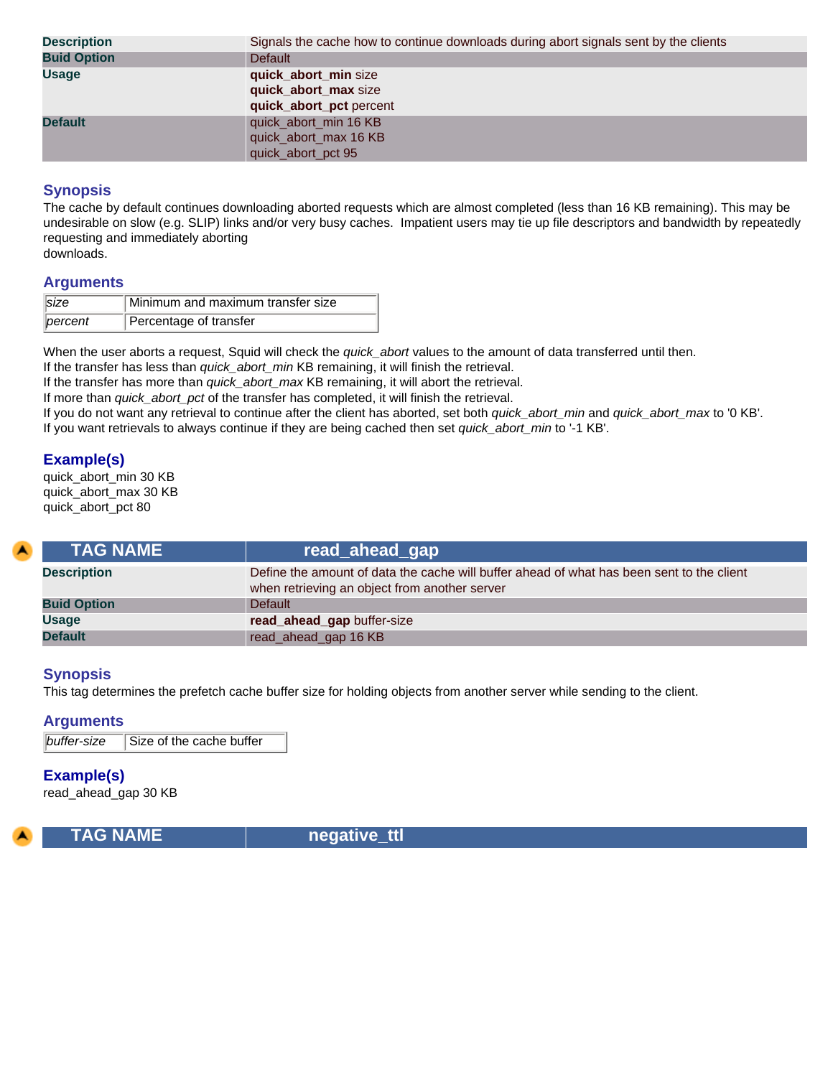| <b>Description</b> | Signals the cache how to continue downloads during abort signals sent by the clients |
|--------------------|--------------------------------------------------------------------------------------|
| <b>Buid Option</b> | <b>Default</b>                                                                       |
| <b>Usage</b>       | quick_abort_min size<br>quick_abort_max size<br>quick_abort_pct percent              |
| <b>Default</b>     | quick_abort_min 16 KB<br>quick_abort_max 16 KB<br>quick_abort_pct 95                 |

The cache by default continues downloading aborted requests which are almost completed (less than 16 KB remaining). This may be undesirable on slow (e.g. SLIP) links and/or very busy caches. Impatient users may tie up file descriptors and bandwidth by repeatedly requesting and immediately aborting

downloads.

## **Arguments**

| $\ size$         | Minimum and maximum transfer size |
|------------------|-----------------------------------|
| $\lvert$ percent | Percentage of transfer            |

When the user aborts a request, Squid will check the *quick\_abort* values to the amount of data transferred until then.

If the transfer has less than *quick\_abort\_min* KB remaining, it will finish the retrieval.

If the transfer has more than *quick\_abort\_max* KB remaining, it will abort the retrieval.

If more than *quick\_abort\_pct* of the transfer has completed, it will finish the retrieval.

If you do not want any retrieval to continue after the client has aborted, set both *quick\_abort\_min* and *quick\_abort\_max* to '0 KB'. If you want retrievals to always continue if they are being cached then set *quick\_abort\_min* to '-1 KB'.

# **Example(s)**

quick\_abort\_min 30 KB quick\_abort\_max 30 KB quick\_abort\_pct 80

| <b>TAG NAME</b>    | <b>read_ahead_gap</b>                                                                                                                      |
|--------------------|--------------------------------------------------------------------------------------------------------------------------------------------|
| <b>Description</b> | Define the amount of data the cache will buffer ahead of what has been sent to the client<br>when retrieving an object from another server |
| <b>Buid Option</b> | <b>Default</b>                                                                                                                             |
| <b>Usage</b>       | read_ahead_gap buffer-size                                                                                                                 |
| <b>Default</b>     | read_ahead_gap 16 KB                                                                                                                       |

## **Synopsis**

This tag determines the prefetch cache buffer size for holding objects from another server while sending to the client.

#### **Arguments**

**buffer-size** Size of the cache buffer

## **Example(s)**

read\_ahead\_gap 30 KB



 **TAG NAME negative\_ttl**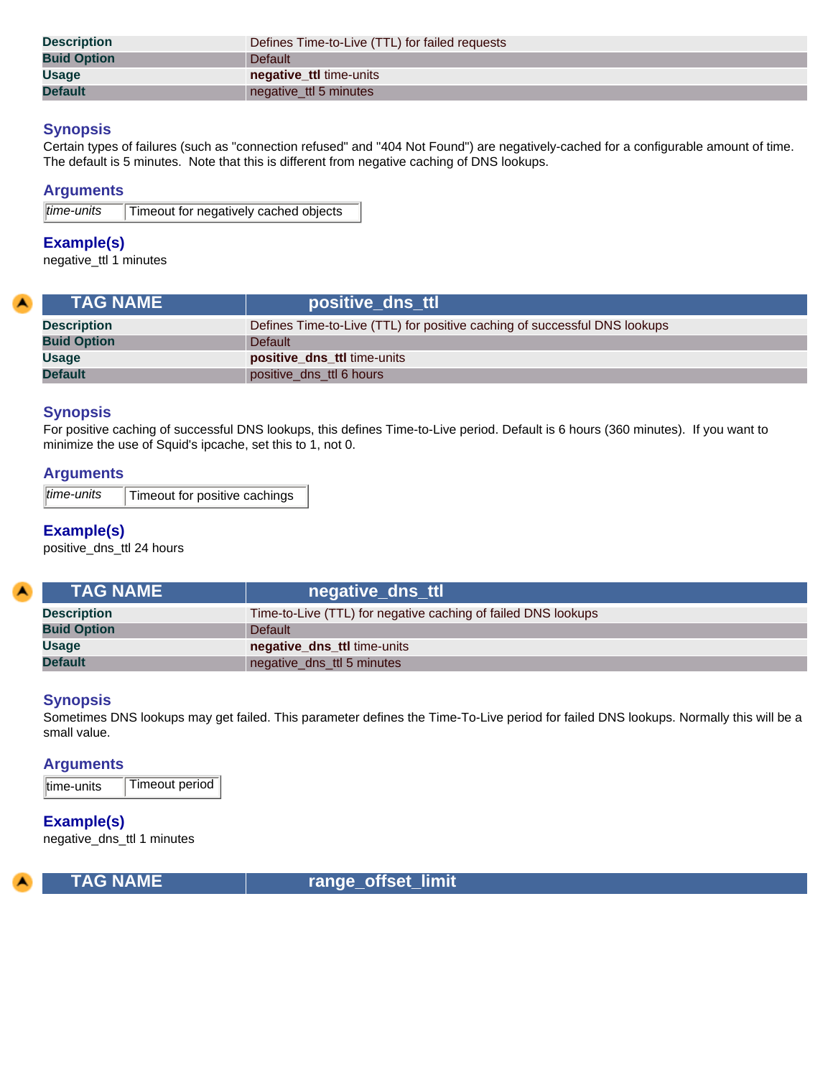| <b>Description</b> | Defines Time-to-Live (TTL) for failed requests |
|--------------------|------------------------------------------------|
| <b>Buid Option</b> | <b>Default</b>                                 |
| <b>Usage</b>       | negative_ttl time-units                        |
| <b>Default</b>     | negative_ttl 5 minutes                         |

Certain types of failures (such as "connection refused" and "404 Not Found") are negatively-cached for a configurable amount of time. The default is 5 minutes. Note that this is different from negative caching of DNS lookups.

#### **Arguments**

| $\overline{lime$ -units | Timeout for negatively cached objects |
|-------------------------|---------------------------------------|
|                         |                                       |

#### **Example(s)**

negative\_ttl 1 minutes

| <b>TAG NAME</b>    | positive_dns_ttl                                                          |
|--------------------|---------------------------------------------------------------------------|
| <b>Description</b> | Defines Time-to-Live (TTL) for positive caching of successful DNS lookups |
| <b>Buid Option</b> | Default                                                                   |
| <b>Usage</b>       | <b>positive_dns_ttl</b> time-units                                        |
| <b>Default</b>     | positive_dns_ttl 6 hours                                                  |

# **Synopsis**

For positive caching of successful DNS lookups, this defines Time-to-Live period. Default is 6 hours (360 minutes). If you want to minimize the use of Squid's ipcache, set this to 1, not 0.

#### **Arguments**

| time-units | Timeout for positive cachings |
|------------|-------------------------------|
|------------|-------------------------------|

# **Example(s)**

positive\_dns\_ttl 24 hours

| <b>TAG NAME</b>    | negative_dns_ttl                                              |
|--------------------|---------------------------------------------------------------|
| <b>Description</b> | Time-to-Live (TTL) for negative caching of failed DNS lookups |
| <b>Buid Option</b> | Default                                                       |
| <b>Usage</b>       | negative_dns_ttl time-units                                   |
| <b>Default</b>     | negative_dns_ttl 5 minutes                                    |

#### **Synopsis**

Sometimes DNS lookups may get failed. This parameter defines the Time-To-Live period for failed DNS lookups. Normally this will be a small value.

## **Arguments**

time-units Timeout period

**Example(s)** negative\_dns\_ttl 1 minutes



 **TAG NAME range\_offset\_limit**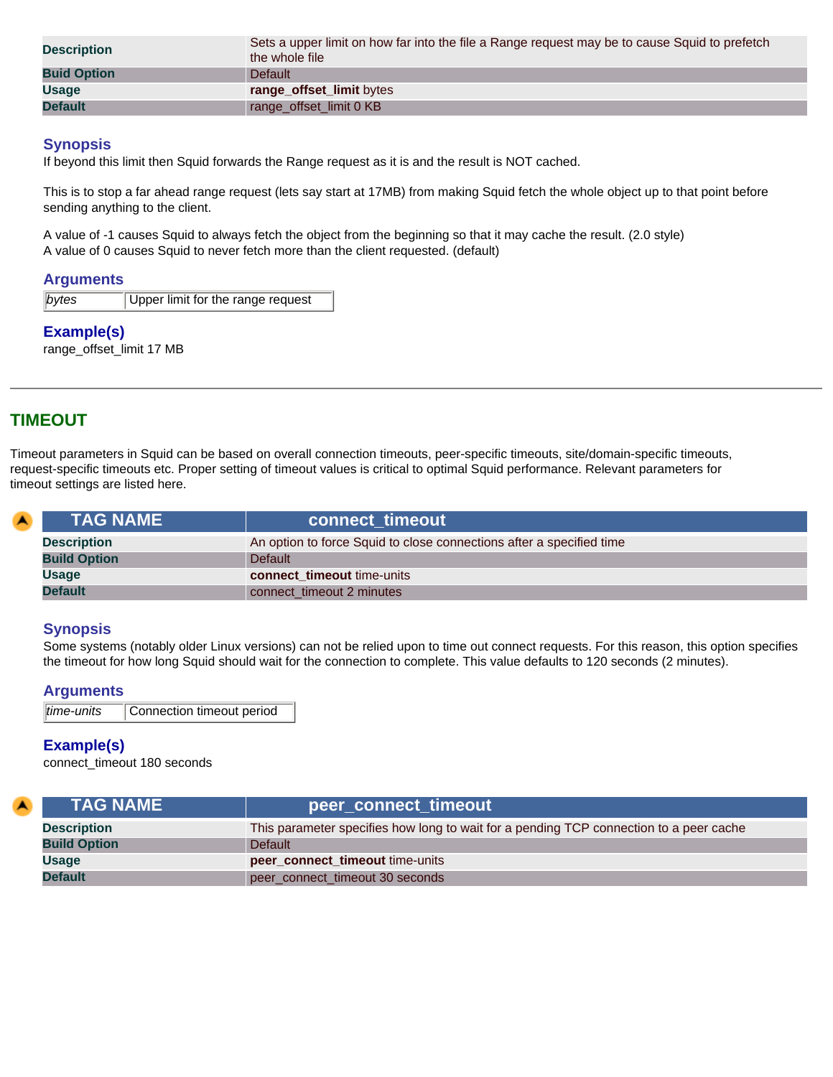| <b>Description</b> | Sets a upper limit on how far into the file a Range request may be to cause Squid to prefetch<br>the whole file |
|--------------------|-----------------------------------------------------------------------------------------------------------------|
| <b>Buid Option</b> | Default                                                                                                         |
| <b>Usage</b>       | range_offset_limit bytes                                                                                        |
| <b>Default</b>     | range_offset_limit 0 KB                                                                                         |

If beyond this limit then Squid forwards the Range request as it is and the result is NOT cached.

This is to stop a far ahead range request (lets say start at 17MB) from making Squid fetch the whole object up to that point before sending anything to the client.

A value of -1 causes Squid to always fetch the object from the beginning so that it may cache the result. (2.0 style) A value of 0 causes Squid to never fetch more than the client requested. (default)

#### **Arguments**

| bytes | Upper limit for the range request |
|-------|-----------------------------------|
|       |                                   |

# **Example(s)**

range\_offset\_limit 17 MB

# **TIMEOUT**

Timeout parameters in Squid can be based on overall connection timeouts, peer-specific timeouts, site/domain-specific timeouts, request-specific timeouts etc. Proper setting of timeout values is critical to optimal Squid performance. Relevant parameters for timeout settings are listed here.

| $\blacktriangle$ | <b>TAG NAME</b>     | connect timeout                                                      |
|------------------|---------------------|----------------------------------------------------------------------|
|                  | <b>Description</b>  | An option to force Squid to close connections after a specified time |
|                  | <b>Build Option</b> | <b>Default</b>                                                       |
|                  | <b>Usage</b>        | connect timeout time-units                                           |
|                  | <b>Default</b>      | connect timeout 2 minutes                                            |

#### **Synopsis**

Some systems (notably older Linux versions) can not be relied upon to time out connect requests. For this reason, this option specifies the timeout for how long Squid should wait for the connection to complete. This value defaults to 120 seconds (2 minutes).

#### **Arguments**

```
time-units Connection timeout period
```
# **Example(s)**

connect\_timeout 180 seconds

| <b>TAG NAME</b>     | peer_connect_timeout                                                                   |
|---------------------|----------------------------------------------------------------------------------------|
| <b>Description</b>  | This parameter specifies how long to wait for a pending TCP connection to a peer cache |
| <b>Build Option</b> | Default                                                                                |
| Usage               | peer_connect_timeout time-units                                                        |
| <b>Default</b>      | peer_connect_timeout 30 seconds                                                        |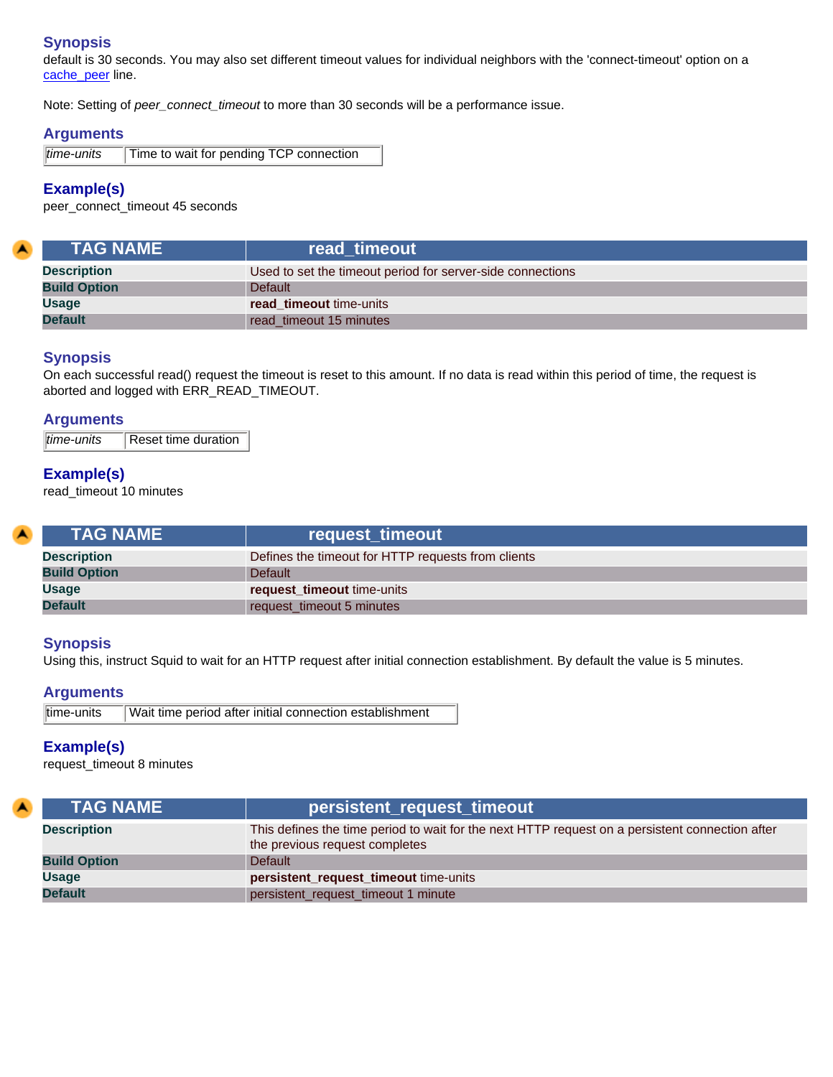default is 30 seconds. You may also set different timeout values for individual neighbors with the 'connect-timeout' option on a [cache\\_peer](#page-9-0) line.

Note: Setting of *peer\_connect\_timeout* to more than 30 seconds will be a performance issue.

#### **Arguments**

*time-units* Time to wait for pending TCP connection

# **Example(s)**

<span id="page-42-0"></span> $\blacktriangle$ 

peer\_connect\_timeout 45 seconds

| <b>TAG NAME</b>     | read timeout                                               |
|---------------------|------------------------------------------------------------|
| <b>Description</b>  | Used to set the timeout period for server-side connections |
| <b>Build Option</b> | <b>Default</b>                                             |
| <b>Usage</b>        | read timeout time-units                                    |
| <b>Default</b>      | read timeout 15 minutes                                    |

#### **Synopsis**

On each successful read() request the timeout is reset to this amount. If no data is read within this period of time, the request is aborted and logged with ERR\_READ\_TIMEOUT.

#### **Arguments**

*time-units* Reset time duration

# **Example(s)**

read\_timeout 10 minutes

<span id="page-42-1"></span>

| <b>TAG NAME</b>     | request_timeout                                    |
|---------------------|----------------------------------------------------|
| <b>Description</b>  | Defines the timeout for HTTP requests from clients |
| <b>Build Option</b> | <b>Default</b>                                     |
| <b>Usage</b>        | request_timeout time-units                         |
| <b>Default</b>      | request timeout 5 minutes                          |

## **Synopsis**

Using this, instruct Squid to wait for an HTTP request after initial connection establishment. By default the value is 5 minutes.

#### **Arguments**

time-units Wait time period after initial connection establishment

## **Example(s)**

request\_timeout 8 minutes

| <b>TAG NAME</b>     | <mark>∶persistent_request_timeout</mark>                                                                                          |
|---------------------|-----------------------------------------------------------------------------------------------------------------------------------|
| <b>Description</b>  | This defines the time period to wait for the next HTTP request on a persistent connection after<br>the previous request completes |
| <b>Build Option</b> | Default                                                                                                                           |
| <b>Usage</b>        | persistent_request_timeout time-units                                                                                             |
| <b>Default</b>      | persistent_request_timeout 1 minute                                                                                               |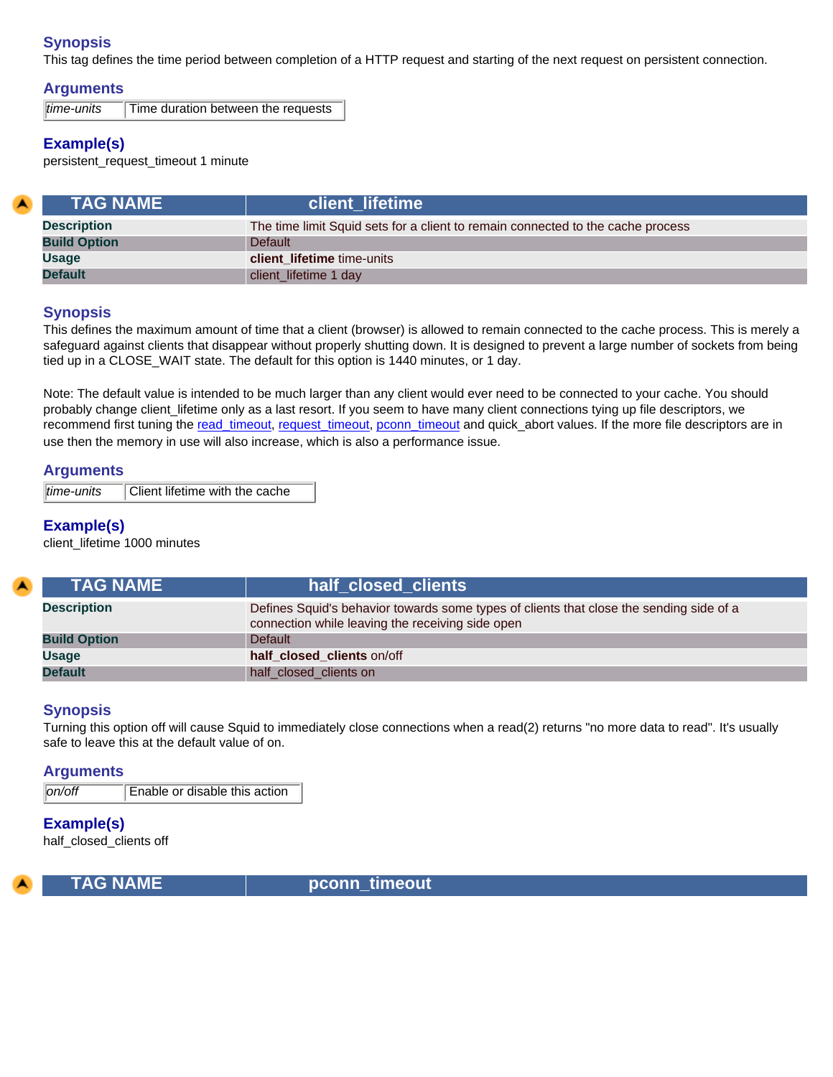This tag defines the time period between completion of a HTTP request and starting of the next request on persistent connection.

## **Arguments**

*time-units* Time duration between the requests

# **Example(s)**

persistent\_request\_timeout 1 minute

| <b>TAG NAME</b>     | client lifetime                                                                 |
|---------------------|---------------------------------------------------------------------------------|
| <b>Description</b>  | The time limit Squid sets for a client to remain connected to the cache process |
| <b>Build Option</b> | Default                                                                         |
| <b>Usage</b>        | <b>client lifetime</b> time-units                                               |
| <b>Default</b>      | client_lifetime 1 day                                                           |

#### **Synopsis**

This defines the maximum amount of time that a client (browser) is allowed to remain connected to the cache process. This is merely a safeguard against clients that disappear without properly shutting down. It is designed to prevent a large number of sockets from being tied up in a CLOSE\_WAIT state. The default for this option is 1440 minutes, or 1 day.

Note: The default value is intended to be much larger than any client would ever need to be connected to your cache. You should probably change client\_lifetime only as a last resort. If you seem to have many client connections tying up file descriptors, we recommend first tuning the [read\\_timeout,](#page-42-0) [request\\_timeout,](#page-42-1) [pconn\\_timeout](#page-43-0) and quick\_abort values. If the more file descriptors are in use then the memory in use will also increase, which is also a performance issue.

#### **Arguments**

*time-units* Client lifetime with the cache

# **Example(s)**

client\_lifetime 1000 minutes

| <b>ITAG NAME \</b>  | half closed clients                                                                                                                         |
|---------------------|---------------------------------------------------------------------------------------------------------------------------------------------|
| <b>Description</b>  | Defines Squid's behavior towards some types of clients that close the sending side of a<br>connection while leaving the receiving side open |
| <b>Build Option</b> | <b>Default</b>                                                                                                                              |
| <b>Usage</b>        | half closed clients on/off                                                                                                                  |
| <b>Default</b>      | half_closed_clients on                                                                                                                      |

## **Synopsis**

Turning this option off will cause Squid to immediately close connections when a read(2) returns "no more data to read". It's usually safe to leave this at the default value of on.

#### **Arguments**

*on/off* Enable or disable this action

# **Example(s)**

half\_closed\_clients off

<span id="page-43-0"></span>

**TAG NAME complete that the pconnation of the proof timeout**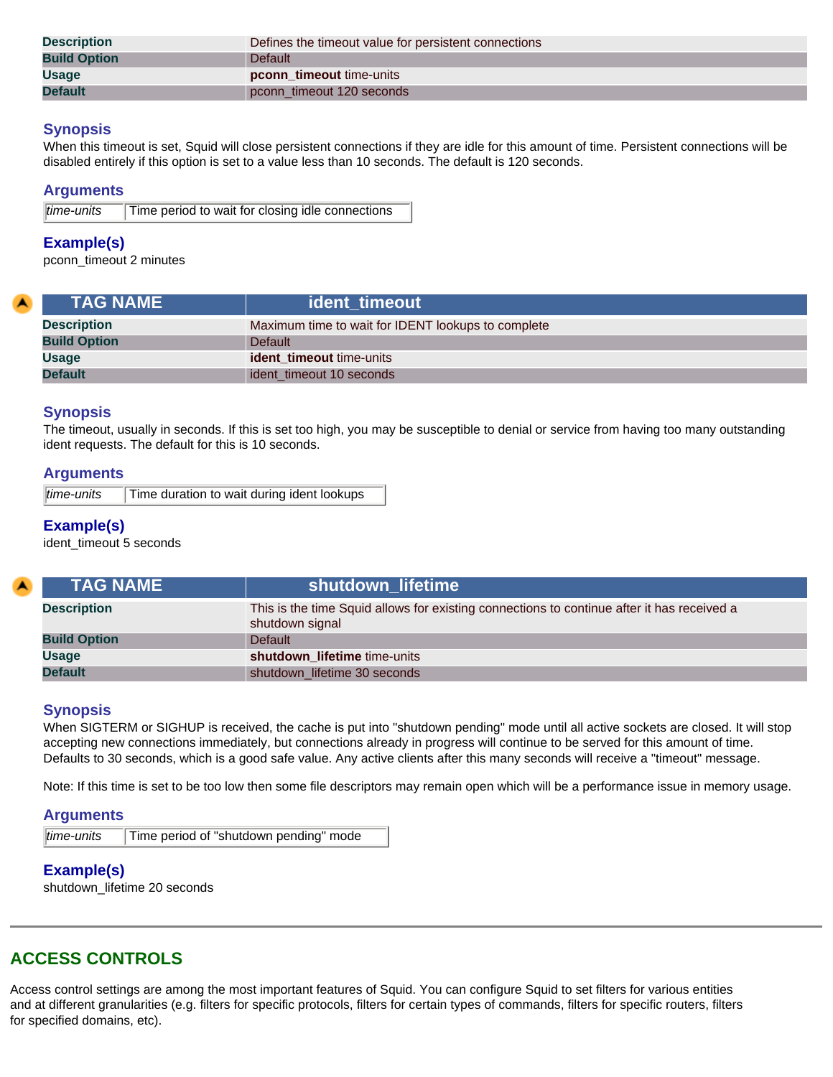| <b>Description</b>  | Defines the timeout value for persistent connections |
|---------------------|------------------------------------------------------|
| <b>Build Option</b> | <b>Default</b>                                       |
| <b>Usage</b>        | pconn_timeout time-units                             |
| <b>Default</b>      | pconn_timeout 120 seconds                            |

When this timeout is set, Squid will close persistent connections if they are idle for this amount of time. Persistent connections will be disabled entirely if this option is set to a value less than 10 seconds. The default is 120 seconds.

#### **Arguments**

|  | $\ $ time-units | Time period to wait for closing idle connections |
|--|-----------------|--------------------------------------------------|
|--|-----------------|--------------------------------------------------|

#### **Example(s)**

pconn\_timeout 2 minutes

| <b>TAG NAME</b>     | ident timeout                                      |
|---------------------|----------------------------------------------------|
| <b>Description</b>  | Maximum time to wait for IDENT lookups to complete |
| <b>Build Option</b> | Default                                            |
| <b>Usage</b>        | <b>ident timeout time-units</b>                    |
| <b>Default</b>      | ident timeout 10 seconds                           |

## **Synopsis**

The timeout, usually in seconds. If this is set too high, you may be susceptible to denial or service from having too many outstanding ident requests. The default for this is 10 seconds.

#### **Arguments**

| time-units | Time duration to wait during ident lookups |
|------------|--------------------------------------------|
|------------|--------------------------------------------|

# **Example(s)**

ident\_timeout 5 seconds

| <b>TAG NAME</b>     | shutdown_lifetime                                                                                             |
|---------------------|---------------------------------------------------------------------------------------------------------------|
| <b>Description</b>  | This is the time Squid allows for existing connections to continue after it has received a<br>shutdown signal |
| <b>Build Option</b> | <b>Default</b>                                                                                                |
| <b>Usage</b>        | shutdown lifetime time-units                                                                                  |
| <b>Default</b>      | shutdown_lifetime 30 seconds                                                                                  |

## **Synopsis**

When SIGTERM or SIGHUP is received, the cache is put into "shutdown pending" mode until all active sockets are closed. It will stop accepting new connections immediately, but connections already in progress will continue to be served for this amount of time. Defaults to 30 seconds, which is a good safe value. Any active clients after this many seconds will receive a "timeout" message.

Note: If this time is set to be too low then some file descriptors may remain open which will be a performance issue in memory usage.

#### **Arguments**

| $ time$ -units | Time period of "shutdown pending" mode |
|----------------|----------------------------------------|
|----------------|----------------------------------------|

# **Example(s)**

shutdown\_lifetime 20 seconds

# **ACCESS CONTROLS**

Access control settings are among the most important features of Squid. You can configure Squid to set filters for various entities and at different granularities (e.g. filters for specific protocols, filters for certain types of commands, filters for specific routers, filters for specified domains, etc).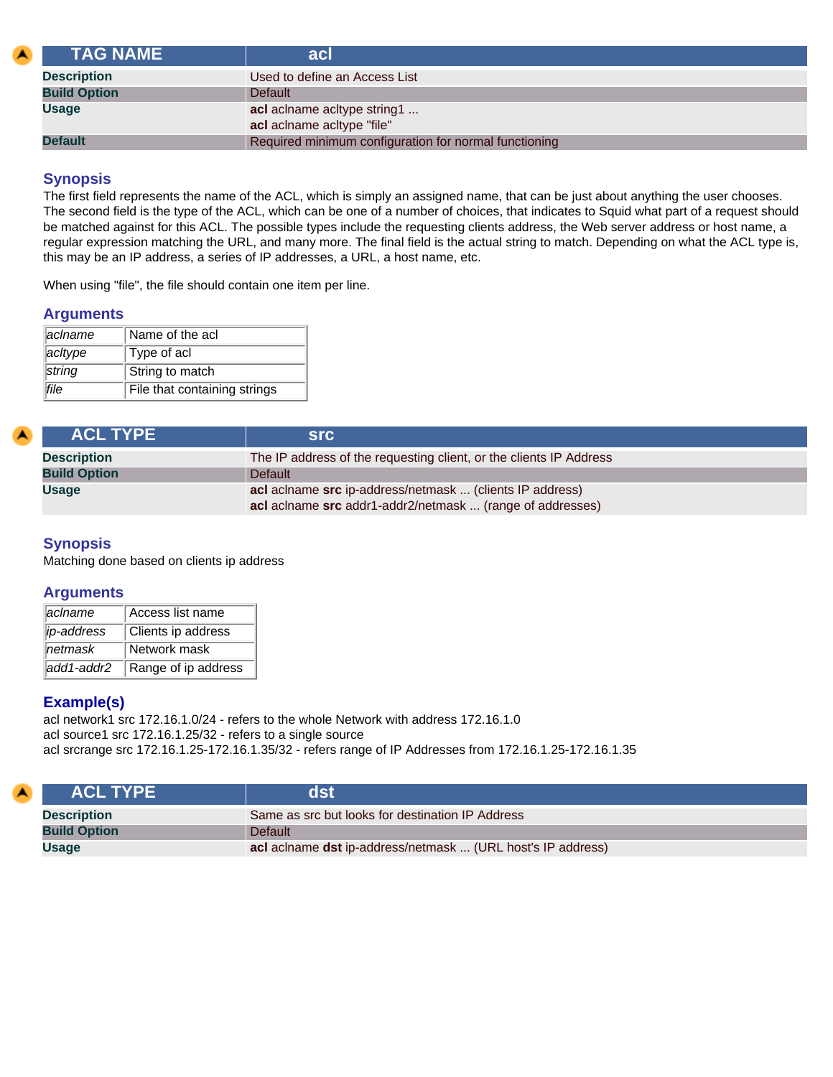<span id="page-45-0"></span>

| <b>TAG NAME</b>     | acl                                                   |  |
|---------------------|-------------------------------------------------------|--|
| <b>Description</b>  | Used to define an Access List                         |  |
| <b>Build Option</b> | <b>Default</b>                                        |  |
| <b>Usage</b>        | acl aclname acitype string1                           |  |
|                     | acl aclname acltype "file"                            |  |
| <b>Default</b>      | Required minimum configuration for normal functioning |  |

The first field represents the name of the ACL, which is simply an assigned name, that can be just about anything the user chooses. The second field is the type of the ACL, which can be one of a number of choices, that indicates to Squid what part of a request should be matched against for this ACL. The possible types include the requesting clients address, the Web server address or host name, a regular expression matching the URL, and many more. The final field is the actual string to match. Depending on what the ACL type is, this may be an IP address, a series of IP addresses, a URL, a host name, etc.

When using "file", the file should contain one item per line.

#### **Arguments**

| aclname | Name of the acl              |  |
|---------|------------------------------|--|
| acitype | Type of acl                  |  |
| string  | String to match              |  |
| lfile   | File that containing strings |  |

| <b>ACL TYPE</b>     | <b>Src</b>                                                                                                            |  |
|---------------------|-----------------------------------------------------------------------------------------------------------------------|--|
| <b>Description</b>  | The IP address of the requesting client, or the clients IP Address                                                    |  |
| <b>Build Option</b> | <b>Default</b>                                                                                                        |  |
| <b>Usage</b>        | acl aclname src ip-address/netmask  (clients IP address)<br>acl aclname src addr1-addr2/netmask  (range of addresses) |  |

# **Synopsis**

Matching done based on clients ip address

## **Arguments**

| lacIname            | Access list name    |
|---------------------|---------------------|
| lip-address         | Clients ip address  |
| $\parallel$ netmask | Network mask        |
| ladd1-addr2         | Range of ip address |

## **Example(s)**

acl network1 src 172.16.1.0/24 - refers to the whole Network with address 172.16.1.0 acl source1 src 172.16.1.25/32 - refers to a single source acl srcrange src 172.16.1.25-172.16.1.35/32 - refers range of IP Addresses from 172.16.1.25-172.16.1.35

|                                       | <b>ACL TYPE</b>    | dsi                                                         |  |
|---------------------------------------|--------------------|-------------------------------------------------------------|--|
|                                       | <b>Description</b> | Same as src but looks for destination IP Address            |  |
| <b>Build Option</b><br><b>Default</b> |                    |                                                             |  |
|                                       | Usage              | acl aclname dst ip-address/netmask  (URL host's IP address) |  |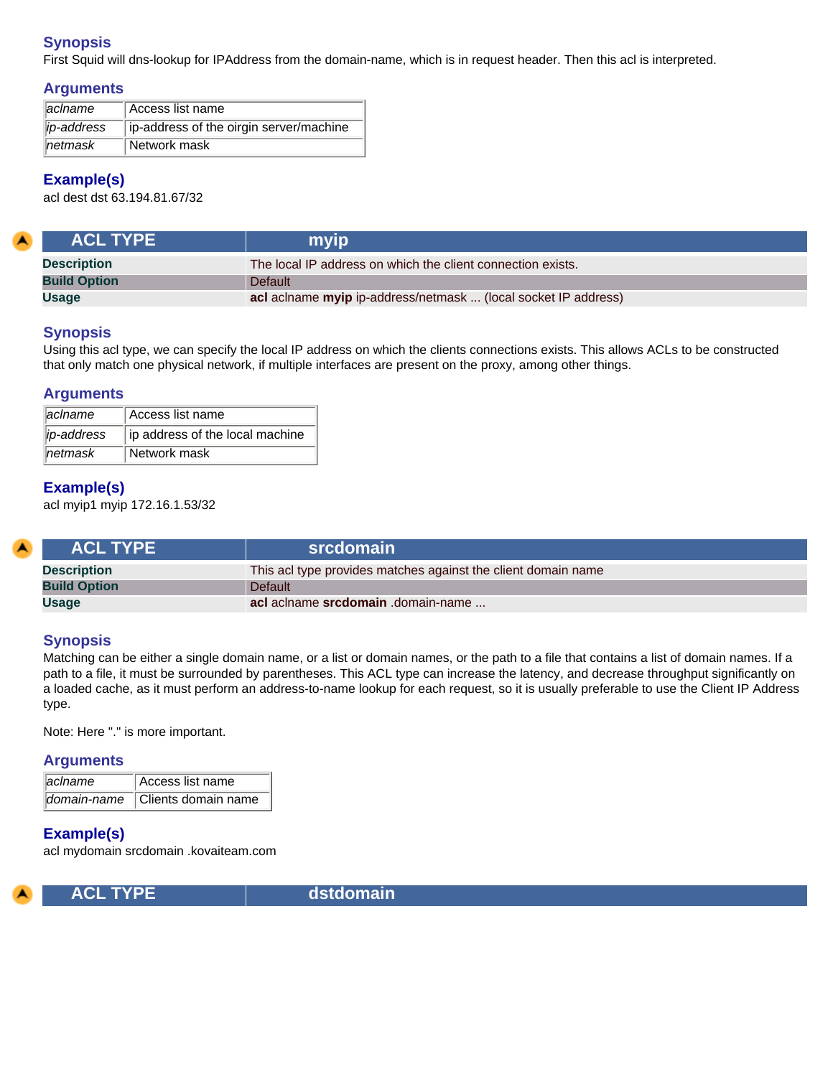First Squid will dns-lookup for IPAddress from the domain-name, which is in request header. Then this acl is interpreted.

## **Arguments**

| $\parallel$ aclname | Access list name                       |  |
|---------------------|----------------------------------------|--|
| <i>ip-address</i>   | p-address of the oirgin server/machine |  |
| $n$ etmask          | Network mask                           |  |

# **Example(s)**

acl dest dst 63.194.81.67/32

| <b>ACL TYPE</b>     | myip                                                           |  |
|---------------------|----------------------------------------------------------------|--|
| <b>Description</b>  | The local IP address on which the client connection exists.    |  |
| <b>Build Option</b> | <b>Default</b>                                                 |  |
| <b>Usage</b>        | acl aclname myip ip-address/netmask  (local socket IP address) |  |

## **Synopsis**

Using this acl type, we can specify the local IP address on which the clients connections exists. This allows ACLs to be constructed that only match one physical network, if multiple interfaces are present on the proxy, among other things.

## **Arguments**

| $\parallel$ aciname | Access list name                |  |
|---------------------|---------------------------------|--|
| lip-address         | ip address of the local machine |  |
| $\parallel$ netmask | Network mask                    |  |

## **Example(s)**

acl myip1 myip 172.16.1.53/32

| <b>ACL TYPE</b>     | srcdomain                                                     |  |
|---------------------|---------------------------------------------------------------|--|
| <b>Description</b>  | This acl type provides matches against the client domain name |  |
| <b>Build Option</b> | <b>Default</b>                                                |  |
| <b>Usage</b>        | acl aclname srcdomain .domain-name                            |  |

## **Synopsis**

Matching can be either a single domain name, or a list or domain names, or the path to a file that contains a list of domain names. If a path to a file, it must be surrounded by parentheses. This ACL type can increase the latency, and decrease throughput significantly on a loaded cache, as it must perform an address-to-name lookup for each request, so it is usually preferable to use the Client IP Address type.

Note: Here "." is more important.

#### **Arguments**

| <i>aciname</i> | Access list name                |
|----------------|---------------------------------|
|                | domain-name Clients domain name |

# **Example(s)**

acl mydomain srcdomain .kovaiteam.com



**ACL TYPE dstdomain**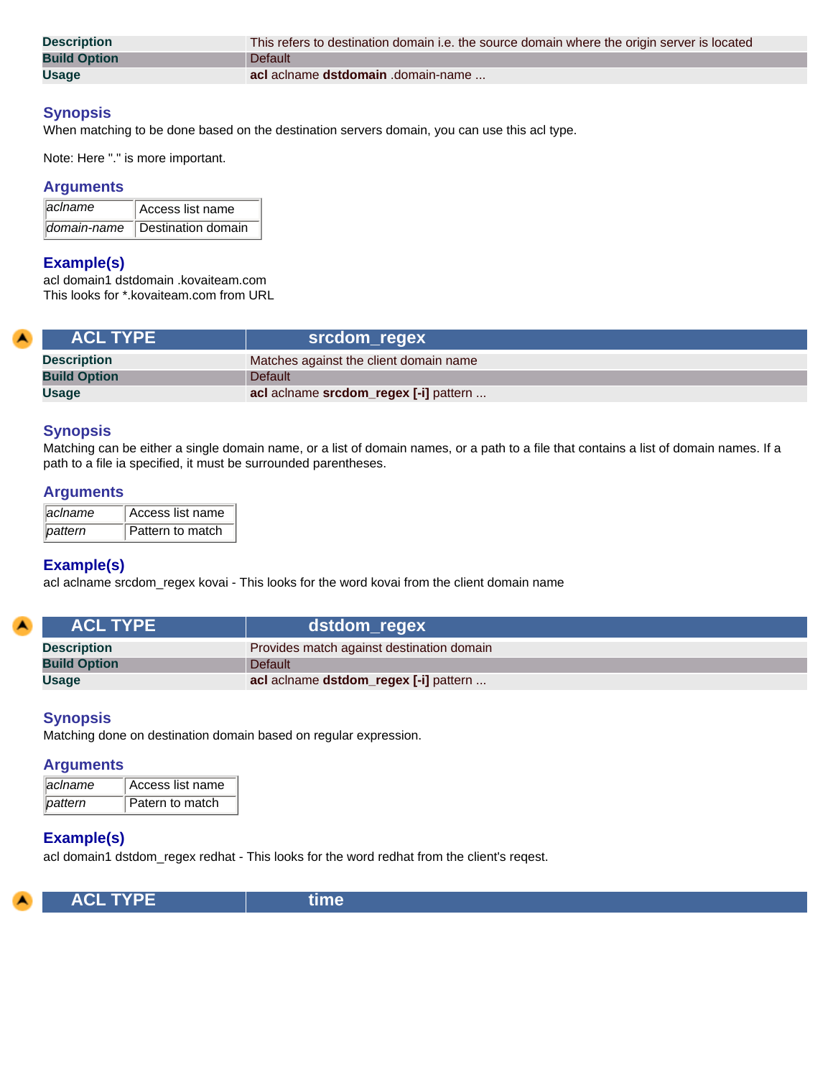| <b>Description</b>  | This refers to destination domain i.e. the source domain where the origin server is located |  |
|---------------------|---------------------------------------------------------------------------------------------|--|
| <b>Build Option</b> | <b>Default</b>                                                                              |  |
| <b>Usage</b>        | acl aclname dstdomain .domain-name                                                          |  |

When matching to be done based on the destination servers domain, you can use this acl type.

Note: Here "." is more important.

#### **Arguments**

| <b>aciname</b> | Access list name   |
|----------------|--------------------|
| ∥domain-name   | Destination domain |

#### **Example(s)**

acl domain1 dstdomain .kovaiteam.com This looks for \*.kovaiteam.com from URL

| <b>ACL TYPE</b>     | srcdom_regex                           |
|---------------------|----------------------------------------|
| <b>Description</b>  | Matches against the client domain name |
| <b>Build Option</b> | Default                                |
| <b>Usage</b>        | acl aclname srcdom_regex [-i] pattern  |

#### **Synopsis**

Matching can be either a single domain name, or a list of domain names, or a path to a file that contains a list of domain names. If a path to a file ia specified, it must be surrounded parentheses.

#### **Arguments**

| <i>aciname</i> | Access list name |
|----------------|------------------|
| <b>Dattern</b> | Pattern to match |

#### **Example(s)**

acl aclname srcdom\_regex kovai - This looks for the word kovai from the client domain name

| <b>ACL TYPE</b>     | dstdom_regex                              |
|---------------------|-------------------------------------------|
| <b>Description</b>  | Provides match against destination domain |
| <b>Build Option</b> | <b>Default</b>                            |
| <b>Usage</b>        | acl aclname dstdom_regex [-i] pattern     |

#### **Synopsis**

Matching done on destination domain based on regular expression.

#### **Arguments**

| aciname | Access list name |
|---------|------------------|
| pattern | Patern to match  |

#### **Example(s)**

acl domain1 dstdom\_regex redhat - This looks for the word redhat from the client's reqest.

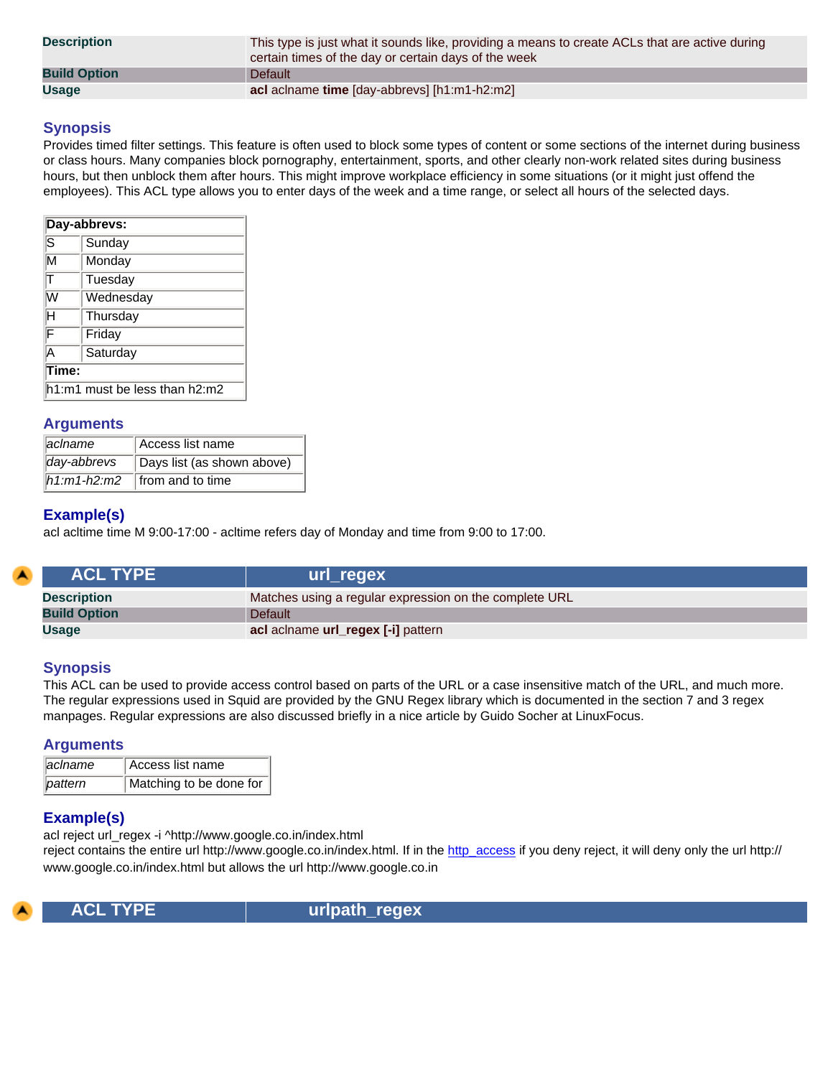| <b>Description</b>  | This type is just what it sounds like, providing a means to create ACLs that are active during<br>certain times of the day or certain days of the week |
|---------------------|--------------------------------------------------------------------------------------------------------------------------------------------------------|
| <b>Build Option</b> | <b>Default</b>                                                                                                                                         |
| <b>Usage</b>        | acl aclname time [day-abbrevs] [h1:m1-h2:m2]                                                                                                           |

Provides timed filter settings. This feature is often used to block some types of content or some sections of the internet during business or class hours. Many companies block pornography, entertainment, sports, and other clearly non-work related sites during business hours, but then unblock them after hours. This might improve workplace efficiency in some situations (or it might just offend the employees). This ACL type allows you to enter days of the week and a time range, or select all hours of the selected days.

| Day-abbrevs:                           |           |  |
|----------------------------------------|-----------|--|
| ls                                     | Sunday    |  |
| $\overline{\mathsf{M}}$                | Monday    |  |
|                                        | Tuesday   |  |
| lW                                     | Wednesday |  |
| н                                      | Thursday  |  |
| F                                      | Friday    |  |
| A                                      | Saturday  |  |
| 「ime:                                  |           |  |
| $\text{h1:m1}$ must be less than h2:m2 |           |  |

#### **Arguments**

| <i>aciname</i> | Access list name                        |
|----------------|-----------------------------------------|
| day-abbrevs    | Days list (as shown above)              |
|                | $\hline$ h1:m1-h2:m2   from and to time |

## **Example(s)**

acl acltime time M 9:00-17:00 - acltime refers day of Monday and time from 9:00 to 17:00.

| <b>ACL TYPE</b>     | url_regex                                              |
|---------------------|--------------------------------------------------------|
| <b>Description</b>  | Matches using a regular expression on the complete URL |
| <b>Build Option</b> | <b>Default</b>                                         |
| <b>Usage</b>        | acl aclname url_regex [-i] pattern                     |

#### **Synopsis**

This ACL can be used to provide access control based on parts of the URL or a case insensitive match of the URL, and much more. The regular expressions used in Squid are provided by the GNU Regex library which is documented in the section 7 and 3 regex manpages. Regular expressions are also discussed briefly in a nice article by Guido Socher at LinuxFocus.

#### **Arguments**

| <i>aclname</i> | Access list name        |
|----------------|-------------------------|
| pattern        | Matching to be done for |

## **Example(s)**

acl reject url\_regex -i ^http://www.google.co.in/index.html

reject contains the entire url http://www.google.co.in/index.html. If in the [http\\_access](#page-56-0) if you deny reject, it will deny only the url http:// www.google.co.in/index.html but allows the url http://www.google.co.in



 **ACL TYPE urlpath\_regex**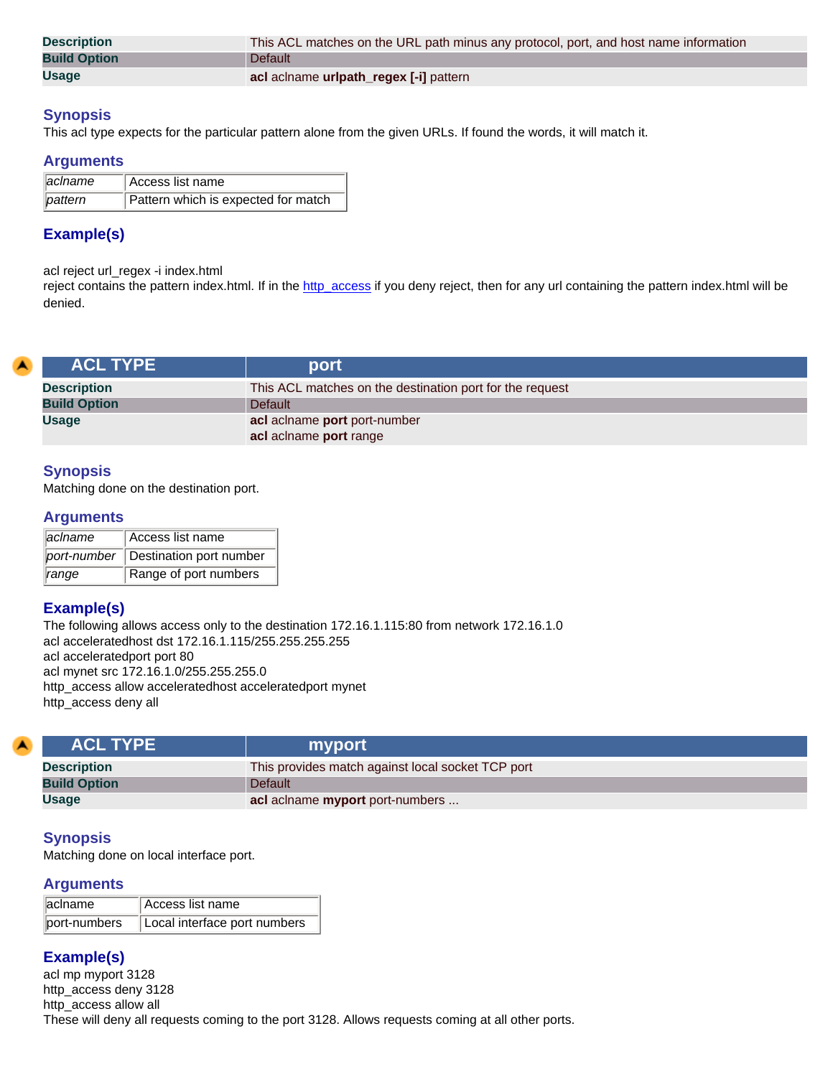| <b>Description</b>  | This ACL matches on the URL path minus any protocol, port, and host name information |
|---------------------|--------------------------------------------------------------------------------------|
| <b>Build Option</b> | Default                                                                              |
| <b>Usage</b>        | acl aclname uripath_regex [-i] pattern                                               |

This acl type expects for the particular pattern alone from the given URLs. If found the words, it will match it.

#### **Arguments**

| $\parallel$ aclname | Access list name                    |
|---------------------|-------------------------------------|
| ∥pattern            | Pattern which is expected for match |

# **Example(s)**

acl reject url\_regex -i index.html

reject contains the pattern index.html. If in the [http\\_access](#page-56-0) if you deny reject, then for any url containing the pattern index.html will be denied.

| <b>ACL TYPE</b>     | port                                                     |
|---------------------|----------------------------------------------------------|
| <b>Description</b>  | This ACL matches on the destination port for the request |
| <b>Build Option</b> | Default                                                  |
| <b>Usage</b>        | acl aclname port port-number                             |
|                     | acl aclname port range                                   |

## **Synopsis**

Matching done on the destination port.

#### **Arguments**

| <i>aciname</i>    | Access list name                    |
|-------------------|-------------------------------------|
|                   | port-number Destination port number |
| $\parallel$ range | Range of port numbers               |

# **Example(s)**

The following allows access only to the destination 172.16.1.115:80 from network 172.16.1.0 acl acceleratedhost dst 172.16.1.115/255.255.255.255 acl acceleratedport port 80 acl mynet src 172.16.1.0/255.255.255.0 http\_access allow acceleratedhost acceleratedport mynet http\_access deny all

| <b>ACL TYPE</b>     | myport                                            |
|---------------------|---------------------------------------------------|
| <b>Description</b>  | This provides match against local socket TCP port |
| <b>Build Option</b> | <b>Default</b>                                    |
| <b>Usage</b>        | acl aclname myport port-numbers                   |

## **Synopsis**

Matching done on local interface port.

#### **Arguments**

| aclname      | Access list name             |
|--------------|------------------------------|
| port-numbers | Local interface port numbers |

# **Example(s)**

acl mp myport 3128 http\_access deny 3128 http\_access allow all These will deny all requests coming to the port 3128. Allows requests coming at all other ports.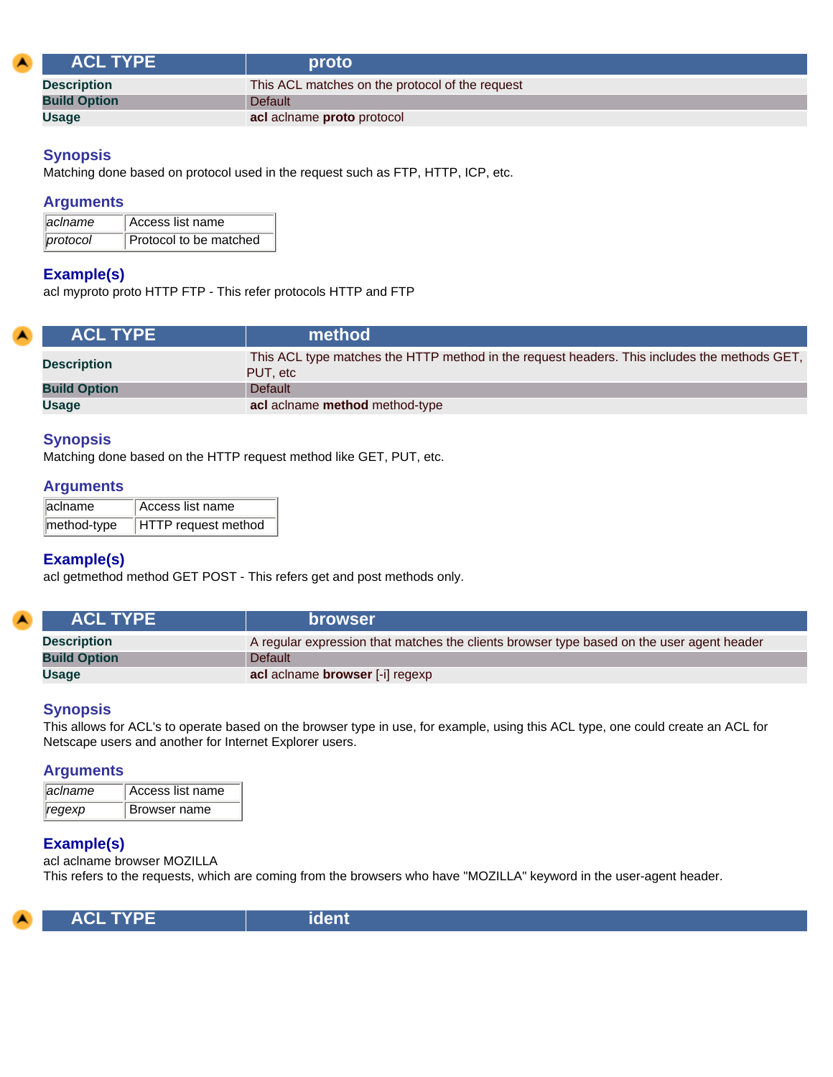|                     | <b>ACL TYPE</b> | proto                                           |
|---------------------|-----------------|-------------------------------------------------|
| <b>Description</b>  |                 | This ACL matches on the protocol of the request |
| <b>Build Option</b> |                 | Default                                         |
| Usage               |                 | acl aclname proto protocol                      |

Matching done based on protocol used in the request such as FTP, HTTP, ICP, etc.

## **Arguments**

| aclname  | Access list name       |
|----------|------------------------|
| protocol | Protocol to be matched |

# **Example(s)**

acl myproto proto HTTP FTP - This refer protocols HTTP and FTP

| <b>ACL TYPE</b>     | method                                                                                                    |
|---------------------|-----------------------------------------------------------------------------------------------------------|
| <b>Description</b>  | This ACL type matches the HTTP method in the request headers. This includes the methods GET,<br>PUT, etc. |
| <b>Build Option</b> | <b>Default</b>                                                                                            |
| <b>Usage</b>        | acl aclname method method-type                                                                            |

#### **Synopsis**

Matching done based on the HTTP request method like GET, PUT, etc.

#### **Arguments**

| aclname     | Access list name    |
|-------------|---------------------|
| method-type | HTTP request method |

## **Example(s)**

acl getmethod method GET POST - This refers get and post methods only.

| <b>ACL TYPE</b>     | <b>browser</b>                                                                            |
|---------------------|-------------------------------------------------------------------------------------------|
| <b>Description</b>  | A regular expression that matches the clients browser type based on the user agent header |
| <b>Build Option</b> | <b>Default</b>                                                                            |
| <b>Usage</b>        | acl aclname browser [-i] regexp                                                           |

## **Synopsis**

This allows for ACL's to operate based on the browser type in use, for example, using this ACL type, one could create an ACL for Netscape users and another for Internet Explorer users.

#### **Arguments**

| <i>aciname</i> | Access list name |
|----------------|------------------|
| regexp         | Browser name     |

## **Example(s)**

acl aclname browser MOZILLA This refers to the requests, which are coming from the browsers who have "MOZILLA" keyword in the user-agent header.

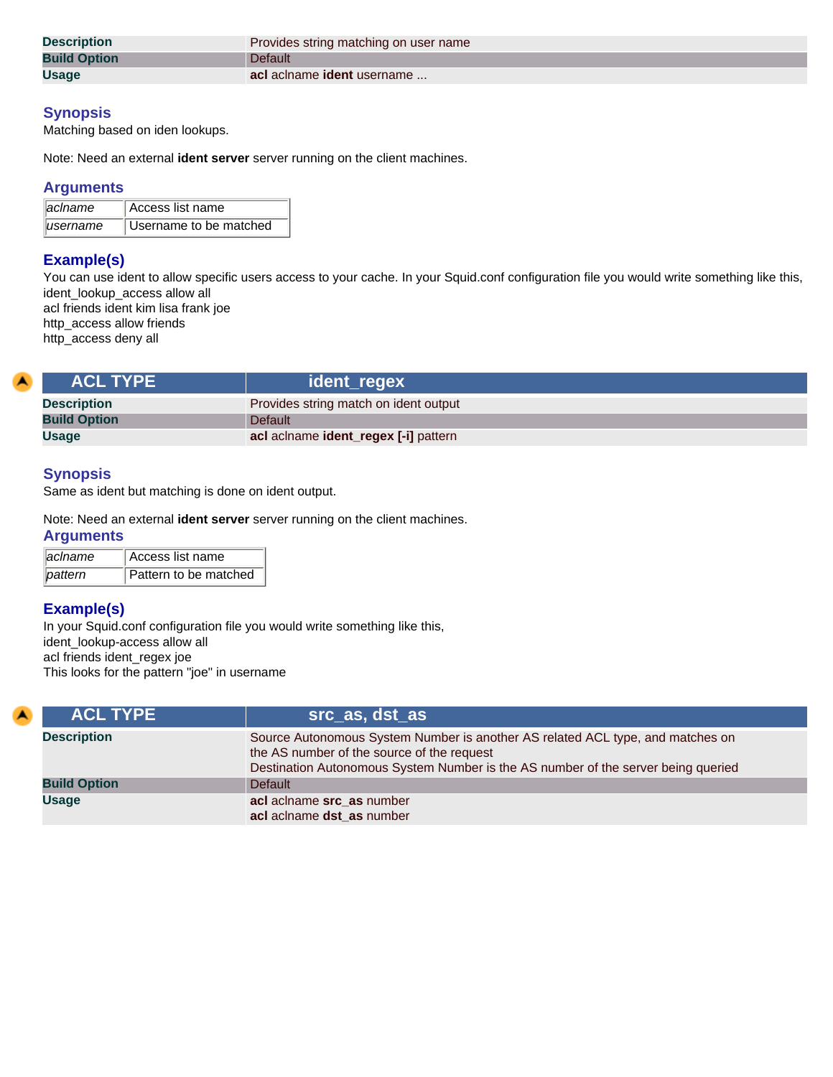| <b>Description</b>  | Provides string matching on user name |
|---------------------|---------------------------------------|
| <b>Build Option</b> | Default                               |
| <b>Usage</b>        | acl aclname ident username            |

Matching based on iden lookups.

Note: Need an external **ident server** server running on the client machines.

#### **Arguments**

| <b>aciname</b> | Access list name       |
|----------------|------------------------|
| lusername      | Username to be matched |

# **Example(s)**

You can use ident to allow specific users access to your cache. In your Squid.conf configuration file you would write something like this, ident\_lookup\_access allow all acl friends ident kim lisa frank joe http\_access allow friends

http\_access deny all

| <b>ACL TYPE</b>     | ident_regex                           |
|---------------------|---------------------------------------|
| <b>Description</b>  | Provides string match on ident output |
| <b>Build Option</b> | Default                               |
| <b>Usage</b>        | acl aclname ident_regex [-i] pattern  |

#### **Synopsis**

Same as ident but matching is done on ident output.

#### Note: Need an external **ident server** server running on the client machines.

#### **Arguments**

| <i>aclname</i> | <sup>'</sup> Access list name |
|----------------|-------------------------------|
| ∥pattern       | Pattern to be matched         |

# **Example(s)**

In your Squid.conf configuration file you would write something like this, ident\_lookup-access allow all acl friends ident\_regex joe This looks for the pattern "joe" in username

| <b>ACL TYPE</b>     | src as, dst as                                                                                                                                                                                                    |
|---------------------|-------------------------------------------------------------------------------------------------------------------------------------------------------------------------------------------------------------------|
| <b>Description</b>  | Source Autonomous System Number is another AS related ACL type, and matches on<br>the AS number of the source of the request<br>Destination Autonomous System Number is the AS number of the server being queried |
| <b>Build Option</b> | <b>Default</b>                                                                                                                                                                                                    |
| <b>Usage</b>        | acl aclname src_as number<br>acl aclname dst as number                                                                                                                                                            |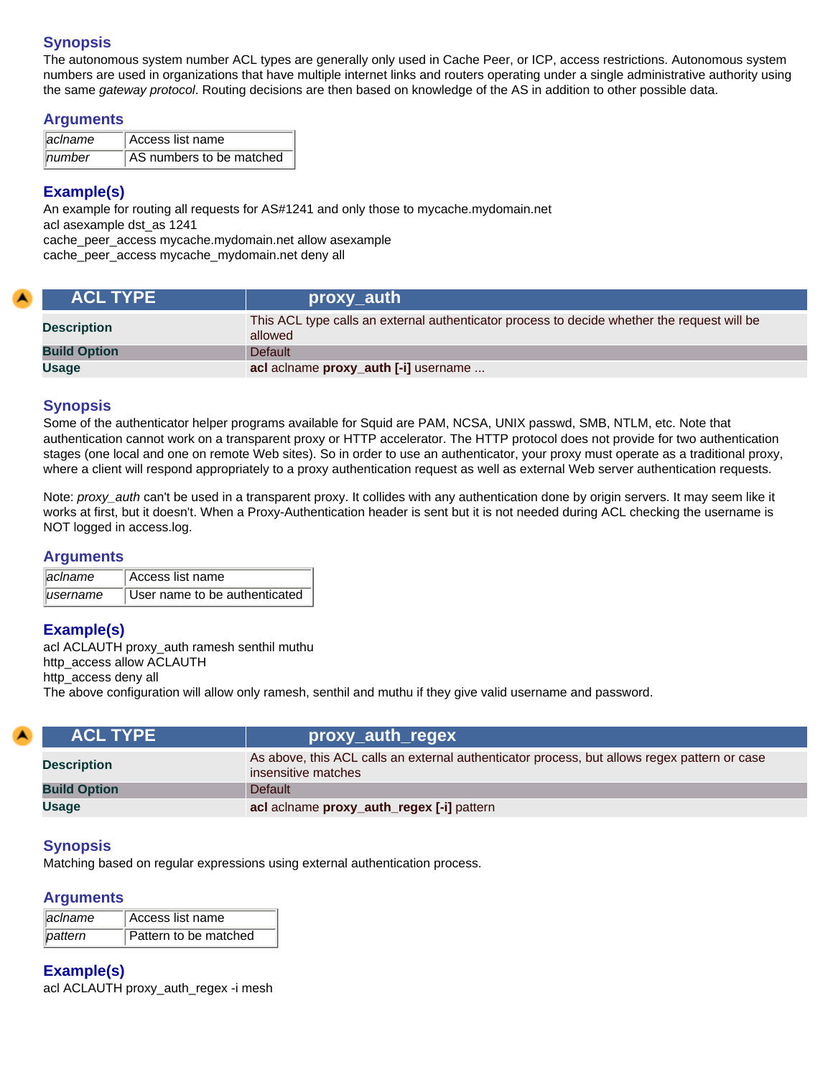The autonomous system number ACL types are generally only used in Cache Peer, or ICP, access restrictions. Autonomous system numbers are used in organizations that have multiple internet links and routers operating under a single administrative authority using the same *gateway protocol*. Routing decisions are then based on knowledge of the AS in addition to other possible data.

#### **Arguments**

| aclname | Access list name         |
|---------|--------------------------|
| number  | AS numbers to be matched |

# **Example(s)**

An example for routing all requests for AS#1241 and only those to mycache.mydomain.net acl asexample dst\_as 1241 cache\_peer\_access mycache.mydomain.net allow asexample

cache\_peer\_access mycache\_mydomain.net deny all

| <b>ACL TYPE</b>     | proxy_auth                                                                                             |
|---------------------|--------------------------------------------------------------------------------------------------------|
| <b>Description</b>  | This ACL type calls an external authenticator process to decide whether the request will be<br>allowed |
| <b>Build Option</b> | <b>Default</b>                                                                                         |
| Usage               | acl aclname proxy_auth [-i] username                                                                   |

## **Synopsis**

Some of the authenticator helper programs available for Squid are PAM, NCSA, UNIX passwd, SMB, NTLM, etc. Note that authentication cannot work on a transparent proxy or HTTP accelerator. The HTTP protocol does not provide for two authentication stages (one local and one on remote Web sites). So in order to use an authenticator, your proxy must operate as a traditional proxy, where a client will respond appropriately to a proxy authentication request as well as external Web server authentication requests.

Note: *proxy\_auth* can't be used in a transparent proxy. It collides with any authentication done by origin servers. It may seem like it works at first, but it doesn't. When a Proxy-Authentication header is sent but it is not needed during ACL checking the username is NOT logged in access.log.

#### **Arguments**

| <b>llaciname</b> | Access list name              |
|------------------|-------------------------------|
| lusername        | User name to be authenticated |

## **Example(s)**

acl ACLAUTH proxy\_auth ramesh senthil muthu http\_access allow ACLAUTH http\_access deny all The above configuration will allow only ramesh, senthil and muthu if they give valid username and password.

| <b>ACL TYPE</b>     | proxy_auth_regex                                                                                                    |
|---------------------|---------------------------------------------------------------------------------------------------------------------|
| <b>Description</b>  | As above, this ACL calls an external authenticator process, but allows regex pattern or case<br>insensitive matches |
| <b>Build Option</b> | <b>Default</b>                                                                                                      |
| <b>Usage</b>        | acl aclname proxy_auth_regex [-i] pattern                                                                           |

## **Synopsis**

Matching based on regular expressions using external authentication process.

## **Arguments**

| aclname | Access list name      |
|---------|-----------------------|
| pattern | Pattern to be matched |

## **Example(s)**

acl ACLAUTH proxy\_auth\_regex -i mesh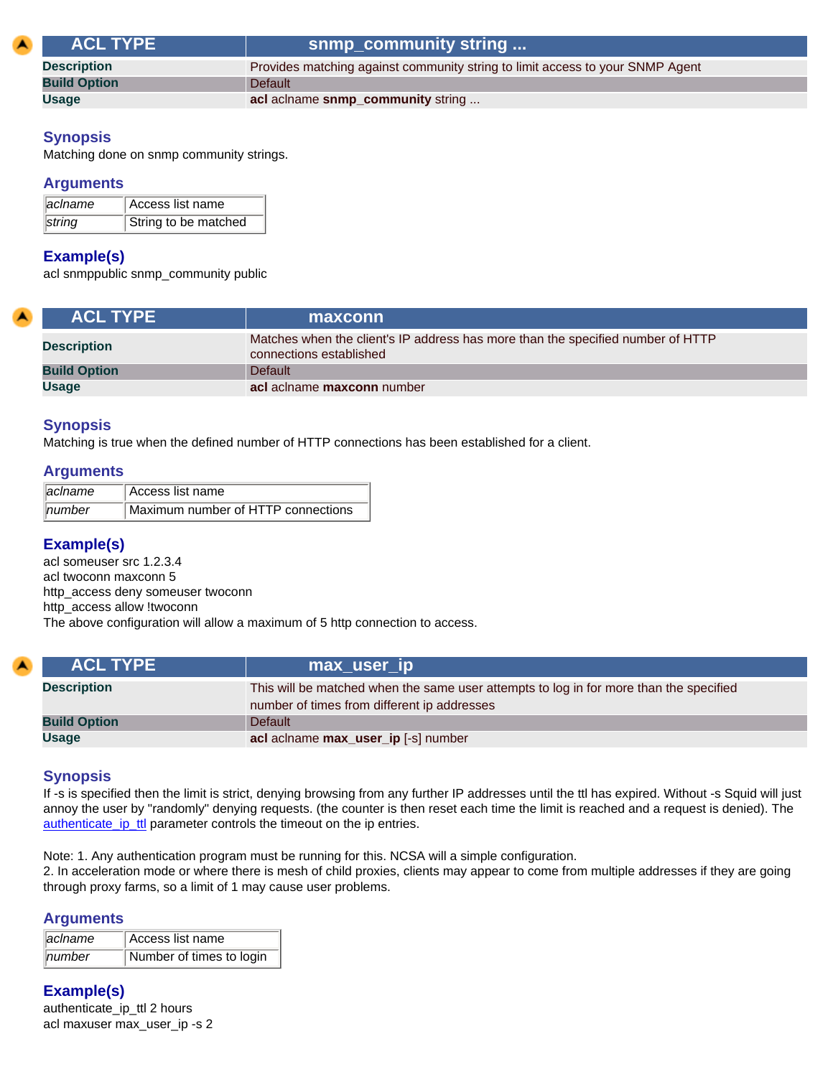| <b>ACL TYPE</b>     | snmp_community string                                                         |
|---------------------|-------------------------------------------------------------------------------|
| <b>Description</b>  | Provides matching against community string to limit access to your SNMP Agent |
| <b>Build Option</b> | <b>Default</b>                                                                |
| <b>Usage</b>        | acl aclname snmp_community string                                             |

Matching done on snmp community strings.

#### **Arguments**

| laciname | Access list name     |
|----------|----------------------|
| string   | String to be matched |

#### **Example(s)**

acl snmppublic snmp\_community public

| <b>ACL TYPE</b>     | maxconn                                                                                                    |
|---------------------|------------------------------------------------------------------------------------------------------------|
| <b>Description</b>  | Matches when the client's IP address has more than the specified number of HTTP<br>connections established |
| <b>Build Option</b> | Default                                                                                                    |
| <b>Usage</b>        | acl aclname maxconn number                                                                                 |

#### **Synopsis**

Matching is true when the defined number of HTTP connections has been established for a client.

#### **Arguments**

| $\parallel$ aclname | Access list name                   |
|---------------------|------------------------------------|
| $\parallel$ number  | Maximum number of HTTP connections |

#### **Example(s)**

acl someuser src 1.2.3.4 acl twoconn maxconn 5 http\_access deny someuser twoconn http\_access allow !twoconn The above configuration will allow a maximum of 5 http connection to access.

| <b>ACL TYPE</b>     | max_user_ip                                                                                                                           |
|---------------------|---------------------------------------------------------------------------------------------------------------------------------------|
| <b>Description</b>  | This will be matched when the same user attempts to log in for more than the specified<br>number of times from different ip addresses |
| <b>Build Option</b> | <b>Default</b>                                                                                                                        |
| <b>Usage</b>        | acl aclname max_user_ip [-s] number                                                                                                   |

## **Synopsis**

If -s is specified then the limit is strict, denying browsing from any further IP addresses until the ttl has expired. Without -s Squid will just annoy the user by "randomly" denying requests. (the counter is then reset each time the limit is reached and a request is denied). The [authenticate\\_ip\\_ttl](#page-35-0) parameter controls the timeout on the ip entries.

Note: 1. Any authentication program must be running for this. NCSA will a simple configuration.

2. In acceleration mode or where there is mesh of child proxies, clients may appear to come from multiple addresses if they are going through proxy farms, so a limit of 1 may cause user problems.

#### **Arguments**

| $\parallel$ aclname | Access list name         |
|---------------------|--------------------------|
| $\parallel$ number  | Number of times to login |

## **Example(s)**

authenticate\_ip\_ttl 2 hours acl maxuser max\_user\_ip -s 2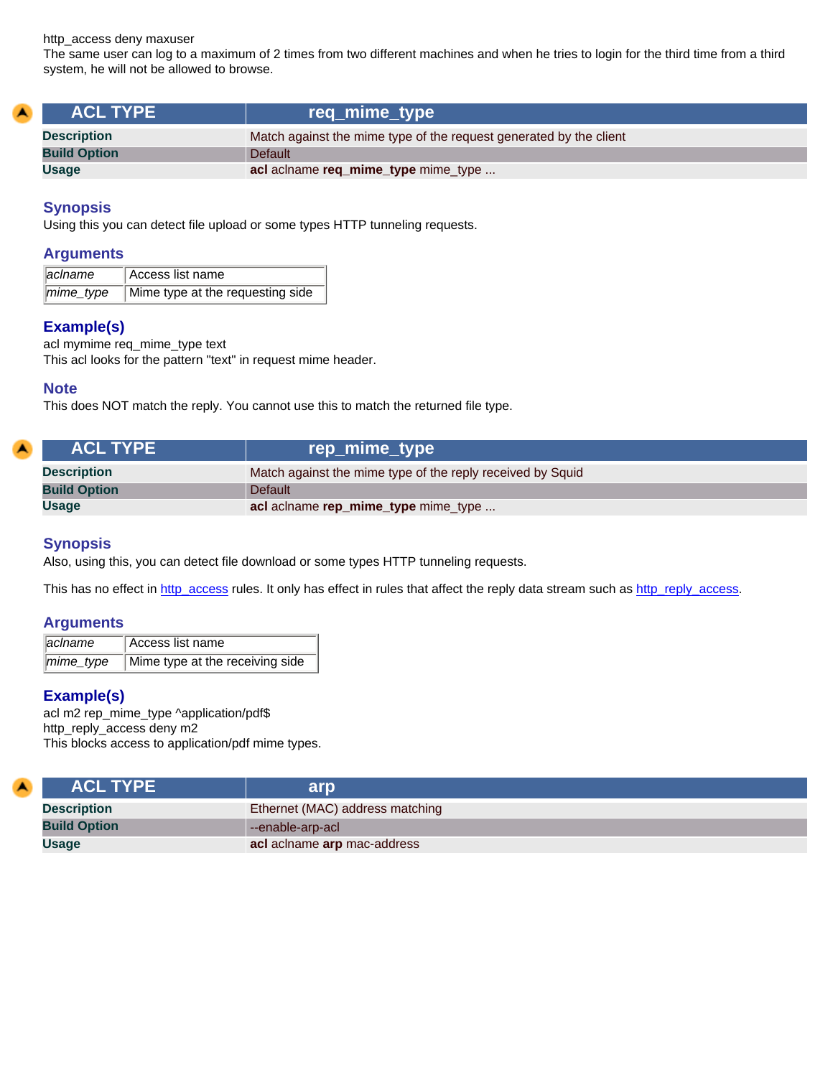http\_access deny maxuser

The same user can log to a maximum of 2 times from two different machines and when he tries to login for the third time from a third system, he will not be allowed to browse.

| <b>ACL TYPE</b>     | req_mime_type                                                      |
|---------------------|--------------------------------------------------------------------|
| <b>Description</b>  | Match against the mime type of the request generated by the client |
| <b>Build Option</b> | <b>Default</b>                                                     |
| <b>Usage</b>        | acl aclname req_mime_type mime_type                                |

#### **Synopsis**

Using this you can detect file upload or some types HTTP tunneling requests.

#### **Arguments**

| lacIname  | Access list name                 |
|-----------|----------------------------------|
| mime_type | Mime type at the requesting side |

## **Example(s)**

acl mymime req\_mime\_type text This acl looks for the pattern "text" in request mime header.

#### **Note**

This does NOT match the reply. You cannot use this to match the returned file type.

| <b>ACL TYPE</b>     | rep_mime_type                                              |
|---------------------|------------------------------------------------------------|
| <b>Description</b>  | Match against the mime type of the reply received by Squid |
| <b>Build Option</b> | <b>Default</b>                                             |
| <b>Usage</b>        | acl aclname rep_mime_type mime_type                        |

#### **Synopsis**

Also, using this, you can detect file download or some types HTTP tunneling requests.

This has no effect in [http\\_access](#page-56-0) rules. It only has effect in rules that affect the reply data stream such as [http\\_reply\\_access](#page-56-1).

#### **Arguments**

| aclname | Access list name                            |
|---------|---------------------------------------------|
|         | mime_type   Mime type at the receiving side |

## **Example(s)**

z

acl m2 rep\_mime\_type ^application/pdf\$ http\_reply\_access deny m2 This blocks access to application/pdf mime types.

| <b>ACL TYPE</b>     | arp                             |
|---------------------|---------------------------------|
| <b>Description</b>  | Ethernet (MAC) address matching |
| <b>Build Option</b> | --enable-arp-acl                |
| Usage               | acl aclname arp mac-address     |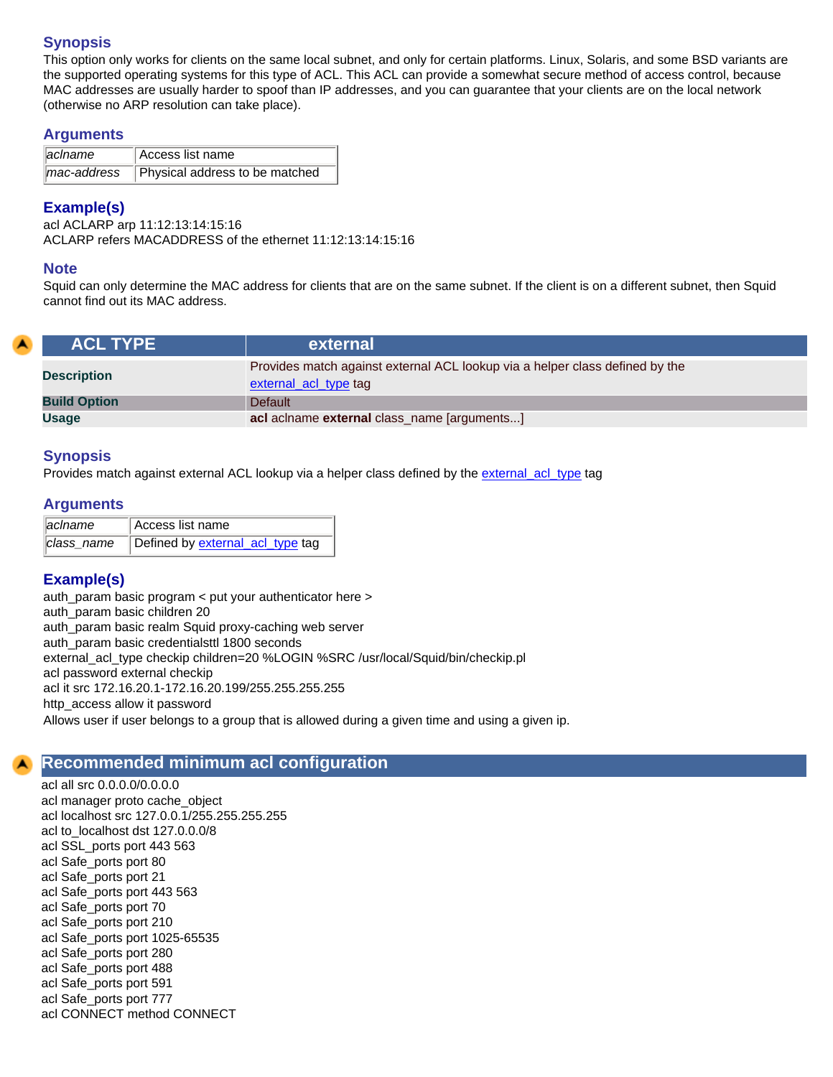This option only works for clients on the same local subnet, and only for certain platforms. Linux, Solaris, and some BSD variants are the supported operating systems for this type of ACL. This ACL can provide a somewhat secure method of access control, because MAC addresses are usually harder to spoof than IP addresses, and you can guarantee that your clients are on the local network (otherwise no ARP resolution can take place).

#### **Arguments**

| $\parallel$ aclname | Access list name                           |
|---------------------|--------------------------------------------|
|                     | mac-address Physical address to be matched |

# **Example(s)**

acl ACLARP arp 11:12:13:14:15:16 ACLARP refers MACADDRESS of the ethernet 11:12:13:14:15:16

## **Note**

Squid can only determine the MAC address for clients that are on the same subnet. If the client is on a different subnet, then Squid cannot find out its MAC address.

| <b>ACL TYPE</b>     | external                                                                                              |
|---------------------|-------------------------------------------------------------------------------------------------------|
| <b>Description</b>  | Provides match against external ACL lookup via a helper class defined by the<br>external_acl_type tag |
| <b>Build Option</b> | Default                                                                                               |
| Usage               | acl aclname external class_name [arguments]                                                           |

# **Synopsis**

Provides match against external ACL lookup via a helper class defined by the [external\\_acl\\_type](#page-35-1) tag

# **Arguments**

| ∥acIname   | Access list name                 |
|------------|----------------------------------|
| class name | Defined by external_acl_type tag |

# **Example(s)**

auth\_param basic program < put your authenticator here > auth\_param basic children 20 auth\_param basic realm Squid proxy-caching web server auth\_param basic credentialsttl 1800 seconds external\_acl\_type checkip children=20 %LOGIN %SRC /usr/local/Squid/bin/checkip.pl acl password external checkip acl it src 172.16.20.1-172.16.20.199/255.255.255.255 http\_access allow it password Allows user if user belongs to a group that is allowed during a given time and using a given ip.

# **Recommended minimum acl configuration**

acl all src 0.0.0.0/0.0.0.0 acl manager proto cache\_object acl localhost src 127.0.0.1/255.255.255.255 acl to\_localhost dst 127.0.0.0/8 acl SSL\_ports port 443 563 acl Safe\_ports port 80 acl Safe\_ports port 21 acl Safe\_ports port 443 563 acl Safe\_ports port 70 acl Safe\_ports port 210 acl Safe\_ports port 1025-65535 acl Safe\_ports port 280 acl Safe\_ports port 488 acl Safe\_ports port 591 acl Safe\_ports port 777 acl CONNECT method CONNECT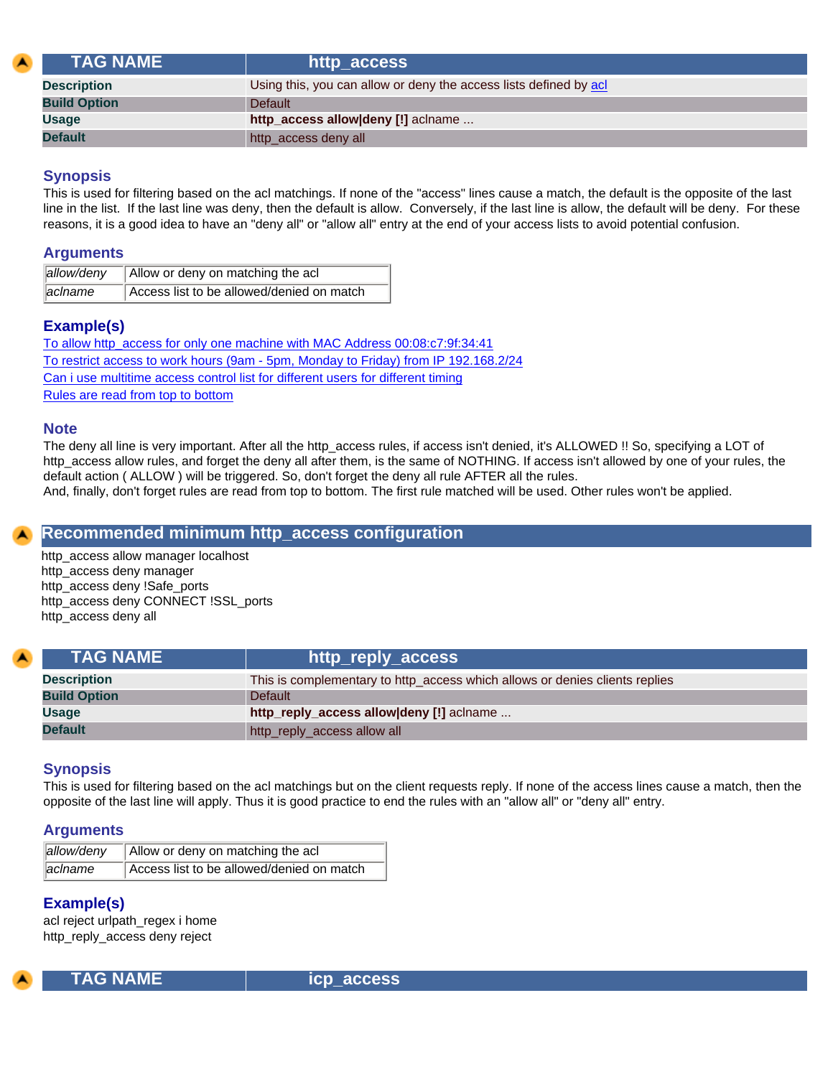<span id="page-56-0"></span>

| <b>TAG NAME</b>     | http_access                                                       |
|---------------------|-------------------------------------------------------------------|
| <b>Description</b>  | Using this, you can allow or deny the access lists defined by acl |
| <b>Build Option</b> | <b>Default</b>                                                    |
| <b>Usage</b>        | http_access allow deny [!] aclname                                |
| <b>Default</b>      | http_access deny all                                              |

This is used for filtering based on the acl matchings. If none of the "access" lines cause a match, the default is the opposite of the last line in the list. If the last line was deny, then the default is allow. Conversely, if the last line is allow, the default will be deny. For these reasons, it is a good idea to have an "deny all" or "allow all" entry at the end of your access lists to avoid potential confusion.

#### **Arguments**

| allow/deny | Allow or deny on matching the acl         |
|------------|-------------------------------------------|
| aclname    | Access list to be allowed/denied on match |

# **Example(s)**

[To allow http\\_access for only one machine with MAC Address 00:08:c7:9f:34:41](#page-60-0) [To restrict access to work hours \(9am - 5pm, Monday to Friday\) from IP 192.168.2/24](#page-60-1) [Can i use multitime access control list for different users for different timing](#page-60-2) [Rules are read from top to bottom](#page-61-0)

#### **Note**

The deny all line is very important. After all the http\_access rules, if access isn't denied, it's ALLOWED !! So, specifying a LOT of http\_access allow rules, and forget the deny all after them, is the same of NOTHING. If access isn't allowed by one of your rules, the default action ( ALLOW ) will be triggered. So, don't forget the deny all rule AFTER all the rules.

#### And, finally, don't forget rules are read from top to bottom. The first rule matched will be used. Other rules won't be applied.

# **Recommended minimum http\_access configuration**

http\_access allow manager localhost http\_access deny manager http\_access deny !Safe\_ports http\_access deny CONNECT !SSL\_ports http\_access deny all

<span id="page-56-1"></span>

| <b>TAG NAME</b>     | http_reply_access                                                           |
|---------------------|-----------------------------------------------------------------------------|
| <b>Description</b>  | This is complementary to http_access which allows or denies clients replies |
| <b>Build Option</b> | <b>Default</b>                                                              |
| <b>Usage</b>        | http_reply_access allow deny [!] aclname                                    |
| <b>Default</b>      | http_reply_access allow all                                                 |

## **Synopsis**

This is used for filtering based on the acl matchings but on the client requests reply. If none of the access lines cause a match, then the opposite of the last line will apply. Thus it is good practice to end the rules with an "allow all" or "deny all" entry.

#### **Arguments**

| allow/deny | Allow or deny on matching the acl         |
|------------|-------------------------------------------|
| aclname    | Access list to be allowed/denied on match |

## **Example(s)**

acl reject urlpath\_regex i home http\_reply\_access deny reject



 **TAG NAME icp\_access**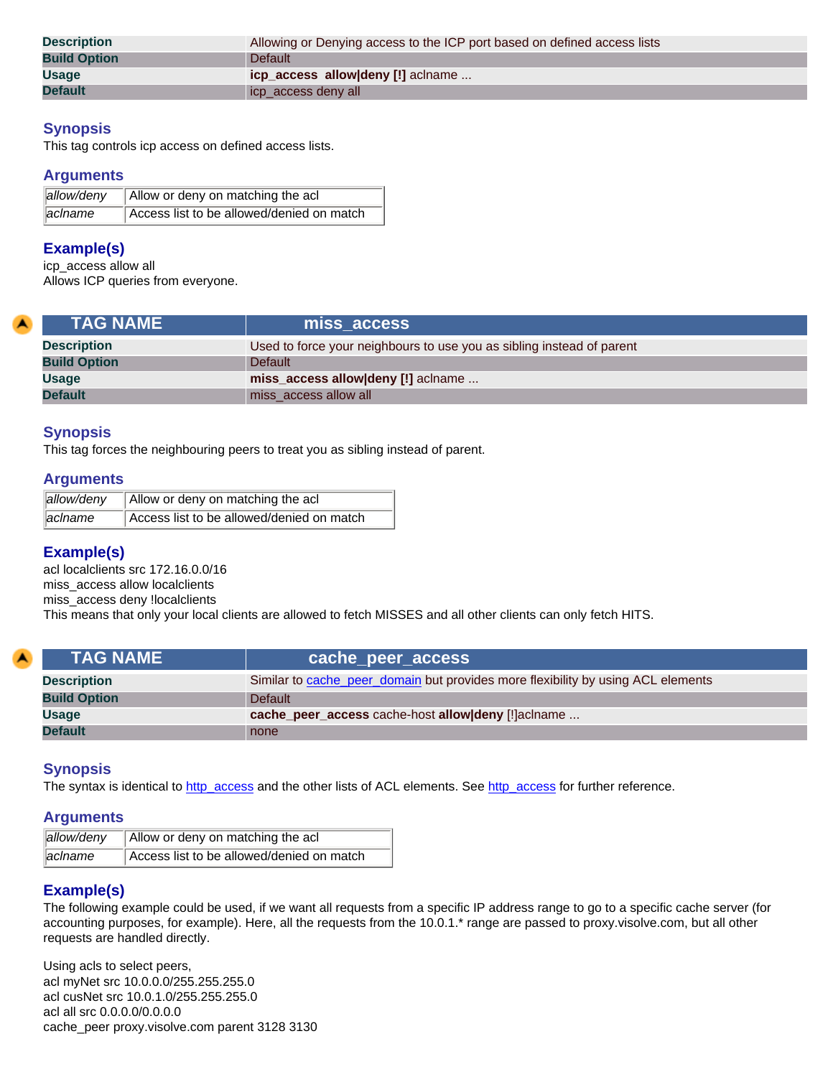| <b>Description</b>  | Allowing or Denying access to the ICP port based on defined access lists |
|---------------------|--------------------------------------------------------------------------|
|                     |                                                                          |
| <b>Build Option</b> | Default                                                                  |
| <b>Usage</b>        | icp_access_allow deny [!] aclname                                        |
|                     |                                                                          |
| <b>Default</b>      | icp_access deny all                                                      |

This tag controls icp access on defined access lists.

#### **Arguments**

| allow/deny          | Allow or deny on matching the acl         |
|---------------------|-------------------------------------------|
| $\parallel$ aclname | Access list to be allowed/denied on match |

#### **Example(s)**

icp\_access allow all Allows ICP queries from everyone.

| <b>TAG NAME</b>     | miss access                                                           |
|---------------------|-----------------------------------------------------------------------|
| <b>Description</b>  | Used to force your neighbours to use you as sibling instead of parent |
| <b>Build Option</b> | <b>Default</b>                                                        |
| <b>Usage</b>        | miss_access allow deny [!] aclname                                    |
| <b>Default</b>      | miss_access allow all                                                 |

#### **Synopsis**

This tag forces the neighbouring peers to treat you as sibling instead of parent.

#### **Arguments**

| allow/deny | Allow or deny on matching the acl         |
|------------|-------------------------------------------|
| aclname    | Access list to be allowed/denied on match |

## **Example(s)**

acl localclients src 172.16.0.0/16 miss\_access allow localclients miss\_access deny !localclients This means that only your local clients are allowed to fetch MISSES and all other clients can only fetch HITS.

| <b>TAG NAME</b>     | cache_peer_access,                                                               |
|---------------------|----------------------------------------------------------------------------------|
| <b>Description</b>  | Similar to cache_peer_domain but provides more flexibility by using ACL elements |
| <b>Build Option</b> | Default                                                                          |
| <b>Usage</b>        | cache_peer_access cache-host allow deny [!]aclname                               |
| <b>Default</b>      | none                                                                             |

#### **Synopsis**

The syntax is identical to [http\\_access](#page-56-0) and the other lists of ACL elements. See http\_access for further reference.

#### **Arguments**

| allow/deny          | Allow or deny on matching the acl         |
|---------------------|-------------------------------------------|
| $\parallel$ aclname | Access list to be allowed/denied on match |

# **Example(s)**

The following example could be used, if we want all requests from a specific IP address range to go to a specific cache server (for accounting purposes, for example). Here, all the requests from the 10.0.1.\* range are passed to proxy.visolve.com, but all other requests are handled directly.

Using acls to select peers, acl myNet src 10.0.0.0/255.255.255.0 acl cusNet src 10.0.1.0/255.255.255.0 acl all src 0.0.0.0/0.0.0.0 cache\_peer proxy.visolve.com parent 3128 3130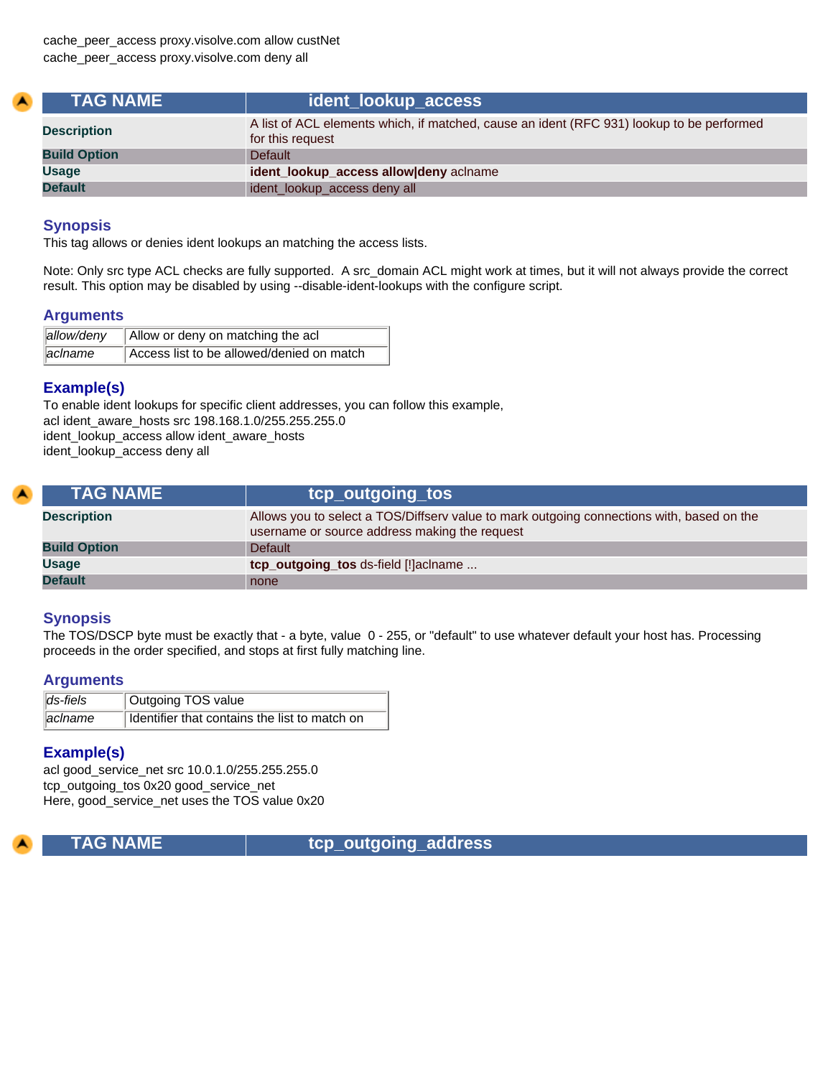| <b>TAG NAME</b>     |                                                                                                               |
|---------------------|---------------------------------------------------------------------------------------------------------------|
| <b>Description</b>  | A list of ACL elements which, if matched, cause an ident (RFC 931) lookup to be performed<br>for this request |
| <b>Build Option</b> | <b>Default</b>                                                                                                |
| <b>Usage</b>        | ident_lookup_access allow deny aclname                                                                        |
| <b>Default</b>      | ident_lookup_access deny all                                                                                  |

This tag allows or denies ident lookups an matching the access lists.

Note: Only src type ACL checks are fully supported. A src\_domain ACL might work at times, but it will not always provide the correct result. This option may be disabled by using --disable-ident-lookups with the configure script.

#### **Arguments**

| allow/deny | Allow or deny on matching the acl         |
|------------|-------------------------------------------|
| aclname    | Access list to be allowed/denied on match |

#### **Example(s)**

To enable ident lookups for specific client addresses, you can follow this example, acl ident\_aware\_hosts src 198.168.1.0/255.255.255.0 ident\_lookup\_access allow ident\_aware\_hosts ident\_lookup\_access deny all

| <b>\TAG NAME</b>    | tcp_outgoing_tos                                                                                                                           |
|---------------------|--------------------------------------------------------------------------------------------------------------------------------------------|
| <b>Description</b>  | Allows you to select a TOS/Diffserv value to mark outgoing connections with, based on the<br>username or source address making the request |
| <b>Build Option</b> | <b>Default</b>                                                                                                                             |
| <b>Usage</b>        | tcp_outgoing_tos ds-field [!]aclname                                                                                                       |
| <b>Default</b>      | none                                                                                                                                       |

## **Synopsis**

The TOS/DSCP byte must be exactly that - a byte, value 0 - 255, or "default" to use whatever default your host has. Processing proceeds in the order specified, and stops at first fully matching line.

#### **Arguments**

| $\ $ ds-fiels | Outgoing TOS value                            |
|---------------|-----------------------------------------------|
| ∥acIname      | Identifier that contains the list to match on |

## **Example(s)**

acl good\_service\_net src 10.0.1.0/255.255.255.0 tcp\_outgoing\_tos 0x20 good\_service\_net Here, good\_service\_net uses the TOS value 0x20



 **TAG NAME tcp\_outgoing\_address**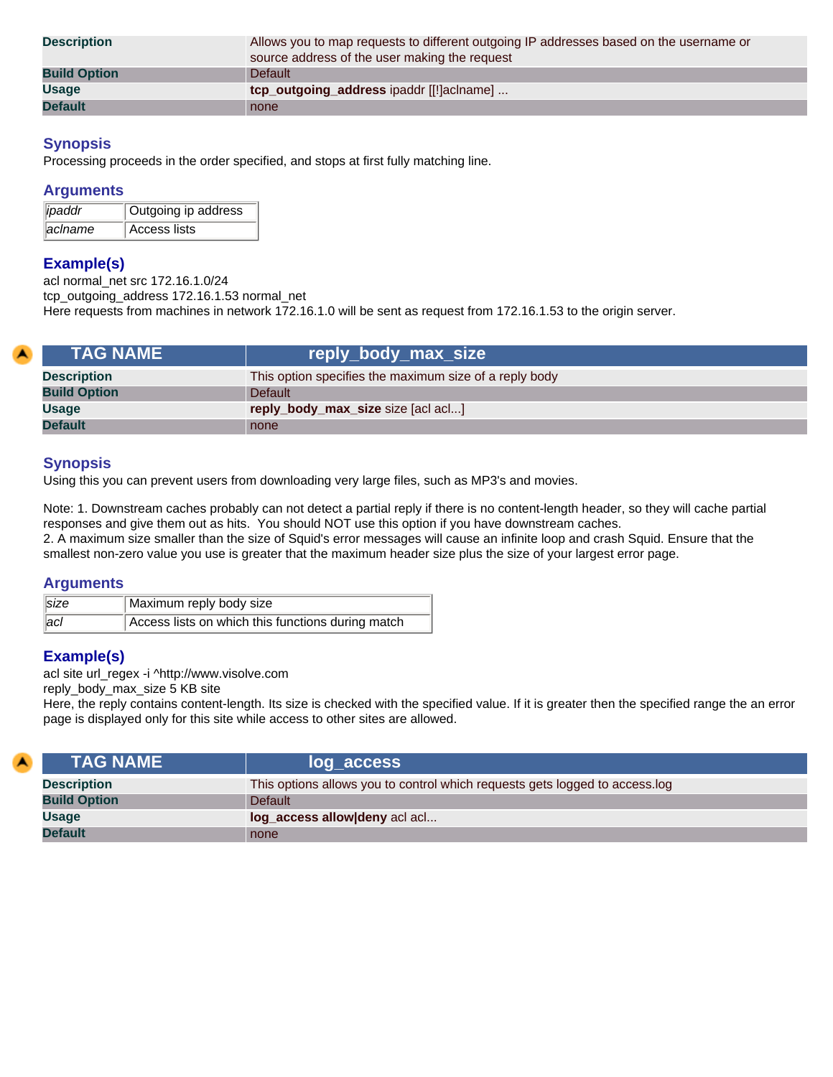| <b>Description</b>  | Allows you to map requests to different outgoing IP addresses based on the username or<br>source address of the user making the request |
|---------------------|-----------------------------------------------------------------------------------------------------------------------------------------|
| <b>Build Option</b> | Default                                                                                                                                 |
| <b>Usage</b>        | tcp_outgoing_address ipaddr [[!]aclname]                                                                                                |
| <b>Default</b>      | none                                                                                                                                    |

Processing proceeds in the order specified, and stops at first fully matching line.

#### **Arguments**

| $\ $ ipaddr         | Outgoing ip address |
|---------------------|---------------------|
| $\parallel$ aclname | Access lists        |

# **Example(s)**

acl normal\_net src 172.16.1.0/24 tcp\_outgoing\_address 172.16.1.53 normal\_net Here requests from machines in network 172.16.1.0 will be sent as request from 172.16.1.53 to the origin server.

| <b>TAG NAME</b>     | reply_body_max_size                                    |
|---------------------|--------------------------------------------------------|
| <b>Description</b>  | This option specifies the maximum size of a reply body |
| <b>Build Option</b> | <b>Default</b>                                         |
| <b>Usage</b>        | reply_body_max_size size [acl acl]                     |
| <b>Default</b>      | none                                                   |

# **Synopsis**

Using this you can prevent users from downloading very large files, such as MP3's and movies.

Note: 1. Downstream caches probably can not detect a partial reply if there is no content-length header, so they will cache partial responses and give them out as hits. You should NOT use this option if you have downstream caches. 2. A maximum size smaller than the size of Squid's error messages will cause an infinite loop and crash Squid. Ensure that the smallest non-zero value you use is greater that the maximum header size plus the size of your largest error page.

#### **Arguments**

| $\vert$ size      | Maximum reply body size                           |
|-------------------|---------------------------------------------------|
| $\overline{a}$ cl | Access lists on which this functions during match |

## **Example(s)**

z

acl site url\_regex -i ^http://www.visolve.com

reply\_body\_max\_size 5 KB site

Here, the reply contains content-length. Its size is checked with the specified value. If it is greater then the specified range the an error page is displayed only for this site while access to other sites are allowed.

| <b>TAG NAME</b>     | log_access                                                                  |
|---------------------|-----------------------------------------------------------------------------|
| <b>Description</b>  | This options allows you to control which requests gets logged to access.log |
| <b>Build Option</b> | <b>Default</b>                                                              |
| Usage               | log_access allow deny acl acl                                               |
| <b>Default</b>      | none                                                                        |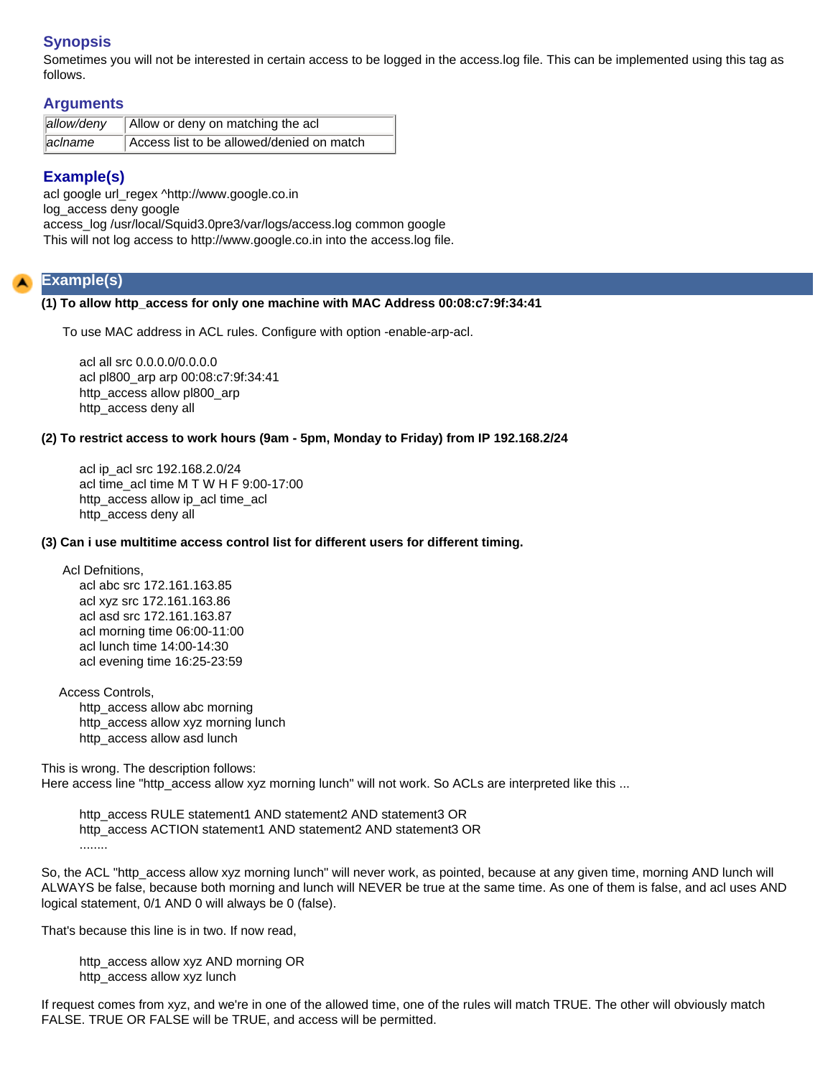Sometimes you will not be interested in certain access to be logged in the access.log file. This can be implemented using this tag as follows.

# **Arguments**

| allow/deny | Allow or deny on matching the acl         |
|------------|-------------------------------------------|
| aclname    | Access list to be allowed/denied on match |

# **Example(s)**

acl google url\_regex ^http://www.google.co.in log\_access deny google access\_log /usr/local/Squid3.0pre3/var/logs/access.log common google This will not log access to http://www.google.co.in into the access.log file.

# <span id="page-60-0"></span>**Example(s)**

#### **(1) To allow http\_access for only one machine with MAC Address 00:08:c7:9f:34:41**

To use MAC address in ACL rules. Configure with option -enable-arp-acl.

acl all src 0.0.0.0/0.0.0.0 acl pl800\_arp arp 00:08:c7:9f:34:41 http\_access allow pl800\_arp http\_access deny all

#### <span id="page-60-1"></span>**(2) To restrict access to work hours (9am - 5pm, Monday to Friday) from IP 192.168.2/24**

acl ip\_acl src 192.168.2.0/24 acl time\_acl time M T W H F 9:00-17:00 http\_access allow ip\_acl time\_acl http\_access deny all

#### <span id="page-60-2"></span>**(3) Can i use multitime access control list for different users for different timing.**

Acl Defnitions,

acl abc src 172.161.163.85 acl xyz src 172.161.163.86 acl asd src 172.161.163.87 acl morning time 06:00-11:00 acl lunch time 14:00-14:30 acl evening time 16:25-23:59

 Access Controls, http\_access allow abc morning http\_access allow xyz morning lunch

http\_access allow asd lunch

This is wrong. The description follows: Here access line "http\_access allow xyz morning lunch" will not work. So ACLs are interpreted like this ...

http\_access RULE statement1 AND statement2 AND statement3 OR http\_access ACTION statement1 AND statement2 AND statement3 OR ........

So, the ACL "http\_access allow xyz morning lunch" will never work, as pointed, because at any given time, morning AND lunch will ALWAYS be false, because both morning and lunch will NEVER be true at the same time. As one of them is false, and acl uses AND logical statement, 0/1 AND 0 will always be 0 (false).

That's because this line is in two. If now read,

http\_access allow xyz AND morning OR http\_access allow xyz lunch

If request comes from xyz, and we're in one of the allowed time, one of the rules will match TRUE. The other will obviously match FALSE. TRUE OR FALSE will be TRUE, and access will be permitted.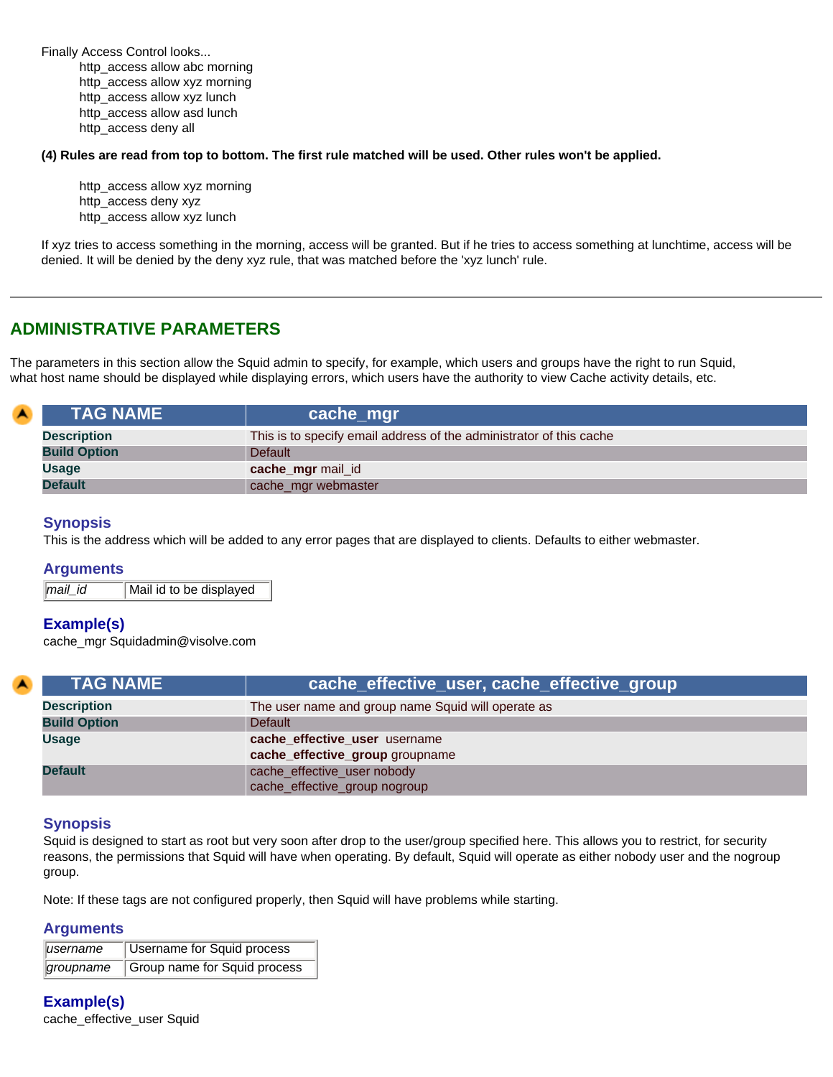Finally Access Control looks... http\_access allow abc morning http\_access allow xyz morning http\_access allow xyz lunch http\_access allow asd lunch http\_access deny all

<span id="page-61-0"></span>**(4) Rules are read from top to bottom. The first rule matched will be used. Other rules won't be applied.**

http\_access allow xyz morning http\_access deny xyz http\_access allow xyz lunch

If xyz tries to access something in the morning, access will be granted. But if he tries to access something at lunchtime, access will be denied. It will be denied by the deny xyz rule, that was matched before the 'xyz lunch' rule.

# **ADMINISTRATIVE PARAMETERS**

The parameters in this section allow the Squid admin to specify, for example, which users and groups have the right to run Squid, what host name should be displayed while displaying errors, which users have the authority to view Cache activity details, etc.

| $\blacktriangle$ | <b>TAG NAME</b>     | cache_mgr                                                           |
|------------------|---------------------|---------------------------------------------------------------------|
|                  | <b>Description</b>  | This is to specify email address of the administrator of this cache |
|                  | <b>Build Option</b> | <b>Default</b>                                                      |
|                  | Usage               | cache_mgr mail_id                                                   |
|                  | <b>Default</b>      | cache_mgr webmaster                                                 |

#### **Synopsis**

This is the address which will be added to any error pages that are displayed to clients. Defaults to either webmaster.

#### **Arguments**

*mail\_id* Mail id to be displayed

#### **Example(s)**

cache\_mgr Squidadmin@visolve.com

| A). | <b>TAG NAME</b>     | cache_effective_user, cache_effective_group                      |
|-----|---------------------|------------------------------------------------------------------|
|     | <b>Description</b>  | The user name and group name Squid will operate as               |
|     | <b>Build Option</b> | Default                                                          |
|     | Usage               | cache_effective_user username<br>cache_effective_group groupname |
|     | <b>Default</b>      | cache_effective_user nobody<br>cache_effective_group nogroup     |

## **Synopsis**

Squid is designed to start as root but very soon after drop to the user/group specified here. This allows you to restrict, for security reasons, the permissions that Squid will have when operating. By default, Squid will operate as either nobody user and the nogroup group.

Note: If these tags are not configured properly, then Squid will have problems while starting.

#### **Arguments**

| username | Username for Squid process             |
|----------|----------------------------------------|
|          | groupname Group name for Squid process |

**Example(s)**

cache\_effective\_user Squid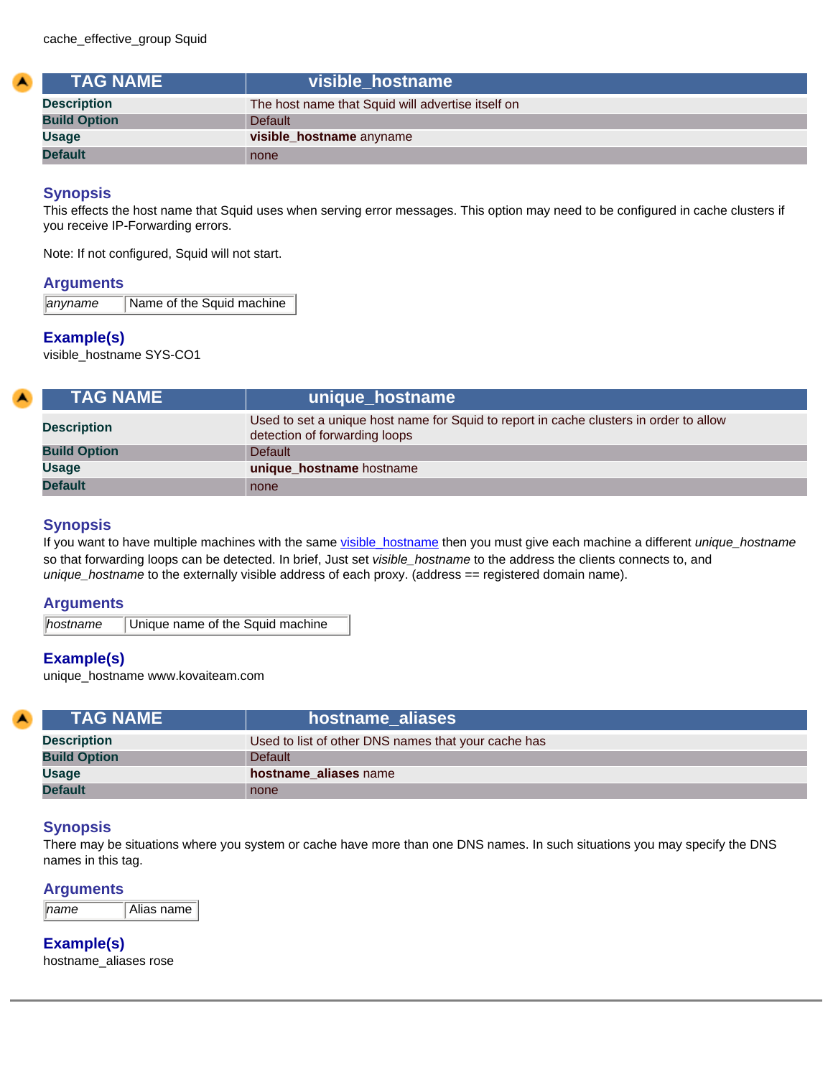<span id="page-62-0"></span>

| <b>TAG NAME</b>     | visible hostname                                  |
|---------------------|---------------------------------------------------|
| <b>Description</b>  | The host name that Squid will advertise itself on |
| <b>Build Option</b> | <b>Default</b>                                    |
| <b>Usage</b>        | visible hostname anyname                          |
| <b>Default</b>      | none                                              |

This effects the host name that Squid uses when serving error messages. This option may need to be configured in cache clusters if you receive IP-Forwarding errors.

Note: If not configured, Squid will not start.

#### **Arguments**

**anyname** Name of the Squid machine

## **Example(s)**

visible\_hostname SYS-CO1

| <b>TAG NAME</b>     | unique_hostname                                                                                                         |
|---------------------|-------------------------------------------------------------------------------------------------------------------------|
| <b>Description</b>  | Used to set a unique host name for Squid to report in cache clusters in order to allow<br>detection of forwarding loops |
| <b>Build Option</b> | Default                                                                                                                 |
| <b>Usage</b>        | unique_hostname hostname                                                                                                |
| <b>Default</b>      | none                                                                                                                    |

# **Synopsis**

If you want to have multiple machines with the same [visible\\_hostname](#page-62-0) then you must give each machine a different *unique\_hostname* so that forwarding loops can be detected. In brief, Just set *visible\_hostname* to the address the clients connects to, and *unique\_hostname* to the externally visible address of each proxy. (address == registered domain name).

#### **Arguments**

**hostname** Unique name of the Squid machine

## **Example(s)**

unique\_hostname www.kovaiteam.com

| <b>TAG NAME</b>     | hostname aliases                                    |
|---------------------|-----------------------------------------------------|
| <b>Description</b>  | Used to list of other DNS names that your cache has |
| <b>Build Option</b> | <b>Default</b>                                      |
| <b>Usage</b>        | hostname aliases name                               |
| <b>Default</b>      | none                                                |

## **Synopsis**

There may be situations where you system or cache have more than one DNS names. In such situations you may specify the DNS names in this tag.

## **Arguments**

**Example(s)**

hostname\_aliases rose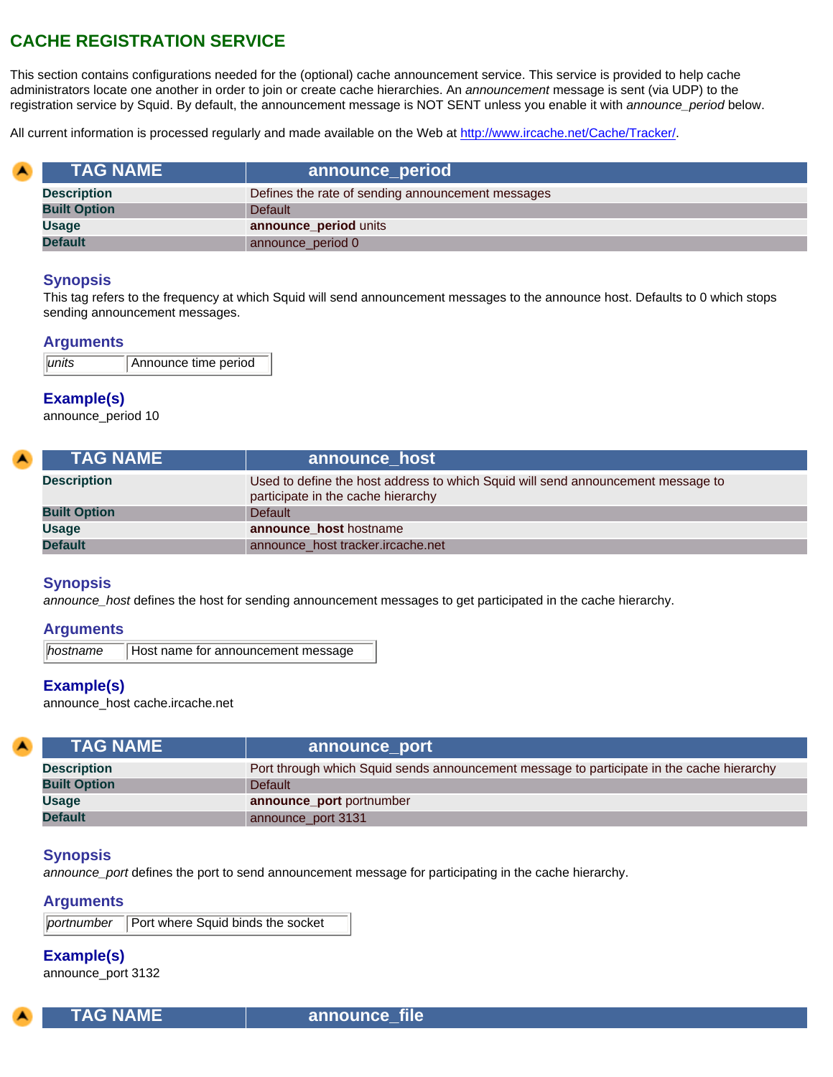# **CACHE REGISTRATION SERVICE**

This section contains configurations needed for the (optional) cache announcement service. This service is provided to help cache administrators locate one another in order to join or create cache hierarchies. An *announcement* message is sent (via UDP) to the registration service by Squid. By default, the announcement message is NOT SENT unless you enable it with *announce\_period* below.

All current information is processed regularly and made available on the Web at [http://www.ircache.net/Cache/Tracker/.](https://www.ircache.net/Cache/Tracker/)

| <b>TAG NAME</b>     | announce_period                                   |
|---------------------|---------------------------------------------------|
| <b>Description</b>  | Defines the rate of sending announcement messages |
| <b>Built Option</b> | <b>Default</b>                                    |
| <b>Usage</b>        | announce_period units                             |
| <b>Default</b>      | announce_period 0                                 |

## **Synopsis**

This tag refers to the frequency at which Squid will send announcement messages to the announce host. Defaults to 0 which stops sending announcement messages.

#### **Arguments**

| $ $ <i>units</i> | Announce time period |
|------------------|----------------------|
|                  |                      |

## **Example(s)**

announce\_period 10

| <b>TAG NAME</b>     | announce host                                                                                                          |
|---------------------|------------------------------------------------------------------------------------------------------------------------|
| <b>Description</b>  | Used to define the host address to which Squid will send announcement message to<br>participate in the cache hierarchy |
| <b>Built Option</b> | <b>Default</b>                                                                                                         |
| Usage               | announce_host hostname                                                                                                 |
| <b>Default</b>      | announce_host tracker.ircache.net                                                                                      |

#### **Synopsis**

*announce\_host* defines the host for sending announcement messages to get participated in the cache hierarchy.

#### **Arguments**

**hostname Host name for announcement message** 

## **Example(s)**

announce\_host cache.ircache.net

| <b>TAG NAME</b>     | announce_port                                                                             |
|---------------------|-------------------------------------------------------------------------------------------|
| <b>Description</b>  | Port through which Squid sends announcement message to participate in the cache hierarchy |
| <b>Built Option</b> | <b>Default</b>                                                                            |
| <b>Usage</b>        | announce_port portnumber                                                                  |
| <b>Default</b>      | announce_port 3131                                                                        |

#### **Synopsis**

*announce\_port* defines the port to send announcement message for participating in the cache hierarchy.

#### **Arguments**

**portnumber** Port where Squid binds the socket

## **Example(s)**

announce\_port 3132

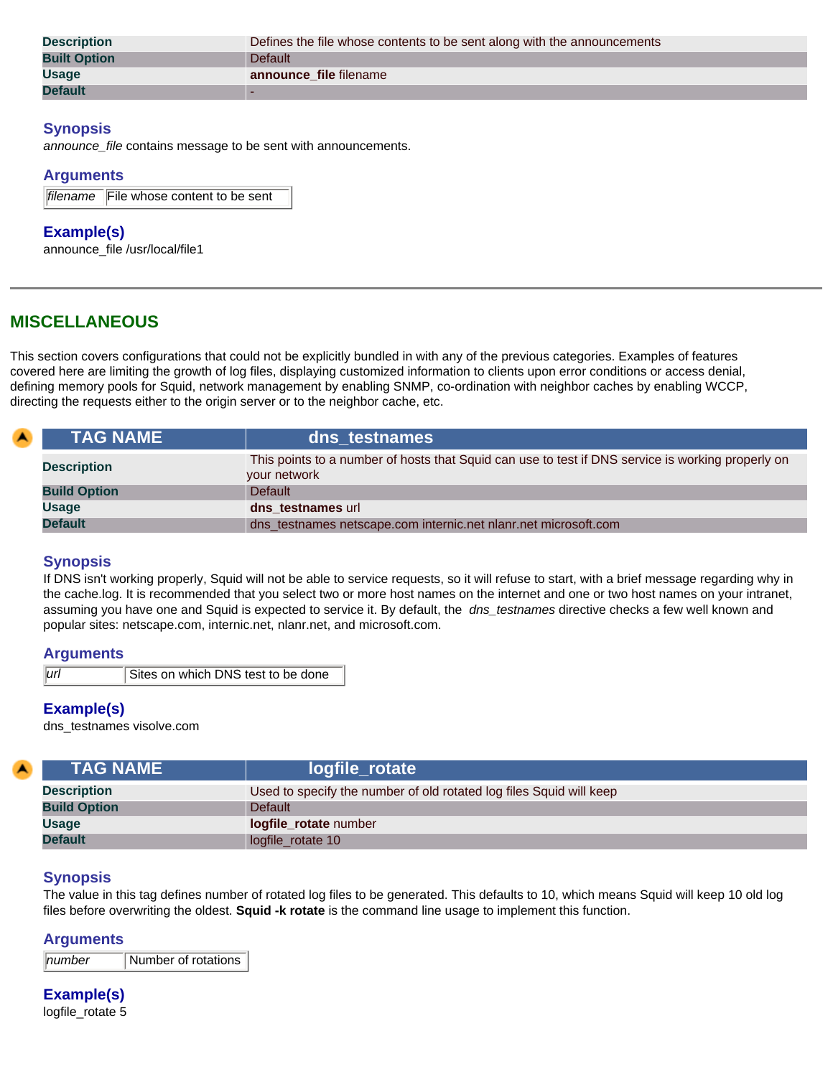| <b>Description</b>  | Defines the file whose contents to be sent along with the announcements |
|---------------------|-------------------------------------------------------------------------|
| <b>Built Option</b> | Default                                                                 |
| <b>Usage</b>        | announce file filename                                                  |
| <b>Default</b>      |                                                                         |

*announce\_file* contains message to be sent with announcements.

#### **Arguments**

|  | filename File whose content to be sent |
|--|----------------------------------------|
|--|----------------------------------------|

#### **Example(s)**

announce\_file /usr/local/file1

# **MISCELLANEOUS**

This section covers configurations that could not be explicitly bundled in with any of the previous categories. Examples of features covered here are limiting the growth of log files, displaying customized information to clients upon error conditions or access denial, defining memory pools for Squid, network management by enabling SNMP, co-ordination with neighbor caches by enabling WCCP, directing the requests either to the origin server or to the neighbor cache, etc.

| <b>\TAG NAME \</b>  | dns testnames                                                                                                     |
|---------------------|-------------------------------------------------------------------------------------------------------------------|
| <b>Description</b>  | This points to a number of hosts that Squid can use to test if DNS service is working properly on<br>your network |
| <b>Build Option</b> | <b>Default</b>                                                                                                    |
| <b>Usage</b>        | dns testnames url                                                                                                 |
| <b>Default</b>      | dns_testnames netscape.com internic.net nlanr.net microsoft.com                                                   |

## **Synopsis**

If DNS isn't working properly, Squid will not be able to service requests, so it will refuse to start, with a brief message regarding why in the cache.log. It is recommended that you select two or more host names on the internet and one or two host names on your intranet, assuming you have one and Squid is expected to service it. By default, the *dns\_testnames* directive checks a few well known and popular sites: netscape.com, internic.net, nlanr.net, and microsoft.com.

#### **Arguments**

*url* Sites on which DNS test to be done

## **Example(s)**

dns\_testnames visolve.com

| <b>TAG NAME</b>     | logfile_rotate                                                      |
|---------------------|---------------------------------------------------------------------|
| <b>Description</b>  | Used to specify the number of old rotated log files Squid will keep |
| <b>Build Option</b> | <b>Default</b>                                                      |
| <b>Usage</b>        | logfile_rotate number                                               |
| <b>Default</b>      | logfile_rotate 10                                                   |

## **Synopsis**

The value in this tag defines number of rotated log files to be generated. This defaults to 10, which means Squid will keep 10 old log files before overwriting the oldest. **Squid -k rotate** is the command line usage to implement this function.

#### **Arguments**

*number* Number of rotations

# **Example(s)**

logfile\_rotate 5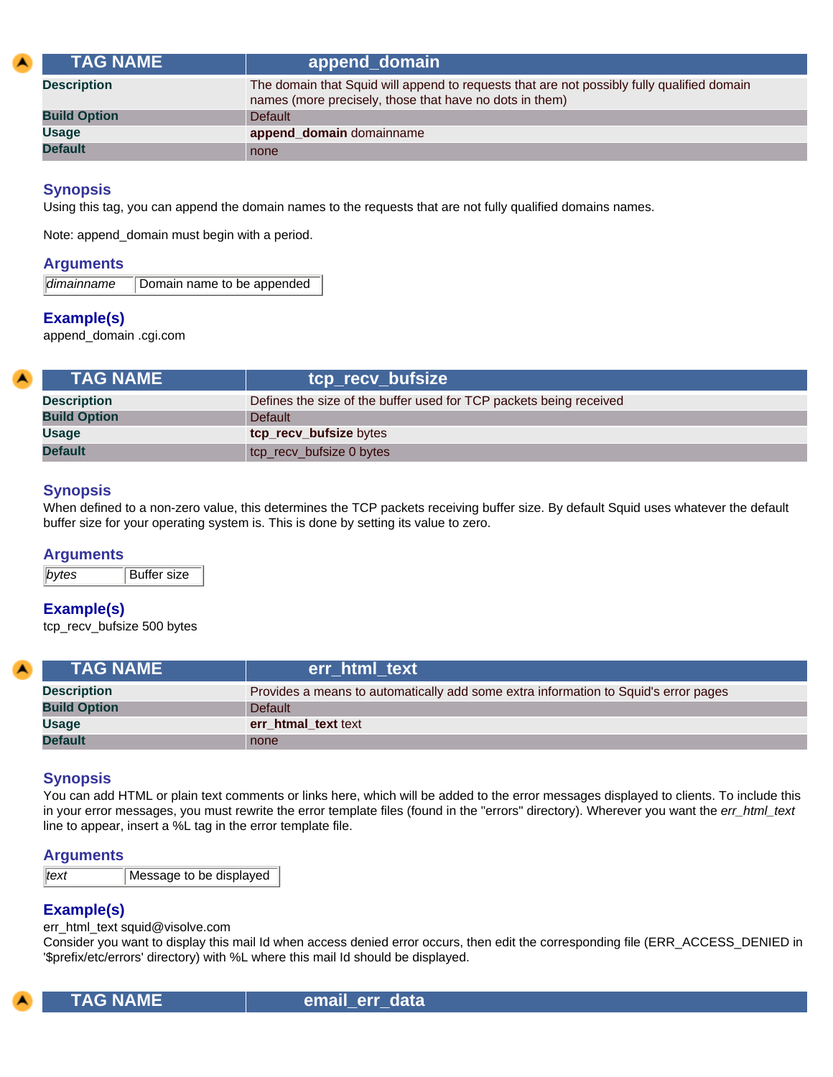| <b>TAG NAME</b>     | append_domain                                                                                                                                         |
|---------------------|-------------------------------------------------------------------------------------------------------------------------------------------------------|
| <b>Description</b>  | The domain that Squid will append to requests that are not possibly fully qualified domain<br>names (more precisely, those that have no dots in them) |
| <b>Build Option</b> | <b>Default</b>                                                                                                                                        |
| <b>Usage</b>        | append_domain domainname                                                                                                                              |
| <b>Default</b>      | none                                                                                                                                                  |

Using this tag, you can append the domain names to the requests that are not fully qualified domains names.

Note: append\_domain must begin with a period.

#### **Arguments**

|  |  | dimainname | Domain name to be appended |
|--|--|------------|----------------------------|
|--|--|------------|----------------------------|

# **Example(s)**

append\_domain .cgi.com

| <b>TAG NAME \</b>   | tcp_recv_bufsize                                                   |
|---------------------|--------------------------------------------------------------------|
| <b>Description</b>  | Defines the size of the buffer used for TCP packets being received |
| <b>Build Option</b> | <b>Default</b>                                                     |
| <b>Usage</b>        | tcp_recv_bufsize bytes                                             |
| <b>Default</b>      | tcp_recv_bufsize 0 bytes                                           |

#### **Synopsis**

When defined to a non-zero value, this determines the TCP packets receiving buffer size. By default Squid uses whatever the default buffer size for your operating system is. This is done by setting its value to zero.

#### **Arguments**

**bytes** Buffer size

## **Example(s)**

tcp\_recv\_bufsize 500 bytes

| <b>TAG NAME</b>     | err html text                                                                       |
|---------------------|-------------------------------------------------------------------------------------|
| <b>Description</b>  | Provides a means to automatically add some extra information to Squid's error pages |
| <b>Build Option</b> | <b>Default</b>                                                                      |
| <b>Usage</b>        | err htmal text text                                                                 |
| <b>Default</b>      | none                                                                                |

## **Synopsis**

You can add HTML or plain text comments or links here, which will be added to the error messages displayed to clients. To include this in your error messages, you must rewrite the error template files (found in the "errors" directory). Wherever you want the *err\_html\_text* line to appear, insert a %L tag in the error template file.

#### **Arguments**

| text<br>Message to be displayed |  |
|---------------------------------|--|
|---------------------------------|--|

## **Example(s)**

err\_html\_text squid@visolve.com

Consider you want to display this mail Id when access denied error occurs, then edit the corresponding file (ERR\_ACCESS\_DENIED in '\$prefix/etc/errors' directory) with %L where this mail Id should be displayed.



**TAG NAME email err data**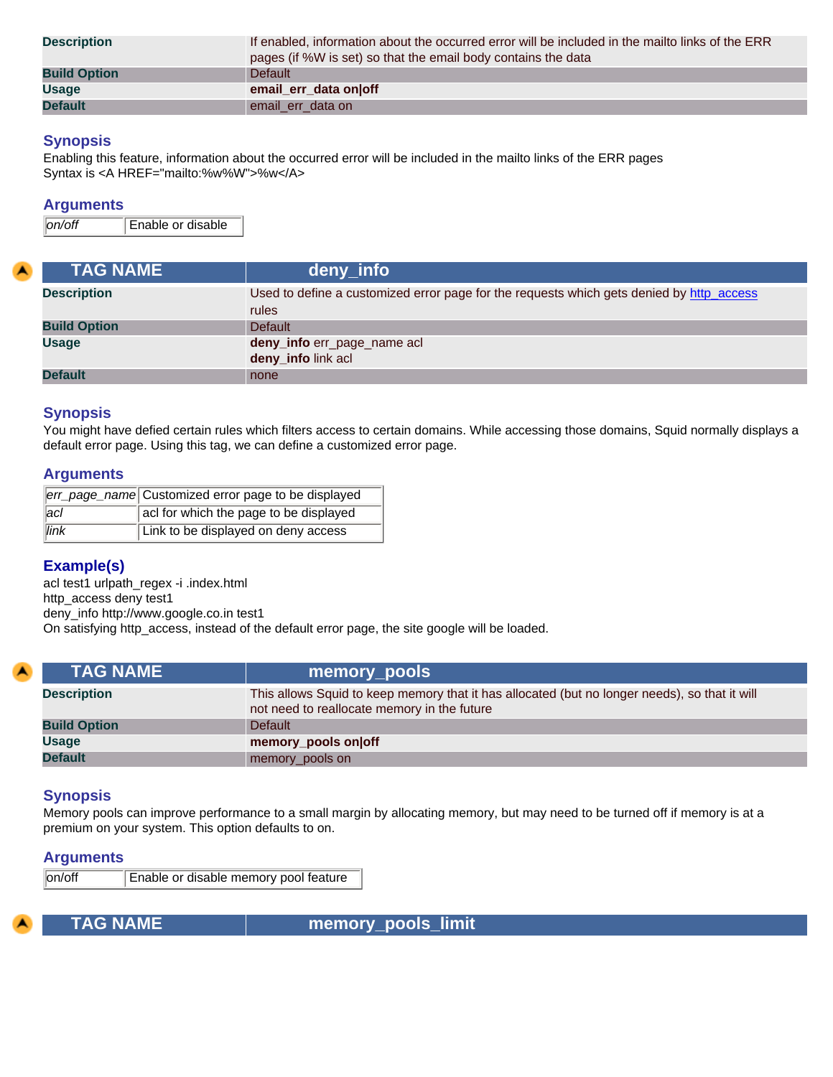| <b>Description</b>  | If enabled, information about the occurred error will be included in the mailto links of the ERR<br>pages (if %W is set) so that the email body contains the data |
|---------------------|-------------------------------------------------------------------------------------------------------------------------------------------------------------------|
| <b>Build Option</b> | Default                                                                                                                                                           |
| <b>Usage</b>        | email err data onloff                                                                                                                                             |
| <b>Default</b>      | email_err_data on                                                                                                                                                 |

Enabling this feature, information about the occurred error will be included in the mailto links of the ERR pages Syntax is <A HREF="mailto:%w%W">%w</A>

## **Arguments**

*on/off* Enable or disable

| <b>TAG NAME</b>     | deny_info                                                                                |
|---------------------|------------------------------------------------------------------------------------------|
| <b>Description</b>  | Used to define a customized error page for the requests which gets denied by http_access |
|                     | rules                                                                                    |
| <b>Build Option</b> | <b>Default</b>                                                                           |
| <b>Usage</b>        | deny_info err_page_name acl                                                              |
|                     | deny_info link acl                                                                       |
| <b>Default</b>      | none                                                                                     |

# **Synopsis**

You might have defied certain rules which filters access to certain domains. While accessing those domains, Squid normally displays a default error page. Using this tag, we can define a customized error page.

# **Arguments**

|               | err_page_name Customized error page to be displayed |
|---------------|-----------------------------------------------------|
| $ _{\rm acl}$ | acl for which the page to be displayed              |
| link          | Link to be displayed on deny access                 |

# **Example(s)**

acl test1 urlpath\_regex -i .index.html http\_access deny test1 deny\_info http://www.google.co.in test1 On satisfying http\_access, instead of the default error page, the site google will be loaded.

| <b>TAG NAME \</b>   | memory_pools                                                                                                                                 |
|---------------------|----------------------------------------------------------------------------------------------------------------------------------------------|
| <b>Description</b>  | This allows Squid to keep memory that it has allocated (but no longer needs), so that it will<br>not need to reallocate memory in the future |
| <b>Build Option</b> | <b>Default</b>                                                                                                                               |
| <b>Usage</b>        | memory_pools on off                                                                                                                          |
| <b>Default</b>      | memory_pools on                                                                                                                              |

# **Synopsis**

Memory pools can improve performance to a small margin by allocating memory, but may need to be turned off if memory is at a premium on your system. This option defaults to on.

## **Arguments**

on/off Enable or disable memory pool feature



 **TAG NAME memory\_pools\_limit**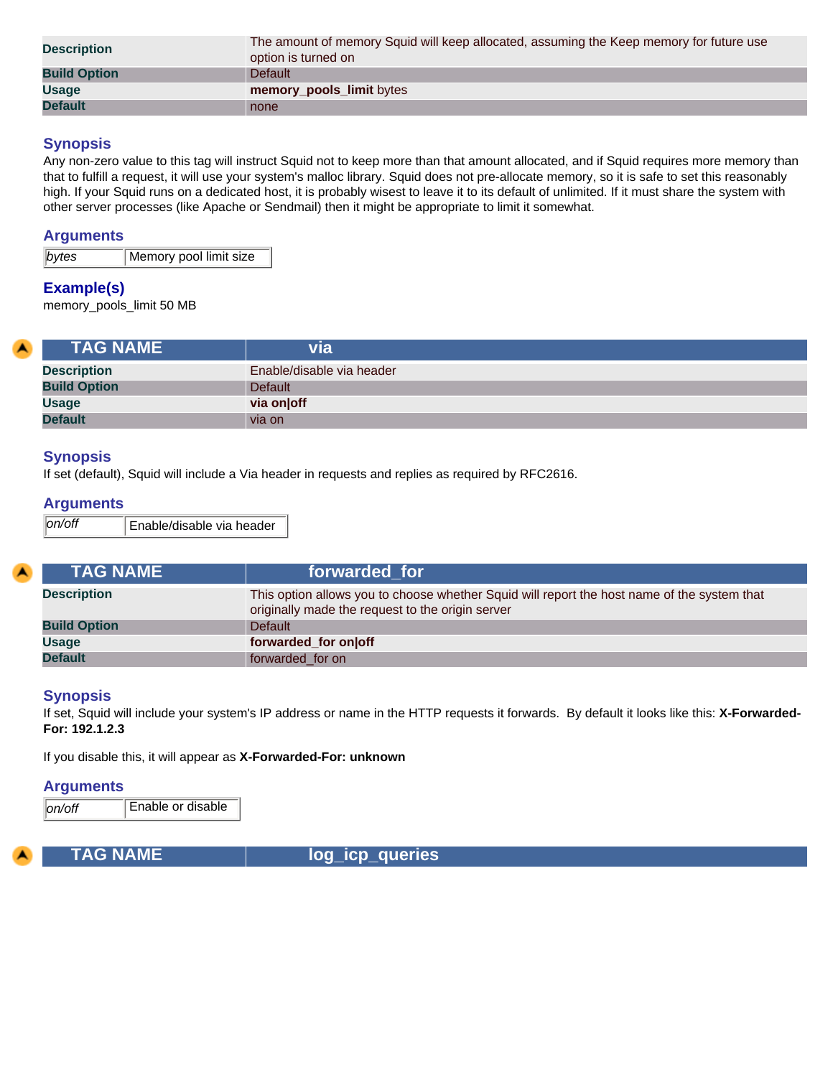| <b>Description</b>  | The amount of memory Squid will keep allocated, assuming the Keep memory for future use<br>option is turned on |
|---------------------|----------------------------------------------------------------------------------------------------------------|
| <b>Build Option</b> | <b>Default</b>                                                                                                 |
| <b>Usage</b>        | memory_pools_limit bytes                                                                                       |
| <b>Default</b>      | none                                                                                                           |

Any non-zero value to this tag will instruct Squid not to keep more than that amount allocated, and if Squid requires more memory than that to fulfill a request, it will use your system's malloc library. Squid does not pre-allocate memory, so it is safe to set this reasonably high. If your Squid runs on a dedicated host, it is probably wisest to leave it to its default of unlimited. If it must share the system with other server processes (like Apache or Sendmail) then it might be appropriate to limit it somewhat.

# **Arguments**

**bytes** Memory pool limit size

# **Example(s)**

memory\_pools\_limit 50 MB

| <b>TAG NAME</b>     | via                       |
|---------------------|---------------------------|
| <b>Description</b>  | Enable/disable via header |
| <b>Build Option</b> | Default                   |
| <b>Usage</b>        | via on off                |
| <b>Default</b>      | via on                    |

# **Synopsis**

If set (default), Squid will include a Via header in requests and replies as required by RFC2616.

#### **Arguments**

| <b>TAG NAME</b>     | forwarded for                                                                                                                                   |
|---------------------|-------------------------------------------------------------------------------------------------------------------------------------------------|
| <b>Description</b>  | This option allows you to choose whether Squid will report the host name of the system that<br>originally made the request to the origin server |
| <b>Build Option</b> | Default                                                                                                                                         |
| <b>Usage</b>        | forwarded_for on off                                                                                                                            |
| <b>Default</b>      | forwarded for on                                                                                                                                |

#### **Synopsis**

If set, Squid will include your system's IP address or name in the HTTP requests it forwards. By default it looks like this: **X-Forwarded-For: 192.1.2.3**

If you disable this, it will appear as **X-Forwarded-For: unknown**

#### **Arguments**

*on/off* Enable or disable

**TAG NAME log\_icp\_queries**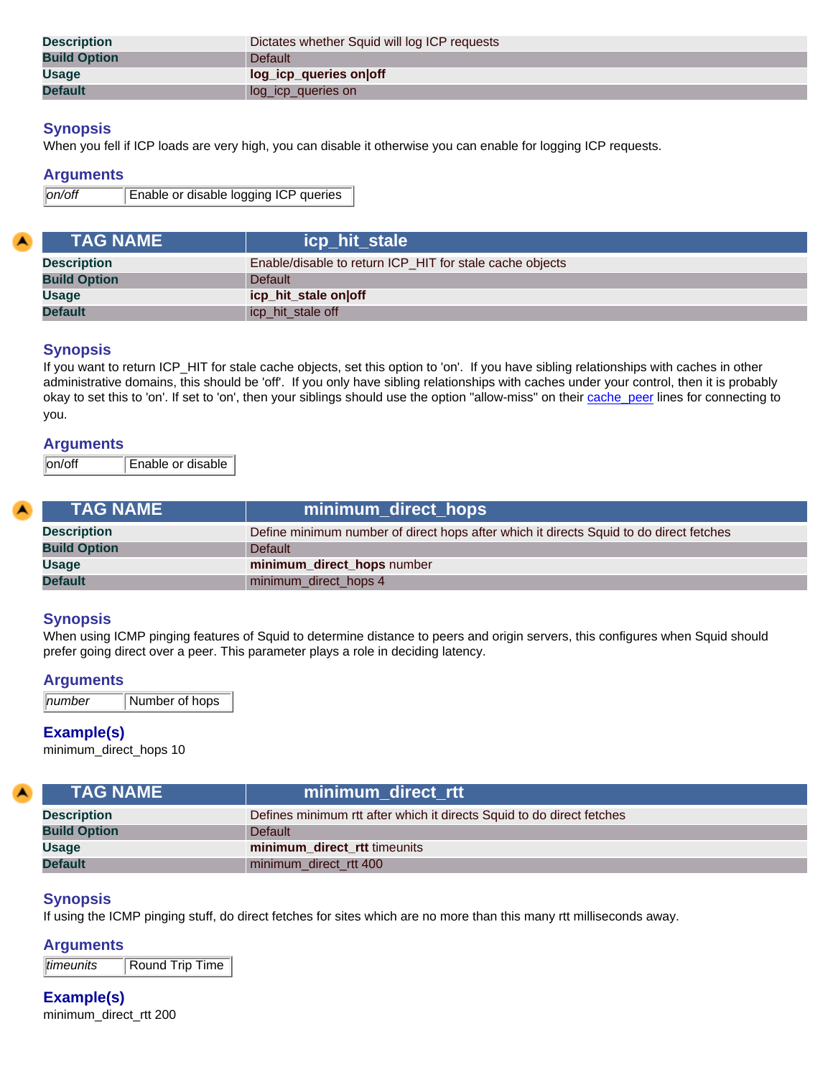| <b>Description</b>  | Dictates whether Squid will log ICP requests |
|---------------------|----------------------------------------------|
| <b>Build Option</b> | Default                                      |
| <b>Usage</b>        | log_icp_queries on off                       |
| <b>Default</b>      | log_icp_queries on                           |

When you fell if ICP loads are very high, you can disable it otherwise you can enable for logging ICP requests.

#### **Arguments**

*on/off* Enable or disable logging ICP queries

| <b>TAG NAME</b>     | icp_hit_stale                                            |
|---------------------|----------------------------------------------------------|
| <b>Description</b>  | Enable/disable to return ICP HIT for stale cache objects |
| <b>Build Option</b> | Default                                                  |
| <b>Usage</b>        | icp_hit_stale on off                                     |
| <b>Default</b>      | icp_hit_stale off                                        |

# **Synopsis**

If you want to return ICP\_HIT for stale cache objects, set this option to 'on'. If you have sibling relationships with caches in other administrative domains, this should be 'off'. If you only have sibling relationships with caches under your control, then it is probably okay to set this to 'on'. If set to 'on', then your siblings should use the option "allow-miss" on their [cache\\_peer](#page-9-0) lines for connecting to you.

#### **Arguments**

on/off Enable or disable

| <b>TAG NAME</b>     | minimum_direct_hops                                                                    |
|---------------------|----------------------------------------------------------------------------------------|
| <b>Description</b>  | Define minimum number of direct hops after which it directs Squid to do direct fetches |
| <b>Build Option</b> | <b>Default</b>                                                                         |
| <b>Usage</b>        | minimum_direct_hops number                                                             |
| <b>Default</b>      | minimum_direct_hops 4                                                                  |

## **Synopsis**

When using ICMP pinging features of Squid to determine distance to peers and origin servers, this configures when Squid should prefer going direct over a peer. This parameter plays a role in deciding latency.

#### **Arguments**

*number* Number of hops

## **Example(s)**

minimum\_direct\_hops 10

| <b>TAG NAME</b>     | minimum direct rtt                                                    |
|---------------------|-----------------------------------------------------------------------|
| <b>Description</b>  | Defines minimum rtt after which it directs Squid to do direct fetches |
| <b>Build Option</b> | <b>Default</b>                                                        |
| <b>Usage</b>        | minimum direct rtt timeunits                                          |
| <b>Default</b>      | minimum direct rtt 400                                                |

## **Synopsis**

If using the ICMP pinging stuff, do direct fetches for sites which are no more than this many rtt milliseconds away.

#### **Arguments**

*timeunits* Round Trip Time

**Example(s)** minimum\_direct\_rtt 200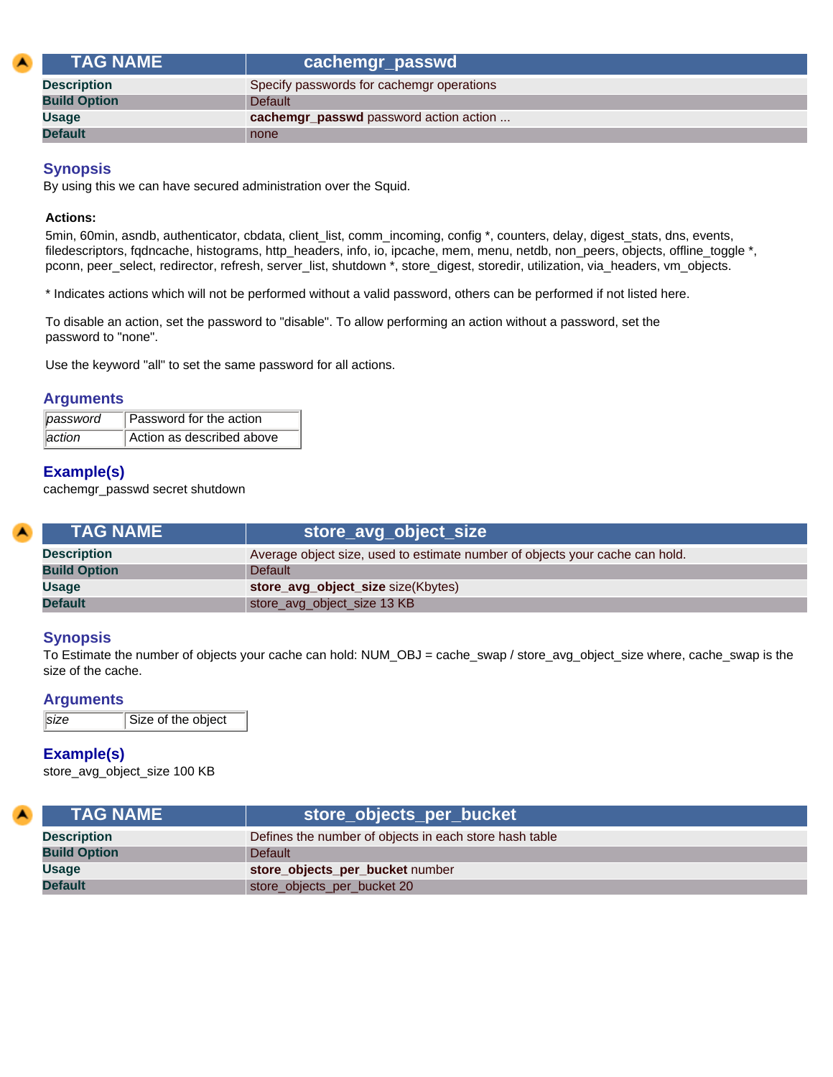| <b>TAG NAME</b>     | cachemgr_passwd                           |
|---------------------|-------------------------------------------|
| <b>Description</b>  | Specify passwords for cachemgr operations |
| <b>Build Option</b> | Default                                   |
| Usage               | cachemgr_passwd password action action    |
| <b>Default</b>      | none                                      |

By using this we can have secured administration over the Squid.

#### **Actions:**

5min, 60min, asndb, authenticator, cbdata, client\_list, comm\_incoming, config \*, counters, delay, digest\_stats, dns, events, filedescriptors, fgdncache, histograms, http\_headers, info, io, ipcache, mem, menu, netdb, non\_peers, objects, offline\_toggle \*, pconn, peer\_select, redirector, refresh, server\_list, shutdown \*, store\_digest, storedir, utilization, via\_headers, vm\_objects.

\* Indicates actions which will not be performed without a valid password, others can be performed if not listed here.

To disable an action, set the password to "disable". To allow performing an action without a password, set the password to "none".

Use the keyword "all" to set the same password for all actions.

## **Arguments**

| password | Password for the action   |
|----------|---------------------------|
| action   | Action as described above |

# **Example(s)**

cachemgr\_passwd secret shutdown

| <b>TAG NAME</b>     | store_avg_object_size                                                        |
|---------------------|------------------------------------------------------------------------------|
| <b>Description</b>  | Average object size, used to estimate number of objects your cache can hold. |
| <b>Build Option</b> | <b>Default</b>                                                               |
| <b>Usage</b>        | store_avg_object_size size(Kbytes)                                           |
| <b>Default</b>      | store_avg_object_size 13 KB                                                  |

## **Synopsis**

To Estimate the number of objects your cache can hold: NUM\_OBJ = cache\_swap / store\_avg\_object\_size where, cache\_swap is the size of the cache.

## **Arguments**

```
size Size of the object
```
# **Example(s)**

store\_avg\_object\_size 100 KB

| $\blacksquare$ | <b>TAG NAME</b>     | store_objects_per_bucket                               |
|----------------|---------------------|--------------------------------------------------------|
|                | <b>Description</b>  | Defines the number of objects in each store hash table |
|                | <b>Build Option</b> | <b>Default</b>                                         |
|                | Usage               | store_objects_per_bucket number                        |
|                | <b>Default</b>      | store_objects_per_bucket 20                            |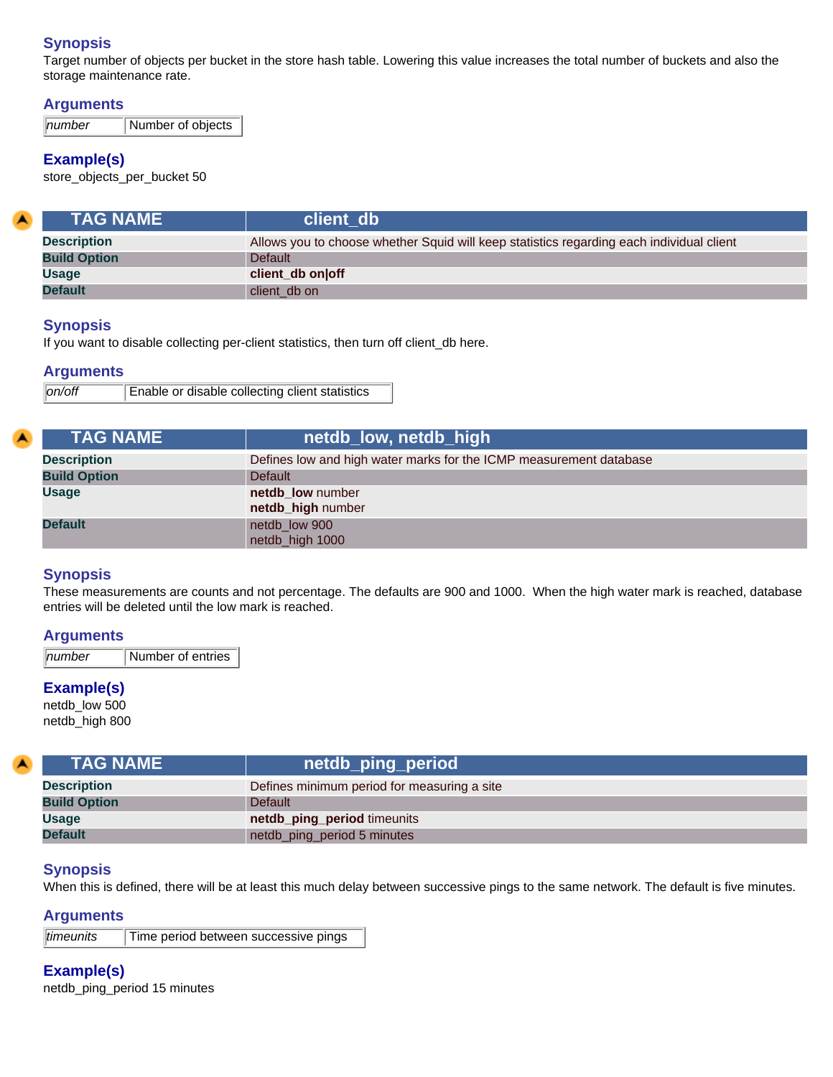Target number of objects per bucket in the store hash table. Lowering this value increases the total number of buckets and also the storage maintenance rate.

# **Arguments**

*number* Number of objects

# **Example(s)**

store\_objects\_per\_bucket 50

| <b>TAG NAME</b>     | client db                                                                                |
|---------------------|------------------------------------------------------------------------------------------|
| <b>Description</b>  | Allows you to choose whether Squid will keep statistics regarding each individual client |
| <b>Build Option</b> | <b>Default</b>                                                                           |
| <b>Usage</b>        | client_db on off                                                                         |
| <b>Default</b>      | client db on                                                                             |

## **Synopsis**

If you want to disable collecting per-client statistics, then turn off client\_db here.

## **Arguments**

| on/off | Enable or disable collecting client statistics |
|--------|------------------------------------------------|
|        |                                                |

| <b>TAG NAME</b>     | netdb_low, netdb_high                                              |
|---------------------|--------------------------------------------------------------------|
| <b>Description</b>  | Defines low and high water marks for the ICMP measurement database |
| <b>Build Option</b> | <b>Default</b>                                                     |
| <b>Usage</b>        | netdb low number                                                   |
|                     | netdb_high number                                                  |
| <b>Default</b>      | netdb low 900                                                      |
|                     | netdb_high 1000                                                    |

# **Synopsis**

These measurements are counts and not percentage. The defaults are 900 and 1000. When the high water mark is reached, database entries will be deleted until the low mark is reached.

#### **Arguments**

*number* Number of entries

## **Example(s)**

netdb\_low 500 netdb\_high 800

| <b>TAG NAME</b>     | netdb_ping_period                           |
|---------------------|---------------------------------------------|
| <b>Description</b>  | Defines minimum period for measuring a site |
| <b>Build Option</b> | Default                                     |
| <b>Usage</b>        | netdb_ping_period timeunits                 |
| <b>Default</b>      | netdb_ping_period 5 minutes                 |

#### **Synopsis**

When this is defined, there will be at least this much delay between successive pings to the same network. The default is five minutes.

#### **Arguments**

*timeunits* Time period between successive pings

**Example(s)** netdb\_ping\_period 15 minutes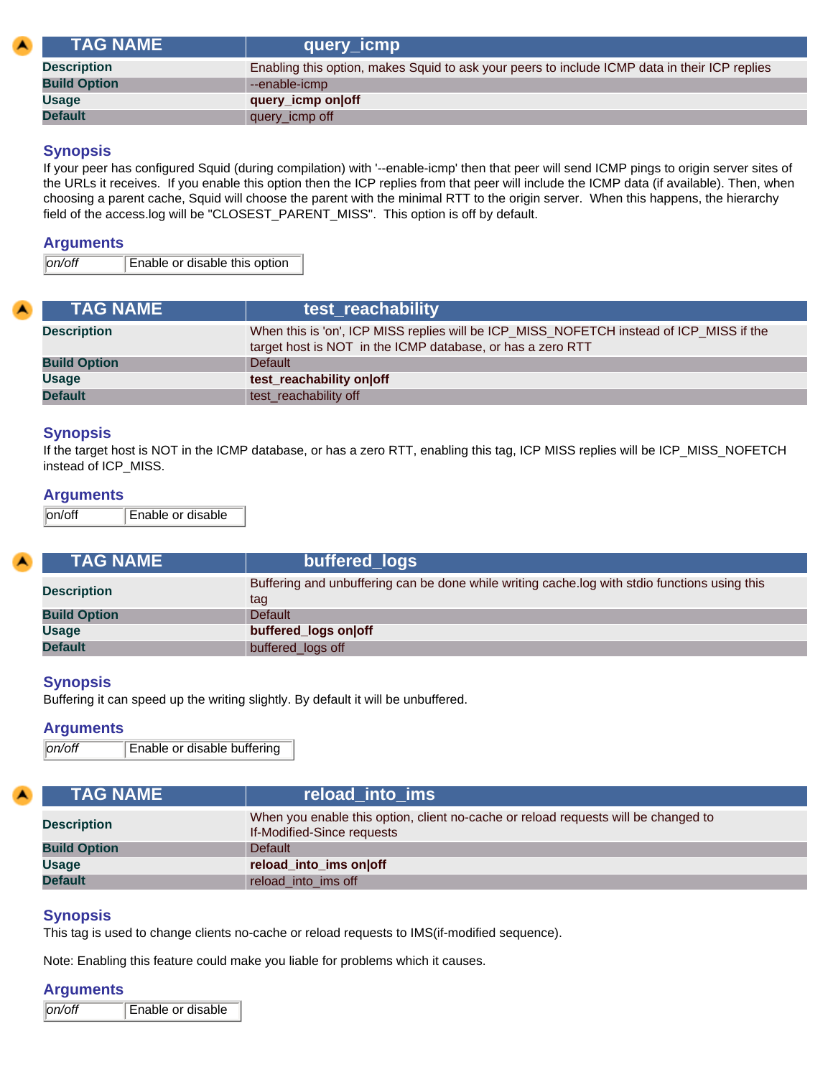| <b>TAG NAME</b>     | query_icmp                                                                                    |
|---------------------|-----------------------------------------------------------------------------------------------|
| <b>Description</b>  | Enabling this option, makes Squid to ask your peers to include ICMP data in their ICP replies |
| <b>Build Option</b> | --enable-icmp                                                                                 |
| <b>Usage</b>        | query_icmp on off                                                                             |
| <b>Default</b>      | query_icmp off                                                                                |

If your peer has configured Squid (during compilation) with '--enable-icmp' then that peer will send ICMP pings to origin server sites of the URLs it receives. If you enable this option then the ICP replies from that peer will include the ICMP data (if available). Then, when choosing a parent cache, Squid will choose the parent with the minimal RTT to the origin server. When this happens, the hierarchy field of the access.log will be "CLOSEST\_PARENT\_MISS". This option is off by default.

#### **Arguments**

*on/off* Enable or disable this option

| <b>ITAG NAME</b>    | test_reachability                                                                                                                                     |
|---------------------|-------------------------------------------------------------------------------------------------------------------------------------------------------|
| <b>Description</b>  | When this is 'on', ICP MISS replies will be ICP_MISS_NOFETCH instead of ICP_MISS if the<br>target host is NOT in the ICMP database, or has a zero RTT |
| <b>Build Option</b> | <b>Default</b>                                                                                                                                        |
| <b>Usage</b>        | test_reachability on off                                                                                                                              |
| <b>Default</b>      | test reachability off                                                                                                                                 |

#### **Synopsis**

If the target host is NOT in the ICMP database, or has a zero RTT, enabling this tag, ICP MISS replies will be ICP\_MISS\_NOFETCH instead of ICP\_MISS.

#### **Arguments**

on/off Enable or disable

| <b>TAG NAME</b>     | buffered_logs                                                                                        |
|---------------------|------------------------------------------------------------------------------------------------------|
| <b>Description</b>  | Buffering and unbuffering can be done while writing cache.log with stdio functions using this<br>tag |
| <b>Build Option</b> | <b>Default</b>                                                                                       |
| <b>Usage</b>        | buffered_logs on off                                                                                 |
| <b>Default</b>      | buffered_logs off                                                                                    |

## **Synopsis**

Buffering it can speed up the writing slightly. By default it will be unbuffered.

#### **Arguments**

*on/off* Enable or disable buffering

| <b>TAG NAME</b>     | reload into ims                                                                                                  |
|---------------------|------------------------------------------------------------------------------------------------------------------|
| <b>Description</b>  | When you enable this option, client no-cache or reload requests will be changed to<br>If-Modified-Since requests |
| <b>Build Option</b> | <b>Default</b>                                                                                                   |
| Usage               | reload_into_ims on off                                                                                           |
| <b>Default</b>      | reload into ims off                                                                                              |

## **Synopsis**

This tag is used to change clients no-cache or reload requests to IMS(if-modified sequence).

Note: Enabling this feature could make you liable for problems which it causes.

#### **Arguments**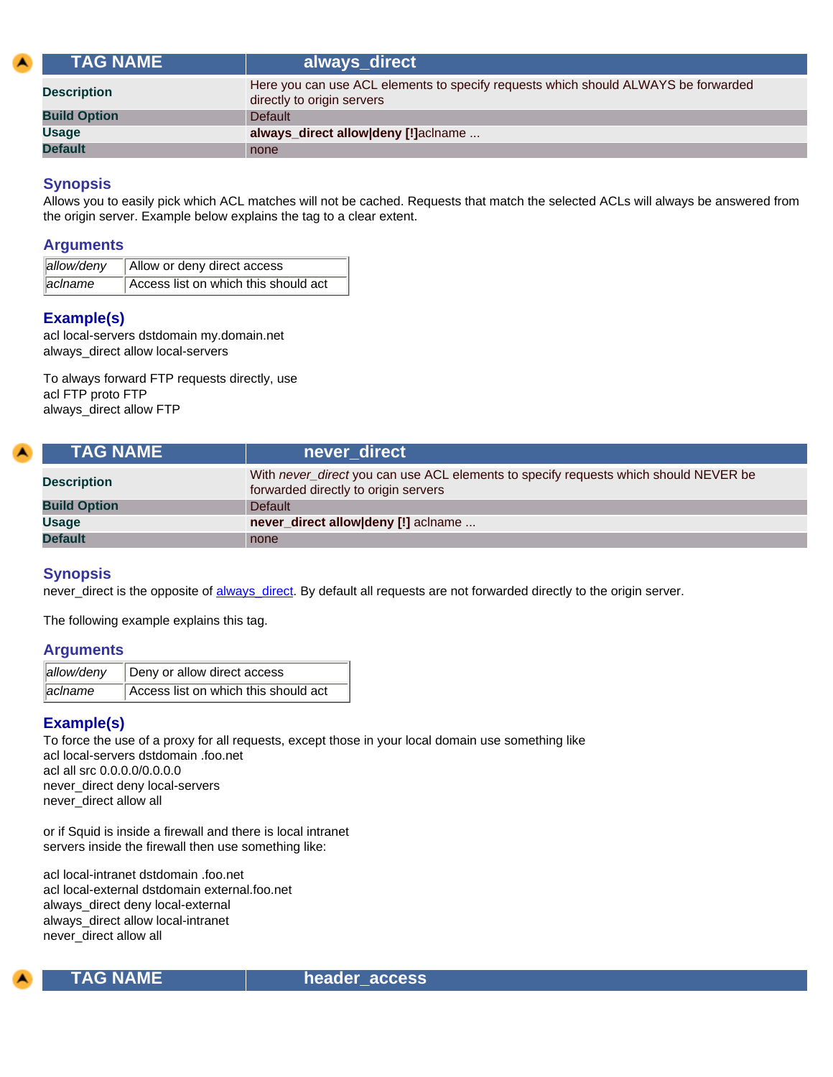<span id="page-72-0"></span>

| <b>TAG NAME</b> \   | always_direct                                                                                                    |
|---------------------|------------------------------------------------------------------------------------------------------------------|
| <b>Description</b>  | Here you can use ACL elements to specify requests which should ALWAYS be forwarded<br>directly to origin servers |
| <b>Build Option</b> | <b>Default</b>                                                                                                   |
| <b>Usage</b>        | always_direct allow deny [!] aclname                                                                             |
| <b>Default</b>      | none                                                                                                             |

Allows you to easily pick which ACL matches will not be cached. Requests that match the selected ACLs will always be answered from the origin server. Example below explains the tag to a clear extent.

#### **Arguments**

| allow/deny | Allow or deny direct access          |
|------------|--------------------------------------|
| aclname    | Access list on which this should act |

## **Example(s)**

acl local-servers dstdomain my.domain.net always\_direct allow local-servers

To always forward FTP requests directly, use acl FTP proto FTP always\_direct allow FTP

<span id="page-72-2"></span>

| <b>\TAG NAME \</b>  | never_direct                                                                                                                 |  |
|---------------------|------------------------------------------------------------------------------------------------------------------------------|--|
| <b>Description</b>  | With never_direct you can use ACL elements to specify requests which should NEVER be<br>forwarded directly to origin servers |  |
| <b>Build Option</b> | <b>Default</b>                                                                                                               |  |
| <b>Usage</b>        | never_direct allow deny [!] aclname                                                                                          |  |
| <b>Default</b>      | none                                                                                                                         |  |

## **Synopsis**

never\_direct is the opposite of [always\\_direct.](#page-72-0) By default all requests are not forwarded directly to the origin server.

The following example explains this tag.

#### **Arguments**

|         | allow/deny   Deny or allow direct access |
|---------|------------------------------------------|
| aclname | Access list on which this should act     |

### **Example(s)**

To force the use of a proxy for all requests, except those in your local domain use something like acl local-servers dstdomain .foo.net acl all src 0.0.0.0/0.0.0.0 never\_direct deny local-servers never\_direct allow all

or if Squid is inside a firewall and there is local intranet servers inside the firewall then use something like:

acl local-intranet dstdomain .foo.net acl local-external dstdomain external.foo.net always\_direct deny local-external always\_direct allow local-intranet never\_direct allow all

<span id="page-72-1"></span>

 **TAG NAME header\_access**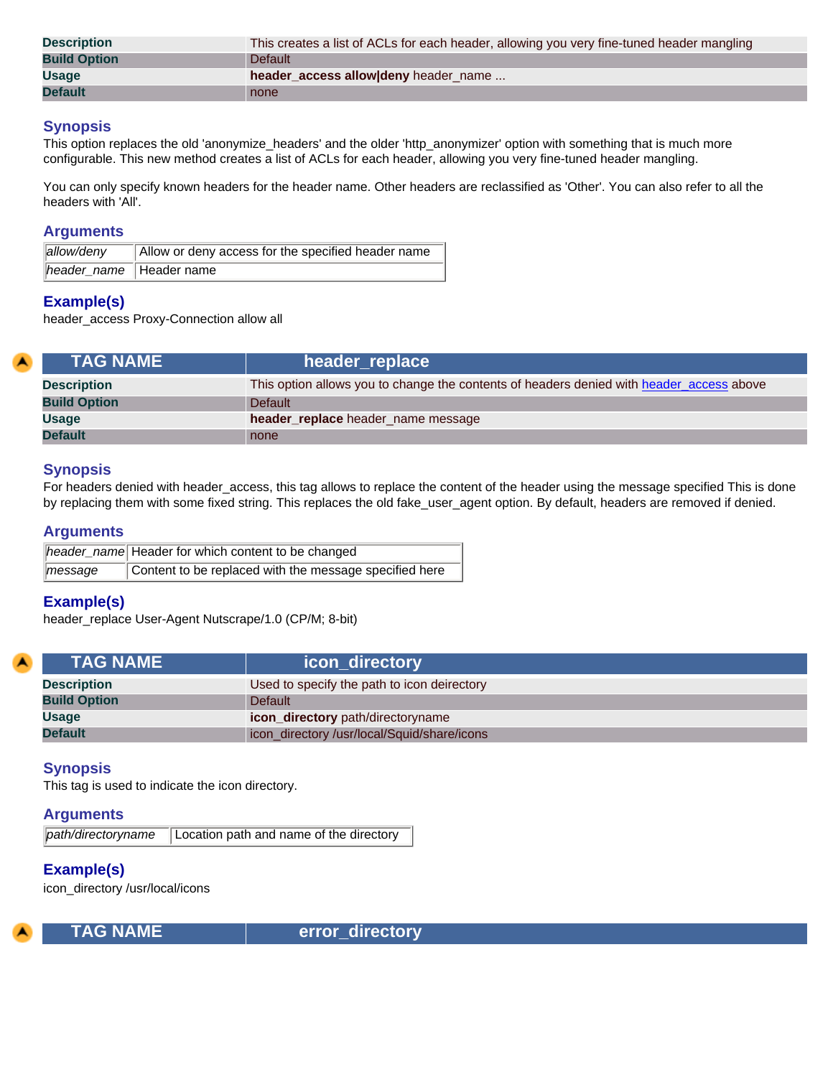| <b>Description</b>  | This creates a list of ACLs for each header, allowing you very fine-tuned header mangling |  |
|---------------------|-------------------------------------------------------------------------------------------|--|
| <b>Build Option</b> | Default                                                                                   |  |
| <b>Usage</b>        | header_access allow deny header_name                                                      |  |
| <b>Default</b>      | none                                                                                      |  |

This option replaces the old 'anonymize headers' and the older 'http\_anonymizer' option with something that is much more configurable. This new method creates a list of ACLs for each header, allowing you very fine-tuned header mangling.

You can only specify known headers for the header name. Other headers are reclassified as 'Other'. You can also refer to all the headers with 'All'.

#### **Arguments**

| allow/deny                | Allow or deny access for the specified header name |
|---------------------------|----------------------------------------------------|
| header_name   Header name |                                                    |

#### **Example(s)**

header\_access Proxy-Connection allow all

| <b>LTAG NAME</b> \  | header_replace                                                                           |
|---------------------|------------------------------------------------------------------------------------------|
| <b>Description</b>  | This option allows you to change the contents of headers denied with header_access above |
| <b>Build Option</b> | Default                                                                                  |
| <b>Usage</b>        | header_replace header_name message                                                       |
| <b>Default</b>      | none                                                                                     |

### **Synopsis**

For headers denied with header\_access, this tag allows to replace the content of the header using the message specified This is done by replacing them with some fixed string. This replaces the old fake\_user\_agent option. By default, headers are removed if denied.

#### **Arguments**

|                     | header_name Header for which content to be changed     |
|---------------------|--------------------------------------------------------|
| $\parallel$ message | Content to be replaced with the message specified here |

### **Example(s)**

header\_replace User-Agent Nutscrape/1.0 (CP/M; 8-bit)

| <b>TAG NAME</b>     | icon_directory                              |
|---------------------|---------------------------------------------|
| <b>Description</b>  | Used to specify the path to icon deirectory |
| <b>Build Option</b> | <b>Default</b>                              |
| <b>Usage</b>        | <b>icon_directory</b> path/directoryname    |
| <b>Default</b>      | icon_directory /usr/local/Squid/share/icons |

### **Synopsis**

This tag is used to indicate the icon directory.

#### **Arguments**

|  | path/directoryname   Location path and name of the directory |
|--|--------------------------------------------------------------|
|--|--------------------------------------------------------------|

## **Example(s)**

icon\_directory /usr/local/icons



 **TAG NAME error\_directory**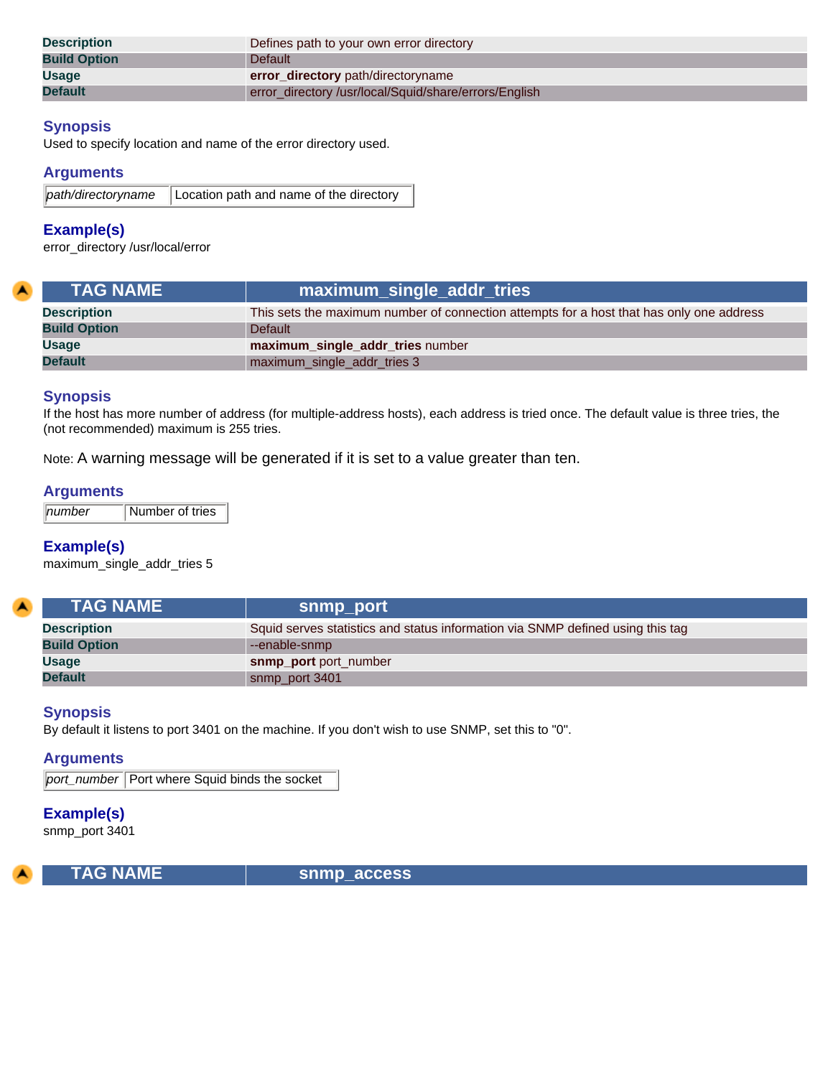| <b>Description</b>  | Defines path to your own error directory             |  |
|---------------------|------------------------------------------------------|--|
| <b>Build Option</b> | <b>Default</b>                                       |  |
| <b>Usage</b>        | error_directory path/directoryname                   |  |
| <b>Default</b>      | error directory/usr/local/Squid/share/errors/English |  |

Used to specify location and name of the error directory used.

### **Arguments**

|  | path/directoryname   Location path and name of the directory |
|--|--------------------------------------------------------------|
|--|--------------------------------------------------------------|

### **Example(s)**

error\_directory /usr/local/error

| <b>TAG NAME</b>     | maximum_single_addr_tries                                                                |
|---------------------|------------------------------------------------------------------------------------------|
| <b>Description</b>  | This sets the maximum number of connection attempts for a host that has only one address |
| <b>Build Option</b> | Default                                                                                  |
| <b>Usage</b>        | maximum_single_addr_tries number                                                         |
| <b>Default</b>      | maximum_single_addr_tries 3                                                              |

### **Synopsis**

If the host has more number of address (for multiple-address hosts), each address is tried once. The default value is three tries, the (not recommended) maximum is 255 tries.

Note: A warning message will be generated if it is set to a value greater than ten.

#### **Arguments**

*number* Number of tries

### **Example(s)**

maximum\_single\_addr\_tries 5

| <b>TAG NAME</b>     | snmp_port                                                                      |
|---------------------|--------------------------------------------------------------------------------|
| <b>Description</b>  | Squid serves statistics and status information via SNMP defined using this tag |
| <b>Build Option</b> | --enable-snmp                                                                  |
| <b>Usage</b>        | snmp port port number                                                          |
| <b>Default</b>      | snmp_port 3401                                                                 |

#### **Synopsis**

By default it listens to port 3401 on the machine. If you don't wish to use SNMP, set this to "0".

#### **Arguments**

**port\_number** Port where Squid binds the socket

### **Example(s)**

snmp\_port 3401



 **TAG NAME snmp\_access**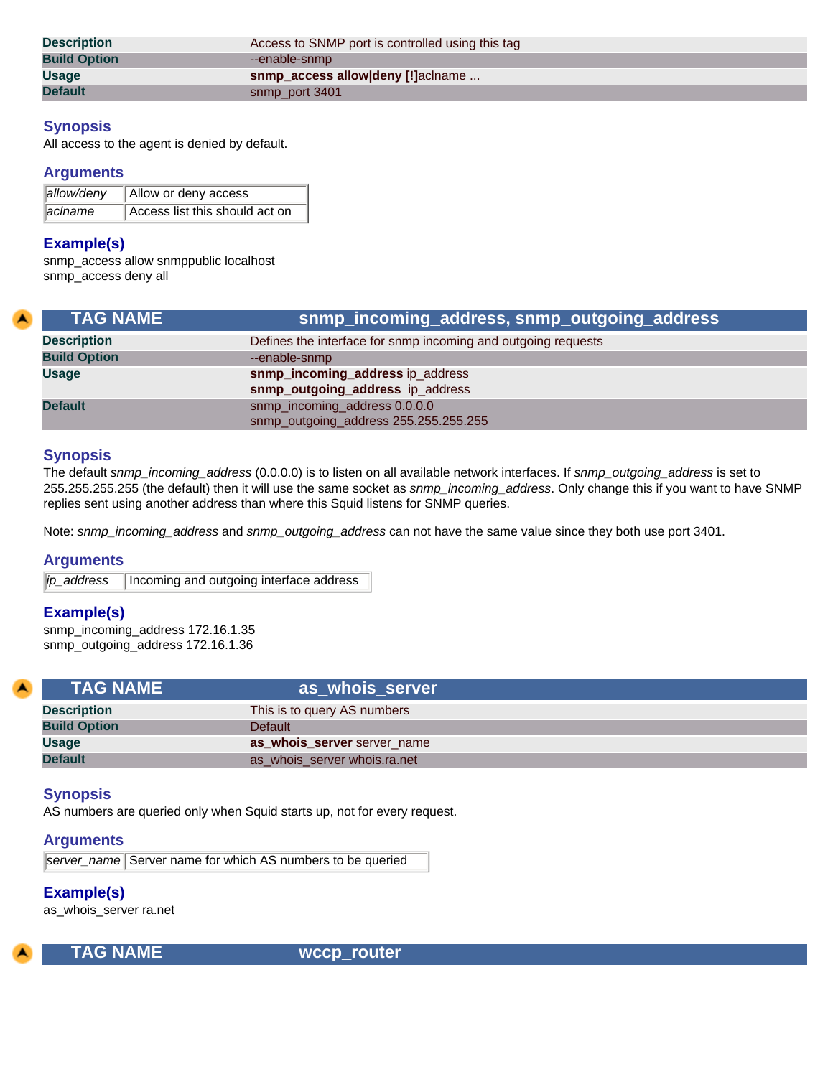| <b>Description</b>  | Access to SNMP port is controlled using this tag |
|---------------------|--------------------------------------------------|
| <b>Build Option</b> | --enable-snmp                                    |
| <b>Usage</b>        | snmp_access allow deny [!] aclname               |
| <b>Default</b>      | snmp_port 3401                                   |

All access to the agent is denied by default.

### **Arguments**

| allow/deny | Allow or deny access           |
|------------|--------------------------------|
| aclname    | Access list this should act on |

#### **Example(s)**

snmp\_access allow snmppublic localhost snmp\_access deny all

| <b>TAG NAME</b>     | snmp_incoming_address, snmp_outgoing_address                  |
|---------------------|---------------------------------------------------------------|
| <b>Description</b>  | Defines the interface for snmp incoming and outgoing requests |
| <b>Build Option</b> | --enable-snmp                                                 |
| <b>Usage</b>        | snmp_incoming_address ip_address                              |
|                     | snmp_outgoing_address ip_address                              |
| <b>Default</b>      | snmp_incoming_address 0.0.0.0                                 |
|                     | snmp_outgoing_address 255.255.255.255                         |

### **Synopsis**

The default *snmp\_incoming\_address* (0.0.0.0) is to listen on all available network interfaces. If *snmp\_outgoing\_address* is set to 255.255.255.255 (the default) then it will use the same socket as *snmp\_incoming\_address*. Only change this if you want to have SNMP replies sent using another address than where this Squid listens for SNMP queries.

Note: *snmp\_incoming\_address* and *snmp\_outgoing\_address* can not have the same value since they both use port 3401.

### **Arguments**

*ip\_address* | Incoming and outgoing interface address

### **Example(s)**

snmp\_incoming\_address 172.16.1.35 snmp\_outgoing\_address 172.16.1.36

| <b>TAG NAME</b>     | as whois server              |
|---------------------|------------------------------|
| <b>Description</b>  | This is to query AS numbers  |
| <b>Build Option</b> | <b>Default</b>               |
| <b>Usage</b>        | as whois server server name  |
| <b>Default</b>      | as whois server whois.ra.net |

### **Synopsis**

AS numbers are queried only when Squid starts up, not for every request.

## **Arguments**

*server\_name* Server name for which AS numbers to be queried

### **Example(s)**

as\_whois\_server ra.net



 **TAG NAME wccp\_router**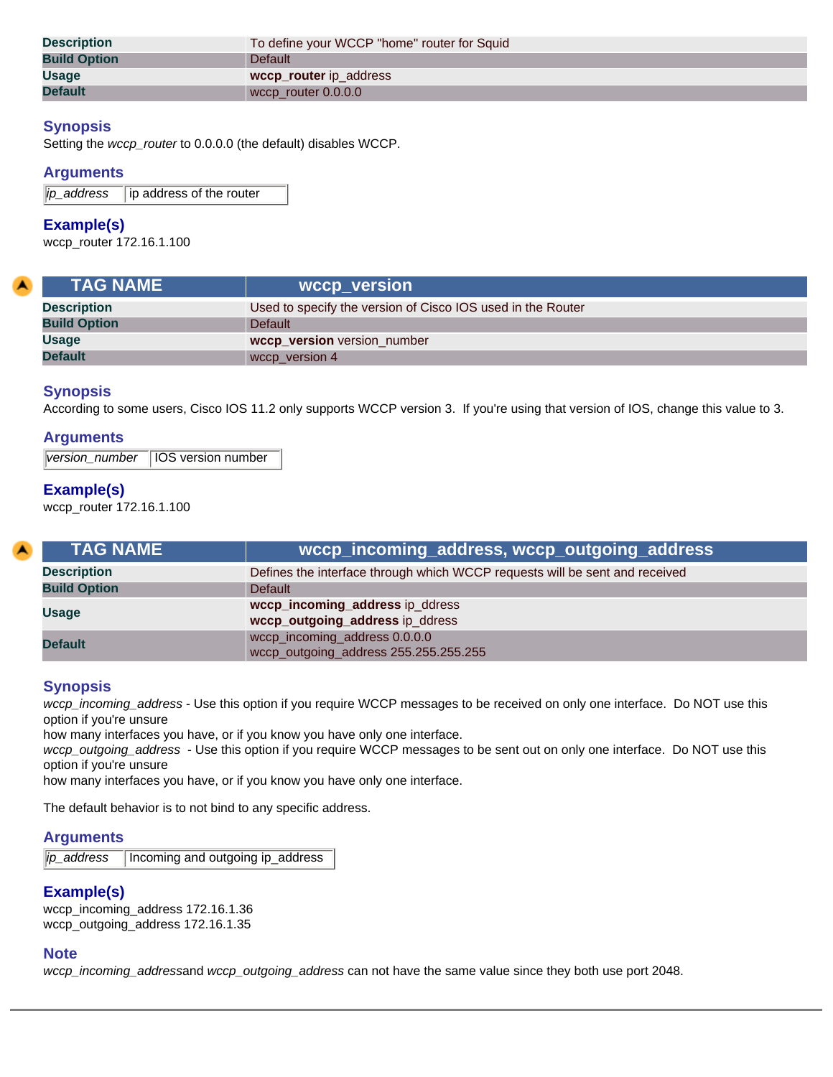| <b>Description</b>  | To define your WCCP "home" router for Squid |
|---------------------|---------------------------------------------|
| <b>Build Option</b> | <b>Default</b>                              |
| <b>Usage</b>        | wccp_router ip_address                      |
| <b>Default</b>      | wccp_router 0.0.0.0                         |

Setting the *wccp\_router* to 0.0.0.0 (the default) disables WCCP.

### **Arguments**

*ip\_address* ip address of the router

#### **Example(s)**

wccp\_router 172.16.1.100

| <b>TAG NAME</b>     | wccp_version                                                |
|---------------------|-------------------------------------------------------------|
| <b>Description</b>  | Used to specify the version of Cisco IOS used in the Router |
| <b>Build Option</b> | Default                                                     |
| <b>Usage</b>        | wccp_version version_number                                 |
| <b>Default</b>      | wccp version 4                                              |

### **Synopsis**

According to some users, Cisco IOS 11.2 only supports WCCP version 3. If you're using that version of IOS, change this value to 3.

#### **Arguments**

*version\_number* IOS version number

#### **Example(s)**

wccp\_router 172.16.1.100

| <b>TAG NAME \</b>   |                                                                             |
|---------------------|-----------------------------------------------------------------------------|
| <b>Description</b>  | Defines the interface through which WCCP requests will be sent and received |
| <b>Build Option</b> | Default                                                                     |
| <b>Usage</b>        | wccp_incoming_address ip_ddress                                             |
|                     | wccp_outgoing_address ip_ddress                                             |
| <b>Default</b>      | wccp_incoming_address 0.0.0.0                                               |
|                     | wccp_outgoing_address 255.255.255.255                                       |

### **Synopsis**

*wccp\_incoming\_address* - Use this option if you require WCCP messages to be received on only one interface. Do NOT use this option if you're unsure

how many interfaces you have, or if you know you have only one interface.

*wccp\_outgoing\_address* - Use this option if you require WCCP messages to be sent out on only one interface. Do NOT use this option if you're unsure

how many interfaces you have, or if you know you have only one interface.

The default behavior is to not bind to any specific address.

### **Arguments**

*ip\_address* Incoming and outgoing ip\_address

### **Example(s)**

wccp\_incoming\_address 172.16.1.36 wccp\_outgoing\_address 172.16.1.35

#### **Note**

*wccp\_incoming\_address*and *wccp\_outgoing\_address* can not have the same value since they both use port 2048.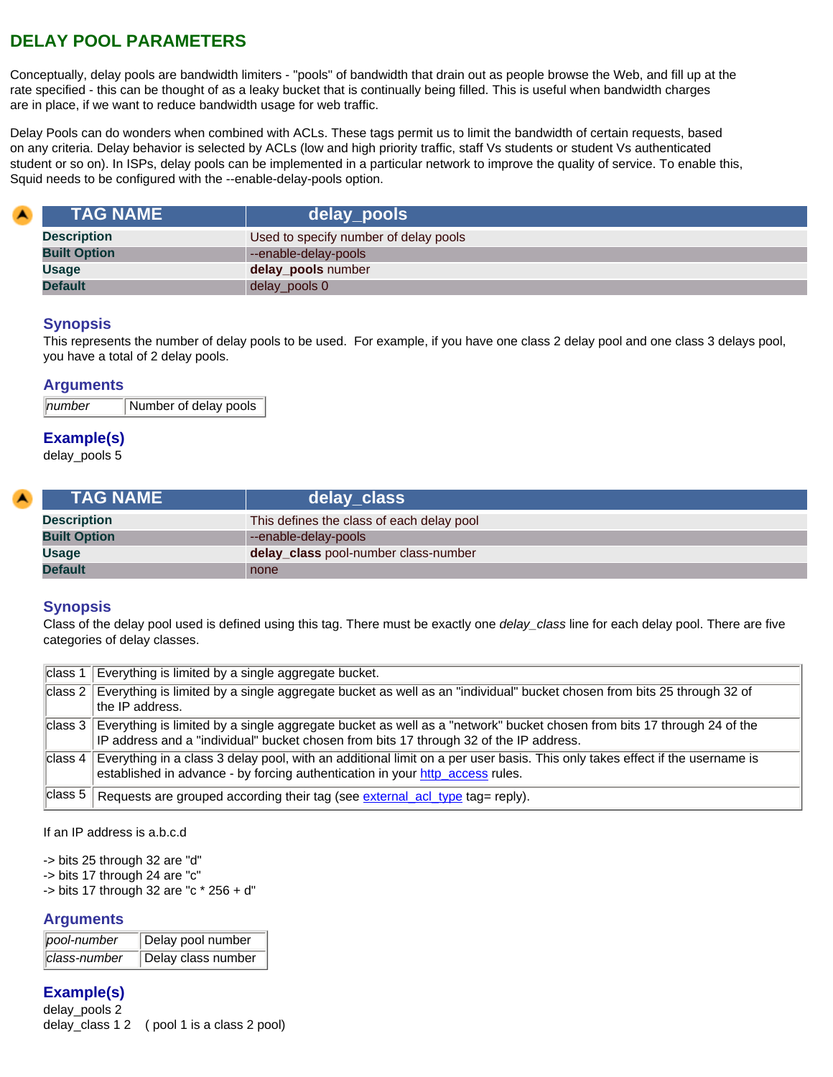# **DELAY POOL PARAMETERS**

Conceptually, delay pools are bandwidth limiters - "pools" of bandwidth that drain out as people browse the Web, and fill up at the rate specified - this can be thought of as a leaky bucket that is continually being filled. This is useful when bandwidth charges are in place, if we want to reduce bandwidth usage for web traffic.

Delay Pools can do wonders when combined with ACLs. These tags permit us to limit the bandwidth of certain requests, based on any criteria. Delay behavior is selected by ACLs (low and high priority traffic, staff Vs students or student Vs authenticated student or so on). In ISPs, delay pools can be implemented in a particular network to improve the quality of service. To enable this, Squid needs to be configured with the --enable-delay-pools option.

<span id="page-77-1"></span>

| $\blacktriangle$ | <b>TAG NAME</b>     | delay_pools                           |
|------------------|---------------------|---------------------------------------|
|                  | <b>Description</b>  | Used to specify number of delay pools |
|                  | <b>Built Option</b> | --enable-delay-pools                  |
|                  | <b>Usage</b>        | delay_pools number                    |
|                  | <b>Default</b>      | delay_pools 0                         |

### **Synopsis**

This represents the number of delay pools to be used. For example, if you have one class 2 delay pool and one class 3 delays pool, you have a total of 2 delay pools.

#### **Arguments**

**number** Number of delay pools

### **Example(s)**

delay\_pools 5

<span id="page-77-0"></span>

| <b>TAG NAME</b>     | delay_class                               |
|---------------------|-------------------------------------------|
| <b>Description</b>  | This defines the class of each delay pool |
| <b>Built Option</b> | --enable-delay-pools                      |
| <b>Usage</b>        | delay_class pool-number class-number      |
| <b>Default</b>      | none                                      |

### **Synopsis**

Class of the delay pool used is defined using this tag. There must be exactly one *delay\_class* line for each delay pool. There are five categories of delay classes.

| class 1 | Everything is limited by a single aggregate bucket.                                                                                                                                                                  |
|---------|----------------------------------------------------------------------------------------------------------------------------------------------------------------------------------------------------------------------|
| class 2 | Everything is limited by a single aggregate bucket as well as an "individual" bucket chosen from bits 25 through 32 of<br>the IP address.                                                                            |
| class 3 | Everything is limited by a single aggregate bucket as well as a "network" bucket chosen from bits 17 through 24 of the<br>IP address and a "individual" bucket chosen from bits 17 through 32 of the IP address.     |
|         | class 4 Everything in a class 3 delay pool, with an additional limit on a per user basis. This only takes effect if the username is<br>established in advance - by forcing authentication in your http_access rules. |
| class 5 | Requests are grouped according their tag (see external_acl_type tag= reply).                                                                                                                                         |

If an IP address is a.b.c.d

-> bits 25 through 32 are "d" -> bits 17 through 24 are "c"

-> bits 17 through 32 are "c \* 256 + d"

#### **Arguments**

| pool-number  | Delay pool number  |
|--------------|--------------------|
| class-number | Delay class number |

# **Example(s)**

delay\_pools 2 delay\_class 1 2 ( pool 1 is a class 2 pool)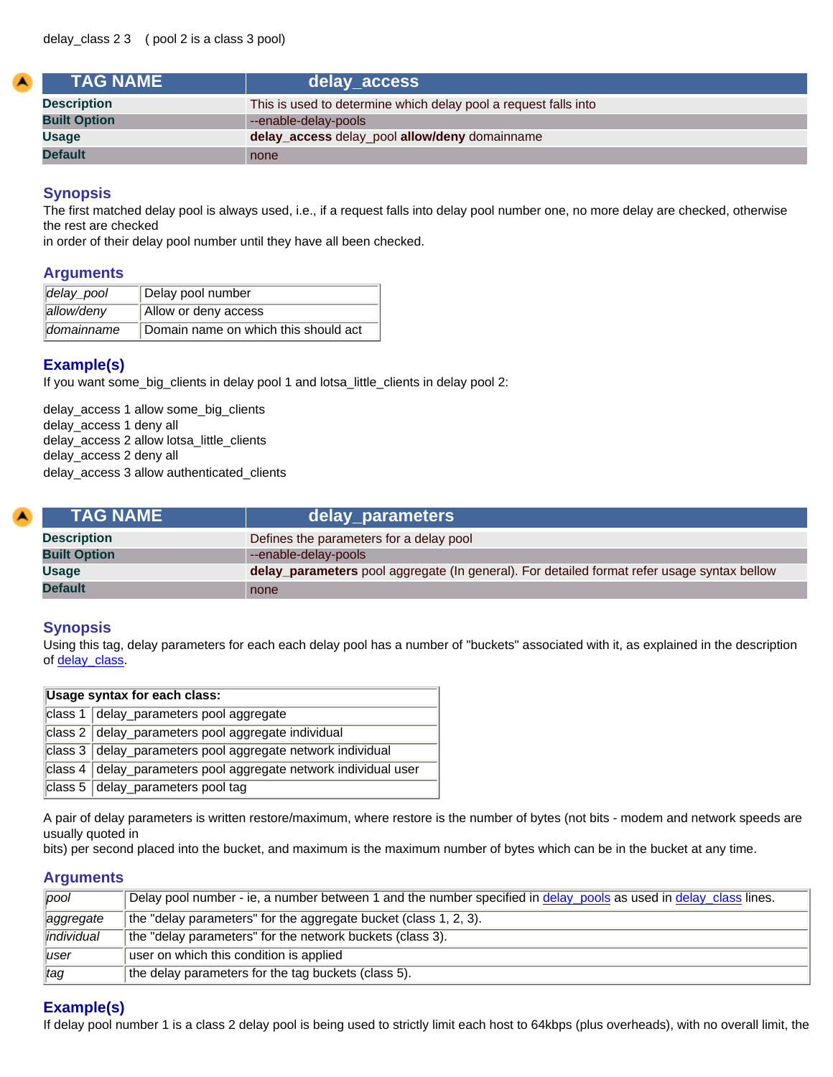| <b>TAG NAME</b>     | delay_access                                                    |
|---------------------|-----------------------------------------------------------------|
| <b>Description</b>  | This is used to determine which delay pool a request falls into |
| <b>Built Option</b> | --enable-delay-pools                                            |
| <b>Usage</b>        | delay_access delay_pool allow/deny domainname                   |
| <b>Default</b>      | none                                                            |

The first matched delay pool is always used, i.e., if a request falls into delay pool number one, no more delay are checked, otherwise the rest are checked

in order of their delay pool number until they have all been checked.

#### **Arguments**

| delay_pool | Delay pool number                    |
|------------|--------------------------------------|
| allow/deny | Allow or deny access                 |
| domainname | Domain name on which this should act |

## **Example(s)**

If you want some\_big\_clients in delay pool 1 and lotsa\_little\_clients in delay pool 2:

delay\_access 1 allow some\_big\_clients delay\_access 1 deny all delay\_access 2 allow lotsa\_little\_clients delay\_access 2 deny all delay\_access 3 allow authenticated\_clients

| <b>TAG NAME</b>     | delay_parameters                                                                            |
|---------------------|---------------------------------------------------------------------------------------------|
| <b>Description</b>  | Defines the parameters for a delay pool                                                     |
| <b>Built Option</b> | --enable-delay-pools                                                                        |
| Usage               | delay_parameters pool aggregate (In general). For detailed format refer usage syntax bellow |
| <b>Default</b>      | none                                                                                        |

### **Synopsis**

Using this tag, delay parameters for each each delay pool has a number of "buckets" associated with it, as explained in the description of [delay\\_class](#page-77-0).

| Usage syntax for each class: |                                                                 |
|------------------------------|-----------------------------------------------------------------|
|                              | class 1 delay_parameters pool aggregate                         |
|                              | class 2 delay_parameters pool aggregate individual              |
|                              | class 3 delay_parameters pool aggregate network individual      |
|                              | class 4 delay_parameters pool aggregate network individual user |
|                              | class 5 delay_parameters pool tag                               |

A pair of delay parameters is written restore/maximum, where restore is the number of bytes (not bits - modem and network speeds are usually quoted in

bits) per second placed into the bucket, and maximum is the maximum number of bytes which can be in the bucket at any time.

#### **Arguments**

| pool            | Delay pool number - ie, a number between 1 and the number specified in delay pools as used in delay class lines. |
|-----------------|------------------------------------------------------------------------------------------------------------------|
| aggregate       | the "delay parameters" for the aggregate bucket (class 1, 2, 3).                                                 |
| lindividual     | the "delay parameters" for the network buckets (class 3).                                                        |
| luser           | user on which this condition is applied                                                                          |
| $\parallel$ tag | the delay parameters for the tag buckets (class 5).                                                              |

### **Example(s)**

If delay pool number 1 is a class 2 delay pool is being used to strictly limit each host to 64kbps (plus overheads), with no overall limit, the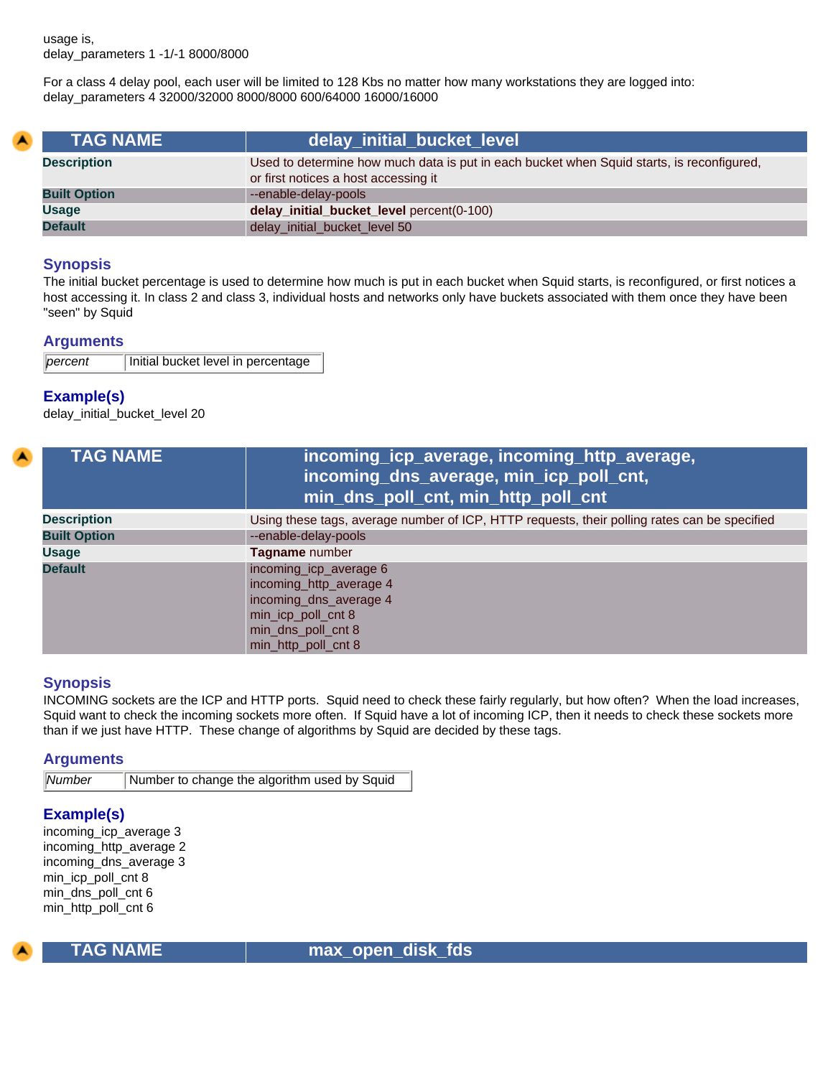usage is, delay\_parameters 1 -1/-1 8000/8000

For a class 4 delay pool, each user will be limited to 128 Kbs no matter how many workstations they are logged into: delay\_parameters 4 32000/32000 8000/8000 600/64000 16000/16000

| <b>TAG NAME</b>     | delay_initial_bucket_level                                                                                                        |
|---------------------|-----------------------------------------------------------------------------------------------------------------------------------|
| <b>Description</b>  | Used to determine how much data is put in each bucket when Squid starts, is reconfigured,<br>or first notices a host accessing it |
| <b>Built Option</b> | --enable-delay-pools                                                                                                              |
| <b>Usage</b>        | delay_initial_bucket_level percent(0-100)                                                                                         |
| <b>Default</b>      | delay_initial_bucket_level 50                                                                                                     |

#### **Synopsis**

The initial bucket percentage is used to determine how much is put in each bucket when Squid starts, is reconfigured, or first notices a host accessing it. In class 2 and class 3, individual hosts and networks only have buckets associated with them once they have been "seen" by Squid

#### **Arguments**

```
percent | Initial bucket level in percentage
```
### **Example(s)**

delay\_initial\_bucket\_level 20

| <b>TAG NAME</b>     | incoming_icp_average, incoming_http_average,<br>incoming_dns_average, min_icp_poll_cnt,<br>min_dns_poll_cnt, min_http_poll_cnt                 |
|---------------------|------------------------------------------------------------------------------------------------------------------------------------------------|
| <b>Description</b>  | Using these tags, average number of ICP, HTTP requests, their polling rates can be specified                                                   |
| <b>Built Option</b> | --enable-delay-pools                                                                                                                           |
| <b>Usage</b>        | Tagname number                                                                                                                                 |
| <b>Default</b>      | incoming_icp_average 6<br>incoming_http_average 4<br>incoming_dns_average 4<br>min_icp_poll_cnt 8<br>min_dns_poll_cnt 8<br>min_http_poll_cnt 8 |

#### **Synopsis**

INCOMING sockets are the ICP and HTTP ports. Squid need to check these fairly regularly, but how often? When the load increases, Squid want to check the incoming sockets more often. If Squid have a lot of incoming ICP, then it needs to check these sockets more than if we just have HTTP. These change of algorithms by Squid are decided by these tags.

#### **Arguments**

*Number* Number to change the algorithm used by Squid

#### **Example(s)**

incoming\_icp\_average 3 incoming\_http\_average 2 incoming\_dns\_average 3 min\_icp\_poll\_cnt 8 min\_dns\_poll\_cnt 6 min\_http\_poll\_cnt 6



 **TAG NAME max\_open\_disk\_fds**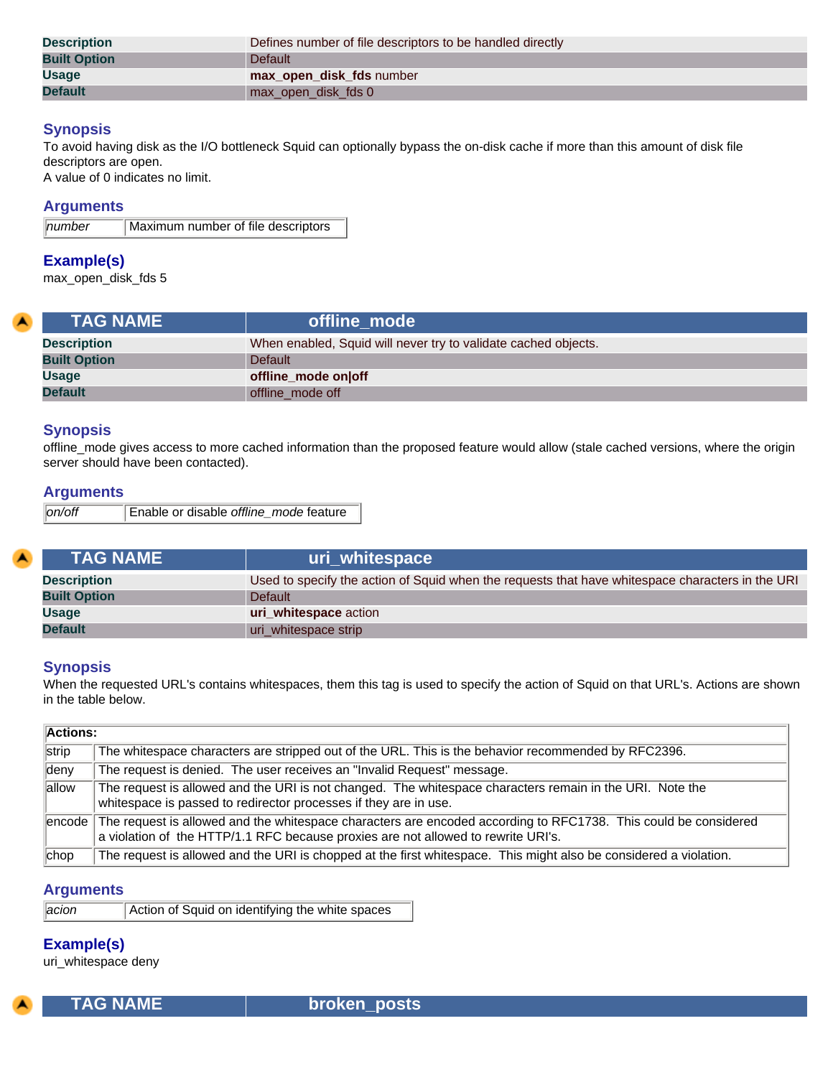| <b>Description</b>  | Defines number of file descriptors to be handled directly |
|---------------------|-----------------------------------------------------------|
| <b>Built Option</b> | Default                                                   |
| <b>Usage</b>        | max open disk fds number                                  |
| <b>Default</b>      | max_open_disk_fds 0                                       |

To avoid having disk as the I/O bottleneck Squid can optionally bypass the on-disk cache if more than this amount of disk file descriptors are open.

A value of 0 indicates no limit.

#### **Arguments**

| $\parallel$ number | Maximum number of file descriptors |
|--------------------|------------------------------------|
|                    |                                    |

### **Example(s)**

max\_open\_disk\_fds 5

| <b>TAG NAME</b>     | offline mode                                                   |
|---------------------|----------------------------------------------------------------|
| <b>Description</b>  | When enabled, Squid will never try to validate cached objects. |
| <b>Built Option</b> | Default                                                        |
| <b>Usage</b>        | offline_mode on off                                            |
| <b>Default</b>      | offline mode off                                               |

#### **Synopsis**

offline\_mode gives access to more cached information than the proposed feature would allow (stale cached versions, where the origin server should have been contacted).

#### **Arguments**

| <b>TAG NAME</b>     | uri whitespace                                                                                   |
|---------------------|--------------------------------------------------------------------------------------------------|
| <b>Description</b>  | Used to specify the action of Squid when the requests that have whitespace characters in the URI |
| <b>Built Option</b> | <b>Default</b>                                                                                   |
| <b>Usage</b>        | uri whitespace action                                                                            |
| <b>Default</b>      | uri_whitespace strip                                                                             |

#### **Synopsis**

When the requested URL's contains whitespaces, them this tag is used to specify the action of Squid on that URL's. Actions are shown in the table below.

| <b>Actions:</b> |                                                                                                                                                                                                             |  |
|-----------------|-------------------------------------------------------------------------------------------------------------------------------------------------------------------------------------------------------------|--|
| strip           | The whitespace characters are stripped out of the URL. This is the behavior recommended by RFC2396.                                                                                                         |  |
| deny            | The request is denied. The user receives an "Invalid Request" message.                                                                                                                                      |  |
| allow           | The request is allowed and the URI is not changed. The whitespace characters remain in the URI. Note the<br>whitespace is passed to redirector processes if they are in use.                                |  |
|                 | encode The request is allowed and the whitespace characters are encoded according to RFC1738. This could be considered<br>a violation of the HTTP/1.1 RFC because proxies are not allowed to rewrite URI's. |  |
| chop            | The request is allowed and the URI is chopped at the first whitespace. This might also be considered a violation.                                                                                           |  |

## **Arguments**

| acion <br>Action of Squid on identifying the white spaces |  |
|-----------------------------------------------------------|--|
|-----------------------------------------------------------|--|

# **Example(s)**

uri\_whitespace deny

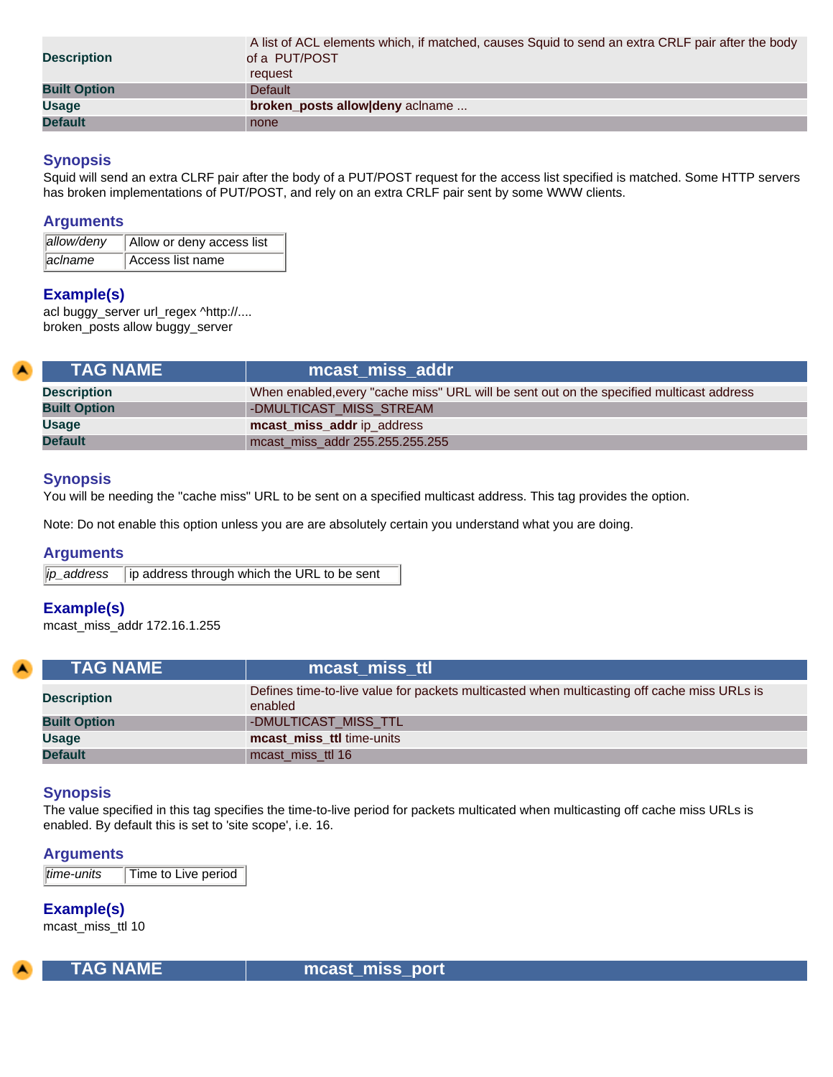| <b>Description</b>  | A list of ACL elements which, if matched, causes Squid to send an extra CRLF pair after the body<br>of a PUT/POST<br>request |
|---------------------|------------------------------------------------------------------------------------------------------------------------------|
| <b>Built Option</b> | <b>Default</b>                                                                                                               |
| <b>Usage</b>        | broken_posts allow deny aclname                                                                                              |
| <b>Default</b>      | none                                                                                                                         |

Squid will send an extra CLRF pair after the body of a PUT/POST request for the access list specified is matched. Some HTTP servers has broken implementations of PUT/POST, and rely on an extra CRLF pair sent by some WWW clients.

#### **Arguments**

| allow/deny | Allow or deny access list |
|------------|---------------------------|
| aclname    | Access list name          |

## **Example(s)**

acl buggy\_server url\_regex ^http://.... broken\_posts allow buggy\_server

<span id="page-81-0"></span>

| <b>TAG NAME</b>     | mcast miss addr                                                                          |
|---------------------|------------------------------------------------------------------------------------------|
| <b>Description</b>  | When enabled, every "cache miss" URL will be sent out on the specified multicast address |
| <b>Built Option</b> | -DMULTICAST MISS STREAM                                                                  |
| <b>Usage</b>        | mcast_miss_addr ip_address                                                               |
| <b>Default</b>      | mcast miss addr 255.255.255.255                                                          |

### **Synopsis**

You will be needing the "cache miss" URL to be sent on a specified multicast address. This tag provides the option.

Note: Do not enable this option unless you are are absolutely certain you understand what you are doing.

### **Arguments**

|  | ip_address   ip address through which the URL to be sent |
|--|----------------------------------------------------------|
|  |                                                          |

### **Example(s)**

mcast\_miss\_addr 172.16.1.255

| <b>TAG NAME</b>     | mcast miss ttl                                                                                         |
|---------------------|--------------------------------------------------------------------------------------------------------|
| <b>Description</b>  | Defines time-to-live value for packets multicasted when multicasting off cache miss URLs is<br>enabled |
| <b>Built Option</b> | -DMULTICAST MISS TTL                                                                                   |
| <b>Usage</b>        | mcast_miss_ttl time-units                                                                              |
| <b>Default</b>      | mcast_miss_ttl 16                                                                                      |

### **Synopsis**

The value specified in this tag specifies the time-to-live period for packets multicated when multicasting off cache miss URLs is enabled. By default this is set to 'site scope', i.e. 16.

### **Arguments**

*time-units* Time to Live period

**Example(s)**

mcast\_miss\_ttl 10



TAG NAME **now assumiss\_port**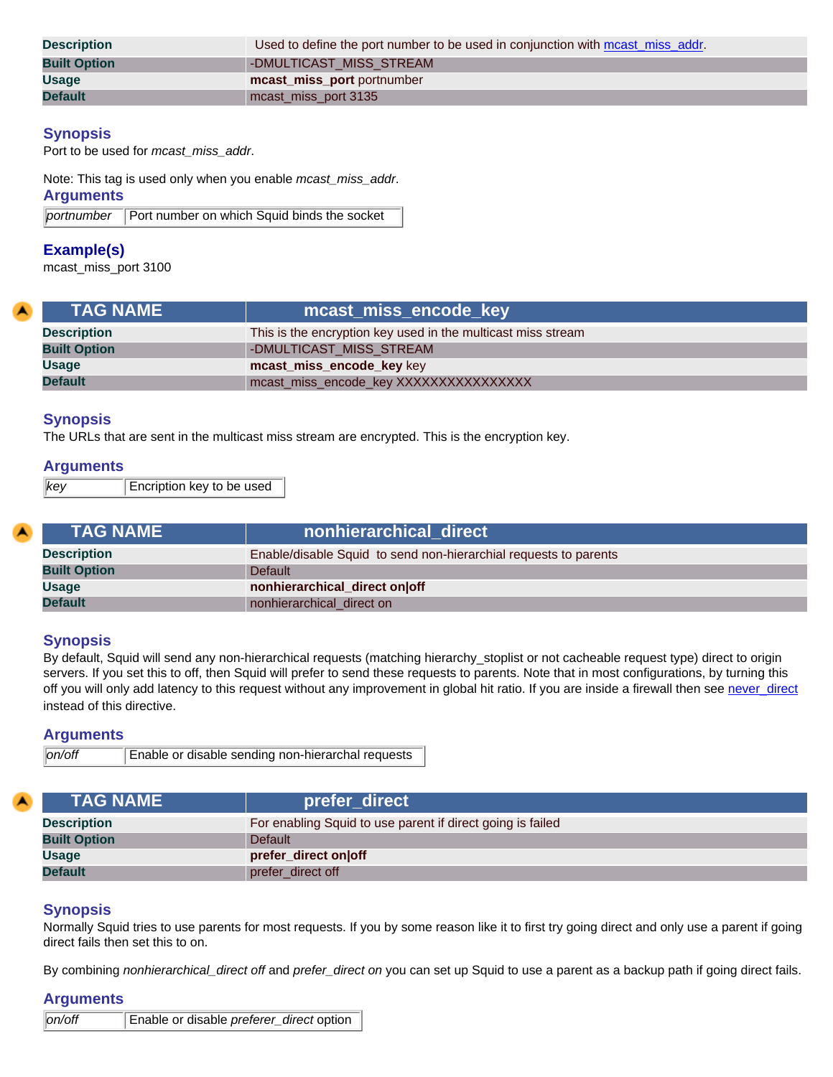| <b>Description</b>  | Used to define the port number to be used in conjunction with meast_miss_addr. |
|---------------------|--------------------------------------------------------------------------------|
| <b>Built Option</b> | -DMULTICAST MISS STREAM                                                        |
| <b>Usage</b>        | mcast miss port portnumber                                                     |
| <b>Default</b>      | mcast miss port 3135                                                           |

Port to be used for *mcast\_miss\_addr*.

Note: This tag is used only when you enable *mcast\_miss\_addr*.

**Arguments**

*portnumber* Port number on which Squid binds the socket

## **Example(s)**

mcast\_miss\_port 3100

| <b>TAG NAME</b>     | mcast_miss_encode_key                                        |
|---------------------|--------------------------------------------------------------|
| <b>Description</b>  | This is the encryption key used in the multicast miss stream |
| <b>Built Option</b> | -DMULTICAST MISS STREAM                                      |
| <b>Usage</b>        | mcast_miss_encode_key key                                    |
| <b>Default</b>      | mcast_miss_encode_key XXXXXXXXXXXXXXXX                       |

### **Synopsis**

The URLs that are sent in the multicast miss stream are encrypted. This is the encryption key.

### **Arguments**

*key* Encription key to be used

| <b>TAG NAME</b>     | nonhierarchical direct                                           |
|---------------------|------------------------------------------------------------------|
| <b>Description</b>  | Enable/disable Squid to send non-hierarchial requests to parents |
| <b>Built Option</b> | <b>Default</b>                                                   |
| <b>Usage</b>        | nonhierarchical_direct on off                                    |
| <b>Default</b>      | nonhierarchical direct on                                        |

## **Synopsis**

By default, Squid will send any non-hierarchical requests (matching hierarchy\_stoplist or not cacheable request type) direct to origin servers. If you set this to off, then Squid will prefer to send these requests to parents. Note that in most configurations, by turning this off you will only add latency to this request without any improvement in global hit ratio. If you are inside a firewall then see [never\\_direct](#page-72-2) instead of this directive.

#### **Arguments**

| Enable or disable sending non-hierarchal requests<br> on/off |
|--------------------------------------------------------------|
|--------------------------------------------------------------|

| <b>TAG NAME</b>     | prefer direct                                              |
|---------------------|------------------------------------------------------------|
| <b>Description</b>  | For enabling Squid to use parent if direct going is failed |
| <b>Built Option</b> | Default                                                    |
| <b>Usage</b>        | prefer_direct on off                                       |
| <b>Default</b>      | prefer_direct off                                          |

## **Synopsis**

Normally Squid tries to use parents for most requests. If you by some reason like it to first try going direct and only use a parent if going direct fails then set this to on.

By combining *nonhierarchical\_direct off* and *prefer\_direct on* you can set up Squid to use a parent as a backup path if going direct fails.

### **Arguments**

| on/off | Enable or disable preferer_direct option |
|--------|------------------------------------------|
|        |                                          |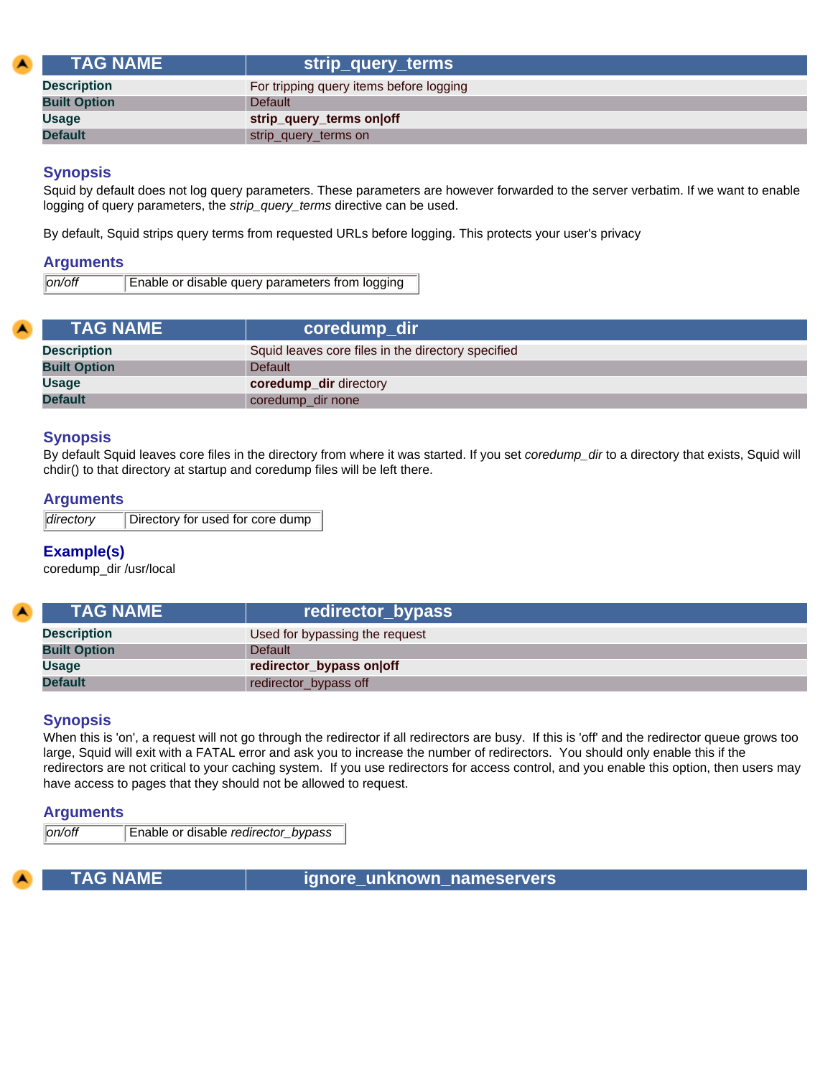| <b>LTAG NAME \</b>  | strip_query_terms                       |
|---------------------|-----------------------------------------|
| <b>Description</b>  | For tripping query items before logging |
| <b>Built Option</b> | <b>Default</b>                          |
| <b>Usage</b>        | strip_query_terms on off                |
| <b>Default</b>      | strip_query_terms on                    |

Squid by default does not log query parameters. These parameters are however forwarded to the server verbatim. If we want to enable logging of query parameters, the *strip\_query\_terms* directive can be used.

By default, Squid strips query terms from requested URLs before logging. This protects your user's privacy

#### **Arguments**

| on/off | Enable or disable query parameters from logging |
|--------|-------------------------------------------------|
|        |                                                 |

| <b>TAG NAME</b>     | coredump_dir                                       |
|---------------------|----------------------------------------------------|
| <b>Description</b>  | Squid leaves core files in the directory specified |
| <b>Built Option</b> | <b>Default</b>                                     |
| <b>Usage</b>        | <b>coredump_dir</b> directory                      |
| <b>Default</b>      | coredump_dir none                                  |

#### **Synopsis**

By default Squid leaves core files in the directory from where it was started. If you set *coredump\_dir* to a directory that exists, Squid will chdir() to that directory at startup and coredump files will be left there.

#### **Arguments**

| directory | Directory for used for core dump |
|-----------|----------------------------------|
|-----------|----------------------------------|

### **Example(s)**

coredump\_dir /usr/local

| <b>TAG NAME</b>     | redirector_bypass              |
|---------------------|--------------------------------|
| <b>Description</b>  | Used for bypassing the request |
| <b>Built Option</b> | <b>Default</b>                 |
| <b>Usage</b>        | redirector_bypass on off       |
| <b>Default</b>      | redirector_bypass off          |

#### **Synopsis**

When this is 'on', a request will not go through the redirector if all redirectors are busy. If this is 'off' and the redirector queue grows too large, Squid will exit with a FATAL error and ask you to increase the number of redirectors. You should only enable this if the redirectors are not critical to your caching system. If you use redirectors for access control, and you enable this option, then users may have access to pages that they should not be allowed to request.

#### **Arguments**

*on/off* Enable or disable *redirector\_bypass*

**TAG NAME ignore unknown nameservers**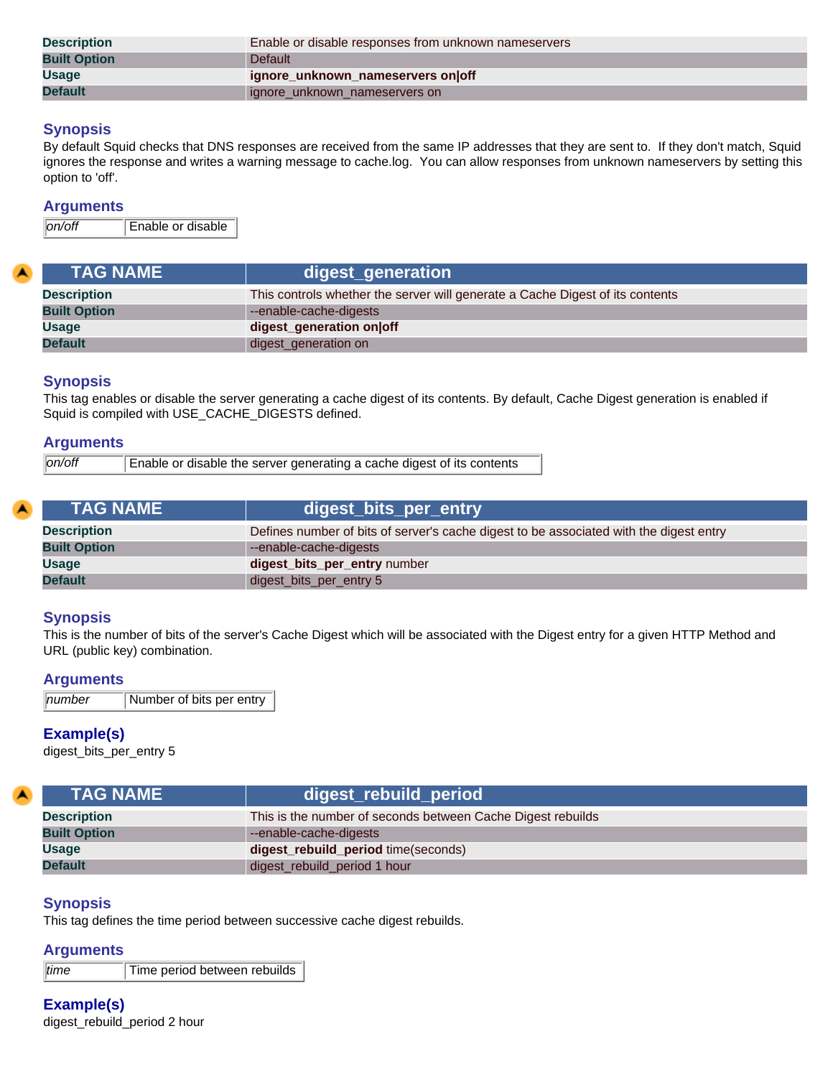| <b>Description</b>  | Enable or disable responses from unknown nameservers |  |
|---------------------|------------------------------------------------------|--|
| <b>Built Option</b> | <b>Default</b>                                       |  |
| <b>Usage</b>        | ignore unknown nameservers on off                    |  |
| <b>Default</b>      | ignore unknown nameservers on                        |  |

By default Squid checks that DNS responses are received from the same IP addresses that they are sent to. If they don't match, Squid ignores the response and writes a warning message to cache.log. You can allow responses from unknown nameservers by setting this option to 'off'.

#### **Arguments**

*on/off* Enable or disable

| <b>TAG NAME</b>     | digest_generation                                                             |
|---------------------|-------------------------------------------------------------------------------|
| <b>Description</b>  | This controls whether the server will generate a Cache Digest of its contents |
| <b>Built Option</b> | --enable-cache-digests                                                        |
| <b>Usage</b>        | digest_generation on off                                                      |
| <b>Default</b>      | digest_generation on                                                          |

#### **Synopsis**

This tag enables or disable the server generating a cache digest of its contents. By default, Cache Digest generation is enabled if Squid is compiled with USE\_CACHE\_DIGESTS defined.

#### **Arguments**

| on/off | Enable or disable the server generating a cache digest of its contents |
|--------|------------------------------------------------------------------------|
|        |                                                                        |

| <b>TAG NAME</b>     | digest_bits_per_entry                                                                  |
|---------------------|----------------------------------------------------------------------------------------|
| <b>Description</b>  | Defines number of bits of server's cache digest to be associated with the digest entry |
| <b>Built Option</b> | --enable-cache-digests                                                                 |
| <b>Usage</b>        | digest_bits_per_entry number                                                           |
| <b>Default</b>      | digest_bits_per_entry 5                                                                |

### **Synopsis**

This is the number of bits of the server's Cache Digest which will be associated with the Digest entry for a given HTTP Method and URL (public key) combination.

#### **Arguments**

| $\parallel$ number | Number of bits per entry |
|--------------------|--------------------------|
|                    |                          |

#### **Example(s)**

digest\_bits\_per\_entry 5

| <b>TAG NAME</b>     | digest_rebuild_period                                       |
|---------------------|-------------------------------------------------------------|
| <b>Description</b>  | This is the number of seconds between Cache Digest rebuilds |
| <b>Built Option</b> | --enable-cache-digests                                      |
| <b>Usage</b>        | digest_rebuild_period time(seconds)                         |
| <b>Default</b>      | digest_rebuild_period 1 hour                                |

### **Synopsis**

This tag defines the time period between successive cache digest rebuilds.

### **Arguments**

*time* Time period between rebuilds

**Example(s)** digest\_rebuild\_period 2 hour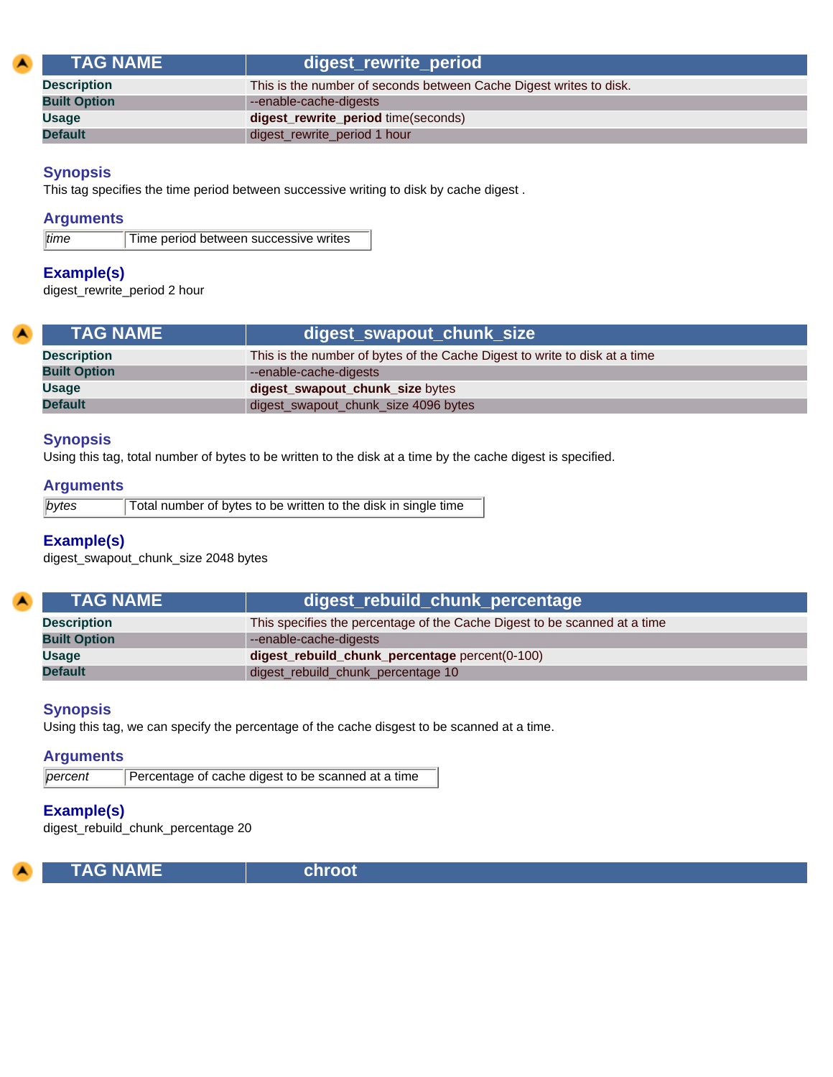| <b>TAG NAME</b>     | digest_rewrite_period                                              |
|---------------------|--------------------------------------------------------------------|
| <b>Description</b>  | This is the number of seconds between Cache Digest writes to disk. |
| <b>Built Option</b> | --enable-cache-digests                                             |
| <b>Usage</b>        | digest_rewrite_period time(seconds)                                |
| <b>Default</b>      | digest_rewrite_period 1 hour                                       |

This tag specifies the time period between successive writing to disk by cache digest .

#### **Arguments**

| time | Time period between successive writes |  |
|------|---------------------------------------|--|

### **Example(s)**

digest\_rewrite\_period 2 hour

| <b>TAG NAME</b>     | digest_swapout_chunk_size                                                  |
|---------------------|----------------------------------------------------------------------------|
| <b>Description</b>  | This is the number of bytes of the Cache Digest to write to disk at a time |
| <b>Built Option</b> | --enable-cache-digests                                                     |
| Usage               | digest_swapout_chunk_size bytes                                            |
| <b>Default</b>      | digest_swapout_chunk_size 4096 bytes                                       |

#### **Synopsis**

Using this tag, total number of bytes to be written to the disk at a time by the cache digest is specified.

### **Arguments**

| bytes | Total number of bytes to be written to the disk in single time |
|-------|----------------------------------------------------------------|
|       |                                                                |

#### **Example(s)**

digest\_swapout\_chunk\_size 2048 bytes

| <b>TAG NAME</b>     | digest_rebuild_chunk_percentage                                           |
|---------------------|---------------------------------------------------------------------------|
| <b>Description</b>  | This specifies the percentage of the Cache Digest to be scanned at a time |
| <b>Built Option</b> | --enable-cache-digests                                                    |
| <b>Usage</b>        | digest_rebuild_chunk_percentage percent(0-100)                            |
| <b>Default</b>      | digest_rebuild_chunk_percentage 10                                        |

### **Synopsis**

Using this tag, we can specify the percentage of the cache disgest to be scanned at a time.

## **Arguments**

*percent* Percentage of cache digest to be scanned at a time

# **Example(s)**

digest\_rebuild\_chunk\_percentage 20

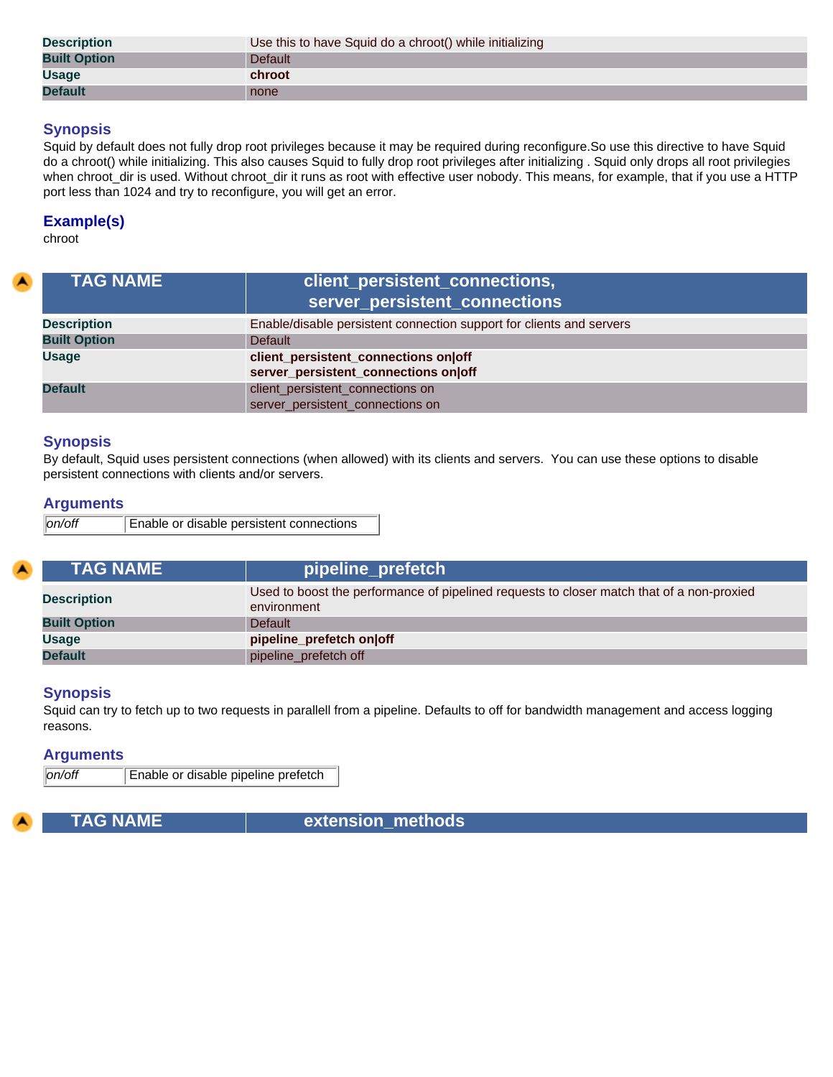| <b>Description</b>  | Use this to have Squid do a chroot() while initializing |  |
|---------------------|---------------------------------------------------------|--|
| <b>Built Option</b> | <b>Default</b>                                          |  |
| <b>Usage</b>        | chroot                                                  |  |
| <b>Default</b>      | none                                                    |  |

Squid by default does not fully drop root privileges because it may be required during reconfigure.So use this directive to have Squid do a chroot() while initializing. This also causes Squid to fully drop root privileges after initializing . Squid only drops all root privilegies when chroot\_dir is used. Without chroot\_dir it runs as root with effective user nobody. This means, for example, that if you use a HTTP port less than 1024 and try to reconfigure, you will get an error.

### **Example(s)**

chroot

| <b>TAG NAME</b>     | client_persistent_connections,<br>server_persistent_connections      |  |
|---------------------|----------------------------------------------------------------------|--|
| <b>Description</b>  | Enable/disable persistent connection support for clients and servers |  |
| <b>Built Option</b> | <b>Default</b>                                                       |  |
| <b>Usage</b>        | client_persistent_connections on off                                 |  |
|                     | server_persistent_connections on off                                 |  |
| <b>Default</b>      | client_persistent_connections on                                     |  |
|                     | server_persistent_connections on                                     |  |

### **Synopsis**

By default, Squid uses persistent connections (when allowed) with its clients and servers. You can use these options to disable persistent connections with clients and/or servers.

#### **Arguments**

| on/off | Enable or disable persistent connections |
|--------|------------------------------------------|
|        |                                          |

| <b>TAG NAME</b>     | pipeline_prefetch                                                                                        |  |
|---------------------|----------------------------------------------------------------------------------------------------------|--|
| <b>Description</b>  | Used to boost the performance of pipelined requests to closer match that of a non-proxied<br>environment |  |
| <b>Built Option</b> | Default                                                                                                  |  |
| <b>Usage</b>        | pipeline_prefetch on off                                                                                 |  |
| <b>Default</b>      | pipeline_prefetch off                                                                                    |  |

#### **Synopsis**

Squid can try to fetch up to two requests in parallell from a pipeline. Defaults to off for bandwidth management and access logging reasons.

#### **Arguments**

*on/off* Enable or disable pipeline prefetch

 **TAG NAME extension\_methods**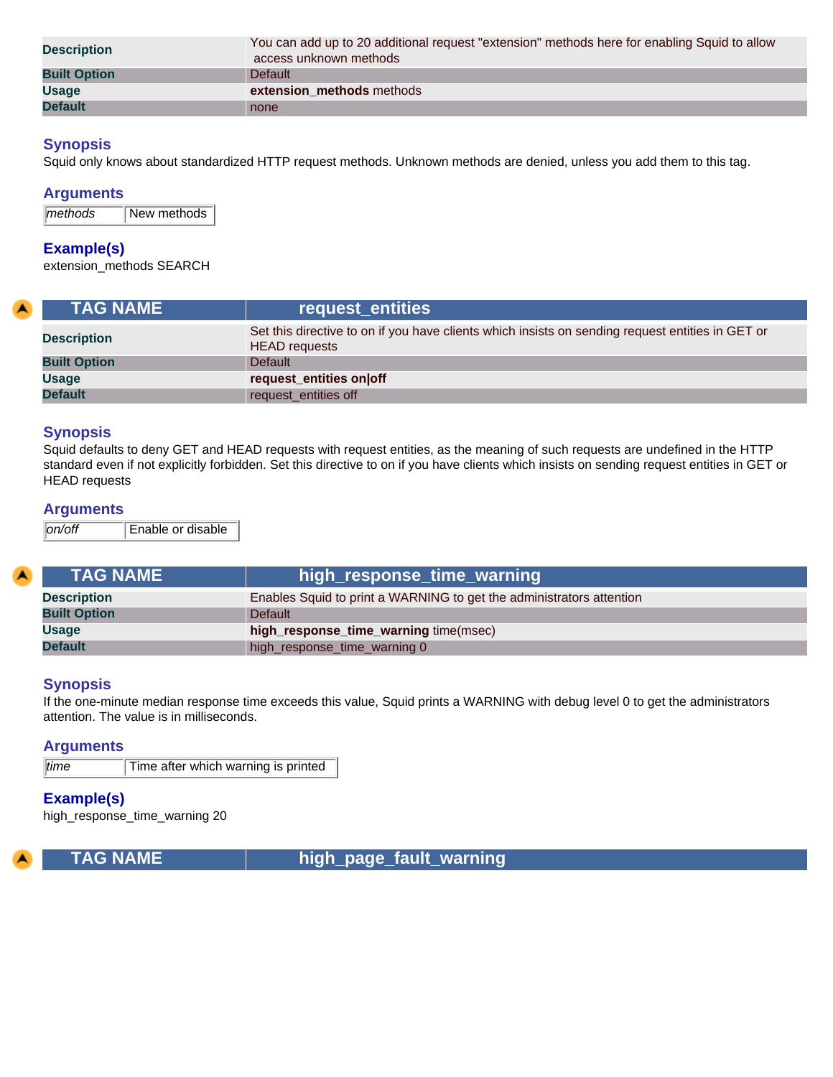| <b>Description</b>  | You can add up to 20 additional request "extension" methods here for enabling Squid to allow<br>access unknown methods |  |
|---------------------|------------------------------------------------------------------------------------------------------------------------|--|
| <b>Built Option</b> | Default                                                                                                                |  |
| <b>Usage</b>        | extension_methods methods                                                                                              |  |
| <b>Default</b>      | none                                                                                                                   |  |

Squid only knows about standardized HTTP request methods. Unknown methods are denied, unless you add them to this tag.

#### **Arguments**

| methods | New methods |
|---------|-------------|
|---------|-------------|

#### **Example(s)**

extension\_methods SEARCH

| <b>TAG NAME</b> \   | request entities                                                                                                         |
|---------------------|--------------------------------------------------------------------------------------------------------------------------|
| <b>Description</b>  | Set this directive to on if you have clients which insists on sending request entities in GET or<br><b>HEAD</b> requests |
| <b>Built Option</b> | Default                                                                                                                  |
| <b>Usage</b>        | request_entities on off                                                                                                  |
| <b>Default</b>      | request_entities off                                                                                                     |

#### **Synopsis**

Squid defaults to deny GET and HEAD requests with request entities, as the meaning of such requests are undefined in the HTTP standard even if not explicitly forbidden. Set this directive to on if you have clients which insists on sending request entities in GET or HEAD requests

#### **Arguments**

*on/off* Enable or disable

| <b>TAG NAME</b>     | high_response_time_warning                                           |
|---------------------|----------------------------------------------------------------------|
| <b>Description</b>  | Enables Squid to print a WARNING to get the administrators attention |
| <b>Built Option</b> | <b>Default</b>                                                       |
| <b>Usage</b>        | high_response_time_warning time(msec)                                |
| <b>Default</b>      | high_response_time_warning 0                                         |

### **Synopsis**

If the one-minute median response time exceeds this value, Squid prints a WARNING with debug level 0 to get the administrators attention. The value is in milliseconds.

#### **Arguments**

*time* Time after which warning is printed

### **Example(s)**

high\_response\_time\_warning 20



 **TAG NAME high\_page\_fault\_warning**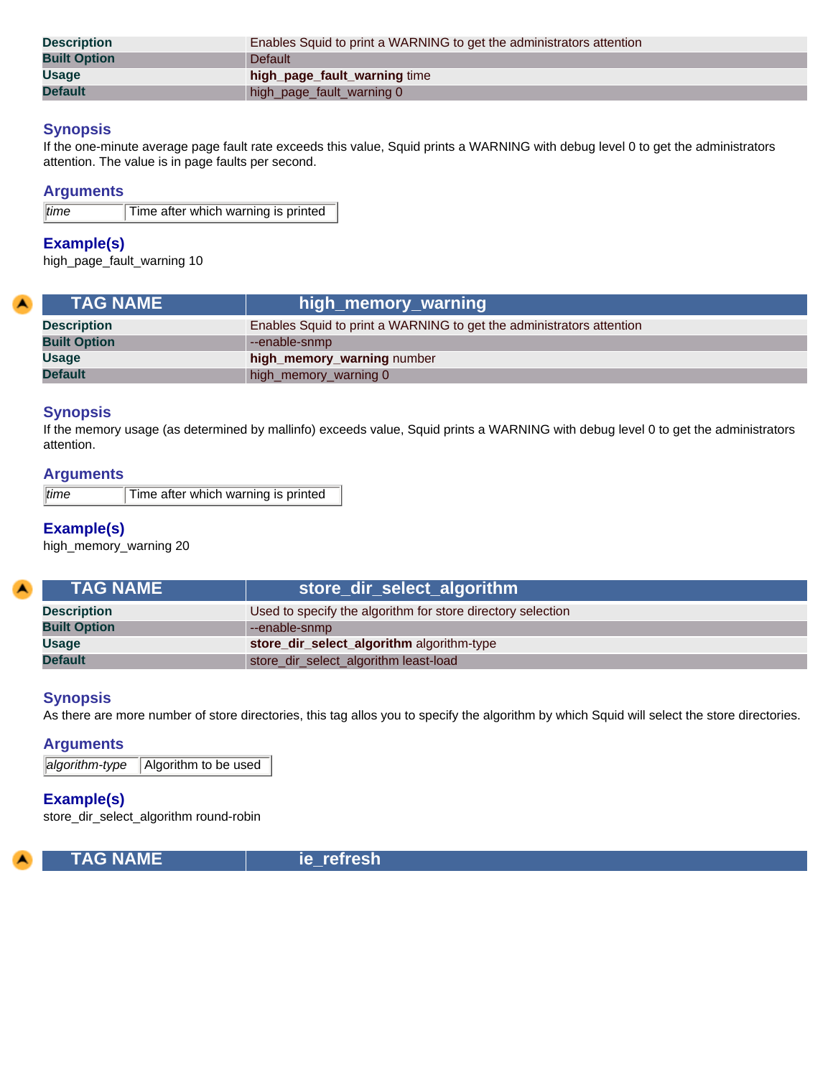| <b>Description</b>  | Enables Squid to print a WARNING to get the administrators attention |
|---------------------|----------------------------------------------------------------------|
| <b>Built Option</b> | <b>Default</b>                                                       |
| <b>Usage</b>        | high_page_fault_warning time                                         |
| <b>Default</b>      | high_page_fault_warning 0                                            |

If the one-minute average page fault rate exceeds this value, Squid prints a WARNING with debug level 0 to get the administrators attention. The value is in page faults per second.

#### **Arguments**

*time* Time after which warning is printed

### **Example(s)**

high\_page\_fault\_warning 10

| <b>TAG NAME</b>     | high_memory_warning \,                                               |
|---------------------|----------------------------------------------------------------------|
| <b>Description</b>  | Enables Squid to print a WARNING to get the administrators attention |
| <b>Built Option</b> | --enable-snmp                                                        |
| <b>Usage</b>        | high_memory_warning number                                           |
| <b>Default</b>      | high_memory_warning 0                                                |

### **Synopsis**

If the memory usage (as determined by mallinfo) exceeds value, Squid prints a WARNING with debug level 0 to get the administrators attention.

#### **Arguments**

*time* Time after which warning is printed

## **Example(s)**

high\_memory\_warning 20

| <b>TAG NAME</b>     | store_dir_select_algorithm                                  |
|---------------------|-------------------------------------------------------------|
| <b>Description</b>  | Used to specify the algorithm for store directory selection |
| <b>Built Option</b> | --enable-snmp                                               |
| <b>Usage</b>        | store_dir_select_algorithm algorithm-type                   |
| <b>Default</b>      | store_dir_select_algorithm least-load                       |

#### **Synopsis**

As there are more number of store directories, this tag allos you to specify the algorithm by which Squid will select the store directories.

### **Arguments**

*algorithm-type* Algorithm to be used

### **Example(s)**

store\_dir\_select\_algorithm round-robin



 **TAG NAME ie\_refresh**